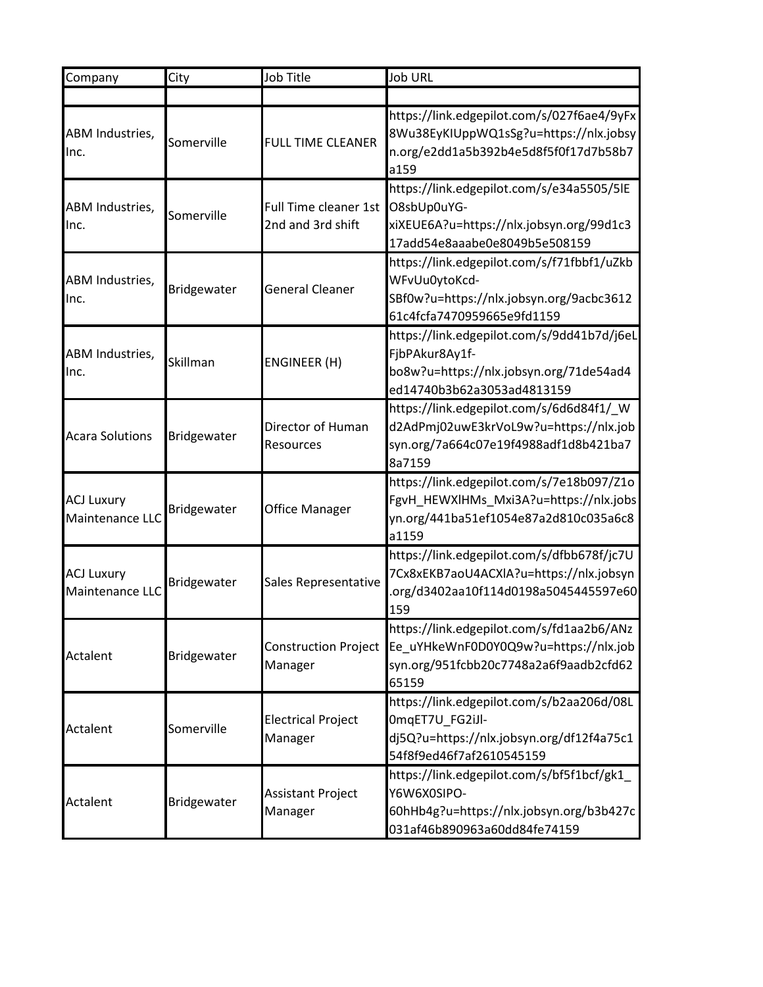| Company                              | City        | Job Title                                  | <b>Job URL</b>                                                                                                                        |
|--------------------------------------|-------------|--------------------------------------------|---------------------------------------------------------------------------------------------------------------------------------------|
|                                      |             |                                            |                                                                                                                                       |
| ABM Industries,<br>Inc.              | Somerville  | <b>FULL TIME CLEANER</b>                   | https://link.edgepilot.com/s/027f6ae4/9yFx<br>8Wu38EyKIUppWQ1sSg?u=https://nlx.jobsy<br>n.org/e2dd1a5b392b4e5d8f5f0f17d7b58b7<br>a159 |
| ABM Industries,<br>Inc.              | Somerville  | Full Time cleaner 1st<br>2nd and 3rd shift | https://link.edgepilot.com/s/e34a5505/5lE<br>O8sbUp0uYG-<br>xiXEUE6A?u=https://nlx.jobsyn.org/99d1c3<br>17add54e8aaabe0e8049b5e508159 |
| ABM Industries,<br>lnc.              | Bridgewater | <b>General Cleaner</b>                     | https://link.edgepilot.com/s/f71fbbf1/uZkb<br>WFvUu0ytoKcd-<br>SBf0w?u=https://nlx.jobsyn.org/9acbc3612<br>61c4fcfa7470959665e9fd1159 |
| ABM Industries,<br>Inc.              | Skillman    | ENGINEER (H)                               | https://link.edgepilot.com/s/9dd41b7d/j6eL<br>FjbPAkur8Ay1f-<br>bo8w?u=https://nlx.jobsyn.org/71de54ad4<br>ed14740b3b62a3053ad4813159 |
| <b>Acara Solutions</b>               | Bridgewater | Director of Human<br><b>Resources</b>      | https://link.edgepilot.com/s/6d6d84f1/_W<br>d2AdPmj02uwE3krVoL9w?u=https://nlx.job<br>syn.org/7a664c07e19f4988adf1d8b421ba7<br>8a7159 |
| <b>ACJ Luxury</b><br>Maintenance LLC | Bridgewater | <b>Office Manager</b>                      | https://link.edgepilot.com/s/7e18b097/Z1o<br>FgvH_HEWXlHMs_Mxi3A?u=https://nlx.jobs<br>yn.org/441ba51ef1054e87a2d810c035a6c8<br>a1159 |
| <b>ACJ Luxury</b><br>Maintenance LLC | Bridgewater | Sales Representative                       | https://link.edgepilot.com/s/dfbb678f/jc7U<br>7Cx8xEKB7aoU4ACXIA?u=https://nlx.jobsyn<br>org/d3402aa10f114d0198a5045445597e60<br>159  |
| Actalent                             | Bridgewater | Construction Project<br>Manager            | https://link.edgepilot.com/s/fd1aa2b6/ANz<br>Ee_uYHkeWnF0D0Y0Q9w?u=https://nlx.job<br>syn.org/951fcbb20c7748a2a6f9aadb2cfd62<br>65159 |
| Actalent                             | Somerville  | <b>Electrical Project</b><br>Manager       | https://link.edgepilot.com/s/b2aa206d/08L<br>OmqET7U_FG2iJl-<br>dj5Q?u=https://nlx.jobsyn.org/df12f4a75c1<br>54f8f9ed46f7af2610545159 |
| Actalent                             | Bridgewater | <b>Assistant Project</b><br>Manager        | https://link.edgepilot.com/s/bf5f1bcf/gk1_<br>Y6W6X0SIPO-<br>60hHb4g?u=https://nlx.jobsyn.org/b3b427c<br>031af46b890963a60dd84fe74159 |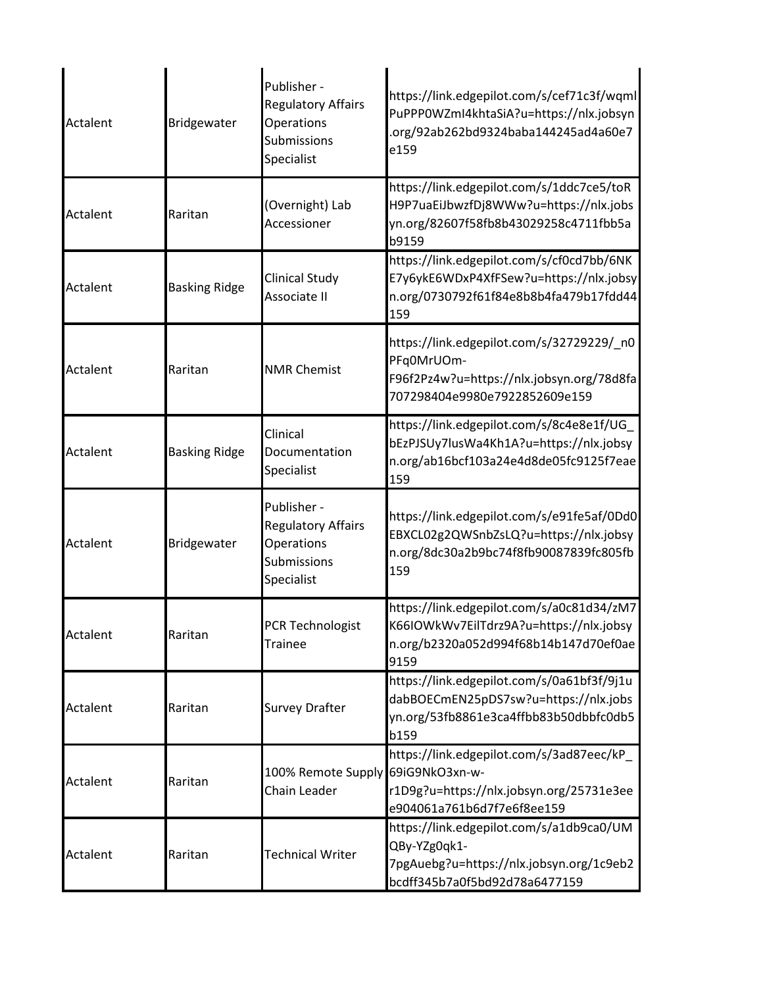| Actalent | Bridgewater          | Publisher -<br><b>Regulatory Affairs</b><br>Operations<br>Submissions<br>Specialist | https://link.edgepilot.com/s/cef71c3f/wqml<br>PuPPP0WZmI4khtaSiA?u=https://nlx.jobsyn<br>.org/92ab262bd9324baba144245ad4a60e7<br>e159 |
|----------|----------------------|-------------------------------------------------------------------------------------|---------------------------------------------------------------------------------------------------------------------------------------|
| Actalent | Raritan              | (Overnight) Lab<br>Accessioner                                                      | https://link.edgepilot.com/s/1ddc7ce5/toR<br>H9P7uaEiJbwzfDj8WWw?u=https://nlx.jobs<br>yn.org/82607f58fb8b43029258c4711fbb5a<br>b9159 |
| Actalent | <b>Basking Ridge</b> | Clinical Study<br>Associate II                                                      | https://link.edgepilot.com/s/cf0cd7bb/6NK<br>E7y6ykE6WDxP4XfFSew?u=https://nlx.jobsy<br>n.org/0730792f61f84e8b8b4fa479b17fdd44<br>159 |
| Actalent | Raritan              | <b>NMR Chemist</b>                                                                  | https://link.edgepilot.com/s/32729229/_n0<br>PFq0MrUOm-<br>F96f2Pz4w?u=https://nlx.jobsyn.org/78d8fa<br>707298404e9980e7922852609e159 |
| Actalent | <b>Basking Ridge</b> | Clinical<br>Documentation<br>Specialist                                             | https://link.edgepilot.com/s/8c4e8e1f/UG<br>bEzPJSUy7lusWa4Kh1A?u=https://nlx.jobsy<br>n.org/ab16bcf103a24e4d8de05fc9125f7eae<br>159  |
| Actalent | Bridgewater          | Publisher -<br><b>Regulatory Affairs</b><br>Operations<br>Submissions<br>Specialist | https://link.edgepilot.com/s/e91fe5af/0Dd0<br>EBXCL02g2QWSnbZsLQ?u=https://nlx.jobsy<br>n.org/8dc30a2b9bc74f8fb90087839fc805fb<br>159 |
| Actalent | Raritan              | <b>PCR Technologist</b><br><b>Trainee</b>                                           | https://link.edgepilot.com/s/a0c81d34/zM7<br>K66IOWkWv7EilTdrz9A?u=https://nlx.jobsy<br>n.org/b2320a052d994f68b14b147d70ef0ae<br>9159 |
| Actalent | Raritan              | <b>Survey Drafter</b>                                                               | https://link.edgepilot.com/s/0a61bf3f/9j1u<br>dabBOECmEN25pDS7sw?u=https://nlx.jobs<br>yn.org/53fb8861e3ca4ffbb83b50dbbfc0db5<br>b159 |
| Actalent | Raritan              | 100% Remote Supply<br>Chain Leader                                                  | https://link.edgepilot.com/s/3ad87eec/kP_<br>69iG9NkO3xn-w-<br>r1D9g?u=https://nlx.jobsyn.org/25731e3ee<br>e904061a761b6d7f7e6f8ee159 |
| Actalent | Raritan              | <b>Technical Writer</b>                                                             | https://link.edgepilot.com/s/a1db9ca0/UM<br>QBy-YZg0qk1-<br>7pgAuebg?u=https://nlx.jobsyn.org/1c9eb2<br>bcdff345b7a0f5bd92d78a6477159 |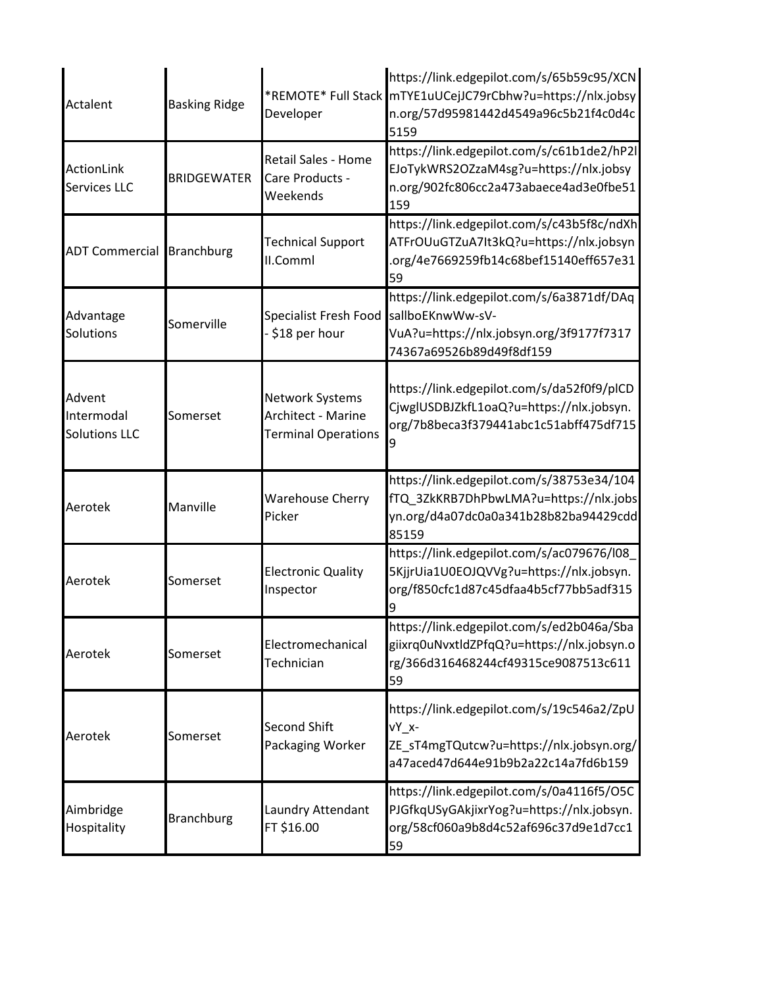| Actalent                                     | <b>Basking Ridge</b> | Developer                                                                  | https://link.edgepilot.com/s/65b59c95/XCN<br>*REMOTE* Full Stack mTYE1uUCejJC79rCbhw?u=https://nlx.jobsy<br>n.org/57d95981442d4549a96c5b21f4c0d4c<br>5159 |
|----------------------------------------------|----------------------|----------------------------------------------------------------------------|-----------------------------------------------------------------------------------------------------------------------------------------------------------|
| <b>ActionLink</b><br><b>Services LLC</b>     | <b>BRIDGEWATER</b>   | <b>Retail Sales - Home</b><br>Care Products -<br>Weekends                  | https://link.edgepilot.com/s/c61b1de2/hP2l<br>EJoTykWRS2OZzaM4sg?u=https://nlx.jobsy<br>n.org/902fc806cc2a473abaece4ad3e0fbe51<br>159                     |
| <b>ADT Commercial Branchburg</b>             |                      | <b>Technical Support</b><br>II.Comml                                       | https://link.edgepilot.com/s/c43b5f8c/ndXh<br>ATFrOUuGTZuA7It3kQ?u=https://nlx.jobsyn<br>.org/4e7669259fb14c68bef15140eff657e31<br>59                     |
| Advantage<br>Solutions                       | Somerville           | Specialist Fresh Food<br>\$18 per hour                                     | https://link.edgepilot.com/s/6a3871df/DAq<br>sallboEKnwWw-sV-<br>VuA?u=https://nlx.jobsyn.org/3f9177f7317<br>74367a69526b89d49f8df159                     |
| Advent<br>Intermodal<br><b>Solutions LLC</b> | Somerset             | <b>Network Systems</b><br>Architect - Marine<br><b>Terminal Operations</b> | https://link.edgepilot.com/s/da52f0f9/plCD<br>CjwglUSDBJZkfL1oaQ?u=https://nlx.jobsyn.<br>org/7b8beca3f379441abc1c51abff475df715                          |
| Aerotek                                      | Manville             | <b>Warehouse Cherry</b><br>Picker                                          | https://link.edgepilot.com/s/38753e34/104<br>fTQ_3ZkKRB7DhPbwLMA?u=https://nlx.jobs<br>yn.org/d4a07dc0a0a341b28b82ba94429cdd<br>85159                     |
| Aerotek                                      | Somerset             | <b>Electronic Quality</b><br>Inspector                                     | https://link.edgepilot.com/s/ac079676/l08<br>5KjjrUia1U0EOJQVVg?u=https://nlx.jobsyn.<br>org/f850cfc1d87c45dfaa4b5cf77bb5adf315                           |
| Aerotek                                      | Somerset             | Electromechanical<br>Technician                                            | https://link.edgepilot.com/s/ed2b046a/Sba<br>giixrq0uNvxtldZPfqQ?u=https://nlx.jobsyn.o<br>rg/366d316468244cf49315ce9087513c611<br>59                     |
| Aerotek                                      | Somerset             | <b>Second Shift</b><br>Packaging Worker                                    | https://link.edgepilot.com/s/19c546a2/ZpU<br>vY x-<br>ZE_sT4mgTQutcw?u=https://nlx.jobsyn.org/<br>a47aced47d644e91b9b2a22c14a7fd6b159                     |
| Aimbridge<br>Hospitality                     | <b>Branchburg</b>    | Laundry Attendant<br>FT \$16.00                                            | https://link.edgepilot.com/s/0a4116f5/O5C<br>PJGfkqUSyGAkjixrYog?u=https://nlx.jobsyn.<br>org/58cf060a9b8d4c52af696c37d9e1d7cc1<br>59                     |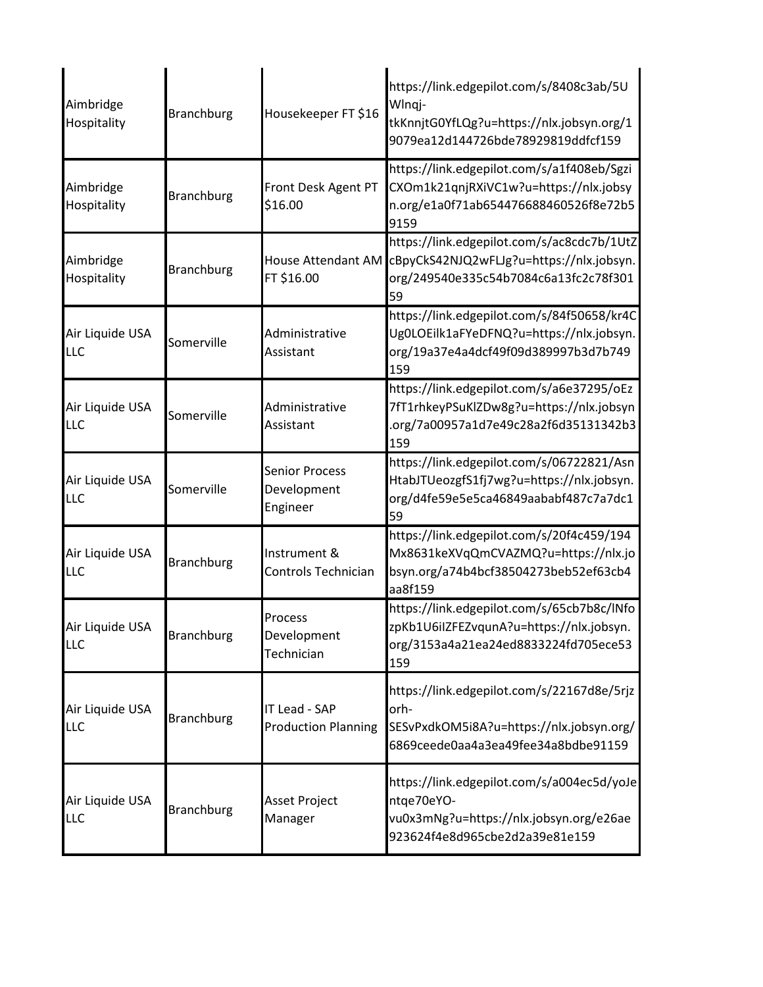| Aimbridge<br>Hospitality      | <b>Branchburg</b> | Housekeeper FT \$16                              | https://link.edgepilot.com/s/8408c3ab/5U<br>Wlngj-<br>tkKnnjtG0YfLQg?u=https://nlx.jobsyn.org/1<br>9079ea12d144726bde78929819ddfcf159 |
|-------------------------------|-------------------|--------------------------------------------------|---------------------------------------------------------------------------------------------------------------------------------------|
| Aimbridge<br>Hospitality      | <b>Branchburg</b> | Front Desk Agent PT<br>\$16.00                   | https://link.edgepilot.com/s/a1f408eb/Sgzi<br>CXOm1k21qnjRXiVC1w?u=https://nlx.jobsy<br>n.org/e1a0f71ab654476688460526f8e72b5<br>9159 |
| Aimbridge<br>Hospitality      | <b>Branchburg</b> | House Attendant AM<br>FT \$16.00                 | https://link.edgepilot.com/s/ac8cdc7b/1UtZ<br>cBpyCkS42NJQ2wFLJg?u=https://nlx.jobsyn.<br>org/249540e335c54b7084c6a13fc2c78f301<br>59 |
| Air Liquide USA<br><b>LLC</b> | Somerville        | Administrative<br>Assistant                      | https://link.edgepilot.com/s/84f50658/kr4C<br>Ug0LOEilk1aFYeDFNQ?u=https://nlx.jobsyn.<br>org/19a37e4a4dcf49f09d389997b3d7b749<br>159 |
| Air Liquide USA<br><b>LLC</b> | Somerville        | Administrative<br>Assistant                      | https://link.edgepilot.com/s/a6e37295/oEz<br>7fT1rhkeyPSuKlZDw8g?u=https://nlx.jobsyn<br>.org/7a00957a1d7e49c28a2f6d35131342b3<br>159 |
| Air Liquide USA<br>LLC        | Somerville        | <b>Senior Process</b><br>Development<br>Engineer | https://link.edgepilot.com/s/06722821/Asn<br>HtabJTUeozgfS1fj7wg?u=https://nlx.jobsyn.<br>org/d4fe59e5e5ca46849aababf487c7a7dc1<br>59 |
| Air Liquide USA<br><b>LLC</b> | <b>Branchburg</b> | Instrument &<br>Controls Technician              | https://link.edgepilot.com/s/20f4c459/194<br>Mx8631keXVqQmCVAZMQ?u=https://nlx.jo<br>bsyn.org/a74b4bcf38504273beb52ef63cb4<br>aa8f159 |
| Air Liquide USA<br><b>LLC</b> | <b>Branchburg</b> | Process<br>Development<br>Technician             | https://link.edgepilot.com/s/65cb7b8c/lNfo<br>zpKb1U6iIZFEZvqunA?u=https://nlx.jobsyn.<br>org/3153a4a21ea24ed8833224fd705ece53<br>159 |
| Air Liquide USA<br><b>LLC</b> | <b>Branchburg</b> | IT Lead - SAP<br><b>Production Planning</b>      | https://link.edgepilot.com/s/22167d8e/5rjz<br>orh-<br>SESvPxdkOM5i8A?u=https://nlx.jobsyn.org/<br>6869ceede0aa4a3ea49fee34a8bdbe91159 |
| Air Liquide USA<br><b>LLC</b> | <b>Branchburg</b> | <b>Asset Project</b><br>Manager                  | https://link.edgepilot.com/s/a004ec5d/yoJe<br>ntge70eYO-<br>vu0x3mNg?u=https://nlx.jobsyn.org/e26ae<br>923624f4e8d965cbe2d2a39e81e159 |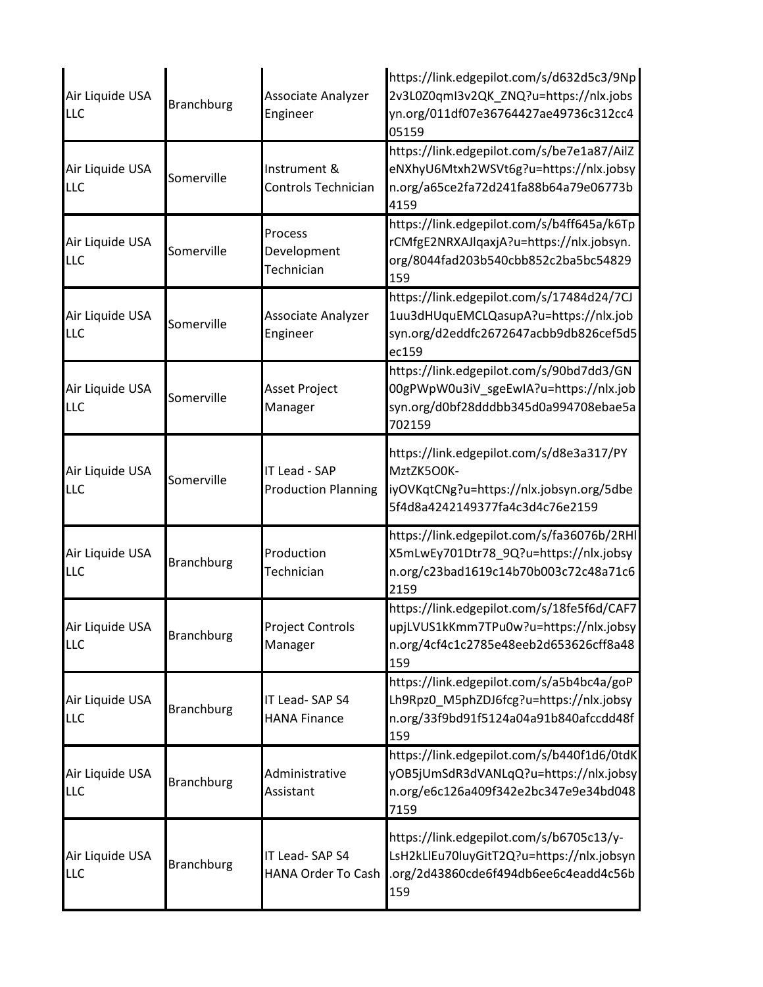| Air Liquide USA<br><b>LLC</b> | <b>Branchburg</b> | Associate Analyzer<br>Engineer                     | https://link.edgepilot.com/s/d632d5c3/9Np<br>2v3L0Z0qmI3v2QK ZNQ?u=https://nlx.jobs<br>yn.org/011df07e36764427ae49736c312cc4<br>05159 |
|-------------------------------|-------------------|----------------------------------------------------|---------------------------------------------------------------------------------------------------------------------------------------|
| Air Liquide USA<br>LLC        | Somerville        | Instrument &<br>Controls Technician                | https://link.edgepilot.com/s/be7e1a87/AilZ<br>eNXhyU6Mtxh2WSVt6g?u=https://nlx.jobsy<br>n.org/a65ce2fa72d241fa88b64a79e06773b<br>4159 |
| Air Liquide USA<br><b>LLC</b> | Somerville        | Process<br>Development<br>Technician               | https://link.edgepilot.com/s/b4ff645a/k6Tp<br>rCMfgE2NRXAJlqaxjA?u=https://nlx.jobsyn.<br>org/8044fad203b540cbb852c2ba5bc54829<br>159 |
| Air Liquide USA<br>LLC        | Somerville        | Associate Analyzer<br>Engineer                     | https://link.edgepilot.com/s/17484d24/7CJ<br>1uu3dHUquEMCLQasupA?u=https://nlx.job<br>syn.org/d2eddfc2672647acbb9db826cef5d5<br>ec159 |
| Air Liquide USA<br>LLC        | Somerville        | <b>Asset Project</b><br>Manager                    | https://link.edgepilot.com/s/90bd7dd3/GN<br>00gPWpW0u3iV_sgeEwIA?u=https://nlx.job<br>syn.org/d0bf28dddbb345d0a994708ebae5a<br>702159 |
| Air Liquide USA<br>LLC        | Somerville        | <b>IT Lead - SAP</b><br><b>Production Planning</b> | https://link.edgepilot.com/s/d8e3a317/PY<br>MztZK5O0K-<br>iyOVKqtCNg?u=https://nlx.jobsyn.org/5dbe<br>5f4d8a4242149377fa4c3d4c76e2159 |
| Air Liquide USA<br>LLC        | <b>Branchburg</b> | Production<br>Technician                           | https://link.edgepilot.com/s/fa36076b/2RHI<br>X5mLwEy701Dtr78_9Q?u=https://nlx.jobsy<br>n.org/c23bad1619c14b70b003c72c48a71c6<br>2159 |
| Air Liquide USA<br><b>LLC</b> | <b>Branchburg</b> | <b>Project Controls</b><br>Manager                 | https://link.edgepilot.com/s/18fe5f6d/CAF7<br>upjLVUS1kKmm7TPu0w?u=https://nlx.jobsy<br>n.org/4cf4c1c2785e48eeb2d653626cff8a48<br>159 |
| Air Liquide USA<br><b>LLC</b> | <b>Branchburg</b> | IT Lead-SAP S4<br><b>HANA Finance</b>              | https://link.edgepilot.com/s/a5b4bc4a/goP<br>Lh9Rpz0 M5phZDJ6fcg?u=https://nlx.jobsy<br>n.org/33f9bd91f5124a04a91b840afccdd48f<br>159 |
| Air Liquide USA<br><b>LLC</b> | <b>Branchburg</b> | Administrative<br>Assistant                        | https://link.edgepilot.com/s/b440f1d6/0tdK<br>yOB5jUmSdR3dVANLqQ?u=https://nlx.jobsy<br>n.org/e6c126a409f342e2bc347e9e34bd048<br>7159 |
| Air Liquide USA<br>LLC        | <b>Branchburg</b> | IT Lead-SAP S4<br>HANA Order To Cash               | https://link.edgepilot.com/s/b6705c13/y-<br>LsH2kLlEu70luyGitT2Q?u=https://nlx.jobsyn<br>.org/2d43860cde6f494db6ee6c4eadd4c56b<br>159 |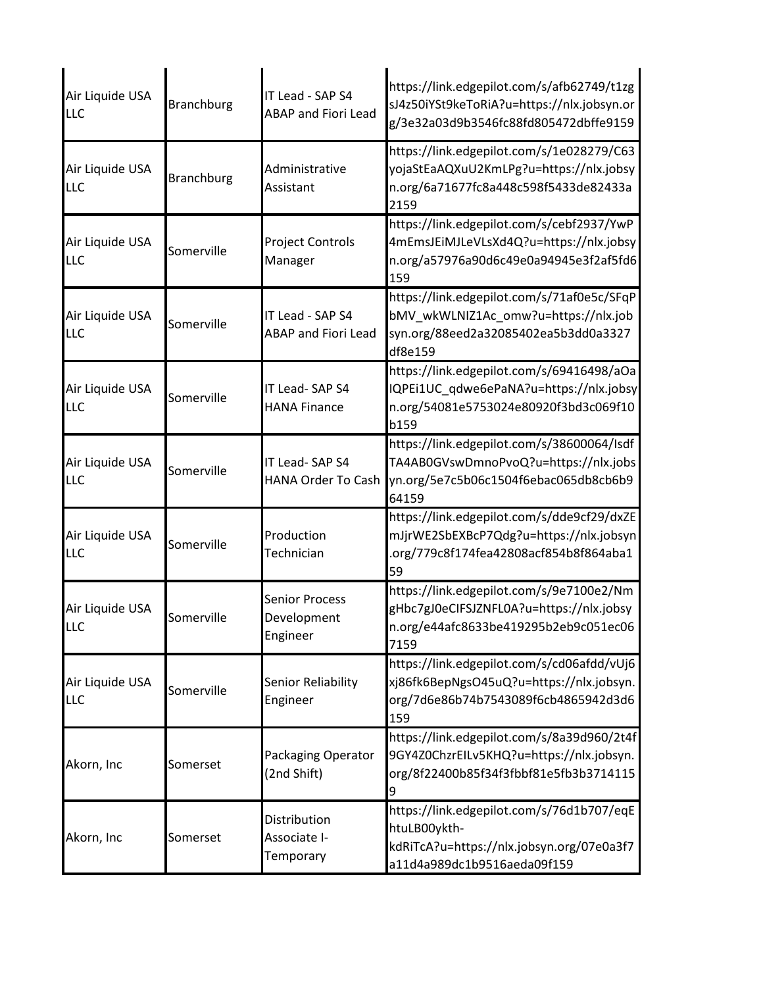| Air Liquide USA<br><b>LLC</b> | <b>Branchburg</b> | IT Lead - SAP S4<br><b>ABAP and Fiori Lead</b>   | https://link.edgepilot.com/s/afb62749/t1zg<br>sJ4z50iYSt9keToRiA?u=https://nlx.jobsyn.or<br>g/3e32a03d9b3546fc88fd805472dbffe9159                        |
|-------------------------------|-------------------|--------------------------------------------------|----------------------------------------------------------------------------------------------------------------------------------------------------------|
| Air Liquide USA<br>LLC        | <b>Branchburg</b> | Administrative<br>Assistant                      | https://link.edgepilot.com/s/1e028279/C63<br>yojaStEaAQXuU2KmLPg?u=https://nlx.jobsy<br>n.org/6a71677fc8a448c598f5433de82433a<br>2159                    |
| Air Liquide USA<br>LLC        | Somerville        | <b>Project Controls</b><br>Manager               | https://link.edgepilot.com/s/cebf2937/YwP<br>4mEmsJEiMJLeVLsXd4Q?u=https://nlx.jobsy<br>n.org/a57976a90d6c49e0a94945e3f2af5fd6<br>159                    |
| Air Liquide USA<br>LLC        | Somerville        | IT Lead - SAP S4<br><b>ABAP and Fiori Lead</b>   | https://link.edgepilot.com/s/71af0e5c/SFqP<br>bMV_wkWLNIZ1Ac_omw?u=https://nlx.job<br>syn.org/88eed2a32085402ea5b3dd0a3327<br>df8e159                    |
| Air Liquide USA<br><b>LLC</b> | Somerville        | IT Lead-SAP S4<br><b>HANA Finance</b>            | https://link.edgepilot.com/s/69416498/aOa<br>IQPEi1UC_qdwe6ePaNA?u=https://nlx.jobsy<br>n.org/54081e5753024e80920f3bd3c069f10<br>b159                    |
| Air Liquide USA<br><b>LLC</b> | Somerville        | IT Lead-SAP S4                                   | https://link.edgepilot.com/s/38600064/Isdf<br>TA4AB0GVswDmnoPvoQ?u=https://nlx.jobs<br>HANA Order To Cash vn.org/5e7c5b06c1504f6ebac065db8cb6b9<br>64159 |
| Air Liquide USA<br>LLC        | Somerville        | Production<br>Technician                         | https://link.edgepilot.com/s/dde9cf29/dxZE<br>mJjrWE2SbEXBcP7Qdg?u=https://nlx.jobsyn<br>.org/779c8f174fea42808acf854b8f864aba1<br>59                    |
| Air Liquide USA<br>LLC        | Somerville        | <b>Senior Process</b><br>Development<br>Engineer | https://link.edgepilot.com/s/9e7100e2/Nm<br>gHbc7gJ0eCIFSJZNFL0A?u=https://nlx.jobsy<br>n.org/e44afc8633be419295b2eb9c051ec06<br>7159                    |
| Air Liquide USA<br><b>LLC</b> | Somerville        | Senior Reliability<br>Engineer                   | https://link.edgepilot.com/s/cd06afdd/vUj6<br>xj86fk6BepNgsO45uQ?u=https://nlx.jobsyn.<br>org/7d6e86b74b7543089f6cb4865942d3d6<br>159                    |
| Akorn, Inc                    | Somerset          | Packaging Operator<br>(2nd Shift)                | https://link.edgepilot.com/s/8a39d960/2t4f<br>9GY4Z0ChzrEILv5KHQ?u=https://nlx.jobsyn.<br>org/8f22400b85f34f3fbbf81e5fb3b3714115                         |
| Akorn, Inc                    | Somerset          | Distribution<br>Associate I-<br>Temporary        | https://link.edgepilot.com/s/76d1b707/eqE<br>htuLB00ykth-<br>kdRiTcA?u=https://nlx.jobsyn.org/07e0a3f7<br>a11d4a989dc1b9516aeda09f159                    |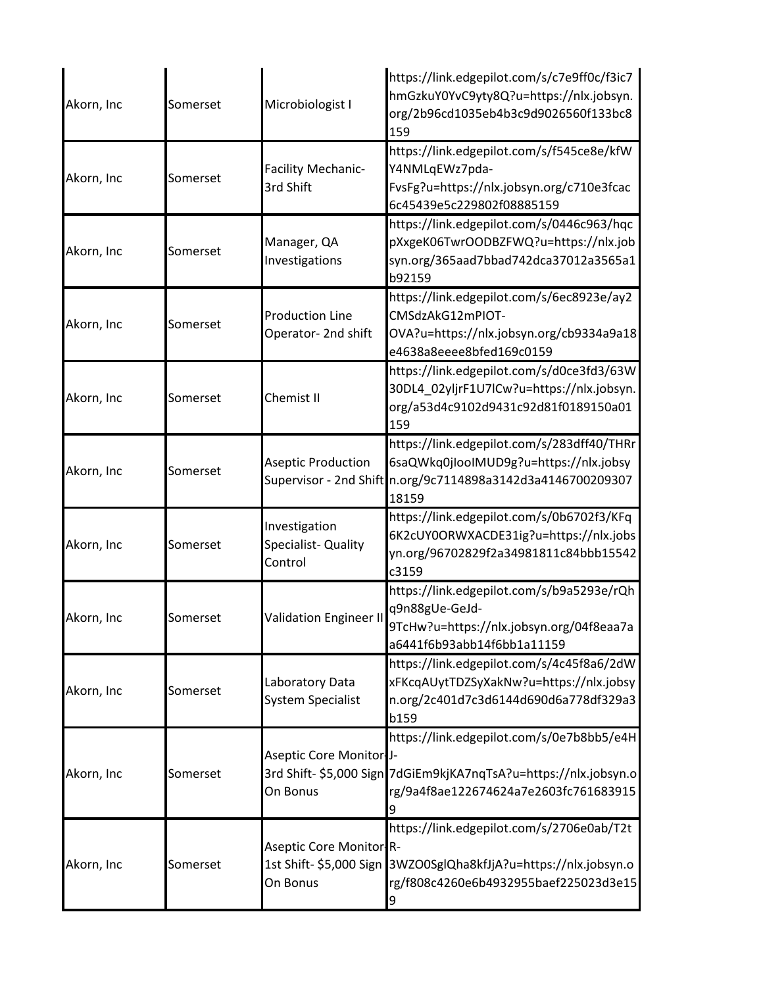| Akorn, Inc | Somerset | Microbiologist I                                               | https://link.edgepilot.com/s/c7e9ff0c/f3ic7<br>hmGzkuY0YvC9yty8Q?u=https://nlx.jobsyn.<br>org/2b96cd1035eb4b3c9d9026560f133bc8<br>159 |
|------------|----------|----------------------------------------------------------------|---------------------------------------------------------------------------------------------------------------------------------------|
| Akorn, Inc | Somerset | <b>Facility Mechanic-</b><br>3rd Shift                         | https://link.edgepilot.com/s/f545ce8e/kfW<br>Y4NMLqEWz7pda-<br>FvsFg?u=https://nlx.jobsyn.org/c710e3fcac<br>6c45439e5c229802f08885159 |
| Akorn, Inc | Somerset | Manager, QA<br>Investigations                                  | https://link.edgepilot.com/s/0446c963/hqc<br>pXxgeK06TwrOODBZFWQ?u=https://nlx.job<br>syn.org/365aad7bbad742dca37012a3565a1<br>b92159 |
| Akorn, Inc | Somerset | <b>Production Line</b><br>Operator- 2nd shift                  | https://link.edgepilot.com/s/6ec8923e/ay2<br>CMSdzAkG12mPIOT-<br>OVA?u=https://nlx.jobsyn.org/cb9334a9a18<br>e4638a8eeee8bfed169c0159 |
| Akorn, Inc | Somerset | Chemist II                                                     | https://link.edgepilot.com/s/d0ce3fd3/63W<br>30DL4_02yljrF1U7lCw?u=https://nlx.jobsyn.<br>org/a53d4c9102d9431c92d81f0189150a01<br>159 |
| Akorn, Inc | Somerset | <b>Aseptic Production</b><br>Supervisor - 2nd Shift            | https://link.edgepilot.com/s/283dff40/THRr<br>6saQWkq0jIooIMUD9g?u=https://nlx.jobsy<br>n.org/9c7114898a3142d3a4146700209307<br>18159 |
| Akorn, Inc | Somerset | Investigation<br>Specialist-Quality<br>Control                 | https://link.edgepilot.com/s/0b6702f3/KFq<br>6K2cUY0ORWXACDE31ig?u=https://nlx.jobs<br>yn.org/96702829f2a34981811c84bbb15542<br>c3159 |
| Akorn, Inc | Somerset | <b>Validation Engineer II</b>                                  | https://link.edgepilot.com/s/b9a5293e/rQh<br>q9n88gUe-GeJd-<br>9TcHw?u=https://nlx.jobsyn.org/04f8eaa7a<br>a6441f6b93abb14f6bb1a11159 |
| Akorn, Inc | Somerset | Laboratory Data<br><b>System Specialist</b>                    | https://link.edgepilot.com/s/4c45f8a6/2dW<br>xFKcqAUytTDZSyXakNw?u=https://nlx.jobsy<br>n.org/2c401d7c3d6144d690d6a778df329a3<br>b159 |
| Akorn, Inc | Somerset | Aseptic Core Monitor J-<br>3rd Shift- \$5,000 Sign<br>On Bonus | https://link.edgepilot.com/s/0e7b8bb5/e4H<br>7dGiEm9kjKA7nqTsA?u=https://nlx.jobsyn.o<br>rg/9a4f8ae122674624a7e2603fc761683915        |
| Akorn, Inc | Somerset | Aseptic Core Monitor R-<br>1st Shift- \$5,000 Sign<br>On Bonus | https://link.edgepilot.com/s/2706e0ab/T2t<br>3WZO0SglQha8kfJjA?u=https://nlx.jobsyn.o<br>rg/f808c4260e6b4932955baef225023d3e15<br>9   |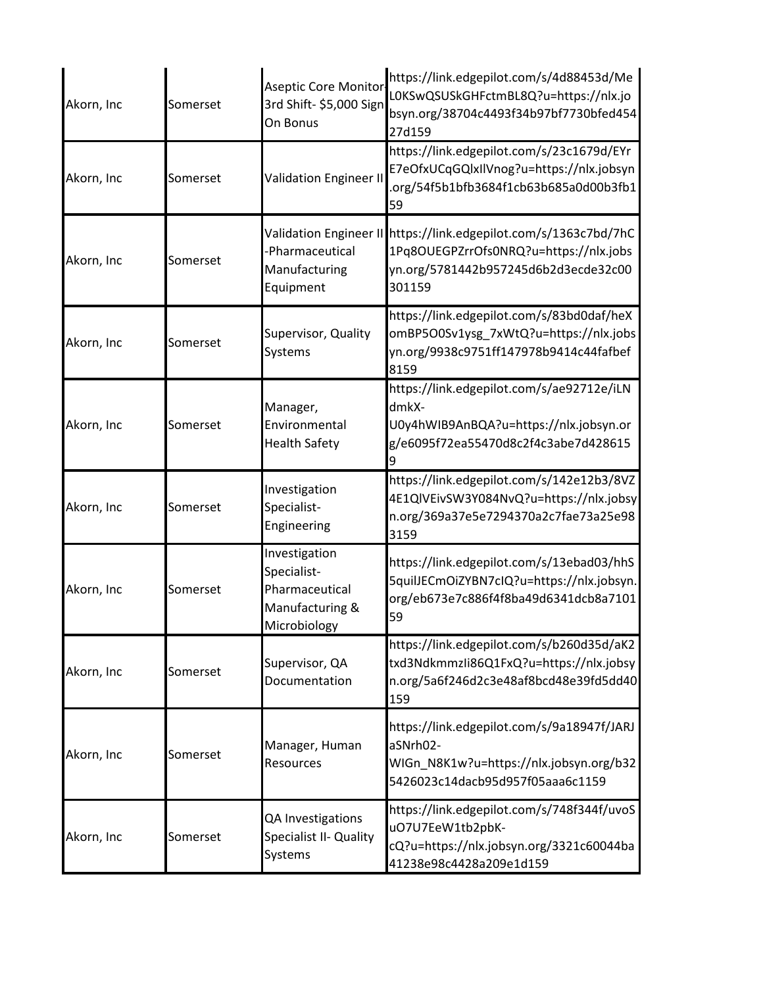| Akorn, Inc | Somerset | <b>Aseptic Core Monitor</b><br>3rd Shift- \$5,000 Sign<br>On Bonus                | https://link.edgepilot.com/s/4d88453d/Me<br>LOKSwQSUSkGHFctmBL8Q?u=https://nlx.jo<br>bsyn.org/38704c4493f34b97bf7730bfed454<br>27d159                        |
|------------|----------|-----------------------------------------------------------------------------------|--------------------------------------------------------------------------------------------------------------------------------------------------------------|
| Akorn, Inc | Somerset | <b>Validation Engineer II</b>                                                     | https://link.edgepilot.com/s/23c1679d/EYr<br>E7eOfxUCqGQlxIlVnog?u=https://nlx.jobsyn<br>.org/54f5b1bfb3684f1cb63b685a0d00b3fb1<br>59                        |
| Akorn, Inc | Somerset | -Pharmaceutical<br>Manufacturing<br>Equipment                                     | Validation Engineer II https://link.edgepilot.com/s/1363c7bd/7hC<br>1Pq8OUEGPZrrOfs0NRQ?u=https://nlx.jobs<br>yn.org/5781442b957245d6b2d3ecde32c00<br>301159 |
| Akorn, Inc | Somerset | Supervisor, Quality<br>Systems                                                    | https://link.edgepilot.com/s/83bd0daf/heX<br>omBP5O0Sv1ysg_7xWtQ?u=https://nlx.jobs<br>yn.org/9938c9751ff147978b9414c44fafbef<br>8159                        |
| Akorn, Inc | Somerset | Manager,<br>Environmental<br><b>Health Safety</b>                                 | https://link.edgepilot.com/s/ae92712e/iLN<br>dmkX-<br>U0y4hWIB9AnBQA?u=https://nlx.jobsyn.or<br>g/e6095f72ea55470d8c2f4c3abe7d428615                         |
| Akorn, Inc | Somerset | Investigation<br>Specialist-<br>Engineering                                       | https://link.edgepilot.com/s/142e12b3/8VZ<br>4E1QlVEivSW3Y084NvQ?u=https://nlx.jobsy<br>n.org/369a37e5e7294370a2c7fae73a25e98<br>3159                        |
| Akorn, Inc | Somerset | Investigation<br>Specialist-<br>Pharmaceutical<br>Manufacturing &<br>Microbiology | https://link.edgepilot.com/s/13ebad03/hhS<br>5quilJECmOiZYBN7cIQ?u=https://nlx.jobsyn.<br>org/eb673e7c886f4f8ba49d6341dcb8a7101<br>59                        |
| Akorn, Inc | Somerset | Supervisor, QA<br>Documentation                                                   | https://link.edgepilot.com/s/b260d35d/aK2<br>txd3Ndkmmzli86Q1FxQ?u=https://nlx.jobsy<br>n.org/5a6f246d2c3e48af8bcd48e39fd5dd40<br>159                        |
| Akorn, Inc | Somerset | Manager, Human<br>Resources                                                       | https://link.edgepilot.com/s/9a18947f/JARJ<br>aSNrh02-<br>WIGn_N8K1w?u=https://nlx.jobsyn.org/b32<br>5426023c14dacb95d957f05aaa6c1159                        |
| Akorn, Inc | Somerset | QA Investigations<br>Specialist II- Quality<br>Systems                            | https://link.edgepilot.com/s/748f344f/uvoS<br>uO7U7EeW1tb2pbK-<br>cQ?u=https://nlx.jobsyn.org/3321c60044ba<br>41238e98c4428a209e1d159                        |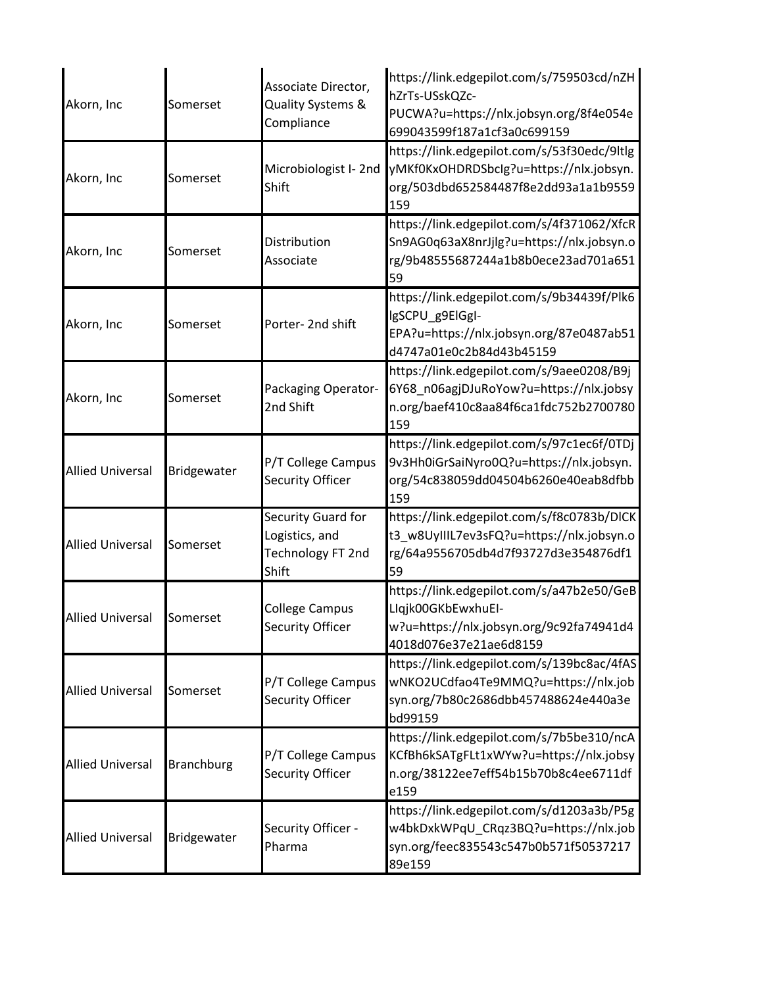| Akorn, Inc              | Somerset          | Associate Director,<br>Quality Systems &<br>Compliance             | https://link.edgepilot.com/s/759503cd/nZH<br>hZrTs-USskQZc-<br>PUCWA?u=https://nlx.jobsyn.org/8f4e054e<br>699043599f187a1cf3a0c699159 |
|-------------------------|-------------------|--------------------------------------------------------------------|---------------------------------------------------------------------------------------------------------------------------------------|
| Akorn, Inc              | Somerset          | Microbiologist I-2nd<br>Shift                                      | https://link.edgepilot.com/s/53f30edc/9ltlg<br>yMKf0KxOHDRDSbclg?u=https://nlx.jobsyn.<br>org/503dbd652584487f8e2dd93a1a1b9559<br>159 |
| Akorn, Inc              | Somerset          | Distribution<br>Associate                                          | https://link.edgepilot.com/s/4f371062/XfcR<br>Sn9AG0q63aX8nrJjlg?u=https://nlx.jobsyn.o<br>rg/9b48555687244a1b8b0ece23ad701a651<br>59 |
| Akorn, Inc              | Somerset          | Porter-2nd shift                                                   | https://link.edgepilot.com/s/9b34439f/Plk6<br>lgSCPU g9ElGgI-<br>EPA?u=https://nlx.jobsyn.org/87e0487ab51<br>d4747a01e0c2b84d43b45159 |
| Akorn, Inc              | Somerset          | Packaging Operator-<br>2nd Shift                                   | https://link.edgepilot.com/s/9aee0208/B9j<br>6Y68_n06agjDJuRoYow?u=https://nlx.jobsy<br>n.org/baef410c8aa84f6ca1fdc752b2700780<br>159 |
| <b>Allied Universal</b> | Bridgewater       | P/T College Campus<br>Security Officer                             | https://link.edgepilot.com/s/97c1ec6f/0TDj<br>9v3Hh0iGrSaiNyro0Q?u=https://nlx.jobsyn.<br>org/54c838059dd04504b6260e40eab8dfbb<br>159 |
| <b>Allied Universal</b> | Somerset          | Security Guard for<br>Logistics, and<br>Technology FT 2nd<br>Shift | https://link.edgepilot.com/s/f8c0783b/DICK<br>t3_w8UyIIIL7ev3sFQ?u=https://nlx.jobsyn.o<br>rg/64a9556705db4d7f93727d3e354876df1<br>59 |
| <b>Allied Universal</b> | Somerset          | <b>College Campus</b><br>Security Officer                          | https://link.edgepilot.com/s/a47b2e50/GeB<br>Llqjk00GKbEwxhuEI-<br>w?u=https://nlx.jobsyn.org/9c92fa74941d4<br>4018d076e37e21ae6d8159 |
| <b>Allied Universal</b> | Somerset          | P/T College Campus<br>Security Officer                             | https://link.edgepilot.com/s/139bc8ac/4fAS<br>wNKO2UCdfao4Te9MMQ?u=https://nlx.job<br>syn.org/7b80c2686dbb457488624e440a3e<br>bd99159 |
| <b>Allied Universal</b> | <b>Branchburg</b> | P/T College Campus<br><b>Security Officer</b>                      | https://link.edgepilot.com/s/7b5be310/ncA<br>KCfBh6kSATgFLt1xWYw?u=https://nlx.jobsy<br>n.org/38122ee7eff54b15b70b8c4ee6711df<br>e159 |
| <b>Allied Universal</b> | Bridgewater       | Security Officer -<br>Pharma                                       | https://link.edgepilot.com/s/d1203a3b/P5g<br>w4bkDxkWPqU_CRqz3BQ?u=https://nlx.job<br>syn.org/feec835543c547b0b571f50537217<br>89e159 |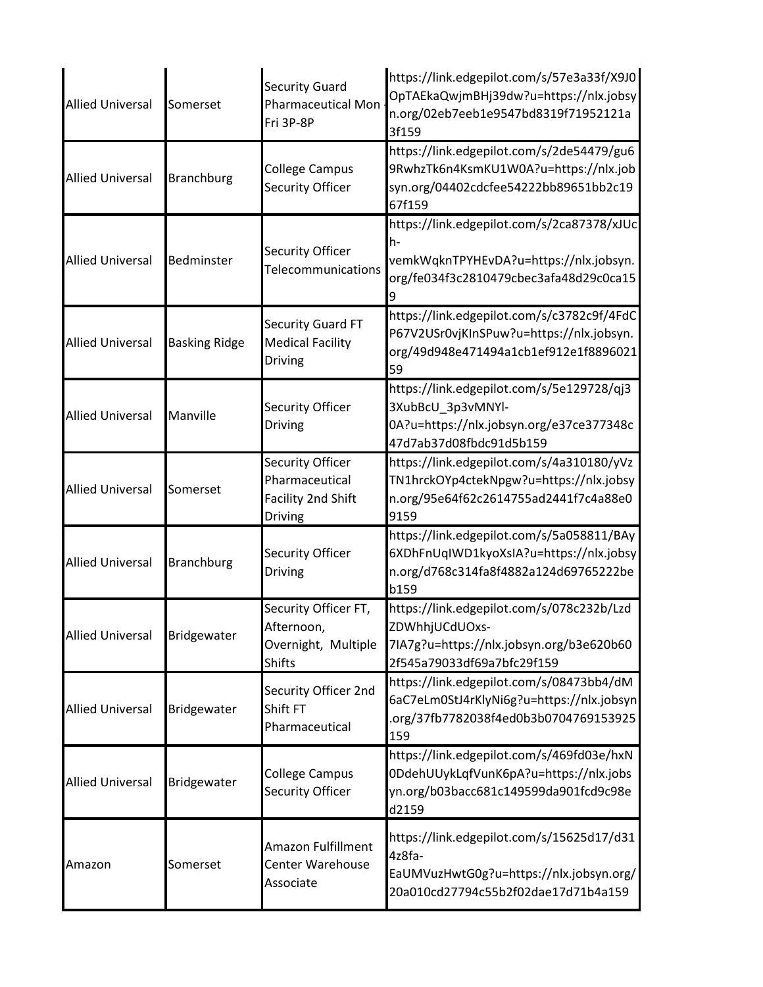| <b>Allied Universal</b> | Somerset             | <b>Security Guard</b><br><b>Pharmaceutical Mon</b><br>Fri 3P-8P                   | https://link.edgepilot.com/s/57e3a33f/X9J0<br>OpTAEkaQwjmBHj39dw?u=https://nlx.jobsy<br>n.org/02eb7eeb1e9547bd8319f71952121a<br>3f159 |
|-------------------------|----------------------|-----------------------------------------------------------------------------------|---------------------------------------------------------------------------------------------------------------------------------------|
| <b>Allied Universal</b> | <b>Branchburg</b>    | <b>College Campus</b><br><b>Security Officer</b>                                  | https://link.edgepilot.com/s/2de54479/gu6<br>9RwhzTk6n4KsmKU1W0A?u=https://nlx.job<br>syn.org/04402cdcfee54222bb89651bb2c19<br>67f159 |
| <b>Allied Universal</b> | Bedminster           | <b>Security Officer</b><br>Telecommunications                                     | https://link.edgepilot.com/s/2ca87378/xJUc<br>h-<br>vemkWqknTPYHEvDA?u=https://nlx.jobsyn.<br>org/fe034f3c2810479cbec3afa48d29c0ca15  |
| <b>Allied Universal</b> | <b>Basking Ridge</b> | <b>Security Guard FT</b><br><b>Medical Facility</b><br><b>Driving</b>             | https://link.edgepilot.com/s/c3782c9f/4FdC<br>P67V2USr0vjKInSPuw?u=https://nlx.jobsyn.<br>org/49d948e471494a1cb1ef912e1f8896021<br>59 |
| <b>Allied Universal</b> | Manville             | <b>Security Officer</b><br>Driving                                                | https://link.edgepilot.com/s/5e129728/qj3<br>3XubBcU 3p3vMNYl-<br>0A?u=https://nlx.jobsyn.org/e37ce377348c<br>47d7ab37d08fbdc91d5b159 |
| <b>Allied Universal</b> | Somerset             | <b>Security Officer</b><br>Pharmaceutical<br><b>Facility 2nd Shift</b><br>Driving | https://link.edgepilot.com/s/4a310180/yVz<br>TN1hrckOYp4ctekNpgw?u=https://nlx.jobsy<br>n.org/95e64f62c2614755ad2441f7c4a88e0<br>9159 |
| <b>Allied Universal</b> | <b>Branchburg</b>    | <b>Security Officer</b><br>Driving                                                | https://link.edgepilot.com/s/5a058811/BAy<br>6XDhFnUqIWD1kyoXsIA?u=https://nlx.jobsy<br>n.org/d768c314fa8f4882a124d69765222be<br>b159 |
| <b>Allied Universal</b> | Bridgewater          | Security Officer FT,<br>Afternoon,<br>Overnight, Multiple<br><b>Shifts</b>        | https://link.edgepilot.com/s/078c232b/Lzd<br>ZDWhhjUCdUOxs-<br>7IA7g?u=https://nlx.jobsyn.org/b3e620b60<br>2f545a79033df69a7bfc29f159 |
| <b>Allied Universal</b> | Bridgewater          | Security Officer 2nd<br>Shift FT<br>Pharmaceutical                                | https://link.edgepilot.com/s/08473bb4/dM<br>6aC7eLm0StJ4rKlyNi6g?u=https://nlx.jobsyn<br>.org/37fb7782038f4ed0b3b0704769153925<br>159 |
| <b>Allied Universal</b> | Bridgewater          | <b>College Campus</b><br><b>Security Officer</b>                                  | https://link.edgepilot.com/s/469fd03e/hxN<br>0DdehUUykLqfVunK6pA?u=https://nlx.jobs<br>yn.org/b03bacc681c149599da901fcd9c98e<br>d2159 |
| Amazon                  | Somerset             | Amazon Fulfillment<br>Center Warehouse<br>Associate                               | https://link.edgepilot.com/s/15625d17/d31<br>4z8fa-<br>EaUMVuzHwtG0g?u=https://nlx.jobsyn.org/<br>20a010cd27794c55b2f02dae17d71b4a159 |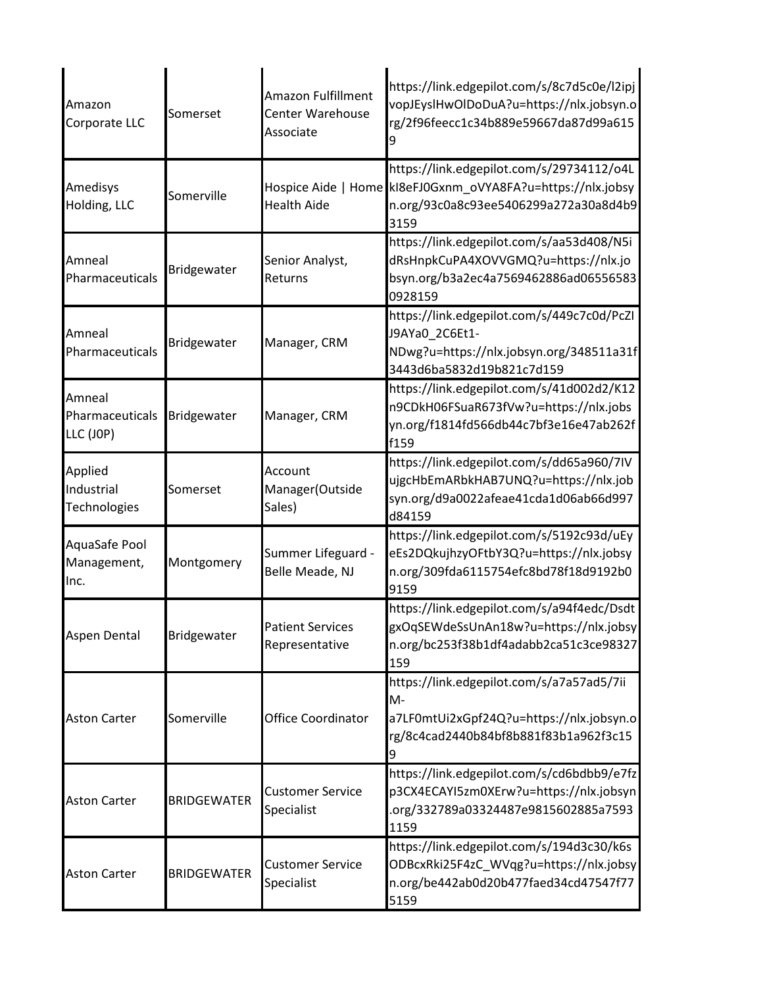| Amazon<br>Corporate LLC                      | Somerset           | Amazon Fulfillment<br><b>Center Warehouse</b><br>Associate | https://link.edgepilot.com/s/8c7d5c0e/l2ipj<br>vopJEyslHwOlDoDuA?u=https://nlx.jobsyn.o<br>rg/2f96feecc1c34b889e59667da87d99a615                          |
|----------------------------------------------|--------------------|------------------------------------------------------------|-----------------------------------------------------------------------------------------------------------------------------------------------------------|
| Amedisys<br>Holding, LLC                     | Somerville         | <b>Health Aide</b>                                         | https://link.edgepilot.com/s/29734112/o4L<br>Hospice Aide   Home kl8eFJ0Gxnm oVYA8FA?u=https://nlx.jobsy<br>n.org/93c0a8c93ee5406299a272a30a8d4b9<br>3159 |
| Amneal<br>Pharmaceuticals                    | Bridgewater        | Senior Analyst,<br>Returns                                 | https://link.edgepilot.com/s/aa53d408/N5i<br>dRsHnpkCuPA4XOVVGMQ?u=https://nlx.jo<br>bsyn.org/b3a2ec4a7569462886ad06556583<br>0928159                     |
| Amneal<br>Pharmaceuticals                    | Bridgewater        | Manager, CRM                                               | https://link.edgepilot.com/s/449c7c0d/PcZI<br>J9AYa0_2C6Et1-<br>NDwg?u=https://nlx.jobsyn.org/348511a31f<br>3443d6ba5832d19b821c7d159                     |
| Amneal<br>Pharmaceuticals<br>LLC (JOP)       | Bridgewater        | Manager, CRM                                               | https://link.edgepilot.com/s/41d002d2/K12<br>n9CDkH06FSuaR673fVw?u=https://nlx.jobs<br>yn.org/f1814fd566db44c7bf3e16e47ab262f<br>f159                     |
| Applied<br>Industrial<br><b>Technologies</b> | Somerset           | Account<br>Manager(Outside<br>Sales)                       | https://link.edgepilot.com/s/dd65a960/7IV<br>ujgcHbEmARbkHAB7UNQ?u=https://nlx.job<br>syn.org/d9a0022afeae41cda1d06ab66d997<br>d84159                     |
| AquaSafe Pool<br>Management,<br>Inc.         | Montgomery         | Summer Lifeguard -<br>Belle Meade, NJ                      | https://link.edgepilot.com/s/5192c93d/uEy<br>eEs2DQkujhzyOFtbY3Q?u=https://nlx.jobsy<br>n.org/309fda6115754efc8bd78f18d9192b0<br>9159                     |
| Aspen Dental                                 | Bridgewater        | <b>Patient Services</b><br>Representative                  | https://link.edgepilot.com/s/a94f4edc/Dsdt<br>gxOqSEWdeSsUnAn18w?u=https://nlx.jobsy<br>n.org/bc253f38b1df4adabb2ca51c3ce98327<br>159                     |
| <b>Aston Carter</b>                          | Somerville         | <b>Office Coordinator</b>                                  | https://link.edgepilot.com/s/a7a57ad5/7ii<br>M-<br>a7LF0mtUi2xGpf24Q?u=https://nlx.jobsyn.o<br>rg/8c4cad2440b84bf8b881f83b1a962f3c15<br>9                 |
| <b>Aston Carter</b>                          | <b>BRIDGEWATER</b> | <b>Customer Service</b><br>Specialist                      | https://link.edgepilot.com/s/cd6bdbb9/e7fz<br>p3CX4ECAYI5zm0XErw?u=https://nlx.jobsyn<br>.org/332789a03324487e9815602885a7593<br>1159                     |
| <b>Aston Carter</b>                          | <b>BRIDGEWATER</b> | <b>Customer Service</b><br>Specialist                      | https://link.edgepilot.com/s/194d3c30/k6s<br>ODBcxRki25F4zC_WVqg?u=https://nlx.jobsy<br>n.org/be442ab0d20b477faed34cd47547f77<br>5159                     |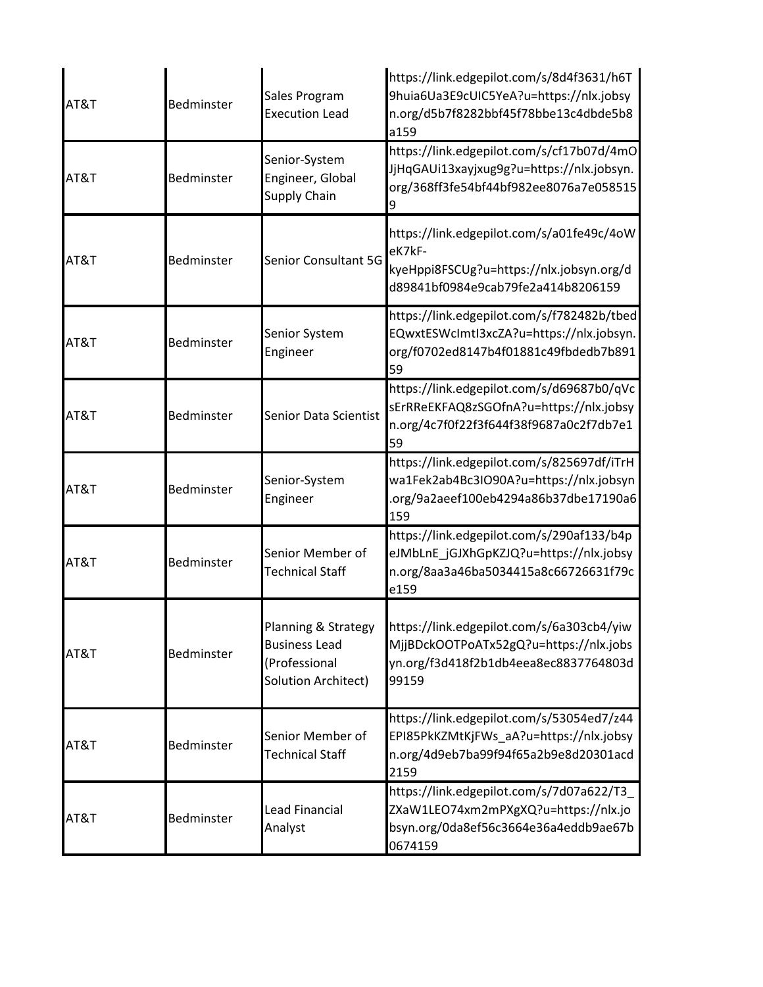| AT&T | Bedminster | Sales Program<br><b>Execution Lead</b>                                              | https://link.edgepilot.com/s/8d4f3631/h6T<br>9huia6Ua3E9cUIC5YeA?u=https://nlx.jobsy<br>n.org/d5b7f8282bbf45f78bbe13c4dbde5b8<br>a159 |
|------|------------|-------------------------------------------------------------------------------------|---------------------------------------------------------------------------------------------------------------------------------------|
| AT&T | Bedminster | Senior-System<br>Engineer, Global<br><b>Supply Chain</b>                            | https://link.edgepilot.com/s/cf17b07d/4mO<br>JjHqGAUi13xayjxug9g?u=https://nlx.jobsyn.<br>org/368ff3fe54bf44bf982ee8076a7e058515      |
| AT&T | Bedminster | <b>Senior Consultant 5G</b>                                                         | https://link.edgepilot.com/s/a01fe49c/4oW<br>eK7kF-<br>kyeHppi8FSCUg?u=https://nlx.jobsyn.org/d<br>d89841bf0984e9cab79fe2a414b8206159 |
| AT&T | Bedminster | Senior System<br>Engineer                                                           | https://link.edgepilot.com/s/f782482b/tbed<br>EQwxtESWcImtI3xcZA?u=https://nlx.jobsyn.<br>org/f0702ed8147b4f01881c49fbdedb7b891<br>59 |
| AT&T | Bedminster | Senior Data Scientist                                                               | https://link.edgepilot.com/s/d69687b0/qVc<br>sErRReEKFAQ8zSGOfnA?u=https://nlx.jobsy<br>n.org/4c7f0f22f3f644f38f9687a0c2f7db7e1<br>59 |
| AT&T | Bedminster | Senior-System<br>Engineer                                                           | https://link.edgepilot.com/s/825697df/iTrH<br>wa1Fek2ab4Bc3IO90A?u=https://nlx.jobsyn<br>.org/9a2aeef100eb4294a86b37dbe17190a6<br>159 |
| AT&T | Bedminster | Senior Member of<br><b>Technical Staff</b>                                          | https://link.edgepilot.com/s/290af133/b4p<br>eJMbLnE_jGJXhGpKZJQ?u=https://nlx.jobsy<br>n.org/8aa3a46ba5034415a8c66726631f79c<br>e159 |
| AT&T | Bedminster | Planning & Strategy<br><b>Business Lead</b><br>(Professional<br>Solution Architect) | https://link.edgepilot.com/s/6a303cb4/yiw<br>MjjBDckOOTPoATx52gQ?u=https://nlx.jobs<br>yn.org/f3d418f2b1db4eea8ec8837764803d<br>99159 |
| AT&T | Bedminster | Senior Member of<br><b>Technical Staff</b>                                          | https://link.edgepilot.com/s/53054ed7/z44<br>EPI85PkKZMtKjFWs_aA?u=https://nlx.jobsy<br>n.org/4d9eb7ba99f94f65a2b9e8d20301acd<br>2159 |
| AT&T | Bedminster | <b>Lead Financial</b><br>Analyst                                                    | https://link.edgepilot.com/s/7d07a622/T3<br>ZXaW1LEO74xm2mPXgXQ?u=https://nlx.jo<br>bsyn.org/0da8ef56c3664e36a4eddb9ae67b<br>0674159  |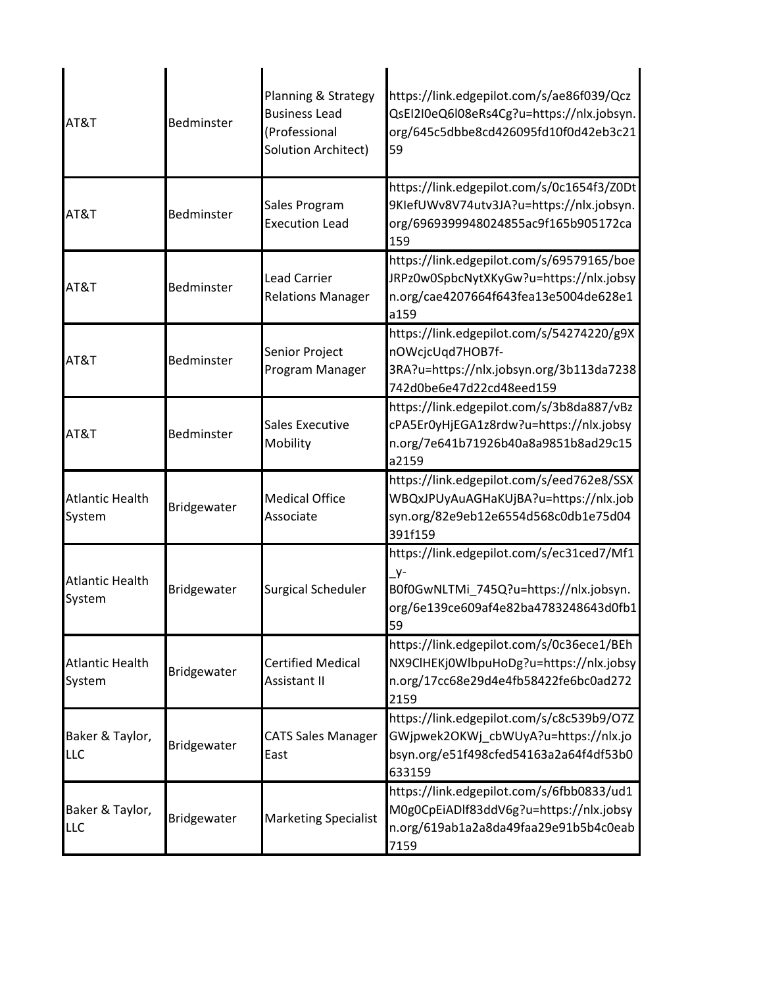| AT&T                             | Bedminster  | Planning & Strategy<br><b>Business Lead</b><br>(Professional<br>Solution Architect) | https://link.edgepilot.com/s/ae86f039/Qcz<br>QsEI2I0eQ6I08eRs4Cg?u=https://nlx.jobsyn.<br>org/645c5dbbe8cd426095fd10f0d42eb3c21<br>59       |
|----------------------------------|-------------|-------------------------------------------------------------------------------------|---------------------------------------------------------------------------------------------------------------------------------------------|
| AT&T                             | Bedminster  | Sales Program<br><b>Execution Lead</b>                                              | https://link.edgepilot.com/s/0c1654f3/Z0Dt<br>9KlefUWv8V74utv3JA?u=https://nlx.jobsyn.<br>org/6969399948024855ac9f165b905172ca<br>159       |
| AT&T                             | Bedminster  | <b>Lead Carrier</b><br><b>Relations Manager</b>                                     | https://link.edgepilot.com/s/69579165/boe<br>JRPz0w0SpbcNytXKyGw?u=https://nlx.jobsy<br>n.org/cae4207664f643fea13e5004de628e1<br>a159       |
| AT&T                             | Bedminster  | Senior Project<br>Program Manager                                                   | https://link.edgepilot.com/s/54274220/g9X<br>nOWcjcUqd7HOB7f-<br>3RA?u=https://nlx.jobsyn.org/3b113da7238<br>742d0be6e47d22cd48eed159       |
| AT&T                             | Bedminster  | <b>Sales Executive</b><br>Mobility                                                  | https://link.edgepilot.com/s/3b8da887/vBz<br>cPA5Er0yHjEGA1z8rdw?u=https://nlx.jobsy<br>n.org/7e641b71926b40a8a9851b8ad29c15<br>a2159       |
| <b>Atlantic Health</b><br>System | Bridgewater | <b>Medical Office</b><br>Associate                                                  | https://link.edgepilot.com/s/eed762e8/SSX<br>WBQxJPUyAuAGHaKUjBA?u=https://nlx.job<br>syn.org/82e9eb12e6554d568c0db1e75d04<br>391f159       |
| <b>Atlantic Health</b><br>System | Bridgewater | <b>Surgical Scheduler</b>                                                           | https://link.edgepilot.com/s/ec31ced7/Mf1<br>$Y^-$<br>B0f0GwNLTMi 745Q?u=https://nlx.jobsyn.<br>org/6e139ce609af4e82ba4783248643d0fb1<br>59 |
| <b>Atlantic Health</b><br>System | Bridgewater | <b>Certified Medical</b><br>Assistant II                                            | https://link.edgepilot.com/s/0c36ece1/BEh<br>NX9ClHEKj0WlbpuHoDg?u=https://nlx.jobsy<br>n.org/17cc68e29d4e4fb58422fe6bc0ad272<br>2159       |
| Baker & Taylor,<br>LLC           | Bridgewater | <b>CATS Sales Manager</b><br>East                                                   | https://link.edgepilot.com/s/c8c539b9/O7Z<br>GWjpwek2OKWj_cbWUyA?u=https://nlx.jo<br>bsyn.org/e51f498cfed54163a2a64f4df53b0<br>633159       |
| Baker & Taylor,<br>LLC           | Bridgewater | <b>Marketing Specialist</b>                                                         | https://link.edgepilot.com/s/6fbb0833/ud1<br>M0g0CpEiADIf83ddV6g?u=https://nlx.jobsy<br>n.org/619ab1a2a8da49faa29e91b5b4c0eab<br>7159       |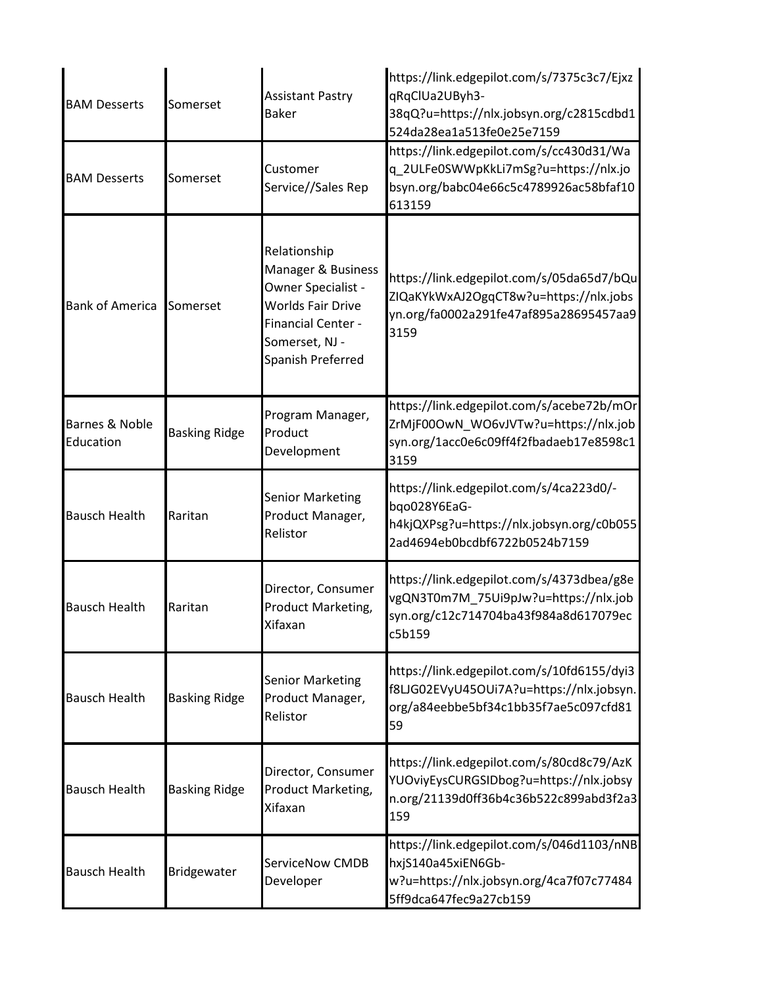| <b>BAM Desserts</b>         | Somerset             | <b>Assistant Pastry</b><br><b>Baker</b>                                                                                                                  | https://link.edgepilot.com/s/7375c3c7/Ejxz<br>qRqClUa2UByh3-<br>38qQ?u=https://nlx.jobsyn.org/c2815cdbd1<br>524da28ea1a513fe0e25e7159 |
|-----------------------------|----------------------|----------------------------------------------------------------------------------------------------------------------------------------------------------|---------------------------------------------------------------------------------------------------------------------------------------|
| <b>BAM Desserts</b>         | Somerset             | Customer<br>Service//Sales Rep                                                                                                                           | https://link.edgepilot.com/s/cc430d31/Wa<br>q_2ULFe0SWWpKkLi7mSg?u=https://nlx.jo<br>bsyn.org/babc04e66c5c4789926ac58bfaf10<br>613159 |
| <b>Bank of America</b>      | Somerset             | Relationship<br>Manager & Business<br>Owner Specialist -<br><b>Worlds Fair Drive</b><br><b>Financial Center -</b><br>Somerset, NJ -<br>Spanish Preferred | https://link.edgepilot.com/s/05da65d7/bQu<br>ZIQaKYkWxAJ2OgqCT8w?u=https://nlx.jobs<br>yn.org/fa0002a291fe47af895a28695457aa9<br>3159 |
| Barnes & Noble<br>Education | <b>Basking Ridge</b> | Program Manager,<br>Product<br>Development                                                                                                               | https://link.edgepilot.com/s/acebe72b/mOr<br>ZrMjF00OwN WO6vJVTw?u=https://nlx.job<br>syn.org/1acc0e6c09ff4f2fbadaeb17e8598c1<br>3159 |
| <b>Bausch Health</b>        | Raritan              | <b>Senior Marketing</b><br>Product Manager,<br>Relistor                                                                                                  | https://link.edgepilot.com/s/4ca223d0/-<br>bqo028Y6EaG-<br>h4kjQXPsg?u=https://nlx.jobsyn.org/c0b055<br>2ad4694eb0bcdbf6722b0524b7159 |
| <b>Bausch Health</b>        | Raritan              | Director, Consumer<br>Product Marketing,<br>Xifaxan                                                                                                      | https://link.edgepilot.com/s/4373dbea/g8e<br>vgQN3T0m7M_75Ui9pJw?u=https://nlx.job<br>syn.org/c12c714704ba43f984a8d617079ec<br>c5b159 |
| <b>Bausch Health</b>        | <b>Basking Ridge</b> | <b>Senior Marketing</b><br>Product Manager,<br>Relistor                                                                                                  | https://link.edgepilot.com/s/10fd6155/dyi3<br>f8LJG02EVyU45OUi7A?u=https://nlx.jobsyn.<br>org/a84eebbe5bf34c1bb35f7ae5c097cfd81<br>59 |
| <b>Bausch Health</b>        | <b>Basking Ridge</b> | Director, Consumer<br>Product Marketing,<br>Xifaxan                                                                                                      | https://link.edgepilot.com/s/80cd8c79/AzK<br>YUOviyEysCURGSIDbog?u=https://nlx.jobsy<br>n.org/21139d0ff36b4c36b522c899abd3f2a3<br>159 |
| <b>Bausch Health</b>        | Bridgewater          | <b>ServiceNow CMDB</b><br>Developer                                                                                                                      | https://link.edgepilot.com/s/046d1103/nNB<br>hxjS140a45xiEN6Gb-<br>w?u=https://nlx.jobsyn.org/4ca7f07c77484<br>5ff9dca647fec9a27cb159 |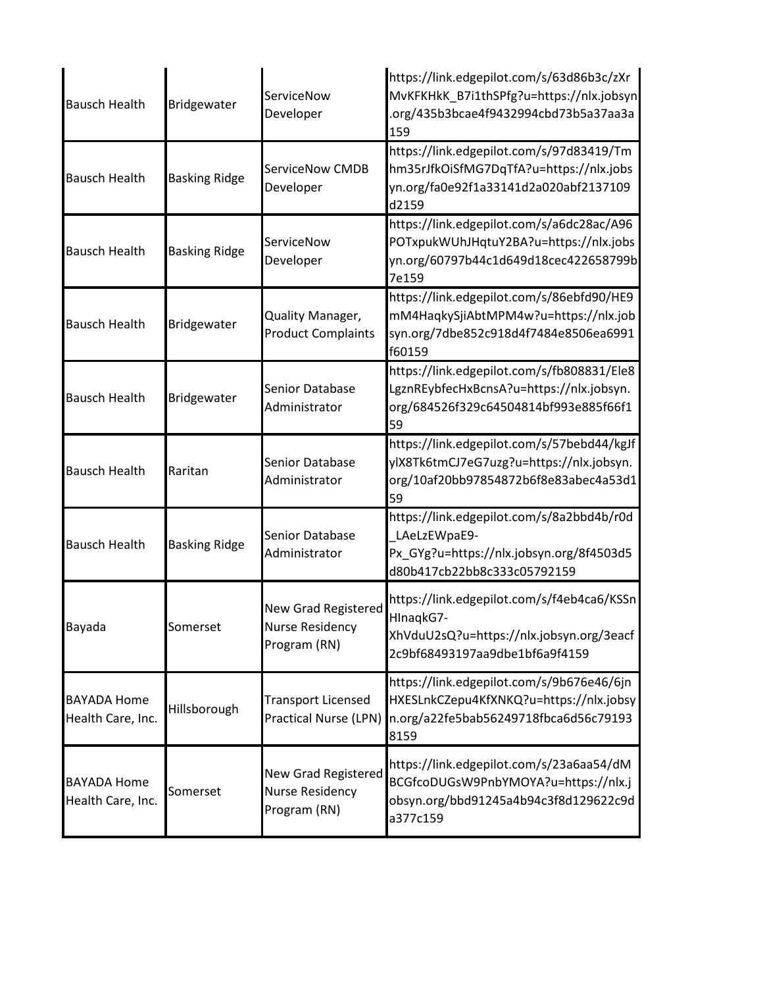| <b>Bausch Health</b>                    | Bridgewater          | ServiceNow<br>Developer                                       | https://link.edgepilot.com/s/63d86b3c/zXr<br>MvKFKHkK B7i1thSPfg?u=https://nlx.jobsyn<br>.org/435b3bcae4f9432994cbd73b5a37aa3a<br>159 |
|-----------------------------------------|----------------------|---------------------------------------------------------------|---------------------------------------------------------------------------------------------------------------------------------------|
| <b>Bausch Health</b>                    | <b>Basking Ridge</b> | ServiceNow CMDB<br>Developer                                  | https://link.edgepilot.com/s/97d83419/Tm<br>hm35rJfkOiSfMG7DqTfA?u=https://nlx.jobs<br>yn.org/fa0e92f1a33141d2a020abf2137109<br>d2159 |
| <b>Bausch Health</b>                    | <b>Basking Ridge</b> | ServiceNow<br>Developer                                       | https://link.edgepilot.com/s/a6dc28ac/A96<br>POTxpukWUhJHqtuY2BA?u=https://nlx.jobs<br>yn.org/60797b44c1d649d18cec422658799b<br>7e159 |
| <b>Bausch Health</b>                    | Bridgewater          | Quality Manager,<br><b>Product Complaints</b>                 | https://link.edgepilot.com/s/86ebfd90/HE9<br>mM4HaqkySjiAbtMPM4w?u=https://nlx.job<br>syn.org/7dbe852c918d4f7484e8506ea6991<br>f60159 |
| <b>Bausch Health</b>                    | Bridgewater          | <b>Senior Database</b><br>Administrator                       | https://link.edgepilot.com/s/fb808831/Ele8<br>LgznREybfecHxBcnsA?u=https://nlx.jobsyn.<br>org/684526f329c64504814bf993e885f66f1<br>59 |
| <b>Bausch Health</b>                    | Raritan              | <b>Senior Database</b><br>Administrator                       | https://link.edgepilot.com/s/57bebd44/kgJf<br>ylX8Tk6tmCJ7eG7uzg?u=https://nlx.jobsyn.<br>org/10af20bb97854872b6f8e83abec4a53d1<br>59 |
| <b>Bausch Health</b>                    | <b>Basking Ridge</b> | Senior Database<br>Administrator                              | https://link.edgepilot.com/s/8a2bbd4b/r0d<br>LAeLzEWpaE9-<br>Px_GYg?u=https://nlx.jobsyn.org/8f4503d5<br>d80b417cb22bb8c333c05792159  |
| Bayada                                  | Somerset             | New Grad Registered<br><b>Nurse Residency</b><br>Program (RN) | https://link.edgepilot.com/s/f4eb4ca6/KSSn<br>HInaqkG7-<br>XhVduU2sQ?u=https://nlx.jobsyn.org/3eacf<br>2c9bf68493197aa9dbe1bf6a9f4159 |
| <b>BAYADA Home</b><br>Health Care, Inc. | Hillsborough         | <b>Transport Licensed</b><br>Practical Nurse (LPN)            | https://link.edgepilot.com/s/9b676e46/6jn<br>HXESLnkCZepu4KfXNKQ?u=https://nlx.jobsy<br>n.org/a22fe5bab56249718fbca6d56c79193<br>8159 |
| <b>BAYADA Home</b><br>Health Care, Inc. | Somerset             | New Grad Registered<br><b>Nurse Residency</b><br>Program (RN) | https://link.edgepilot.com/s/23a6aa54/dM<br>BCGfcoDUGsW9PnbYMOYA?u=https://nlx.j<br>obsyn.org/bbd91245a4b94c3f8d129622c9d<br>a377c159 |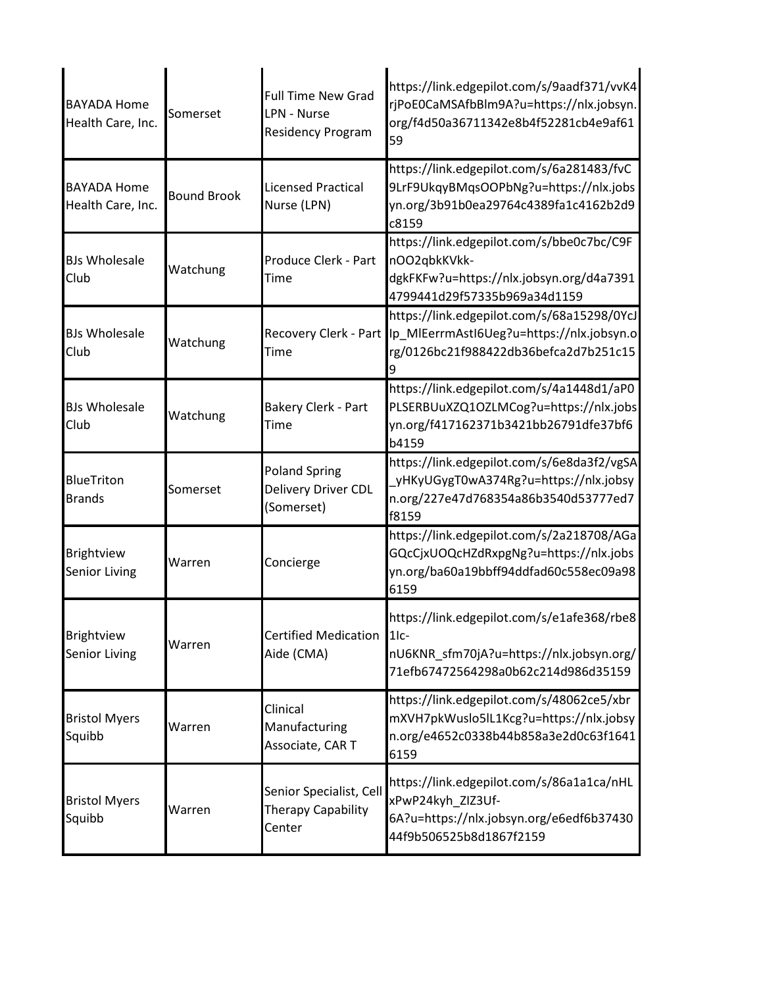| <b>BAYADA Home</b><br>Health Care, Inc.   | Somerset           | <b>Full Time New Grad</b><br><b>LPN - Nurse</b><br><b>Residency Program</b> | https://link.edgepilot.com/s/9aadf371/vvK4<br>rjPoE0CaMSAfbBlm9A?u=https://nlx.jobsyn.<br>org/f4d50a36711342e8b4f52281cb4e9af61<br>59   |
|-------------------------------------------|--------------------|-----------------------------------------------------------------------------|-----------------------------------------------------------------------------------------------------------------------------------------|
| <b>BAYADA Home</b><br>Health Care, Inc.   | <b>Bound Brook</b> | <b>Licensed Practical</b><br>Nurse (LPN)                                    | https://link.edgepilot.com/s/6a281483/fvC<br>9LrF9UkqyBMqsOOPbNg?u=https://nlx.jobs<br>yn.org/3b91b0ea29764c4389fa1c4162b2d9<br>c8159   |
| <b>BJs Wholesale</b><br>Club              | Watchung           | Produce Clerk - Part<br>Time                                                | https://link.edgepilot.com/s/bbe0c7bc/C9F<br>nOO2qbkKVkk-<br>dgkFKFw?u=https://nlx.jobsyn.org/d4a7391<br>4799441d29f57335b969a34d1159   |
| <b>BJs Wholesale</b><br>Club              | Watchung           | Recovery Clerk - Part<br>Time                                               | https://link.edgepilot.com/s/68a15298/0YcJ<br>Ip MIEerrmAstI6Ueg?u=https://nlx.jobsyn.o<br>rg/0126bc21f988422db36befca2d7b251c15        |
| <b>BJs Wholesale</b><br>Club              | Watchung           | <b>Bakery Clerk - Part</b><br>Time                                          | https://link.edgepilot.com/s/4a1448d1/aP0<br>PLSERBUuXZQ1OZLMCog?u=https://nlx.jobs<br>yn.org/f417162371b3421bb26791dfe37bf6<br>b4159   |
| <b>BlueTriton</b><br><b>Brands</b>        | Somerset           | <b>Poland Spring</b><br>Delivery Driver CDL<br>(Somerset)                   | https://link.edgepilot.com/s/6e8da3f2/vgSA<br>_yHKyUGygT0wA374Rg?u=https://nlx.jobsy<br>n.org/227e47d768354a86b3540d53777ed7<br>f8159   |
| Brightview<br><b>Senior Living</b>        | Warren             | Concierge                                                                   | https://link.edgepilot.com/s/2a218708/AGa<br>GQcCjxUOQcHZdRxpgNg?u=https://nlx.jobs<br>yn.org/ba60a19bbff94ddfad60c558ec09a98<br>6159   |
| <b>Brightview</b><br><b>Senior Living</b> | Warren             | <b>Certified Medication</b><br>Aide (CMA)                                   | https://link.edgepilot.com/s/e1afe368/rbe8<br>$1lc-$<br>nU6KNR_sfm70jA?u=https://nlx.jobsyn.org/<br>71efb67472564298a0b62c214d986d35159 |
| <b>Bristol Myers</b><br>Squibb            | Warren             | Clinical<br>Manufacturing<br>Associate, CAR T                               | https://link.edgepilot.com/s/48062ce5/xbr<br>mXVH7pkWuslo5lL1Kcg?u=https://nlx.jobsy<br>n.org/e4652c0338b44b858a3e2d0c63f1641<br>6159   |
| <b>Bristol Myers</b><br>Squibb            | Warren             | Senior Specialist, Cell<br><b>Therapy Capability</b><br>Center              | https://link.edgepilot.com/s/86a1a1ca/nHL<br>xPwP24kyh_ZIZ3Uf-<br>6A?u=https://nlx.jobsyn.org/e6edf6b37430<br>44f9b506525b8d1867f2159   |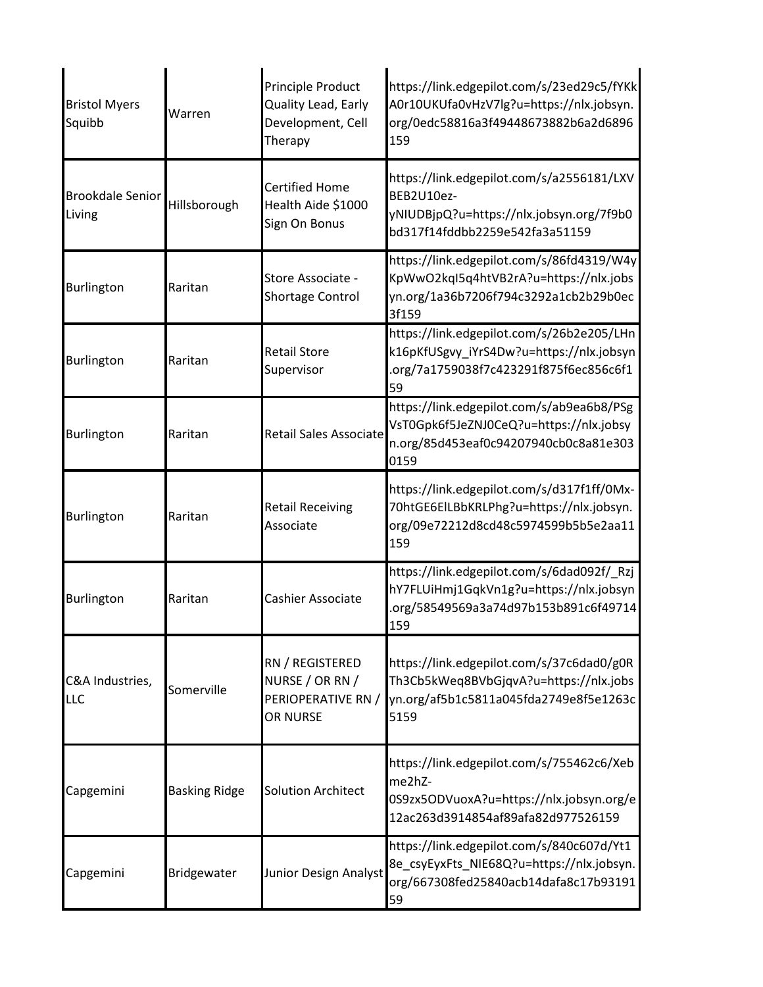| <b>Bristol Myers</b><br>Squibb    | Warren               | Principle Product<br>Quality Lead, Early<br>Development, Cell<br>Therapy | https://link.edgepilot.com/s/23ed29c5/fYKk<br>A0r10UKUfa0vHzV7lg?u=https://nlx.jobsyn.<br>org/0edc58816a3f49448673882b6a2d6896<br>159 |
|-----------------------------------|----------------------|--------------------------------------------------------------------------|---------------------------------------------------------------------------------------------------------------------------------------|
| <b>Brookdale Senior</b><br>Living | Hillsborough         | <b>Certified Home</b><br>Health Aide \$1000<br>Sign On Bonus             | https://link.edgepilot.com/s/a2556181/LXV<br>BEB2U10ez-<br>yNIUDBjpQ?u=https://nlx.jobsyn.org/7f9b0<br>bd317f14fddbb2259e542fa3a51159 |
| Burlington                        | Raritan              | Store Associate -<br>Shortage Control                                    | https://link.edgepilot.com/s/86fd4319/W4y<br>KpWwO2kqI5q4htVB2rA?u=https://nlx.jobs<br>yn.org/1a36b7206f794c3292a1cb2b29b0ec<br>3f159 |
| Burlington                        | Raritan              | <b>Retail Store</b><br>Supervisor                                        | https://link.edgepilot.com/s/26b2e205/LHn<br>k16pKfUSgvy_iYrS4Dw?u=https://nlx.jobsyn<br>.org/7a1759038f7c423291f875f6ec856c6f1<br>59 |
| Burlington                        | Raritan              | Retail Sales Associate                                                   | https://link.edgepilot.com/s/ab9ea6b8/PSg<br>VsT0Gpk6f5JeZNJ0CeQ?u=https://nlx.jobsy<br>n.org/85d453eaf0c94207940cb0c8a81e303<br>0159 |
| <b>Burlington</b>                 | Raritan              | <b>Retail Receiving</b><br>Associate                                     | https://link.edgepilot.com/s/d317f1ff/0Mx-<br>70htGE6EILBbKRLPhg?u=https://nlx.jobsyn.<br>org/09e72212d8cd48c5974599b5b5e2aa11<br>159 |
| Burlington                        | Raritan              | Cashier Associate                                                        | https://link.edgepilot.com/s/6dad092f/_Rzj<br>hY7FLUiHmj1GqkVn1g?u=https://nlx.jobsyn<br>.org/58549569a3a74d97b153b891c6f49714<br>159 |
| C&A Industries,<br>LLC            | Somerville           | RN / REGISTERED<br>NURSE / OR RN /<br>PERIOPERATIVE RN /<br>OR NURSE     | https://link.edgepilot.com/s/37c6dad0/g0R<br>Th3Cb5kWeq8BVbGjqvA?u=https://nlx.jobs<br>yn.org/af5b1c5811a045fda2749e8f5e1263c<br>5159 |
| Capgemini                         | <b>Basking Ridge</b> | <b>Solution Architect</b>                                                | https://link.edgepilot.com/s/755462c6/Xeb<br>me2hZ-<br>0S9zx5ODVuoxA?u=https://nlx.jobsyn.org/e<br>12ac263d3914854af89afa82d977526159 |
| Capgemini                         | Bridgewater          | Junior Design Analyst                                                    | https://link.edgepilot.com/s/840c607d/Yt1<br>8e_csyEyxFts_NIE68Q?u=https://nlx.jobsyn.<br>org/667308fed25840acb14dafa8c17b93191<br>59 |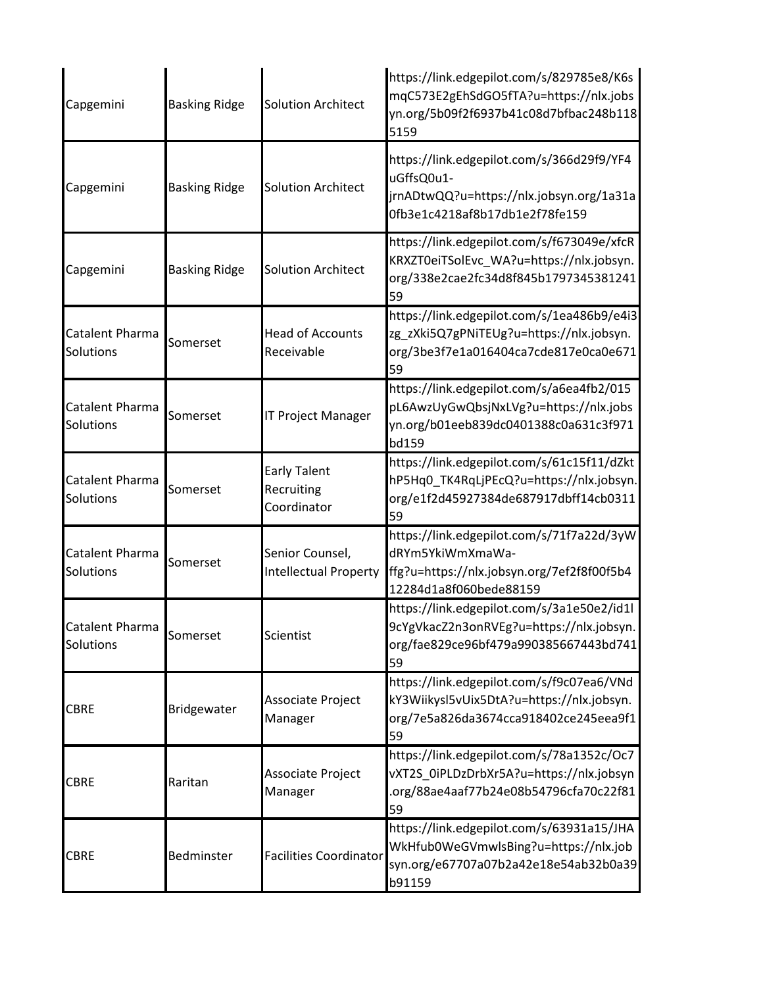| Capgemini                    | <b>Basking Ridge</b> | <b>Solution Architect</b>                        | https://link.edgepilot.com/s/829785e8/K6s<br>mqC573E2gEhSdGO5fTA?u=https://nlx.jobs<br>yn.org/5b09f2f6937b41c08d7bfbac248b118<br>5159 |
|------------------------------|----------------------|--------------------------------------------------|---------------------------------------------------------------------------------------------------------------------------------------|
| Capgemini                    | <b>Basking Ridge</b> | <b>Solution Architect</b>                        | https://link.edgepilot.com/s/366d29f9/YF4<br>uGffsQ0u1-<br>jrnADtwQQ?u=https://nlx.jobsyn.org/1a31a<br>0fb3e1c4218af8b17db1e2f78fe159 |
| Capgemini                    | <b>Basking Ridge</b> | <b>Solution Architect</b>                        | https://link.edgepilot.com/s/f673049e/xfcR<br>KRXZT0eiTSolEvc_WA?u=https://nlx.jobsyn.<br>org/338e2cae2fc34d8f845b1797345381241<br>59 |
| Catalent Pharma<br>Solutions | Somerset             | <b>Head of Accounts</b><br>Receivable            | https://link.edgepilot.com/s/1ea486b9/e4i3<br>zg_zXki5Q7gPNiTEUg?u=https://nlx.jobsyn.<br>org/3be3f7e1a016404ca7cde817e0ca0e671<br>59 |
| Catalent Pharma<br>Solutions | Somerset             | <b>IT Project Manager</b>                        | https://link.edgepilot.com/s/a6ea4fb2/015<br>pL6AwzUyGwQbsjNxLVg?u=https://nlx.jobs<br>yn.org/b01eeb839dc0401388c0a631c3f971<br>bd159 |
| Catalent Pharma<br>Solutions | Somerset             | <b>Early Talent</b><br>Recruiting<br>Coordinator | https://link.edgepilot.com/s/61c15f11/dZkt<br>hP5Hq0_TK4RqLjPEcQ?u=https://nlx.jobsyn.<br>org/e1f2d45927384de687917dbff14cb0311<br>59 |
| Catalent Pharma<br>Solutions | Somerset             | Senior Counsel,<br><b>Intellectual Property</b>  | https://link.edgepilot.com/s/71f7a22d/3yW<br>dRYm5YkiWmXmaWa-<br>ffg?u=https://nlx.jobsyn.org/7ef2f8f00f5b4<br>12284d1a8f060bede88159 |
| Catalent Pharma<br>Solutions | Somerset             | Scientist                                        | https://link.edgepilot.com/s/3a1e50e2/id1l<br>9cYgVkacZ2n3onRVEg?u=https://nlx.jobsyn.<br>org/fae829ce96bf479a990385667443bd741<br>59 |
| <b>CBRE</b>                  | Bridgewater          | Associate Project<br>Manager                     | https://link.edgepilot.com/s/f9c07ea6/VNd<br>kY3Wiikysl5vUix5DtA?u=https://nlx.jobsyn.<br>org/7e5a826da3674cca918402ce245eea9f1<br>59 |
| <b>CBRE</b>                  | Raritan              | Associate Project<br>Manager                     | https://link.edgepilot.com/s/78a1352c/Oc7<br>vXT2S 0iPLDzDrbXr5A?u=https://nlx.jobsyn<br>.org/88ae4aaf77b24e08b54796cfa70c22f81<br>59 |
| <b>CBRE</b>                  | Bedminster           | <b>Facilities Coordinator</b>                    | https://link.edgepilot.com/s/63931a15/JHA<br>WkHfub0WeGVmwlsBing?u=https://nlx.job<br>syn.org/e67707a07b2a42e18e54ab32b0a39<br>b91159 |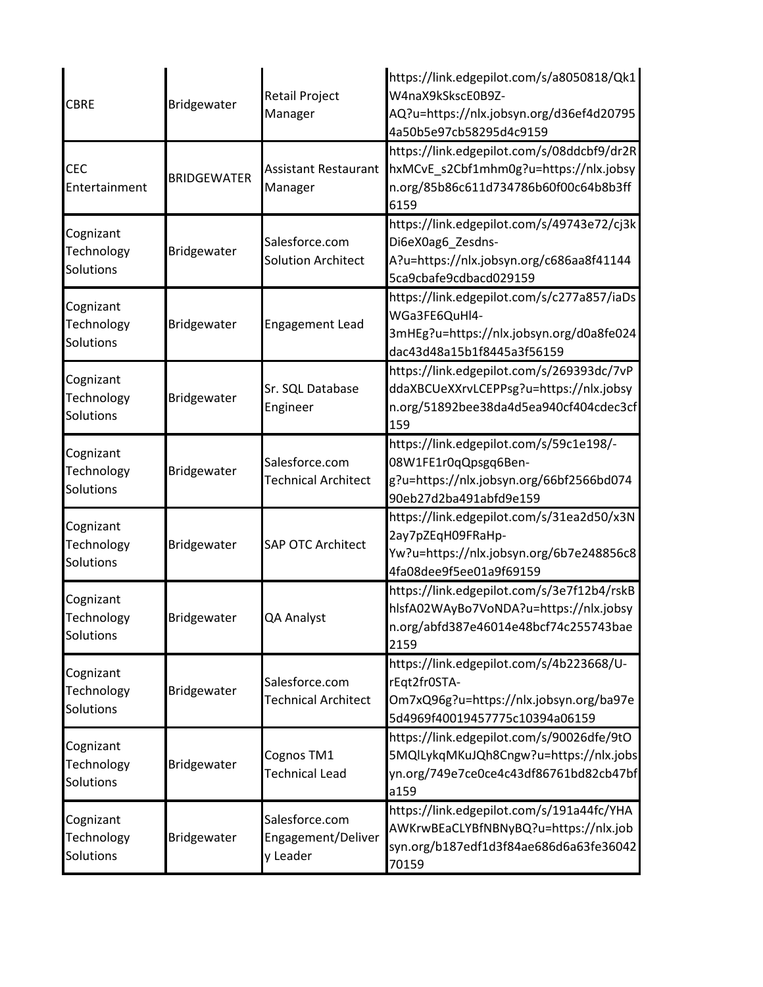| <b>CBRE</b>                                 | Bridgewater        | <b>Retail Project</b><br>Manager                 | https://link.edgepilot.com/s/a8050818/Qk1<br>W4naX9kSkscE0B9Z-<br>AQ?u=https://nlx.jobsyn.org/d36ef4d20795<br>4a50b5e97cb58295d4c9159 |
|---------------------------------------------|--------------------|--------------------------------------------------|---------------------------------------------------------------------------------------------------------------------------------------|
| <b>CEC</b><br>Entertainment                 | <b>BRIDGEWATER</b> | <b>Assistant Restaurant</b><br>Manager           | https://link.edgepilot.com/s/08ddcbf9/dr2R<br>hxMCvE_s2Cbf1mhm0g?u=https://nlx.jobsy<br>n.org/85b86c611d734786b60f00c64b8b3ff<br>6159 |
| Cognizant<br>Technology<br>Solutions        | Bridgewater        | Salesforce.com<br><b>Solution Architect</b>      | https://link.edgepilot.com/s/49743e72/cj3k<br>Di6eX0ag6_Zesdns-<br>A?u=https://nlx.jobsyn.org/c686aa8f41144<br>5ca9cbafe9cdbacd029159 |
| Cognizant<br>Technology<br>Solutions        | Bridgewater        | <b>Engagement Lead</b>                           | https://link.edgepilot.com/s/c277a857/iaDs<br>WGa3FE6QuHl4-<br>3mHEg?u=https://nlx.jobsyn.org/d0a8fe024<br>dac43d48a15b1f8445a3f56159 |
| Cognizant<br>Technology<br><b>Solutions</b> | Bridgewater        | Sr. SQL Database<br>Engineer                     | https://link.edgepilot.com/s/269393dc/7vP<br>ddaXBCUeXXrvLCEPPsg?u=https://nlx.jobsy<br>n.org/51892bee38da4d5ea940cf404cdec3cf<br>159 |
| Cognizant<br>Technology<br>Solutions        | Bridgewater        | Salesforce.com<br><b>Technical Architect</b>     | https://link.edgepilot.com/s/59c1e198/-<br>08W1FE1r0qQpsgq6Ben-<br>g?u=https://nlx.jobsyn.org/66bf2566bd074<br>90eb27d2ba491abfd9e159 |
| Cognizant<br>Technology<br>Solutions        | Bridgewater        | <b>SAP OTC Architect</b>                         | https://link.edgepilot.com/s/31ea2d50/x3N<br>2ay7pZEqH09FRaHp-<br>Yw?u=https://nlx.jobsyn.org/6b7e248856c8<br>4fa08dee9f5ee01a9f69159 |
| Cognizant<br>Technology<br>Solutions        | Bridgewater        | QA Analyst                                       | https://link.edgepilot.com/s/3e7f12b4/rskB<br>hlsfA02WAyBo7VoNDA?u=https://nlx.jobsy<br>n.org/abfd387e46014e48bcf74c255743bae<br>2159 |
| Cognizant<br>Technology<br>Solutions        | Bridgewater        | Salesforce.com<br><b>Technical Architect</b>     | https://link.edgepilot.com/s/4b223668/U-<br>rEqt2fr0STA-<br>Om7xQ96g?u=https://nlx.jobsyn.org/ba97e<br>5d4969f40019457775c10394a06159 |
| Cognizant<br>Technology<br>Solutions        | Bridgewater        | Cognos TM1<br><b>Technical Lead</b>              | https://link.edgepilot.com/s/90026dfe/9tO<br>5MQlLykqMKuJQh8Cngw?u=https://nlx.jobs<br>yn.org/749e7ce0ce4c43df86761bd82cb47bf<br>a159 |
| Cognizant<br>Technology<br>Solutions        | Bridgewater        | Salesforce.com<br>Engagement/Deliver<br>y Leader | https://link.edgepilot.com/s/191a44fc/YHA<br>AWKrwBEaCLYBfNBNyBQ?u=https://nlx.job<br>syn.org/b187edf1d3f84ae686d6a63fe36042<br>70159 |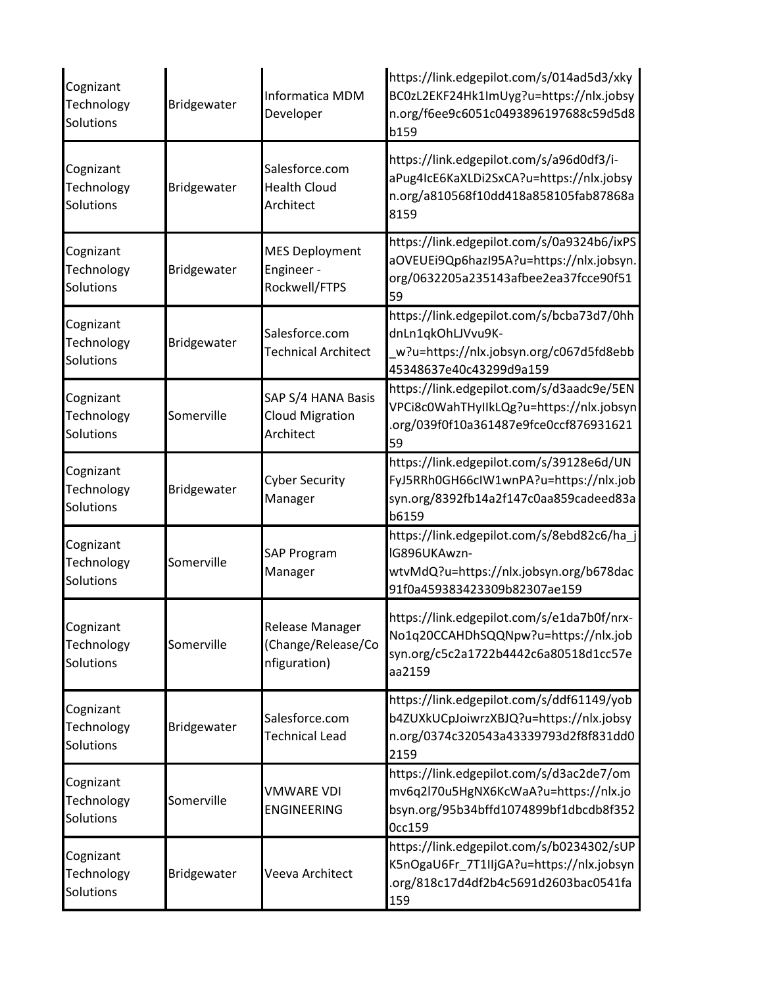| Cognizant<br>Technology<br>Solutions | Bridgewater | Informatica MDM<br>Developer                              | https://link.edgepilot.com/s/014ad5d3/xky<br>BC0zL2EKF24Hk1ImUyg?u=https://nlx.jobsy<br>n.org/f6ee9c6051c0493896197688c59d5d8<br><b>b159</b> |
|--------------------------------------|-------------|-----------------------------------------------------------|----------------------------------------------------------------------------------------------------------------------------------------------|
| Cognizant<br>Technology<br>Solutions | Bridgewater | Salesforce.com<br><b>Health Cloud</b><br>Architect        | https://link.edgepilot.com/s/a96d0df3/i-<br>aPug4IcE6KaXLDi2SxCA?u=https://nlx.jobsy<br>n.org/a810568f10dd418a858105fab87868a<br>8159        |
| Cognizant<br>Technology<br>Solutions | Bridgewater | <b>MES Deployment</b><br>Engineer -<br>Rockwell/FTPS      | https://link.edgepilot.com/s/0a9324b6/ixPS<br>aOVEUEi9Qp6hazI95A?u=https://nlx.jobsyn.<br>org/0632205a235143afbee2ea37fcce90f51<br>59        |
| Cognizant<br>Technology<br>Solutions | Bridgewater | Salesforce.com<br><b>Technical Architect</b>              | https://link.edgepilot.com/s/bcba73d7/0hh<br>dnLn1qkOhLJVvu9K-<br>w?u=https://nlx.jobsyn.org/c067d5fd8ebb<br>45348637e40c43299d9a159         |
| Cognizant<br>Technology<br>Solutions | Somerville  | SAP S/4 HANA Basis<br><b>Cloud Migration</b><br>Architect | https://link.edgepilot.com/s/d3aadc9e/5EN<br>VPCi8c0WahTHyIIkLQg?u=https://nlx.jobsyn<br>.org/039f0f10a361487e9fce0ccf876931621<br>59        |
| Cognizant<br>Technology<br>Solutions | Bridgewater | <b>Cyber Security</b><br>Manager                          | https://link.edgepilot.com/s/39128e6d/UN<br>FyJ5RRh0GH66clW1wnPA?u=https://nlx.job<br>syn.org/8392fb14a2f147c0aa859cadeed83a<br>b6159        |
| Cognizant<br>Technology<br>Solutions | Somerville  | <b>SAP Program</b><br>Manager                             | https://link.edgepilot.com/s/8ebd82c6/ha_j<br>IG896UKAwzn-<br>wtvMdQ?u=https://nlx.jobsyn.org/b678dac<br>91f0a459383423309b82307ae159        |
| Cognizant<br>Technology<br>Solutions | Somerville  | Release Manager<br>(Change/Release/Co<br>nfiguration)     | https://link.edgepilot.com/s/e1da7b0f/nrx-<br>No1q20CCAHDhSQQNpw?u=https://nlx.job<br>syn.org/c5c2a1722b4442c6a80518d1cc57e<br>aa2159        |
| Cognizant<br>Technology<br>Solutions | Bridgewater | Salesforce.com<br><b>Technical Lead</b>                   | https://link.edgepilot.com/s/ddf61149/yob<br>b4ZUXkUCpJoiwrzXBJQ?u=https://nlx.jobsy<br>n.org/0374c320543a43339793d2f8f831dd0<br>2159        |
| Cognizant<br>Technology<br>Solutions | Somerville  | <b>VMWARE VDI</b><br><b>ENGINEERING</b>                   | https://link.edgepilot.com/s/d3ac2de7/om<br>mv6q2l70u5HgNX6KcWaA?u=https://nlx.jo<br>bsyn.org/95b34bffd1074899bf1dbcdb8f352<br>Occ159        |
| Cognizant<br>Technology<br>Solutions | Bridgewater | Veeva Architect                                           | https://link.edgepilot.com/s/b0234302/sUP<br>K5nOgaU6Fr_7T1IIjGA?u=https://nlx.jobsyn<br>.org/818c17d4df2b4c5691d2603bac0541fa<br>159        |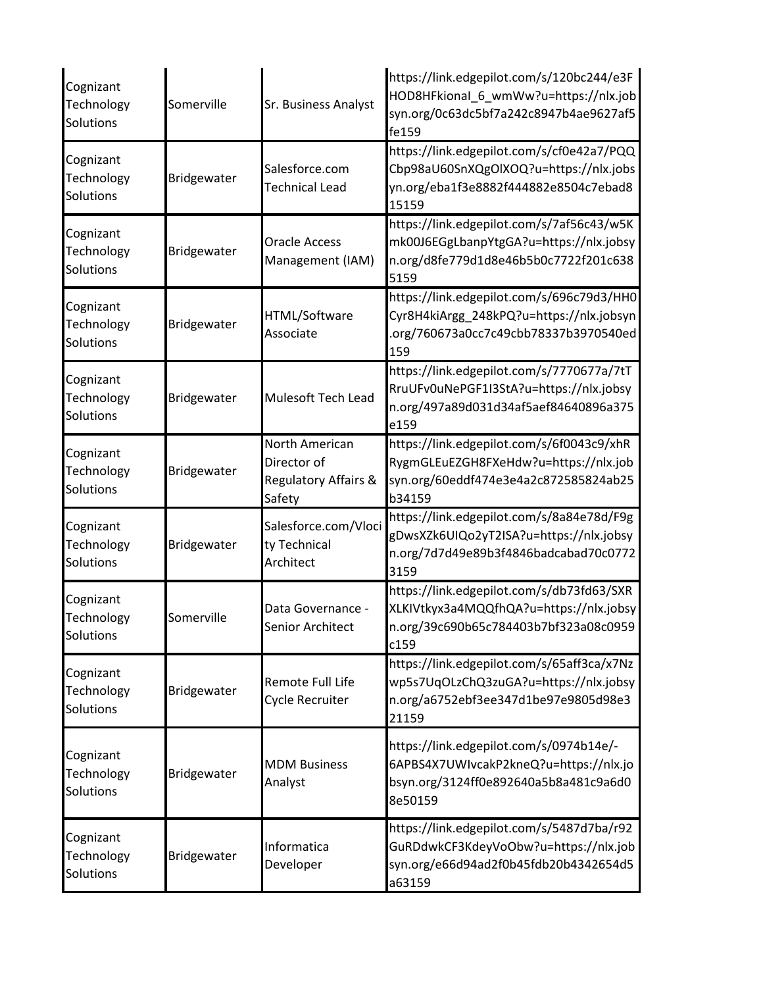| Cognizant<br>Technology<br>Solutions | Somerville  | Sr. Business Analyst                                                       | https://link.edgepilot.com/s/120bc244/e3F<br>HOD8HFkional_6_wmWw?u=https://nlx.job<br>syn.org/0c63dc5bf7a242c8947b4ae9627af5<br>fe159 |
|--------------------------------------|-------------|----------------------------------------------------------------------------|---------------------------------------------------------------------------------------------------------------------------------------|
| Cognizant<br>Technology<br>Solutions | Bridgewater | Salesforce.com<br><b>Technical Lead</b>                                    | https://link.edgepilot.com/s/cf0e42a7/PQQ<br>Cbp98aU60SnXQgOlXOQ?u=https://nlx.jobs<br>yn.org/eba1f3e8882f444882e8504c7ebad8<br>15159 |
| Cognizant<br>Technology<br>Solutions | Bridgewater | <b>Oracle Access</b><br>Management (IAM)                                   | https://link.edgepilot.com/s/7af56c43/w5K<br>mk00J6EGgLbanpYtgGA?u=https://nlx.jobsy<br>n.org/d8fe779d1d8e46b5b0c7722f201c638<br>5159 |
| Cognizant<br>Technology<br>Solutions | Bridgewater | HTML/Software<br>Associate                                                 | https://link.edgepilot.com/s/696c79d3/HH0<br>Cyr8H4kiArgg_248kPQ?u=https://nlx.jobsyn<br>.org/760673a0cc7c49cbb78337b3970540ed<br>159 |
| Cognizant<br>Technology<br>Solutions | Bridgewater | Mulesoft Tech Lead                                                         | https://link.edgepilot.com/s/7770677a/7tT<br>RruUFv0uNePGF1I3StA?u=https://nlx.jobsy<br>n.org/497a89d031d34af5aef84640896a375<br>e159 |
| Cognizant<br>Technology<br>Solutions | Bridgewater | North American<br>Director of<br><b>Regulatory Affairs &amp;</b><br>Safety | https://link.edgepilot.com/s/6f0043c9/xhR<br>RygmGLEuEZGH8FXeHdw?u=https://nlx.job<br>syn.org/60eddf474e3e4a2c872585824ab25<br>b34159 |
| Cognizant<br>Technology<br>Solutions | Bridgewater | Salesforce.com/Vloci<br>ty Technical<br>Architect                          | https://link.edgepilot.com/s/8a84e78d/F9g<br>gDwsXZk6UIQo2yT2ISA?u=https://nlx.jobsy<br>n.org/7d7d49e89b3f4846badcabad70c0772<br>3159 |
| Cognizant<br>Technology<br>Solutions | Somerville  | Data Governance -<br>Senior Architect                                      | https://link.edgepilot.com/s/db73fd63/SXR<br>XLKIVtkyx3a4MQQfhQA?u=https://nlx.jobsy<br>n.org/39c690b65c784403b7bf323a08c0959<br>c159 |
| Cognizant<br>Technology<br>Solutions | Bridgewater | Remote Full Life<br>Cycle Recruiter                                        | https://link.edgepilot.com/s/65aff3ca/x7Nz<br>wp5s7UqOLzChQ3zuGA?u=https://nlx.jobsy<br>n.org/a6752ebf3ee347d1be97e9805d98e3<br>21159 |
| Cognizant<br>Technology<br>Solutions | Bridgewater | <b>MDM Business</b><br>Analyst                                             | https://link.edgepilot.com/s/0974b14e/-<br>6APBS4X7UWIvcakP2kneQ?u=https://nlx.jo<br>bsyn.org/3124ff0e892640a5b8a481c9a6d0<br>8e50159 |
| Cognizant<br>Technology<br>Solutions | Bridgewater | Informatica<br>Developer                                                   | https://link.edgepilot.com/s/5487d7ba/r92<br>GuRDdwkCF3KdeyVoObw?u=https://nlx.job<br>syn.org/e66d94ad2f0b45fdb20b4342654d5<br>a63159 |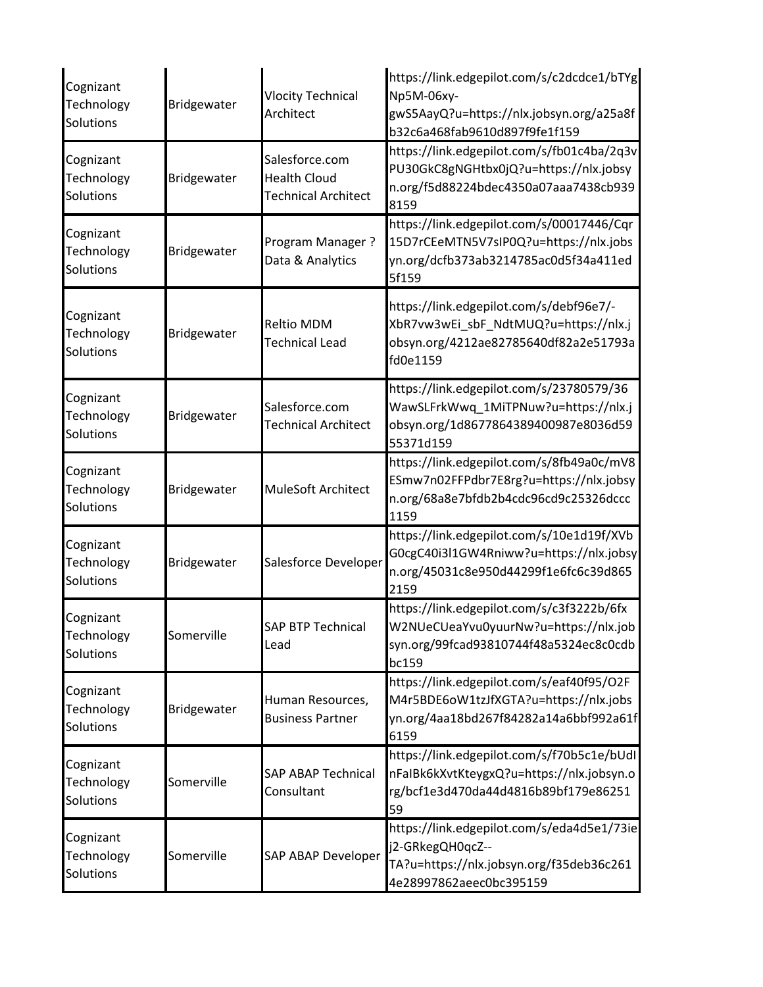| Cognizant<br>Technology<br>Solutions | Bridgewater        | <b>Vlocity Technical</b><br>Architect                               | https://link.edgepilot.com/s/c2dcdce1/bTYg<br>Np5M-06xy-<br>gwS5AayQ?u=https://nlx.jobsyn.org/a25a8f<br>b32c6a468fab9610d897f9fe1f159 |
|--------------------------------------|--------------------|---------------------------------------------------------------------|---------------------------------------------------------------------------------------------------------------------------------------|
| Cognizant<br>Technology<br>Solutions | Bridgewater        | Salesforce.com<br><b>Health Cloud</b><br><b>Technical Architect</b> | https://link.edgepilot.com/s/fb01c4ba/2q3v<br>PU30GkC8gNGHtbx0jQ?u=https://nlx.jobsy<br>n.org/f5d88224bdec4350a07aaa7438cb939<br>8159 |
| Cognizant<br>Technology<br>Solutions | <b>Bridgewater</b> | Program Manager?<br>Data & Analytics                                | https://link.edgepilot.com/s/00017446/Cqr<br>15D7rCEeMTN5V7sIP0Q?u=https://nlx.jobs<br>yn.org/dcfb373ab3214785ac0d5f34a411ed<br>5f159 |
| Cognizant<br>Technology<br>Solutions | Bridgewater        | <b>Reltio MDM</b><br><b>Technical Lead</b>                          | https://link.edgepilot.com/s/debf96e7/-<br>XbR7vw3wEi_sbF_NdtMUQ?u=https://nlx.j<br>obsyn.org/4212ae82785640df82a2e51793a<br>fd0e1159 |
| Cognizant<br>Technology<br>Solutions | Bridgewater        | Salesforce.com<br><b>Technical Architect</b>                        | https://link.edgepilot.com/s/23780579/36<br>WawSLFrkWwq_1MiTPNuw?u=https://nlx.j<br>obsyn.org/1d8677864389400987e8036d59<br>55371d159 |
| Cognizant<br>Technology<br>Solutions | Bridgewater        | MuleSoft Architect                                                  | https://link.edgepilot.com/s/8fb49a0c/mV8<br>ESmw7n02FFPdbr7E8rg?u=https://nlx.jobsy<br>n.org/68a8e7bfdb2b4cdc96cd9c25326dccc<br>1159 |
| Cognizant<br>Technology<br>Solutions | Bridgewater        | Salesforce Developer                                                | https://link.edgepilot.com/s/10e1d19f/XVb<br>G0cgC40i3l1GW4Rniww?u=https://nlx.jobsy<br>n.org/45031c8e950d44299f1e6fc6c39d865<br>2159 |
| Cognizant<br>Technology<br>Solutions | Somerville         | <b>SAP BTP Technical</b><br>Lead                                    | https://link.edgepilot.com/s/c3f3222b/6fx<br>W2NUeCUeaYvu0yuurNw?u=https://nlx.job<br>syn.org/99fcad93810744f48a5324ec8c0cdb<br>bc159 |
| Cognizant<br>Technology<br>Solutions | Bridgewater        | Human Resources,<br><b>Business Partner</b>                         | https://link.edgepilot.com/s/eaf40f95/O2F<br>M4r5BDE6oW1tzJfXGTA?u=https://nlx.jobs<br>yn.org/4aa18bd267f84282a14a6bbf992a61f<br>6159 |
| Cognizant<br>Technology<br>Solutions | Somerville         | <b>SAP ABAP Technical</b><br>Consultant                             | https://link.edgepilot.com/s/f70b5c1e/bUdl<br>nFaIBk6kXvtKteygxQ?u=https://nlx.jobsyn.o<br>rg/bcf1e3d470da44d4816b89bf179e86251<br>59 |
| Cognizant<br>Technology<br>Solutions | Somerville         | <b>SAP ABAP Developer</b>                                           | https://link.edgepilot.com/s/eda4d5e1/73ie<br>j2-GRkegQH0qcZ--<br>TA?u=https://nlx.jobsyn.org/f35deb36c261<br>4e28997862aeec0bc395159 |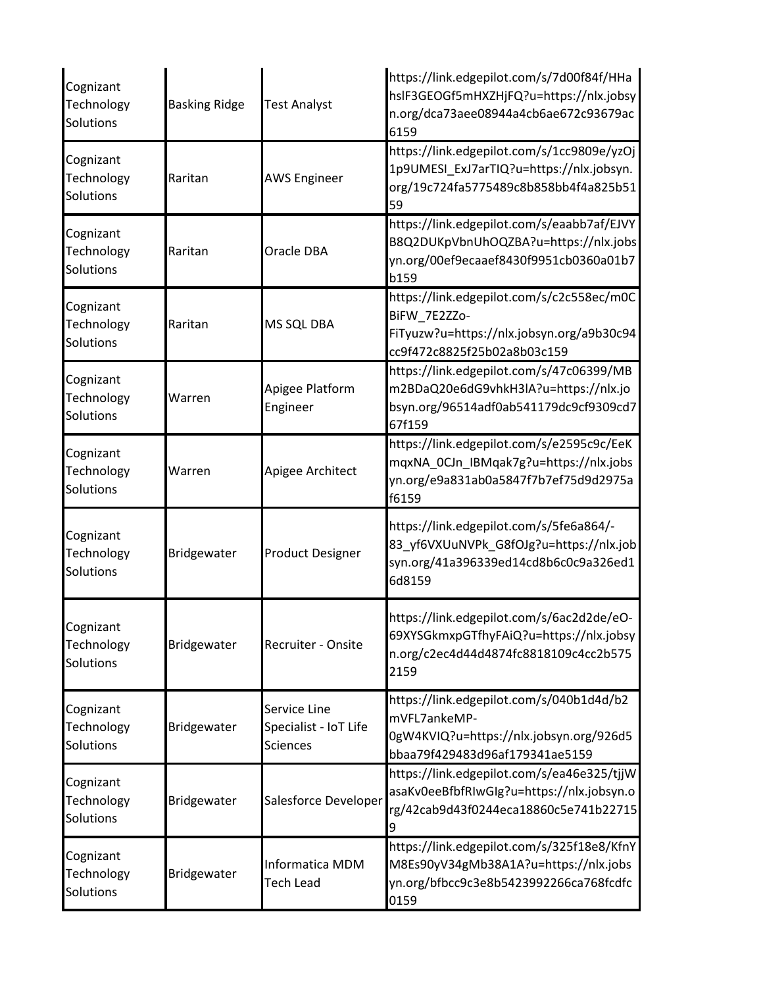| Cognizant<br>Technology<br>Solutions | <b>Basking Ridge</b> | <b>Test Analyst</b>                                      | https://link.edgepilot.com/s/7d00f84f/HHa<br>hslF3GEOGf5mHXZHjFQ?u=https://nlx.jobsy<br>n.org/dca73aee08944a4cb6ae672c93679ac<br>6159 |
|--------------------------------------|----------------------|----------------------------------------------------------|---------------------------------------------------------------------------------------------------------------------------------------|
| Cognizant<br>Technology<br>Solutions | Raritan              | <b>AWS Engineer</b>                                      | https://link.edgepilot.com/s/1cc9809e/yzOj<br>1p9UMESI_ExJ7arTIQ?u=https://nlx.jobsyn.<br>org/19c724fa5775489c8b858bb4f4a825b51<br>59 |
| Cognizant<br>Technology<br>Solutions | Raritan              | Oracle DBA                                               | https://link.edgepilot.com/s/eaabb7af/EJVY<br>B8Q2DUKpVbnUhOQZBA?u=https://nlx.jobs<br>yn.org/00ef9ecaaef8430f9951cb0360a01b7<br>b159 |
| Cognizant<br>Technology<br>Solutions | Raritan              | MS SQL DBA                                               | https://link.edgepilot.com/s/c2c558ec/m0C<br>BiFW 7E2ZZo-<br>FiTyuzw?u=https://nlx.jobsyn.org/a9b30c94<br>cc9f472c8825f25b02a8b03c159 |
| Cognizant<br>Technology<br>Solutions | Warren               | Apigee Platform<br>Engineer                              | https://link.edgepilot.com/s/47c06399/MB<br>m2BDaQ20e6dG9vhkH3lA?u=https://nlx.jo<br>bsyn.org/96514adf0ab541179dc9cf9309cd7<br>67f159 |
| Cognizant<br>Technology<br>Solutions | Warren               | Apigee Architect                                         | https://link.edgepilot.com/s/e2595c9c/EeK<br>mqxNA_0CJn_IBMqak7g?u=https://nlx.jobs<br>yn.org/e9a831ab0a5847f7b7ef75d9d2975a<br>f6159 |
| Cognizant<br>Technology<br>Solutions | <b>Bridgewater</b>   | <b>Product Designer</b>                                  | https://link.edgepilot.com/s/5fe6a864/-<br>83_yf6VXUuNVPk_G8fOJg?u=https://nlx.job<br>syn.org/41a396339ed14cd8b6c0c9a326ed1<br>6d8159 |
| Cognizant<br>Technology<br>Solutions | Bridgewater          | Recruiter - Onsite                                       | https://link.edgepilot.com/s/6ac2d2de/eO-<br>69XYSGkmxpGTfhyFAiQ?u=https://nlx.jobsy<br>n.org/c2ec4d44d4874fc8818109c4cc2b575<br>2159 |
| Cognizant<br>Technology<br>Solutions | Bridgewater          | Service Line<br>Specialist - IoT Life<br><b>Sciences</b> | https://link.edgepilot.com/s/040b1d4d/b2<br>mVFL7ankeMP-<br>0gW4KVIQ?u=https://nlx.jobsyn.org/926d5<br>bbaa79f429483d96af179341ae5159 |
| Cognizant<br>Technology<br>Solutions | Bridgewater          | Salesforce Developer                                     | https://link.edgepilot.com/s/ea46e325/tjjW<br>asaKv0eeBfbfRIwGIg?u=https://nlx.jobsyn.o<br>rg/42cab9d43f0244eca18860c5e741b22715<br>9 |
| Cognizant<br>Technology<br>Solutions | <b>Bridgewater</b>   | Informatica MDM<br><b>Tech Lead</b>                      | https://link.edgepilot.com/s/325f18e8/KfnY<br>M8Es90yV34gMb38A1A?u=https://nlx.jobs<br>yn.org/bfbcc9c3e8b5423992266ca768fcdfc<br>0159 |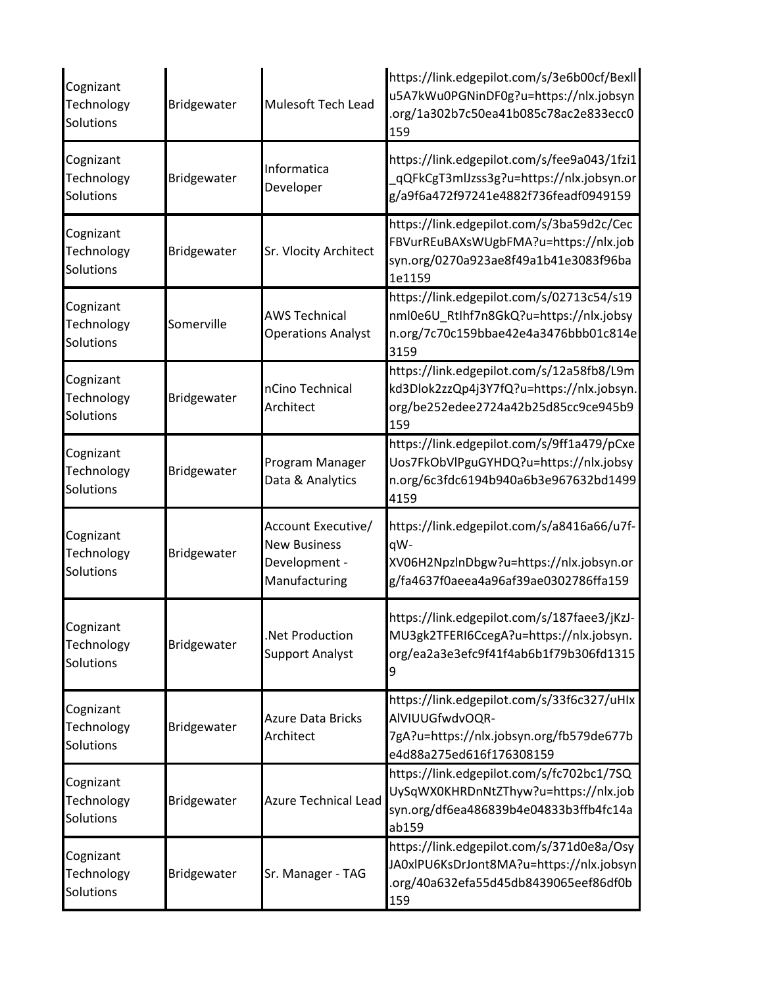| Cognizant<br>Technology<br>Solutions | Bridgewater | Mulesoft Tech Lead                                                          | https://link.edgepilot.com/s/3e6b00cf/Bexll<br>u5A7kWu0PGNinDF0g?u=https://nlx.jobsyn<br>.org/1a302b7c50ea41b085c78ac2e833ecc0<br>159 |
|--------------------------------------|-------------|-----------------------------------------------------------------------------|---------------------------------------------------------------------------------------------------------------------------------------|
| Cognizant<br>Technology<br>Solutions | Bridgewater | Informatica<br>Developer                                                    | https://link.edgepilot.com/s/fee9a043/1fzi1<br>qQFkCgT3mlJzss3g?u=https://nlx.jobsyn.or<br>g/a9f6a472f97241e4882f736feadf0949159      |
| Cognizant<br>Technology<br>Solutions | Bridgewater | Sr. Vlocity Architect                                                       | https://link.edgepilot.com/s/3ba59d2c/Cec<br>FBVurREuBAXsWUgbFMA?u=https://nlx.job<br>syn.org/0270a923ae8f49a1b41e3083f96ba<br>1e1159 |
| Cognizant<br>Technology<br>Solutions | Somerville  | <b>AWS Technical</b><br><b>Operations Analyst</b>                           | https://link.edgepilot.com/s/02713c54/s19<br>nml0e6U_Rtlhf7n8GkQ?u=https://nlx.jobsy<br>n.org/7c70c159bbae42e4a3476bbb01c814e<br>3159 |
| Cognizant<br>Technology<br>Solutions | Bridgewater | nCino Technical<br>Architect                                                | https://link.edgepilot.com/s/12a58fb8/L9m<br>kd3Dlok2zzQp4j3Y7fQ?u=https://nlx.jobsyn.<br>org/be252edee2724a42b25d85cc9ce945b9<br>159 |
| Cognizant<br>Technology<br>Solutions | Bridgewater | Program Manager<br>Data & Analytics                                         | https://link.edgepilot.com/s/9ff1a479/pCxe<br>Uos7FkObVlPguGYHDQ?u=https://nlx.jobsy<br>n.org/6c3fdc6194b940a6b3e967632bd1499<br>4159 |
| Cognizant<br>Technology<br>Solutions | Bridgewater | Account Executive/<br><b>New Business</b><br>Development -<br>Manufacturing | https://link.edgepilot.com/s/a8416a66/u7f-<br>qW-<br>XV06H2NpzlnDbgw?u=https://nlx.jobsyn.or<br>g/fa4637f0aeea4a96af39ae0302786ffa159 |
| Cognizant<br>Technology<br>Solutions | Bridgewater | Net Production.<br><b>Support Analyst</b>                                   | https://link.edgepilot.com/s/187faee3/jKzJ-<br>MU3gk2TFERI6CcegA?u=https://nlx.jobsyn.<br>org/ea2a3e3efc9f41f4ab6b1f79b306fd1315<br>9 |
| Cognizant<br>Technology<br>Solutions | Bridgewater | <b>Azure Data Bricks</b><br>Architect                                       | https://link.edgepilot.com/s/33f6c327/uHlx<br>AIVIUUGfwdvOQR-<br>7gA?u=https://nlx.jobsyn.org/fb579de677b<br>e4d88a275ed616f176308159 |
| Cognizant<br>Technology<br>Solutions | Bridgewater | <b>Azure Technical Lead</b>                                                 | https://link.edgepilot.com/s/fc702bc1/7SQ<br>UySqWX0KHRDnNtZThyw?u=https://nlx.job<br>syn.org/df6ea486839b4e04833b3ffb4fc14a<br>ab159 |
| Cognizant<br>Technology<br>Solutions | Bridgewater | Sr. Manager - TAG                                                           | https://link.edgepilot.com/s/371d0e8a/Osy<br>JA0xlPU6KsDrJont8MA?u=https://nlx.jobsyn<br>.org/40a632efa55d45db8439065eef86df0b<br>159 |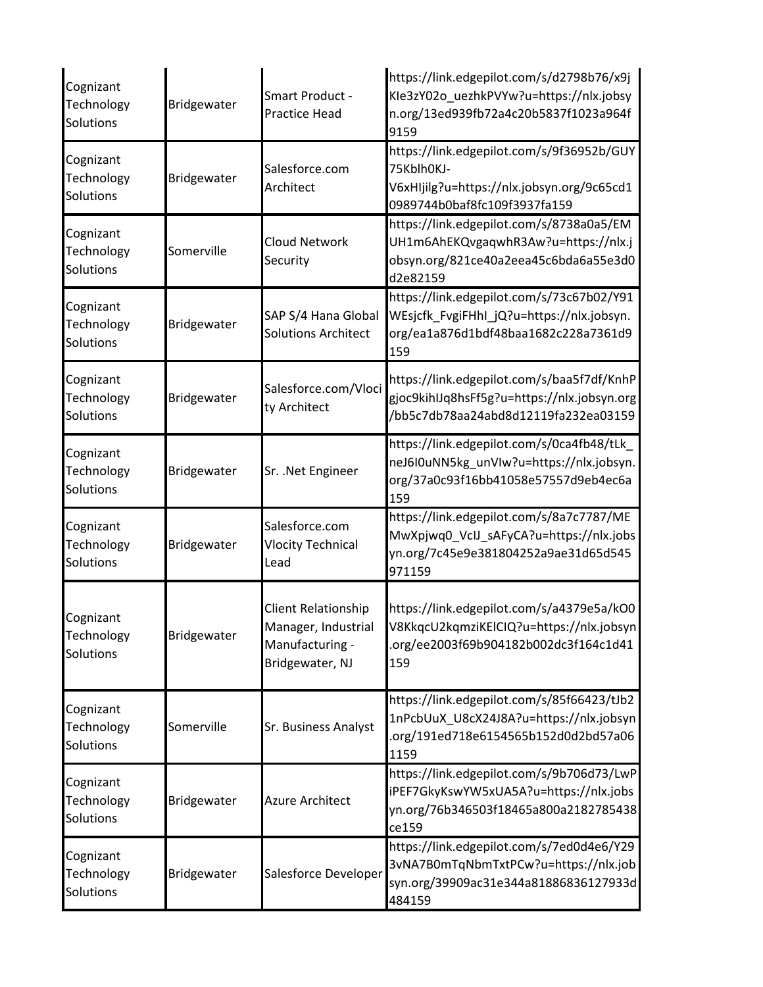| Cognizant<br>Technology<br>Solutions | Bridgewater | <b>Smart Product -</b><br><b>Practice Head</b>                                   | https://link.edgepilot.com/s/d2798b76/x9j<br>Kle3zY02o uezhkPVYw?u=https://nlx.jobsy<br>n.org/13ed939fb72a4c20b5837f1023a964f<br>9159 |
|--------------------------------------|-------------|----------------------------------------------------------------------------------|---------------------------------------------------------------------------------------------------------------------------------------|
| Cognizant<br>Technology<br>Solutions | Bridgewater | Salesforce.com<br>Architect                                                      | https://link.edgepilot.com/s/9f36952b/GUY<br>75Kblh0KJ-<br>V6xHIjilg?u=https://nlx.jobsyn.org/9c65cd1<br>0989744b0baf8fc109f3937fa159 |
| Cognizant<br>Technology<br>Solutions | Somerville  | <b>Cloud Network</b><br>Security                                                 | https://link.edgepilot.com/s/8738a0a5/EM<br>UH1m6AhEKQvgaqwhR3Aw?u=https://nlx.j<br>obsyn.org/821ce40a2eea45c6bda6a55e3d0<br>d2e82159 |
| Cognizant<br>Technology<br>Solutions | Bridgewater | SAP S/4 Hana Global<br><b>Solutions Architect</b>                                | https://link.edgepilot.com/s/73c67b02/Y91<br>WEsjcfk_FvgiFHhI_jQ?u=https://nlx.jobsyn.<br>org/ea1a876d1bdf48baa1682c228a7361d9<br>159 |
| Cognizant<br>Technology<br>Solutions | Bridgewater | Salesforce.com/Vloci<br>ty Architect                                             | https://link.edgepilot.com/s/baa5f7df/KnhP<br>gjoc9kihIJq8hsFf5g?u=https://nlx.jobsyn.org<br>/bb5c7db78aa24abd8d12119fa232ea03159     |
| Cognizant<br>Technology<br>Solutions | Bridgewater | Sr. . Net Engineer                                                               | https://link.edgepilot.com/s/0ca4fb48/tLk_<br>neJ6I0uNN5kg_unVIw?u=https://nlx.jobsyn.<br>org/37a0c93f16bb41058e57557d9eb4ec6a<br>159 |
| Cognizant<br>Technology<br>Solutions | Bridgewater | Salesforce.com<br><b>Vlocity Technical</b><br>Lead                               | https://link.edgepilot.com/s/8a7c7787/ME<br>MwXpjwq0_VcIJ_sAFyCA?u=https://nlx.jobs<br>yn.org/7c45e9e381804252a9ae31d65d545<br>971159 |
| Cognizant<br>Technology<br>Solutions | Bridgewater | Client Relationship<br>Manager, Industrial<br>Manufacturing -<br>Bridgewater, NJ | https://link.edgepilot.com/s/a4379e5a/kO0<br>V8KkqcU2kqmziKElCIQ?u=https://nlx.jobsyn<br>.org/ee2003f69b904182b002dc3f164c1d41<br>159 |
| Cognizant<br>Technology<br>Solutions | Somerville  | Sr. Business Analyst                                                             | https://link.edgepilot.com/s/85f66423/tJb2<br>1nPcbUuX_U8cX24J8A?u=https://nlx.jobsyn<br>.org/191ed718e6154565b152d0d2bd57a06<br>1159 |
| Cognizant<br>Technology<br>Solutions | Bridgewater | <b>Azure Architect</b>                                                           | https://link.edgepilot.com/s/9b706d73/LwP<br>iPEF7GkyKswYW5xUA5A?u=https://nlx.jobs<br>yn.org/76b346503f18465a800a2182785438<br>ce159 |
| Cognizant<br>Technology<br>Solutions | Bridgewater | Salesforce Developer                                                             | https://link.edgepilot.com/s/7ed0d4e6/Y29<br>3vNA7B0mTqNbmTxtPCw?u=https://nlx.job<br>syn.org/39909ac31e344a81886836127933d<br>484159 |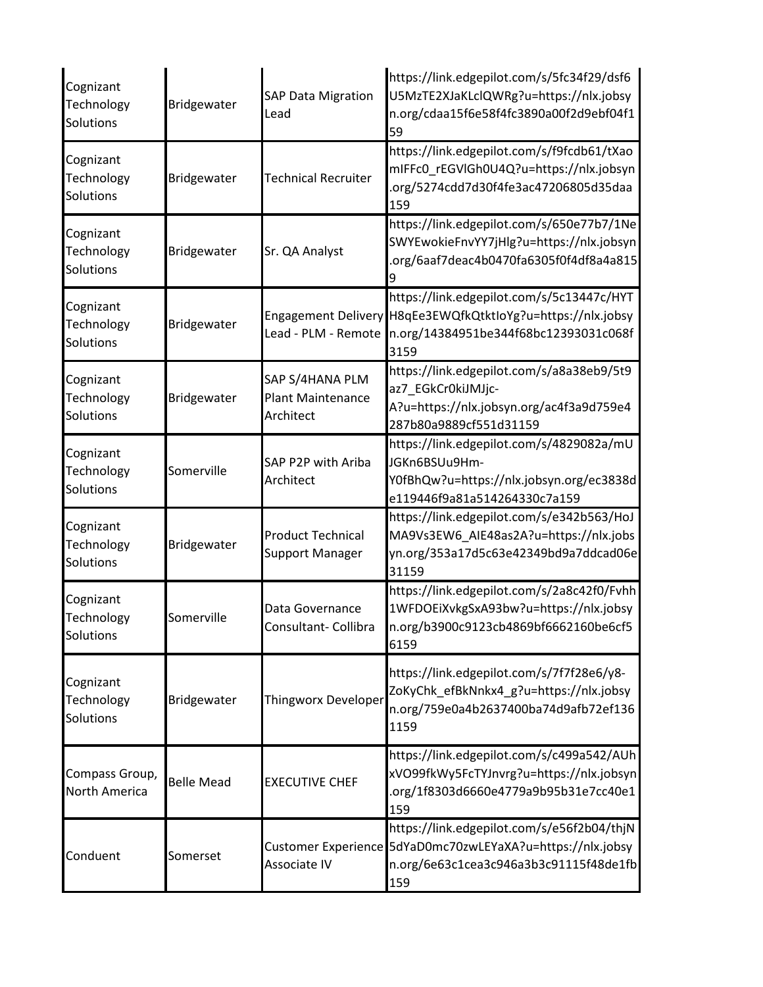| Cognizant<br>Technology<br>Solutions | <b>Bridgewater</b> | <b>SAP Data Migration</b><br>Lead                        | https://link.edgepilot.com/s/5fc34f29/dsf6<br>U5MzTE2XJaKLclQWRg?u=https://nlx.jobsy<br>n.org/cdaa15f6e58f4fc3890a00f2d9ebf04f1<br>59                     |
|--------------------------------------|--------------------|----------------------------------------------------------|-----------------------------------------------------------------------------------------------------------------------------------------------------------|
| Cognizant<br>Technology<br>Solutions | <b>Bridgewater</b> | <b>Technical Recruiter</b>                               | https://link.edgepilot.com/s/f9fcdb61/tXao<br>mIFFc0_rEGVIGh0U4Q?u=https://nlx.jobsyn<br>.org/5274cdd7d30f4fe3ac47206805d35daa<br>159                     |
| Cognizant<br>Technology<br>Solutions | <b>Bridgewater</b> | Sr. QA Analyst                                           | https://link.edgepilot.com/s/650e77b7/1Ne<br>SWYEwokieFnvYY7jHlg?u=https://nlx.jobsyn<br>.org/6aaf7deac4b0470fa6305f0f4df8a4a815                          |
| Cognizant<br>Technology<br>Solutions | Bridgewater        | Lead - PLM - Remote                                      | https://link.edgepilot.com/s/5c13447c/HYT<br>Engagement Delivery H8qEe3EWQfkQtktIoYg?u=https://nlx.jobsy<br>n.org/14384951be344f68bc12393031c068f<br>3159 |
| Cognizant<br>Technology<br>Solutions | Bridgewater        | SAP S/4HANA PLM<br><b>Plant Maintenance</b><br>Architect | https://link.edgepilot.com/s/a8a38eb9/5t9<br>az7_EGkCr0kiJMJjc-<br>A?u=https://nlx.jobsyn.org/ac4f3a9d759e4<br>287b80a9889cf551d31159                     |
| Cognizant<br>Technology<br>Solutions | Somerville         | SAP P2P with Ariba<br>Architect                          | https://link.edgepilot.com/s/4829082a/mU<br>JGKn6BSUu9Hm-<br>Y0fBhQw?u=https://nlx.jobsyn.org/ec3838d<br>e119446f9a81a514264330c7a159                     |
| Cognizant<br>Technology<br>Solutions | Bridgewater        | <b>Product Technical</b><br><b>Support Manager</b>       | https://link.edgepilot.com/s/e342b563/HoJ<br>MA9Vs3EW6_AIE48as2A?u=https://nlx.jobs<br>yn.org/353a17d5c63e42349bd9a7ddcad06e<br>31159                     |
| Cognizant<br>Technology<br>Solutions | Somerville         | Data Governance<br>Consultant- Collibra                  | https://link.edgepilot.com/s/2a8c42f0/Fvhh<br>1WFDOEiXvkgSxA93bw?u=https://nlx.jobsy<br>n.org/b3900c9123cb4869bf6662160be6cf5<br>6159                     |
| Cognizant<br>Technology<br>Solutions | Bridgewater        | Thingworx Developer                                      | https://link.edgepilot.com/s/7f7f28e6/y8-<br>ZoKyChk efBkNnkx4 g?u=https://nlx.jobsy<br>n.org/759e0a4b2637400ba74d9afb72ef136<br>1159                     |
| Compass Group,<br>North America      | <b>Belle Mead</b>  | <b>EXECUTIVE CHEF</b>                                    | https://link.edgepilot.com/s/c499a542/AUh<br>xVO99fkWy5FcTYJnvrg?u=https://nlx.jobsyn<br>.org/1f8303d6660e4779a9b95b31e7cc40e1<br>159                     |
| Conduent                             | Somerset           | Associate IV                                             | https://link.edgepilot.com/s/e56f2b04/thjN<br>Customer Experience 5dYaD0mc70zwLEYaXA?u=https://nlx.jobsy<br>n.org/6e63c1cea3c946a3b3c91115f48de1fb<br>159 |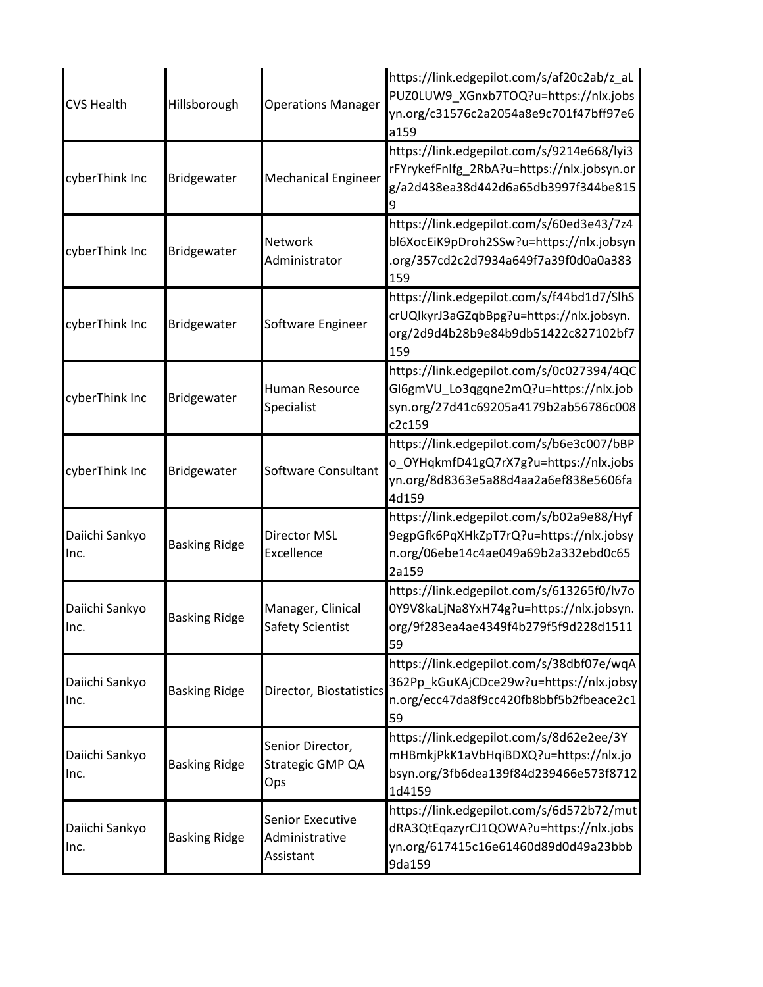| <b>CVS Health</b>      | Hillsborough         | <b>Operations Manager</b>                              | https://link.edgepilot.com/s/af20c2ab/z aL<br>PUZ0LUW9_XGnxb7TOQ?u=https://nlx.jobs<br>yn.org/c31576c2a2054a8e9c701f47bff97e6<br>a159 |
|------------------------|----------------------|--------------------------------------------------------|---------------------------------------------------------------------------------------------------------------------------------------|
| cyberThink Inc         | Bridgewater          | <b>Mechanical Engineer</b>                             | https://link.edgepilot.com/s/9214e668/lyi3<br>rFYrykefFnIfg_2RbA?u=https://nlx.jobsyn.or<br>g/a2d438ea38d442d6a65db3997f344be815      |
| cyberThink Inc         | Bridgewater          | Network<br>Administrator                               | https://link.edgepilot.com/s/60ed3e43/7z4<br>bl6XocEiK9pDroh2SSw?u=https://nlx.jobsyn<br>.org/357cd2c2d7934a649f7a39f0d0a0a383<br>159 |
| cyberThink Inc         | Bridgewater          | Software Engineer                                      | https://link.edgepilot.com/s/f44bd1d7/SlhS<br>crUQlkyrJ3aGZqbBpg?u=https://nlx.jobsyn.<br>org/2d9d4b28b9e84b9db51422c827102bf7<br>159 |
| cyberThink Inc         | Bridgewater          | <b>Human Resource</b><br>Specialist                    | https://link.edgepilot.com/s/0c027394/4QC<br>GI6gmVU_Lo3qgqne2mQ?u=https://nlx.job<br>syn.org/27d41c69205a4179b2ab56786c008<br>c2c159 |
| cyberThink Inc         | Bridgewater          | Software Consultant                                    | https://link.edgepilot.com/s/b6e3c007/bBP<br>o_OYHqkmfD41gQ7rX7g?u=https://nlx.jobs<br>yn.org/8d8363e5a88d4aa2a6ef838e5606fa<br>4d159 |
| Daiichi Sankyo<br>Inc. | <b>Basking Ridge</b> | <b>Director MSL</b><br>Excellence                      | https://link.edgepilot.com/s/b02a9e88/Hyf<br>9egpGfk6PqXHkZpT7rQ?u=https://nlx.jobsy<br>n.org/06ebe14c4ae049a69b2a332ebd0c65<br>2a159 |
| Daiichi Sankyo<br>Inc. | <b>Basking Ridge</b> | Manager, Clinical<br>Safety Scientist                  | https://link.edgepilot.com/s/613265f0/lv7o<br>0Y9V8kaLjNa8YxH74g?u=https://nlx.jobsyn.<br>org/9f283ea4ae4349f4b279f5f9d228d1511<br>59 |
| Daiichi Sankyo<br>Inc. | <b>Basking Ridge</b> | Director, Biostatistics                                | https://link.edgepilot.com/s/38dbf07e/wqA<br>362Pp_kGuKAjCDce29w?u=https://nlx.jobsy<br>n.org/ecc47da8f9cc420fb8bbf5b2fbeace2c1<br>59 |
| Daiichi Sankyo<br>Inc. | <b>Basking Ridge</b> | Senior Director,<br>Strategic GMP QA<br>Ops            | https://link.edgepilot.com/s/8d62e2ee/3Y<br>mHBmkjPkK1aVbHqiBDXQ?u=https://nlx.jo<br>bsyn.org/3fb6dea139f84d239466e573f8712<br>1d4159 |
| Daiichi Sankyo<br>Inc. | <b>Basking Ridge</b> | <b>Senior Executive</b><br>Administrative<br>Assistant | https://link.edgepilot.com/s/6d572b72/mut<br>dRA3QtEqazyrCJ1QOWA?u=https://nlx.jobs<br>yn.org/617415c16e61460d89d0d49a23bbb<br>9da159 |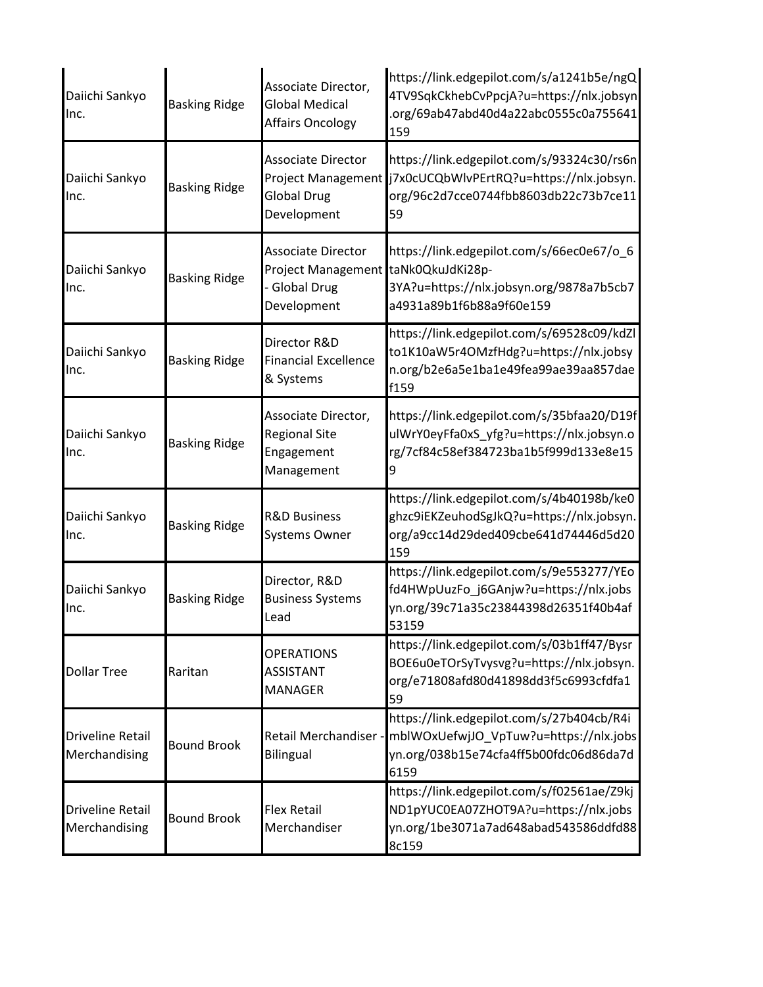| Daiichi Sankyo<br>Inc.                   | <b>Basking Ridge</b> | Associate Director,<br>Global Medical<br>Affairs Oncology                                             | https://link.edgepilot.com/s/a1241b5e/ngQ<br>4TV9SqkCkhebCvPpcjA?u=https://nlx.jobsyn<br>.org/69ab47abd40d4a22abc0555c0a755641<br>159                       |
|------------------------------------------|----------------------|-------------------------------------------------------------------------------------------------------|-------------------------------------------------------------------------------------------------------------------------------------------------------------|
| Daiichi Sankyo<br>Inc.                   | <b>Basking Ridge</b> | <b>Associate Director</b><br><b>Global Drug</b><br>Development                                        | https://link.edgepilot.com/s/93324c30/rs6n<br>Project Management j7x0cUCQbWlvPErtRQ?u=https://nlx.jobsyn.<br>org/96c2d7cce0744fbb8603db22c73b7ce11<br>59    |
| Daiichi Sankyo<br>Inc.                   | <b>Basking Ridge</b> | <b>Associate Director</b><br>Project Management taNk0QkuJdKi28p-<br><b>Global Drug</b><br>Development | https://link.edgepilot.com/s/66ec0e67/o_6<br>3YA?u=https://nlx.jobsyn.org/9878a7b5cb7<br>a4931a89b1f6b88a9f60e159                                           |
| Daiichi Sankyo<br>Inc.                   | <b>Basking Ridge</b> | Director R&D<br><b>Financial Excellence</b><br>& Systems                                              | https://link.edgepilot.com/s/69528c09/kdZl<br>to1K10aW5r4OMzfHdg?u=https://nlx.jobsy<br>n.org/b2e6a5e1ba1e49fea99ae39aa857dae<br>f159                       |
| Daiichi Sankyo<br>Inc.                   | <b>Basking Ridge</b> | Associate Director,<br><b>Regional Site</b><br>Engagement<br>Management                               | https://link.edgepilot.com/s/35bfaa20/D19f<br>ulWrY0eyFfa0xS_yfg?u=https://nlx.jobsyn.o<br>rg/7cf84c58ef384723ba1b5f999d133e8e15                            |
| Daiichi Sankyo<br>lnc.                   | <b>Basking Ridge</b> | <b>R&amp;D Business</b><br><b>Systems Owner</b>                                                       | https://link.edgepilot.com/s/4b40198b/ke0<br>ghzc9iEKZeuhodSgJkQ?u=https://nlx.jobsyn.<br>org/a9cc14d29ded409cbe641d74446d5d20<br>159                       |
| Daiichi Sankyo<br>Inc.                   | <b>Basking Ridge</b> | Director, R&D<br><b>Business Systems</b><br>Lead                                                      | https://link.edgepilot.com/s/9e553277/YEo<br>fd4HWpUuzFo_j6GAnjw?u=https://nlx.jobs<br>yn.org/39c71a35c23844398d26351f40b4af<br>53159                       |
| <b>Dollar Tree</b>                       | Raritan              | <b>OPERATIONS</b><br><b>ASSISTANT</b><br><b>MANAGER</b>                                               | https://link.edgepilot.com/s/03b1ff47/Bysr<br>BOE6u0eTOrSyTvysvg?u=https://nlx.jobsyn.<br>org/e71808afd80d41898dd3f5c6993cfdfa1<br>59                       |
| <b>Driveline Retail</b><br>Merchandising | <b>Bound Brook</b>   | <b>Bilingual</b>                                                                                      | https://link.edgepilot.com/s/27b404cb/R4i<br>Retail Merchandiser - mblWOxUefwjJO VpTuw?u=https://nlx.jobs<br>yn.org/038b15e74cfa4ff5b00fdc06d86da7d<br>6159 |
| <b>Driveline Retail</b><br>Merchandising | <b>Bound Brook</b>   | <b>Flex Retail</b><br>Merchandiser                                                                    | https://link.edgepilot.com/s/f02561ae/Z9kj<br>ND1pYUC0EA07ZHOT9A?u=https://nlx.jobs<br>yn.org/1be3071a7ad648abad543586ddfd88<br>8c159                       |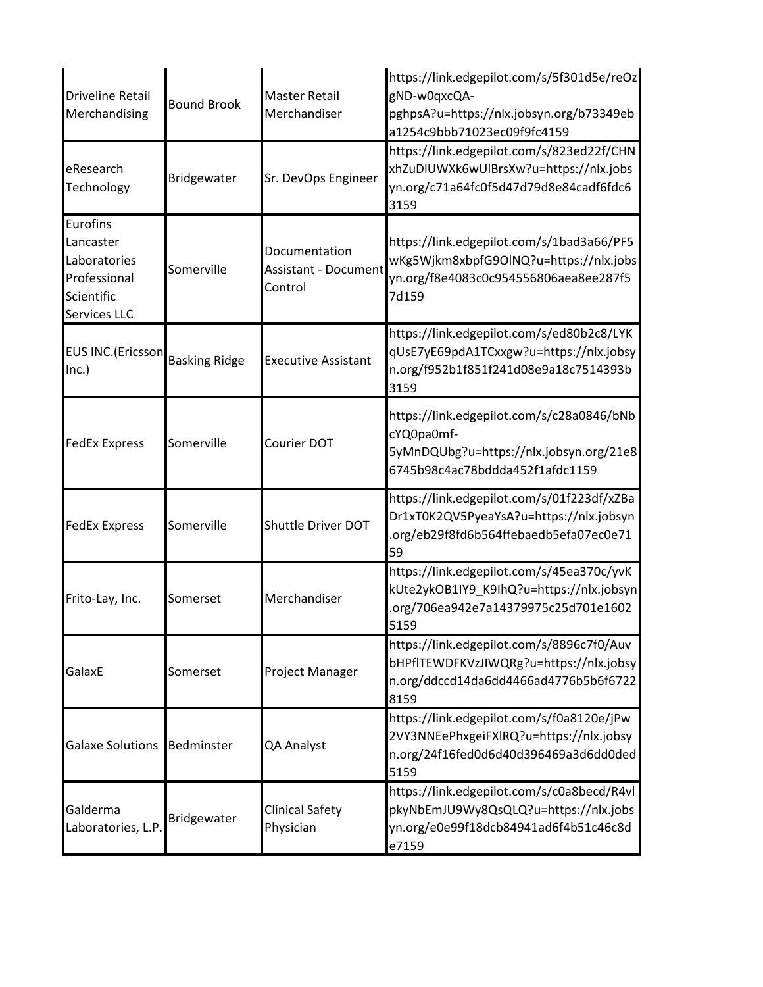| <b>Driveline Retail</b><br>Merchandising                                            | <b>Bound Brook</b> | <b>Master Retail</b><br>Merchandiser                    | https://link.edgepilot.com/s/5f301d5e/reOz<br>gND-w0qxcQA-<br>pghpsA?u=https://nlx.jobsyn.org/b73349eb<br>a1254c9bbb71023ec09f9fc4159 |
|-------------------------------------------------------------------------------------|--------------------|---------------------------------------------------------|---------------------------------------------------------------------------------------------------------------------------------------|
| eResearch<br>Technology                                                             | Bridgewater        | Sr. DevOps Engineer                                     | https://link.edgepilot.com/s/823ed22f/CHN<br>xhZuDlUWXk6wUlBrsXw?u=https://nlx.jobs<br>yn.org/c71a64fc0f5d47d79d8e84cadf6fdc6<br>3159 |
| Eurofins<br>Lancaster<br>Laboratories<br>Professional<br>Scientific<br>Services LLC | Somerville         | Documentation<br><b>Assistant - Document</b><br>Control | https://link.edgepilot.com/s/1bad3a66/PF5<br>wKg5Wjkm8xbpfG9OINQ?u=https://nlx.jobs<br>yn.org/f8e4083c0c954556806aea8ee287f5<br>7d159 |
| EUS INC.(Ericsson Basking Ridge<br>Inc.)                                            |                    | <b>Executive Assistant</b>                              | https://link.edgepilot.com/s/ed80b2c8/LYK<br>qUsE7yE69pdA1TCxxgw?u=https://nlx.jobsy<br>n.org/f952b1f851f241d08e9a18c7514393b<br>3159 |
| <b>FedEx Express</b>                                                                | Somerville         | Courier DOT                                             | https://link.edgepilot.com/s/c28a0846/bNb<br>cYQ0pa0mf-<br>5yMnDQUbg?u=https://nlx.jobsyn.org/21e8<br>6745b98c4ac78bddda452f1afdc1159 |
| <b>FedEx Express</b>                                                                | Somerville         | Shuttle Driver DOT                                      | https://link.edgepilot.com/s/01f223df/xZBa<br>Dr1xT0K2QV5PyeaYsA?u=https://nlx.jobsyn<br>.org/eb29f8fd6b564ffebaedb5efa07ec0e71<br>59 |
| Frito-Lay, Inc.                                                                     | Somerset           | Merchandiser                                            | https://link.edgepilot.com/s/45ea370c/yvK<br>kUte2ykOB1IY9_K9IhQ?u=https://nlx.jobsyn<br>.org/706ea942e7a14379975c25d701e1602<br>5159 |
| GalaxE                                                                              | Somerset           | Project Manager                                         | https://link.edgepilot.com/s/8896c7f0/Auv<br>bHPflTEWDFKVzJIWQRg?u=https://nlx.jobsy<br>n.org/ddccd14da6dd4466ad4776b5b6f6722<br>8159 |
| <b>Galaxe Solutions</b>                                                             | Bedminster         | QA Analyst                                              | https://link.edgepilot.com/s/f0a8120e/jPw<br>2VY3NNEePhxgeiFXIRQ?u=https://nlx.jobsy<br>n.org/24f16fed0d6d40d396469a3d6dd0ded<br>5159 |
| Galderma<br>Laboratories, L.P.                                                      | Bridgewater        | <b>Clinical Safety</b><br>Physician                     | https://link.edgepilot.com/s/c0a8becd/R4vl<br>pkyNbEmJU9Wy8QsQLQ?u=https://nlx.jobs<br>yn.org/e0e99f18dcb84941ad6f4b51c46c8d<br>e7159 |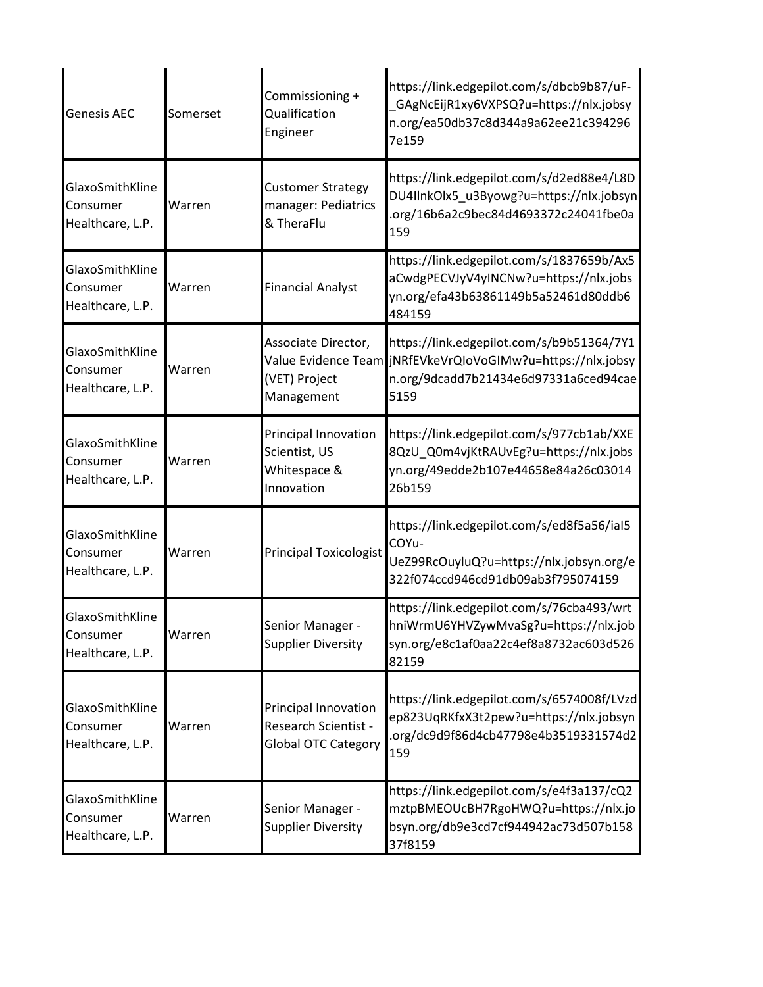| <b>Genesis AEC</b>                              | Somerset | Commissioning +<br>Qualification<br>Engineer                               | https://link.edgepilot.com/s/dbcb9b87/uF-<br>GAgNcEijR1xy6VXPSQ?u=https://nlx.jobsy<br>n.org/ea50db37c8d344a9a62ee21c394296<br>7e159                      |
|-------------------------------------------------|----------|----------------------------------------------------------------------------|-----------------------------------------------------------------------------------------------------------------------------------------------------------|
| GlaxoSmithKline<br>Consumer<br>Healthcare, L.P. | Warren   | <b>Customer Strategy</b><br>manager: Pediatrics<br>& TheraFlu              | https://link.edgepilot.com/s/d2ed88e4/L8D<br>DU4IInkOlx5_u3Byowg?u=https://nlx.jobsyn<br>.org/16b6a2c9bec84d4693372c24041fbe0a<br>159                     |
| GlaxoSmithKline<br>Consumer<br>Healthcare, L.P. | Warren   | <b>Financial Analyst</b>                                                   | https://link.edgepilot.com/s/1837659b/Ax5<br>aCwdgPECVJyV4yINCNw?u=https://nlx.jobs<br>yn.org/efa43b63861149b5a52461d80ddb6<br>484159                     |
| GlaxoSmithKline<br>Consumer<br>Healthcare, L.P. | Warren   | Associate Director,<br>(VET) Project<br>Management                         | https://link.edgepilot.com/s/b9b51364/7Y1<br>Value Evidence Team jNRfEVkeVrQIoVoGIMw?u=https://nlx.jobsy<br>n.org/9dcadd7b21434e6d97331a6ced94cae<br>5159 |
| GlaxoSmithKline<br>Consumer<br>Healthcare, L.P. | Warren   | Principal Innovation<br>Scientist, US<br>Whitespace &<br>Innovation        | https://link.edgepilot.com/s/977cb1ab/XXE<br>8QzU_Q0m4vjKtRAUvEg?u=https://nlx.jobs<br>yn.org/49edde2b107e44658e84a26c03014<br>26b159                     |
| GlaxoSmithKline<br>Consumer<br>Healthcare, L.P. | Warren   | <b>Principal Toxicologist</b>                                              | https://link.edgepilot.com/s/ed8f5a56/ial5<br>COYu-<br>UeZ99RcOuyluQ?u=https://nlx.jobsyn.org/e<br>322f074ccd946cd91db09ab3f795074159                     |
| GlaxoSmithKline<br>Consumer<br>Healthcare, L.P. | Warren   | Senior Manager -<br><b>Supplier Diversity</b>                              | https://link.edgepilot.com/s/76cba493/wrt<br>hniWrmU6YHVZywMvaSg?u=https://nlx.job<br>syn.org/e8c1af0aa22c4ef8a8732ac603d526<br>82159                     |
| GlaxoSmithKline<br>Consumer<br>Healthcare, L.P. | Warren   | Principal Innovation<br>Research Scientist -<br><b>Global OTC Category</b> | https://link.edgepilot.com/s/6574008f/LVzd<br>ep823UqRKfxX3t2pew?u=https://nlx.jobsyn<br>.org/dc9d9f86d4cb47798e4b3519331574d2<br>159                     |
| GlaxoSmithKline<br>Consumer<br>Healthcare, L.P. | Warren   | Senior Manager -<br><b>Supplier Diversity</b>                              | https://link.edgepilot.com/s/e4f3a137/cQ2<br>mztpBMEOUcBH7RgoHWQ?u=https://nlx.jo<br>bsyn.org/db9e3cd7cf944942ac73d507b158<br>37f8159                     |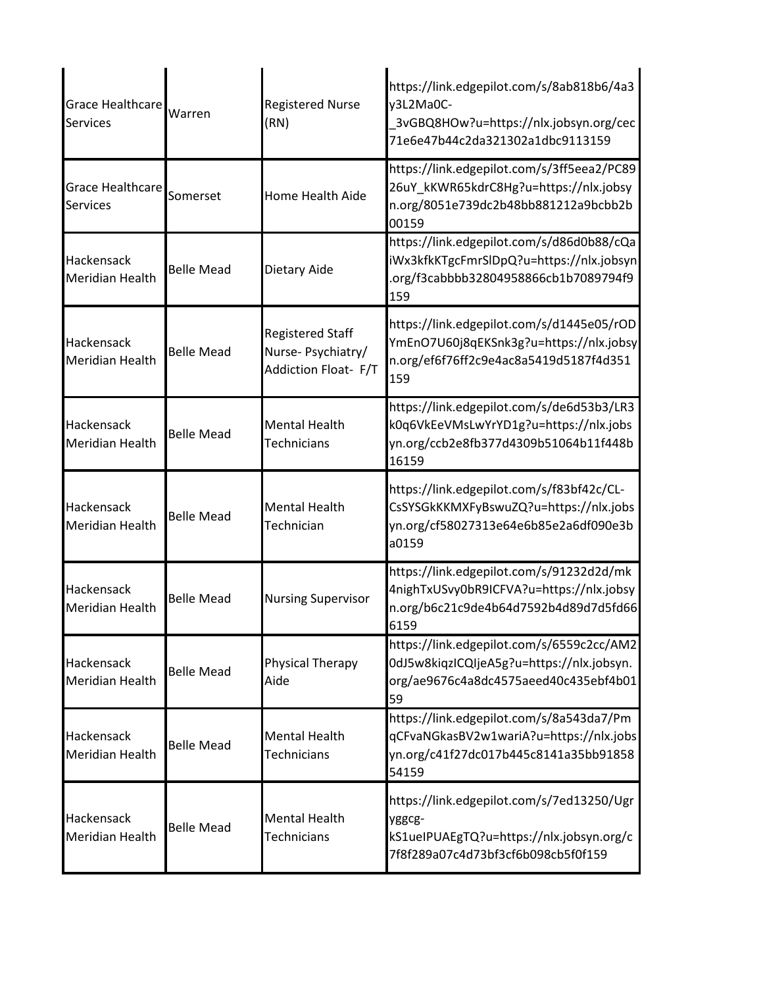| <b>Grace Healthcare</b><br><b>Services</b> | Warren            | <b>Registered Nurse</b><br>(RN)                                      | https://link.edgepilot.com/s/8ab818b6/4a3<br>y3L2Ma0C-<br>3vGBQ8HOw?u=https://nlx.jobsyn.org/cec<br>71e6e47b44c2da321302a1dbc9113159  |
|--------------------------------------------|-------------------|----------------------------------------------------------------------|---------------------------------------------------------------------------------------------------------------------------------------|
| Grace Healthcare<br><b>Services</b>        | Somerset          | <b>Home Health Aide</b>                                              | https://link.edgepilot.com/s/3ff5eea2/PC89<br>26uY_kKWR65kdrC8Hg?u=https://nlx.jobsy<br>n.org/8051e739dc2b48bb881212a9bcbb2b<br>00159 |
| Hackensack<br>Meridian Health              | <b>Belle Mead</b> | Dietary Aide                                                         | https://link.edgepilot.com/s/d86d0b88/cQa<br>iWx3kfkKTgcFmrSlDpQ?u=https://nlx.jobsyn<br>.org/f3cabbbb32804958866cb1b7089794f9<br>159 |
| Hackensack<br>Meridian Health              | <b>Belle Mead</b> | <b>Registered Staff</b><br>Nurse-Psychiatry/<br>Addiction Float- F/T | https://link.edgepilot.com/s/d1445e05/rOD<br>YmEnO7U60j8qEKSnk3g?u=https://nlx.jobsy<br>n.org/ef6f76ff2c9e4ac8a5419d5187f4d351<br>159 |
| Hackensack<br>Meridian Health              | <b>Belle Mead</b> | <b>Mental Health</b><br><b>Technicians</b>                           | https://link.edgepilot.com/s/de6d53b3/LR3<br>k0q6VkEeVMsLwYrYD1g?u=https://nlx.jobs<br>yn.org/ccb2e8fb377d4309b51064b11f448b<br>16159 |
| Hackensack<br>Meridian Health              | <b>Belle Mead</b> | <b>Mental Health</b><br>Technician                                   | https://link.edgepilot.com/s/f83bf42c/CL-<br>CsSYSGkKKMXFyBswuZQ?u=https://nlx.jobs<br>yn.org/cf58027313e64e6b85e2a6df090e3b<br>a0159 |
| Hackensack<br><b>Meridian Health</b>       | <b>Belle Mead</b> | <b>Nursing Supervisor</b>                                            | https://link.edgepilot.com/s/91232d2d/mk<br>4nighTxUSvy0bR9ICFVA?u=https://nlx.jobsy<br>n.org/b6c21c9de4b64d7592b4d89d7d5fd66<br>6159 |
| Hackensack<br>Meridian Health              | <b>Belle Mead</b> | Physical Therapy<br>Aide                                             | https://link.edgepilot.com/s/6559c2cc/AM2<br>0dJ5w8kiqzICQIjeA5g?u=https://nlx.jobsyn.<br>org/ae9676c4a8dc4575aeed40c435ebf4b01<br>59 |
| Hackensack<br>Meridian Health              | <b>Belle Mead</b> | <b>Mental Health</b><br><b>Technicians</b>                           | https://link.edgepilot.com/s/8a543da7/Pm<br>qCFvaNGkasBV2w1wariA?u=https://nlx.jobs<br>yn.org/c41f27dc017b445c8141a35bb91858<br>54159 |
| Hackensack<br>Meridian Health              | <b>Belle Mead</b> | <b>Mental Health</b><br>Technicians                                  | https://link.edgepilot.com/s/7ed13250/Ugr<br>yggcg-<br>kS1ueIPUAEgTQ?u=https://nlx.jobsyn.org/c<br>7f8f289a07c4d73bf3cf6b098cb5f0f159 |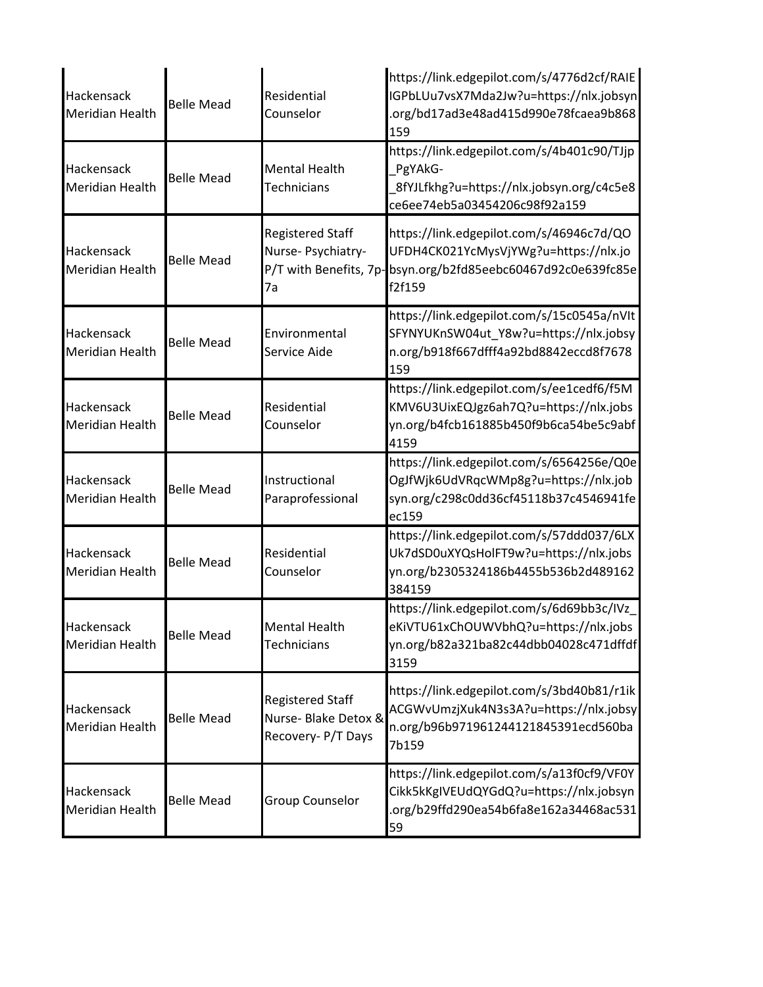| Hackensack<br><b>Meridian Health</b> | <b>Belle Mead</b> | Residential<br>Counselor                                                      | https://link.edgepilot.com/s/4776d2cf/RAIE<br>IGPbLUu7vsX7Mda2Jw?u=https://nlx.jobsyn<br>.org/bd17ad3e48ad415d990e78fcaea9b868<br>159 |
|--------------------------------------|-------------------|-------------------------------------------------------------------------------|---------------------------------------------------------------------------------------------------------------------------------------|
| Hackensack<br><b>Meridian Health</b> | <b>Belle Mead</b> | <b>Mental Health</b><br><b>Technicians</b>                                    | https://link.edgepilot.com/s/4b401c90/TJjp<br>PgYAkG-<br>8fYJLfkhg?u=https://nlx.jobsyn.org/c4c5e8<br>ce6ee74eb5a03454206c98f92a159   |
| Hackensack<br>Meridian Health        | <b>Belle Mead</b> | <b>Registered Staff</b><br>Nurse- Psychiatry-<br>P/T with Benefits, 7p-<br>7a | https://link.edgepilot.com/s/46946c7d/QO<br>UFDH4CK021YcMysVjYWg?u=https://nlx.jo<br>bsyn.org/b2fd85eebc60467d92c0e639fc85e<br>f2f159 |
| Hackensack<br><b>Meridian Health</b> | <b>Belle Mead</b> | Environmental<br>Service Aide                                                 | https://link.edgepilot.com/s/15c0545a/nVIt<br>SFYNYUKnSW04ut Y8w?u=https://nlx.jobsy<br>n.org/b918f667dfff4a92bd8842eccd8f7678<br>159 |
| Hackensack<br><b>Meridian Health</b> | <b>Belle Mead</b> | Residential<br>Counselor                                                      | https://link.edgepilot.com/s/ee1cedf6/f5M<br>KMV6U3UixEQJgz6ah7Q?u=https://nlx.jobs<br>yn.org/b4fcb161885b450f9b6ca54be5c9abf<br>4159 |
| Hackensack<br><b>Meridian Health</b> | <b>Belle Mead</b> | Instructional<br>Paraprofessional                                             | https://link.edgepilot.com/s/6564256e/Q0e<br>OgJfWjk6UdVRqcWMp8g?u=https://nlx.job<br>syn.org/c298c0dd36cf45118b37c4546941fe<br>ec159 |
| Hackensack<br><b>Meridian Health</b> | <b>Belle Mead</b> | Residential<br>Counselor                                                      | https://link.edgepilot.com/s/57ddd037/6LX<br>Uk7dSD0uXYQsHolFT9w?u=https://nlx.jobs<br>yn.org/b2305324186b4455b536b2d489162<br>384159 |
| Hackensack<br><b>Meridian Health</b> | <b>Belle Mead</b> | <b>Mental Health</b><br><b>Technicians</b>                                    | https://link.edgepilot.com/s/6d69bb3c/IVz<br>eKiVTU61xChOUWVbhQ?u=https://nlx.jobs<br>yn.org/b82a321ba82c44dbb04028c471dffdf<br>3159  |
| Hackensack<br>Meridian Health        | <b>Belle Mead</b> | <b>Registered Staff</b><br>Nurse- Blake Detox &<br>Recovery- P/T Days         | https://link.edgepilot.com/s/3bd40b81/r1ik<br>ACGWvUmzjXuk4N3s3A?u=https://nlx.jobsy<br>n.org/b96b971961244121845391ecd560ba<br>7b159 |
| Hackensack<br>Meridian Health        | <b>Belle Mead</b> | <b>Group Counselor</b>                                                        | https://link.edgepilot.com/s/a13f0cf9/VF0Y<br>Cikk5kKgIVEUdQYGdQ?u=https://nlx.jobsyn<br>.org/b29ffd290ea54b6fa8e162a34468ac531<br>59 |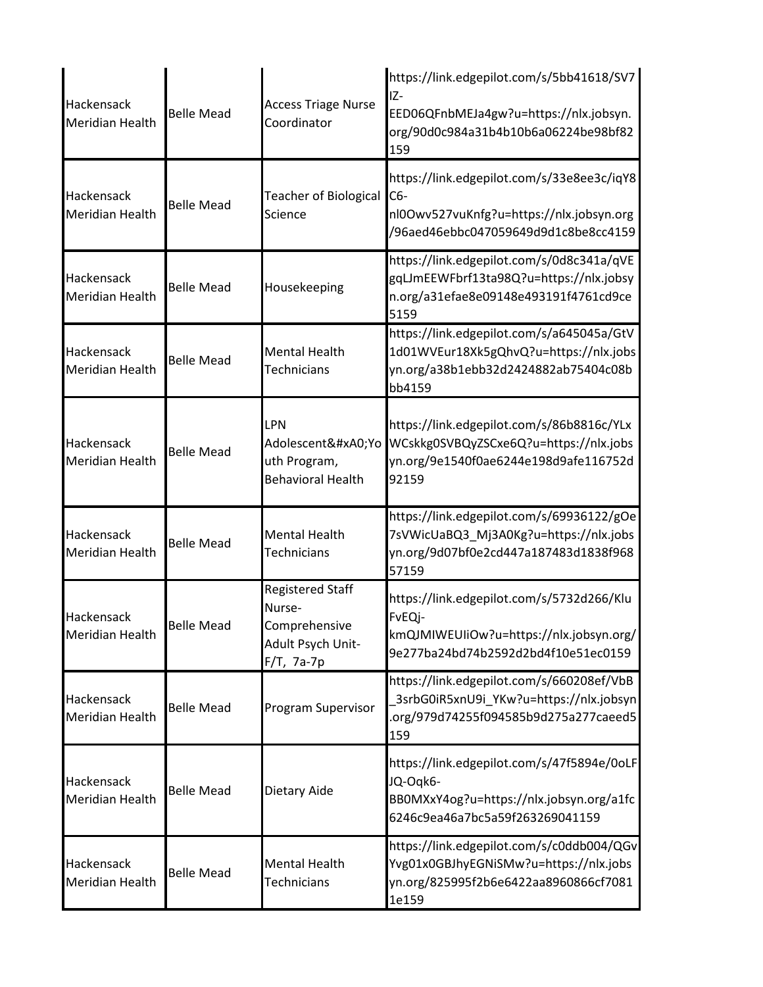| Hackensack<br><b>Meridian Health</b> | <b>Belle Mead</b> | <b>Access Triage Nurse</b><br>Coordinator                                             | https://link.edgepilot.com/s/5bb41618/SV7<br>IZ-<br>EED06QFnbMEJa4gw?u=https://nlx.jobsyn.<br>org/90d0c984a31b4b10b6a06224be98bf82<br>159 |
|--------------------------------------|-------------------|---------------------------------------------------------------------------------------|-------------------------------------------------------------------------------------------------------------------------------------------|
| Hackensack<br><b>Meridian Health</b> | <b>Belle Mead</b> | Teacher of Biological<br>Science                                                      | https://link.edgepilot.com/s/33e8ee3c/iqY8<br>C6-<br>nl0Owv527vuKnfg?u=https://nlx.jobsyn.org<br>/96aed46ebbc047059649d9d1c8be8cc4159     |
| Hackensack<br><b>Meridian Health</b> | <b>Belle Mead</b> | Housekeeping                                                                          | https://link.edgepilot.com/s/0d8c341a/qVE<br>gqLJmEEWFbrf13ta98Q?u=https://nlx.jobsy<br>n.org/a31efae8e09148e493191f4761cd9ce<br>5159     |
| Hackensack<br><b>Meridian Health</b> | <b>Belle Mead</b> | <b>Mental Health</b><br><b>Technicians</b>                                            | https://link.edgepilot.com/s/a645045a/GtV<br>1d01WVEur18Xk5gQhvQ?u=https://nlx.jobs<br>yn.org/a38b1ebb32d2424882ab75404c08b<br>bb4159     |
| Hackensack<br><b>Meridian Health</b> | <b>Belle Mead</b> | LPN<br>Adolescent Yo<br>uth Program,<br><b>Behavioral Health</b>                      | https://link.edgepilot.com/s/86b8816c/YLx<br>WCskkg0SVBQyZSCxe6Q?u=https://nlx.jobs<br>yn.org/9e1540f0ae6244e198d9afe116752d<br>92159     |
| Hackensack<br><b>Meridian Health</b> | <b>Belle Mead</b> | <b>Mental Health</b><br><b>Technicians</b>                                            | https://link.edgepilot.com/s/69936122/gOe<br>7sVWicUaBQ3_Mj3A0Kg?u=https://nlx.jobs<br>yn.org/9d07bf0e2cd447a187483d1838f968<br>57159     |
| Hackensack<br><b>Meridian Health</b> | <b>Belle Mead</b> | <b>Registered Staff</b><br>Nurse-<br>Comprehensive<br>Adult Psych Unit-<br>F/T, 7a-7p | https://link.edgepilot.com/s/5732d266/Klu<br>FvEQj-<br>kmQJMIWEUIiOw?u=https://nlx.jobsyn.org/<br>9e277ba24bd74b2592d2bd4f10e51ec0159     |
| Hackensack<br><b>Meridian Health</b> | <b>Belle Mead</b> | Program Supervisor                                                                    | https://link.edgepilot.com/s/660208ef/VbB<br>3srbG0iR5xnU9i_YKw?u=https://nlx.jobsyn<br>org/979d74255f094585b9d275a277caeed5<br>159       |
| Hackensack<br><b>Meridian Health</b> | <b>Belle Mead</b> | Dietary Aide                                                                          | https://link.edgepilot.com/s/47f5894e/0oLF<br>JQ-Oqk6-<br>BB0MXxY4og?u=https://nlx.jobsyn.org/a1fc<br>6246c9ea46a7bc5a59f263269041159     |
| Hackensack<br><b>Meridian Health</b> | <b>Belle Mead</b> | <b>Mental Health</b><br><b>Technicians</b>                                            | https://link.edgepilot.com/s/c0ddb004/QGv<br>Yvg01x0GBJhyEGNiSMw?u=https://nlx.jobs<br>yn.org/825995f2b6e6422aa8960866cf7081<br>1e159     |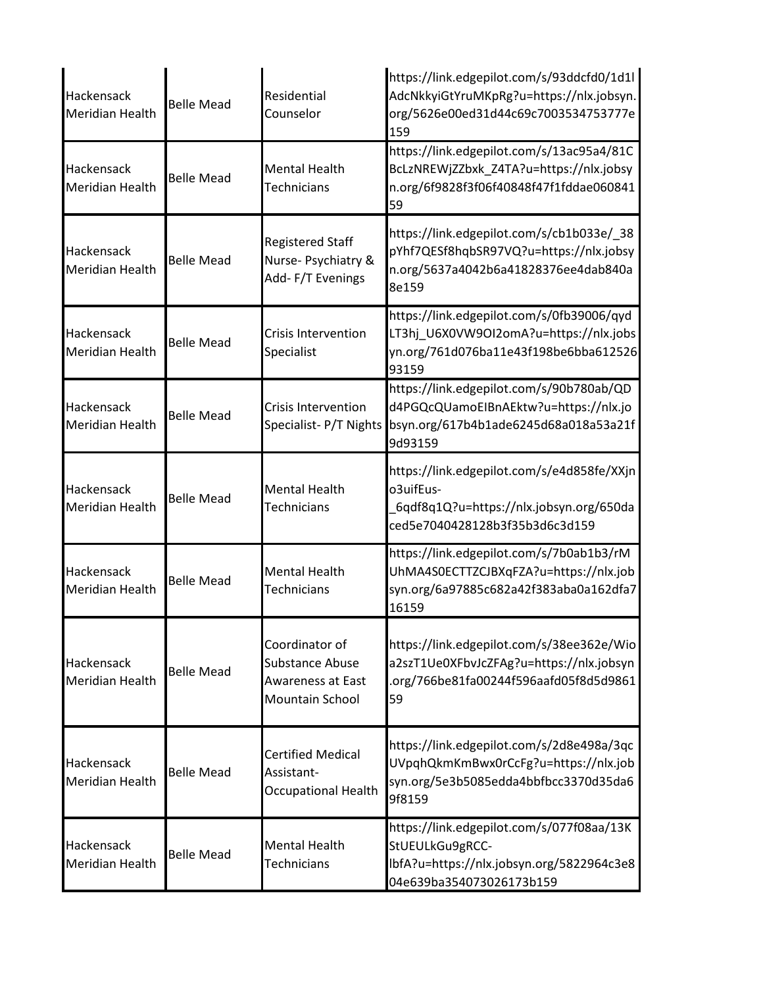| Hackensack<br><b>Meridian Health</b> | <b>Belle Mead</b> | Residential<br>Counselor                                                                       | https://link.edgepilot.com/s/93ddcfd0/1d1l<br>AdcNkkyiGtYruMKpRg?u=https://nlx.jobsyn.<br>org/5626e00ed31d44c69c7003534753777e<br>159 |
|--------------------------------------|-------------------|------------------------------------------------------------------------------------------------|---------------------------------------------------------------------------------------------------------------------------------------|
| Hackensack<br><b>Meridian Health</b> | <b>Belle Mead</b> | <b>Mental Health</b><br><b>Technicians</b>                                                     | https://link.edgepilot.com/s/13ac95a4/81C<br>BcLzNREWjZZbxk_Z4TA?u=https://nlx.jobsy<br>n.org/6f9828f3f06f40848f47f1fddae060841<br>59 |
| Hackensack<br><b>Meridian Health</b> | <b>Belle Mead</b> | <b>Registered Staff</b><br>Nurse- Psychiatry &<br>Add-F/T Evenings                             | https://link.edgepilot.com/s/cb1b033e/_38<br>pYhf7QESf8hqbSR97VQ?u=https://nlx.jobsy<br>n.org/5637a4042b6a41828376ee4dab840a<br>8e159 |
| Hackensack<br><b>Meridian Health</b> | <b>Belle Mead</b> | <b>Crisis Intervention</b><br>Specialist                                                       | https://link.edgepilot.com/s/0fb39006/qyd<br>LT3hj_U6X0VW9OI2omA?u=https://nlx.jobs<br>yn.org/761d076ba11e43f198be6bba612526<br>93159 |
| Hackensack<br><b>Meridian Health</b> | <b>Belle Mead</b> | <b>Crisis Intervention</b><br>Specialist-P/T Nights                                            | https://link.edgepilot.com/s/90b780ab/QD<br>d4PGQcQUamoEIBnAEktw?u=https://nlx.jo<br>bsyn.org/617b4b1ade6245d68a018a53a21f<br>9d93159 |
| Hackensack<br><b>Meridian Health</b> | <b>Belle Mead</b> | <b>Mental Health</b><br>Technicians                                                            | https://link.edgepilot.com/s/e4d858fe/XXjn<br>o3uifEus-<br>6qdf8q1Q?u=https://nlx.jobsyn.org/650da<br>ced5e7040428128b3f35b3d6c3d159  |
| Hackensack<br><b>Meridian Health</b> | <b>Belle Mead</b> | <b>Mental Health</b><br><b>Technicians</b>                                                     | https://link.edgepilot.com/s/7b0ab1b3/rM<br>UhMA4S0ECTTZCJBXqFZA?u=https://nlx.job<br>syn.org/6a97885c682a42f383aba0a162dfa7<br>16159 |
| Hackensack<br><b>Meridian Health</b> | <b>Belle Mead</b> | Coordinator of<br><b>Substance Abuse</b><br><b>Awareness at East</b><br><b>Mountain School</b> | https://link.edgepilot.com/s/38ee362e/Wio<br>a2szT1Ue0XFbvJcZFAg?u=https://nlx.jobsyn<br>.org/766be81fa00244f596aafd05f8d5d9861<br>59 |
| Hackensack<br><b>Meridian Health</b> | <b>Belle Mead</b> | <b>Certified Medical</b><br>Assistant-<br><b>Occupational Health</b>                           | https://link.edgepilot.com/s/2d8e498a/3qc<br>UVpqhQkmKmBwx0rCcFg?u=https://nlx.job<br>syn.org/5e3b5085edda4bbfbcc3370d35da6<br>9f8159 |
| Hackensack<br><b>Meridian Health</b> | <b>Belle Mead</b> | <b>Mental Health</b><br>Technicians                                                            | https://link.edgepilot.com/s/077f08aa/13K<br>StUEULkGu9gRCC-<br>lbfA?u=https://nlx.jobsyn.org/5822964c3e8<br>04e639ba354073026173b159 |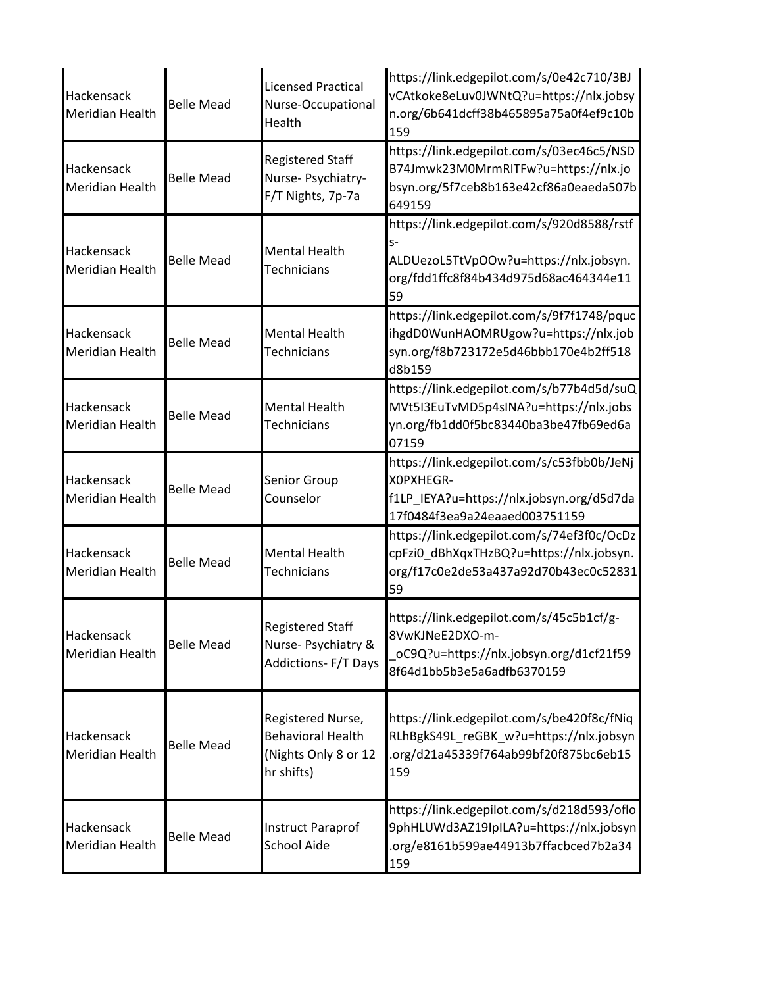| Hackensack<br>Meridian Health        | <b>Belle Mead</b> | <b>Licensed Practical</b><br>Nurse-Occupational<br>Health                           | https://link.edgepilot.com/s/0e42c710/3BJ<br>vCAtkoke8eLuv0JWNtQ?u=https://nlx.jobsy<br>n.org/6b641dcff38b465895a75a0f4ef9c10b<br>159       |
|--------------------------------------|-------------------|-------------------------------------------------------------------------------------|---------------------------------------------------------------------------------------------------------------------------------------------|
| Hackensack<br>Meridian Health        | <b>Belle Mead</b> | <b>Registered Staff</b><br>Nurse- Psychiatry-<br>F/T Nights, 7p-7a                  | https://link.edgepilot.com/s/03ec46c5/NSD<br>B74Jmwk23M0MrmRITFw?u=https://nlx.jo<br>bsyn.org/5f7ceb8b163e42cf86a0eaeda507b<br>649159       |
| Hackensack<br>Meridian Health        | <b>Belle Mead</b> | <b>Mental Health</b><br><b>Technicians</b>                                          | https://link.edgepilot.com/s/920d8588/rstf<br>$S-$<br>ALDUezoL5TtVpOOw?u=https://nlx.jobsyn.<br>org/fdd1ffc8f84b434d975d68ac464344e11<br>59 |
| Hackensack<br>Meridian Health        | <b>Belle Mead</b> | <b>Mental Health</b><br><b>Technicians</b>                                          | https://link.edgepilot.com/s/9f7f1748/pquc<br>ihgdD0WunHAOMRUgow?u=https://nlx.job<br>syn.org/f8b723172e5d46bbb170e4b2ff518<br>d8b159       |
| Hackensack<br>Meridian Health        | <b>Belle Mead</b> | <b>Mental Health</b><br><b>Technicians</b>                                          | https://link.edgepilot.com/s/b77b4d5d/suQ<br>MVt5I3EuTvMD5p4sINA?u=https://nlx.jobs<br>yn.org/fb1dd0f5bc83440ba3be47fb69ed6a<br>07159       |
| Hackensack<br>Meridian Health        | <b>Belle Mead</b> | Senior Group<br>Counselor                                                           | https://link.edgepilot.com/s/c53fbb0b/JeNj<br>XOPXHEGR-<br>f1LP_IEYA?u=https://nlx.jobsyn.org/d5d7da<br>17f0484f3ea9a24eaaed003751159       |
| Hackensack<br>Meridian Health        | <b>Belle Mead</b> | <b>Mental Health</b><br><b>Technicians</b>                                          | https://link.edgepilot.com/s/74ef3f0c/OcDz<br>cpFzi0 dBhXqxTHzBQ?u=https://nlx.jobsyn.<br>org/f17c0e2de53a437a92d70b43ec0c52831<br>59       |
| Hackensack<br>Meridian Health        | <b>Belle Mead</b> | <b>Registered Staff</b><br>Nurse- Psychiatry &<br><b>Addictions- F/T Days</b>       | https://link.edgepilot.com/s/45c5b1cf/g-<br>8VwKJNeE2DXO-m-<br>oC9Q?u=https://nlx.jobsyn.org/d1cf21f59<br>8f64d1bb5b3e5a6adfb6370159        |
| Hackensack<br><b>Meridian Health</b> | <b>Belle Mead</b> | Registered Nurse,<br><b>Behavioral Health</b><br>(Nights Only 8 or 12<br>hr shifts) | https://link.edgepilot.com/s/be420f8c/fNiq<br>RLhBgkS49L_reGBK_w?u=https://nlx.jobsyn<br>.org/d21a45339f764ab99bf20f875bc6eb15<br>159       |
| Hackensack<br>Meridian Health        | <b>Belle Mead</b> | <b>Instruct Paraprof</b><br><b>School Aide</b>                                      | https://link.edgepilot.com/s/d218d593/oflo<br>9phHLUWd3AZ19IpILA?u=https://nlx.jobsyn<br>.org/e8161b599ae44913b7ffacbced7b2a34<br>159       |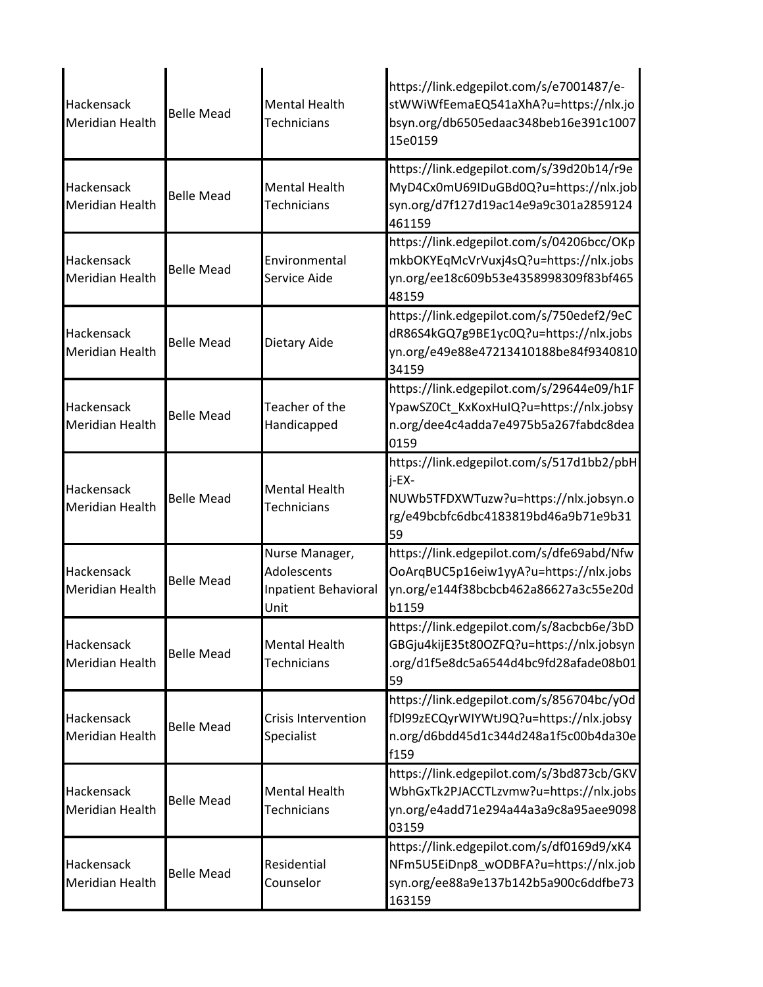| <b>Hackensack</b><br><b>Meridian Health</b> | <b>Belle Mead</b> | <b>Mental Health</b><br>Technicians                           | https://link.edgepilot.com/s/e7001487/e-<br>stWWiWfEemaEQ541aXhA?u=https://nlx.jo<br>bsyn.org/db6505edaac348beb16e391c1007<br>15e0159     |
|---------------------------------------------|-------------------|---------------------------------------------------------------|-------------------------------------------------------------------------------------------------------------------------------------------|
| Hackensack<br><b>Meridian Health</b>        | <b>Belle Mead</b> | <b>Mental Health</b><br>Technicians                           | https://link.edgepilot.com/s/39d20b14/r9e<br>MyD4Cx0mU69IDuGBd0Q?u=https://nlx.job<br>syn.org/d7f127d19ac14e9a9c301a2859124<br>461159     |
| Hackensack<br><b>Meridian Health</b>        | <b>Belle Mead</b> | Environmental<br>Service Aide                                 | https://link.edgepilot.com/s/04206bcc/OKp<br>mkbOKYEqMcVrVuxj4sQ?u=https://nlx.jobs<br>yn.org/ee18c609b53e4358998309f83bf465<br>48159     |
| Hackensack<br><b>Meridian Health</b>        | <b>Belle Mead</b> | Dietary Aide                                                  | https://link.edgepilot.com/s/750edef2/9eC<br>dR86S4kGQ7g9BE1yc0Q?u=https://nlx.jobs<br>yn.org/e49e88e47213410188be84f9340810<br>34159     |
| Hackensack<br><b>Meridian Health</b>        | <b>Belle Mead</b> | Teacher of the<br>Handicapped                                 | https://link.edgepilot.com/s/29644e09/h1F<br>YpawSZ0Ct_KxKoxHuIQ?u=https://nlx.jobsy<br>n.org/dee4c4adda7e4975b5a267fabdc8dea<br>0159     |
| Hackensack<br><b>Meridian Health</b>        | <b>Belle Mead</b> | <b>Mental Health</b><br><b>Technicians</b>                    | https://link.edgepilot.com/s/517d1bb2/pbH<br>i-EX-<br>NUWb5TFDXWTuzw?u=https://nlx.jobsyn.o<br>rg/e49bcbfc6dbc4183819bd46a9b71e9b31<br>59 |
| Hackensack<br><b>Meridian Health</b>        | <b>Belle Mead</b> | Nurse Manager,<br>Adolescents<br>Inpatient Behavioral<br>Unit | https://link.edgepilot.com/s/dfe69abd/Nfw<br>OoArqBUC5p16eiw1yyA?u=https://nlx.jobs<br>yn.org/e144f38bcbcb462a86627a3c55e20d<br>b1159     |
| Hackensack<br><b>Meridian Health</b>        | <b>Belle Mead</b> | <b>Mental Health</b><br>Technicians                           | https://link.edgepilot.com/s/8acbcb6e/3bD<br>GBGju4kijE35t80OZFQ?u=https://nlx.jobsyn<br>.org/d1f5e8dc5a6544d4bc9fd28afade08b01<br>59     |
| Hackensack<br><b>Meridian Health</b>        | <b>Belle Mead</b> | <b>Crisis Intervention</b><br>Specialist                      | https://link.edgepilot.com/s/856704bc/yOd<br>fDl99zECQyrWIYWtJ9Q?u=https://nlx.jobsy<br>n.org/d6bdd45d1c344d248a1f5c00b4da30e<br>f159     |
| Hackensack<br><b>Meridian Health</b>        | <b>Belle Mead</b> | <b>Mental Health</b><br>Technicians                           | https://link.edgepilot.com/s/3bd873cb/GKV<br>WbhGxTk2PJACCTLzvmw?u=https://nlx.jobs<br>yn.org/e4add71e294a44a3a9c8a95aee9098<br>03159     |
| Hackensack<br><b>Meridian Health</b>        | <b>Belle Mead</b> | Residential<br>Counselor                                      | https://link.edgepilot.com/s/df0169d9/xK4<br>NFm5U5EiDnp8_wODBFA?u=https://nlx.job<br>syn.org/ee88a9e137b142b5a900c6ddfbe73<br>163159     |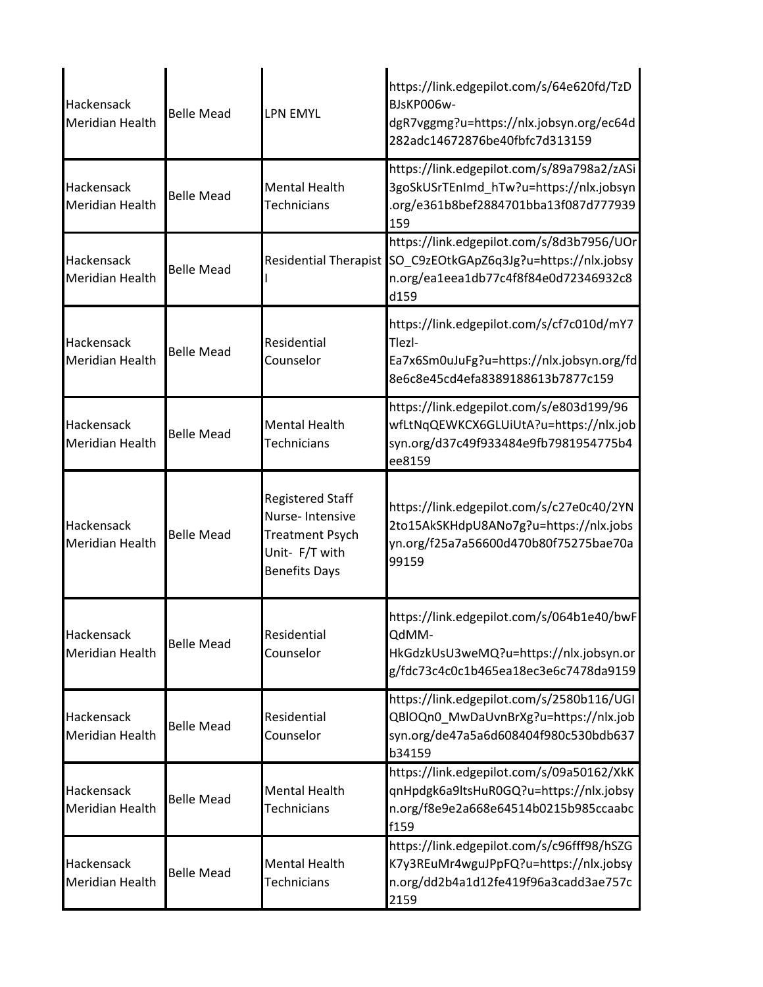| Hackensack<br><b>Meridian Health</b> | <b>Belle Mead</b> | <b>LPN EMYL</b>                                                                                                | https://link.edgepilot.com/s/64e620fd/TzD<br>BJsKP006w-<br>dgR7vggmg?u=https://nlx.jobsyn.org/ec64d<br>282adc14672876be40fbfc7d313159 |
|--------------------------------------|-------------------|----------------------------------------------------------------------------------------------------------------|---------------------------------------------------------------------------------------------------------------------------------------|
| Hackensack<br><b>Meridian Health</b> | <b>Belle Mead</b> | <b>Mental Health</b><br><b>Technicians</b>                                                                     | https://link.edgepilot.com/s/89a798a2/zASi<br>3goSkUSrTEnImd_hTw?u=https://nlx.jobsyn<br>.org/e361b8bef2884701bba13f087d777939<br>159 |
| Hackensack<br><b>Meridian Health</b> | <b>Belle Mead</b> | <b>Residential Therapist</b>                                                                                   | https://link.edgepilot.com/s/8d3b7956/UOr<br>SO_C9zEOtkGApZ6q3Jg?u=https://nlx.jobsy<br>n.org/ea1eea1db77c4f8f84e0d72346932c8<br>d159 |
| Hackensack<br><b>Meridian Health</b> | <b>Belle Mead</b> | Residential<br>Counselor                                                                                       | https://link.edgepilot.com/s/cf7c010d/mY7<br>Tlezl-<br>Ea7x6Sm0uJuFg?u=https://nlx.jobsyn.org/fd<br>8e6c8e45cd4efa8389188613b7877c159 |
| Hackensack<br><b>Meridian Health</b> | <b>Belle Mead</b> | <b>Mental Health</b><br>Technicians                                                                            | https://link.edgepilot.com/s/e803d199/96<br>wfLtNqQEWKCX6GLUiUtA?u=https://nlx.job<br>syn.org/d37c49f933484e9fb7981954775b4<br>ee8159 |
| Hackensack<br><b>Meridian Health</b> | <b>Belle Mead</b> | <b>Registered Staff</b><br>Nurse-Intensive<br><b>Treatment Psych</b><br>Unit- F/T with<br><b>Benefits Days</b> | https://link.edgepilot.com/s/c27e0c40/2YN<br>2to15AkSKHdpU8ANo7g?u=https://nlx.jobs<br>yn.org/f25a7a56600d470b80f75275bae70a<br>99159 |
| Hackensack<br><b>Meridian Health</b> | <b>Belle Mead</b> | Residential<br>Counselor                                                                                       | https://link.edgepilot.com/s/064b1e40/bwF<br>QdMM-<br>HkGdzkUsU3weMQ?u=https://nlx.jobsyn.or<br>g/fdc73c4c0c1b465ea18ec3e6c7478da9159 |
| Hackensack<br><b>Meridian Health</b> | <b>Belle Mead</b> | Residential<br>Counselor                                                                                       | https://link.edgepilot.com/s/2580b116/UGI<br>QBlOQn0_MwDaUvnBrXg?u=https://nlx.job<br>syn.org/de47a5a6d608404f980c530bdb637<br>b34159 |
| Hackensack<br><b>Meridian Health</b> | <b>Belle Mead</b> | <b>Mental Health</b><br>Technicians                                                                            | https://link.edgepilot.com/s/09a50162/XkK<br>qnHpdgk6a9ltsHuR0GQ?u=https://nlx.jobsy<br>n.org/f8e9e2a668e64514b0215b985ccaabc<br>f159 |
| Hackensack<br><b>Meridian Health</b> | <b>Belle Mead</b> | <b>Mental Health</b><br>Technicians                                                                            | https://link.edgepilot.com/s/c96fff98/hSZG<br>K7y3REuMr4wguJPpFQ?u=https://nlx.jobsy<br>n.org/dd2b4a1d12fe419f96a3cadd3ae757c<br>2159 |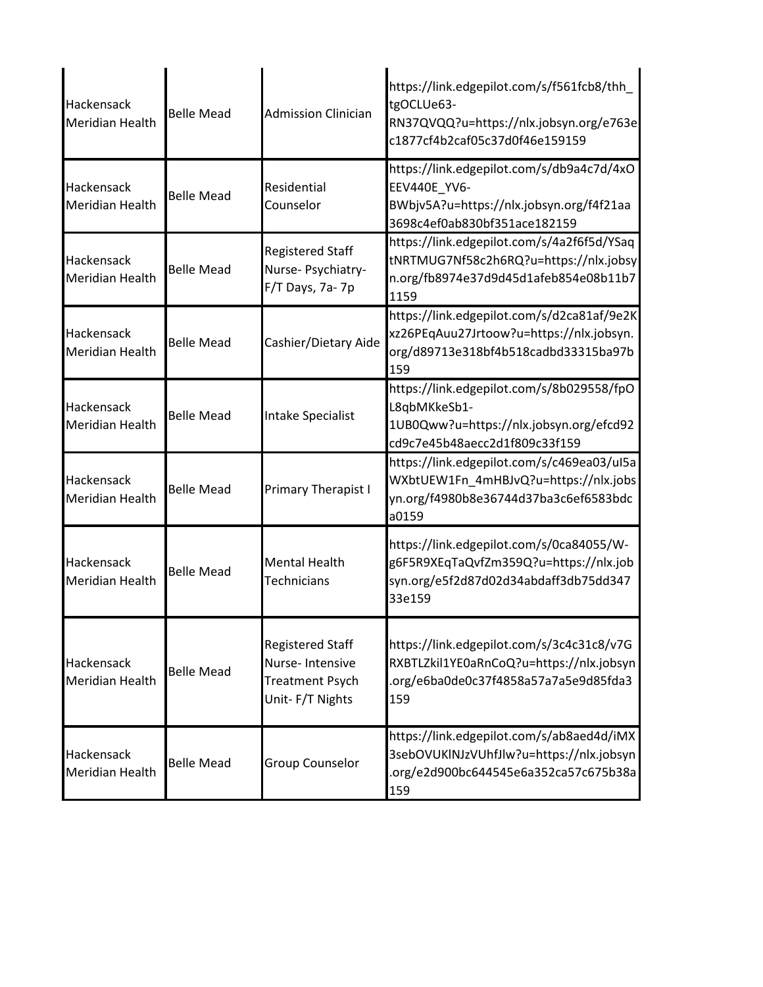| Hackensack<br><b>Meridian Health</b> | <b>Belle Mead</b> | <b>Admission Clinician</b>                                                              | https://link.edgepilot.com/s/f561fcb8/thh_<br>tgOCLUe63-<br>RN37QVQQ?u=https://nlx.jobsyn.org/e763e<br>c1877cf4b2caf05c37d0f46e159159 |
|--------------------------------------|-------------------|-----------------------------------------------------------------------------------------|---------------------------------------------------------------------------------------------------------------------------------------|
| Hackensack<br><b>Meridian Health</b> | <b>Belle Mead</b> | Residential<br>Counselor                                                                | https://link.edgepilot.com/s/db9a4c7d/4xO<br>EEV440E YV6-<br>BWbjv5A?u=https://nlx.jobsyn.org/f4f21aa<br>3698c4ef0ab830bf351ace182159 |
| Hackensack<br><b>Meridian Health</b> | <b>Belle Mead</b> | <b>Registered Staff</b><br>Nurse-Psychiatry-<br>F/T Days, 7a-7p                         | https://link.edgepilot.com/s/4a2f6f5d/YSaq<br>tNRTMUG7Nf58c2h6RQ?u=https://nlx.jobsy<br>n.org/fb8974e37d9d45d1afeb854e08b11b7<br>1159 |
| Hackensack<br><b>Meridian Health</b> | <b>Belle Mead</b> | Cashier/Dietary Aide                                                                    | https://link.edgepilot.com/s/d2ca81af/9e2K<br>xz26PEqAuu27Jrtoow?u=https://nlx.jobsyn.<br>org/d89713e318bf4b518cadbd33315ba97b<br>159 |
| Hackensack<br><b>Meridian Health</b> | <b>Belle Mead</b> | <b>Intake Specialist</b>                                                                | https://link.edgepilot.com/s/8b029558/fpO<br>L8qbMKkeSb1-<br>1UB0Qww?u=https://nlx.jobsyn.org/efcd92<br>cd9c7e45b48aecc2d1f809c33f159 |
| Hackensack<br><b>Meridian Health</b> | <b>Belle Mead</b> | <b>Primary Therapist I</b>                                                              | https://link.edgepilot.com/s/c469ea03/uI5a<br>WXbtUEW1Fn_4mHBJvQ?u=https://nlx.jobs<br>yn.org/f4980b8e36744d37ba3c6ef6583bdc<br>a0159 |
| Hackensack<br><b>Meridian Health</b> | <b>Belle Mead</b> | <b>Mental Health</b><br><b>Technicians</b>                                              | https://link.edgepilot.com/s/0ca84055/W-<br>g6F5R9XEqTaQvfZm359Q?u=https://nlx.job<br>syn.org/e5f2d87d02d34abdaff3db75dd347<br>33e159 |
| Hackensack<br><b>Meridian Health</b> | <b>Belle Mead</b> | <b>Registered Staff</b><br>Nurse-Intensive<br><b>Treatment Psych</b><br>Unit-F/T Nights | https://link.edgepilot.com/s/3c4c31c8/v7G<br>RXBTLZkil1YE0aRnCoQ?u=https://nlx.jobsyn<br>.org/e6ba0de0c37f4858a57a7a5e9d85fda3<br>159 |
| Hackensack<br><b>Meridian Health</b> | <b>Belle Mead</b> | <b>Group Counselor</b>                                                                  | https://link.edgepilot.com/s/ab8aed4d/iMX<br>3sebOVUKINJzVUhfJlw?u=https://nlx.jobsyn<br>.org/e2d900bc644545e6a352ca57c675b38a<br>159 |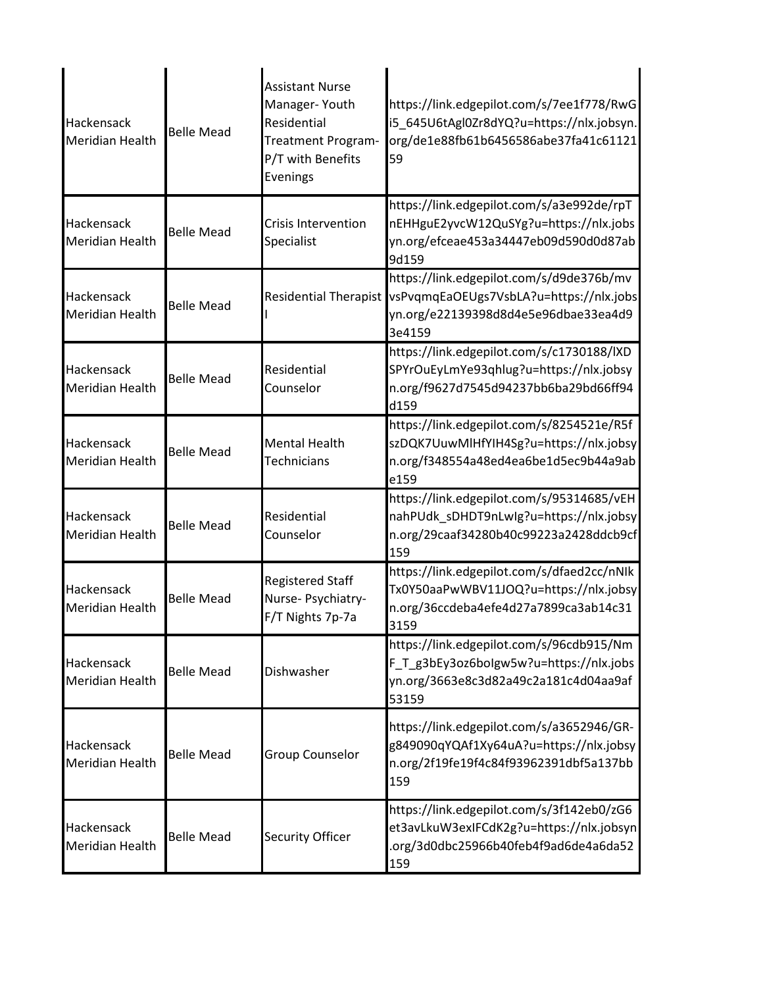| Hackensack<br><b>Meridian Health</b> | <b>Belle Mead</b> | <b>Assistant Nurse</b><br>Manager-Youth<br>Residential<br>Treatment Program-<br>P/T with Benefits<br>Evenings | https://link.edgepilot.com/s/7ee1f778/RwG<br>i5_645U6tAgl0Zr8dYQ?u=https://nlx.jobsyn.<br>org/de1e88fb61b6456586abe37fa41c61121<br>59 |
|--------------------------------------|-------------------|---------------------------------------------------------------------------------------------------------------|---------------------------------------------------------------------------------------------------------------------------------------|
| Hackensack<br><b>Meridian Health</b> | <b>Belle Mead</b> | Crisis Intervention<br>Specialist                                                                             | https://link.edgepilot.com/s/a3e992de/rpT<br>nEHHguE2yvcW12QuSYg?u=https://nlx.jobs<br>yn.org/efceae453a34447eb09d590d0d87ab<br>9d159 |
| Hackensack<br><b>Meridian Health</b> | <b>Belle Mead</b> | <b>Residential Therapist</b>                                                                                  | https://link.edgepilot.com/s/d9de376b/mv<br>vsPvqmqEaOEUgs7VsbLA?u=https://nlx.jobs<br>yn.org/e22139398d8d4e5e96dbae33ea4d9<br>3e4159 |
| Hackensack<br><b>Meridian Health</b> | <b>Belle Mead</b> | Residential<br>Counselor                                                                                      | https://link.edgepilot.com/s/c1730188/IXD<br>SPYrOuEyLmYe93qhlug?u=https://nlx.jobsy<br>n.org/f9627d7545d94237bb6ba29bd66ff94<br>d159 |
| Hackensack<br><b>Meridian Health</b> | <b>Belle Mead</b> | <b>Mental Health</b><br><b>Technicians</b>                                                                    | https://link.edgepilot.com/s/8254521e/R5f<br>szDQK7UuwMlHfYIH4Sg?u=https://nlx.jobsy<br>n.org/f348554a48ed4ea6be1d5ec9b44a9ab<br>e159 |
| Hackensack<br><b>Meridian Health</b> | <b>Belle Mead</b> | Residential<br>Counselor                                                                                      | https://link.edgepilot.com/s/95314685/vEH<br>nahPUdk_sDHDT9nLwlg?u=https://nlx.jobsy<br>n.org/29caaf34280b40c99223a2428ddcb9cf<br>159 |
| Hackensack<br><b>Meridian Health</b> | <b>Belle Mead</b> | <b>Registered Staff</b><br>Nurse- Psychiatry-<br>F/T Nights 7p-7a                                             | https://link.edgepilot.com/s/dfaed2cc/nNlk<br>Tx0Y50aaPwWBV11JOQ?u=https://nlx.jobsy<br>n.org/36ccdeba4efe4d27a7899ca3ab14c31<br>3159 |
| Hackensack<br>Meridian Health        | <b>Belle Mead</b> | Dishwasher                                                                                                    | https://link.edgepilot.com/s/96cdb915/Nm<br>F T g3bEy3oz6bolgw5w?u=https://nlx.jobs<br>yn.org/3663e8c3d82a49c2a181c4d04aa9af<br>53159 |
| Hackensack<br><b>Meridian Health</b> | <b>Belle Mead</b> | Group Counselor                                                                                               | https://link.edgepilot.com/s/a3652946/GR-<br>g849090qYQAf1Xy64uA?u=https://nlx.jobsy<br>n.org/2f19fe19f4c84f93962391dbf5a137bb<br>159 |
| Hackensack<br><b>Meridian Health</b> | <b>Belle Mead</b> | Security Officer                                                                                              | https://link.edgepilot.com/s/3f142eb0/zG6<br>et3avLkuW3exIFCdK2g?u=https://nlx.jobsyn<br>.org/3d0dbc25966b40feb4f9ad6de4a6da52<br>159 |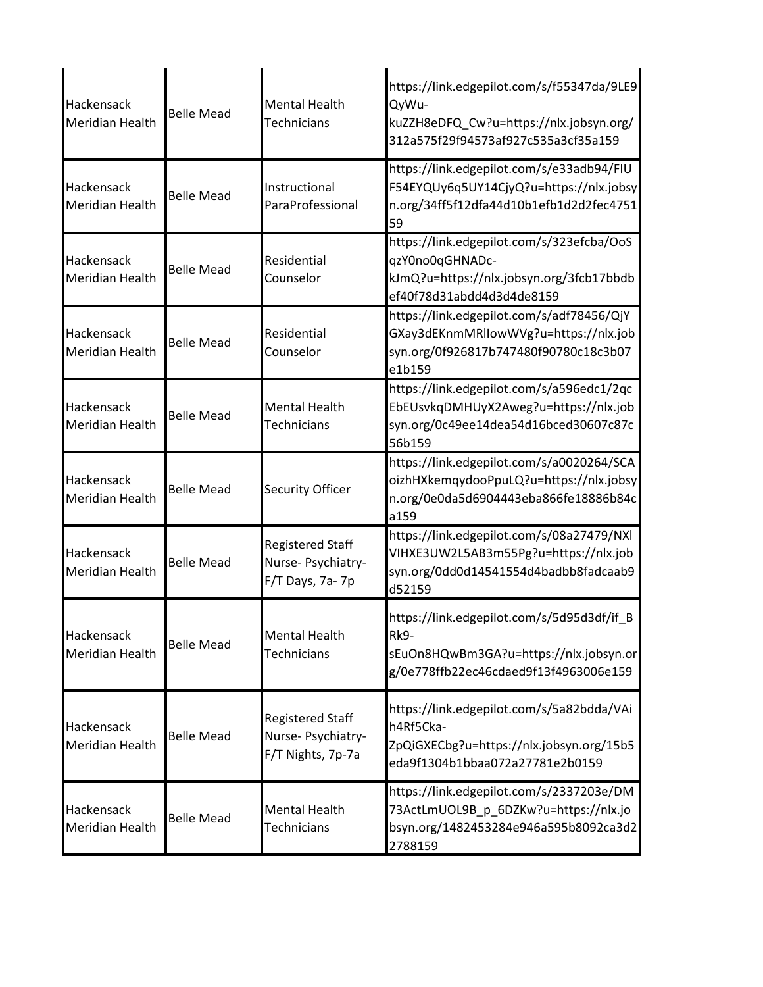| Hackensack<br><b>Meridian Health</b>        | <b>Belle Mead</b> | <b>Mental Health</b><br><b>Technicians</b>                         | https://link.edgepilot.com/s/f55347da/9LE9<br>QyWu-<br>kuZZH8eDFQ_Cw?u=https://nlx.jobsyn.org/<br>312a575f29f94573af927c535a3cf35a159 |
|---------------------------------------------|-------------------|--------------------------------------------------------------------|---------------------------------------------------------------------------------------------------------------------------------------|
| Hackensack<br><b>Meridian Health</b>        | <b>Belle Mead</b> | Instructional<br>ParaProfessional                                  | https://link.edgepilot.com/s/e33adb94/FIU<br>F54EYQUy6q5UY14CjyQ?u=https://nlx.jobsy<br>n.org/34ff5f12dfa44d10b1efb1d2d2fec4751<br>59 |
| Hackensack<br><b>Meridian Health</b>        | <b>Belle Mead</b> | Residential<br>Counselor                                           | https://link.edgepilot.com/s/323efcba/OoS<br>qzY0no0qGHNADc-<br>kJmQ?u=https://nlx.jobsyn.org/3fcb17bbdb<br>ef40f78d31abdd4d3d4de8159 |
| <b>Hackensack</b><br><b>Meridian Health</b> | <b>Belle Mead</b> | Residential<br>Counselor                                           | https://link.edgepilot.com/s/adf78456/QjY<br>GXay3dEKnmMRllowWVg?u=https://nlx.job<br>syn.org/0f926817b747480f90780c18c3b07<br>e1b159 |
| Hackensack<br><b>Meridian Health</b>        | <b>Belle Mead</b> | <b>Mental Health</b><br><b>Technicians</b>                         | https://link.edgepilot.com/s/a596edc1/2qc<br>EbEUsvkqDMHUyX2Aweg?u=https://nlx.job<br>syn.org/0c49ee14dea54d16bced30607c87c<br>56b159 |
| Hackensack<br><b>Meridian Health</b>        | <b>Belle Mead</b> | Security Officer                                                   | https://link.edgepilot.com/s/a0020264/SCA<br>oizhHXkemqydooPpuLQ?u=https://nlx.jobsy<br>n.org/0e0da5d6904443eba866fe18886b84c<br>a159 |
| Hackensack<br><b>Meridian Health</b>        | <b>Belle Mead</b> | <b>Registered Staff</b><br>Nurse- Psychiatry-<br>F/T Days, 7a-7p   | https://link.edgepilot.com/s/08a27479/NXI<br>VIHXE3UW2L5AB3m55Pg?u=https://nlx.job<br>syn.org/0dd0d14541554d4badbb8fadcaab9<br>d52159 |
| Hackensack<br><b>Meridian Health</b>        | <b>Belle Mead</b> | <b>Mental Health</b><br><b>Technicians</b>                         | https://link.edgepilot.com/s/5d95d3df/if_B<br>Rk9-<br>sEuOn8HQwBm3GA?u=https://nlx.jobsyn.or<br>g/0e778ffb22ec46cdaed9f13f4963006e159 |
| Hackensack<br><b>Meridian Health</b>        | <b>Belle Mead</b> | <b>Registered Staff</b><br>Nurse- Psychiatry-<br>F/T Nights, 7p-7a | https://link.edgepilot.com/s/5a82bdda/VAi<br>h4Rf5Cka-<br>ZpQiGXECbg?u=https://nlx.jobsyn.org/15b5<br>eda9f1304b1bbaa072a27781e2b0159 |
| Hackensack<br><b>Meridian Health</b>        | <b>Belle Mead</b> | <b>Mental Health</b><br><b>Technicians</b>                         | https://link.edgepilot.com/s/2337203e/DM<br>73ActLmUOL9B_p_6DZKw?u=https://nlx.jo<br>bsyn.org/1482453284e946a595b8092ca3d2<br>2788159 |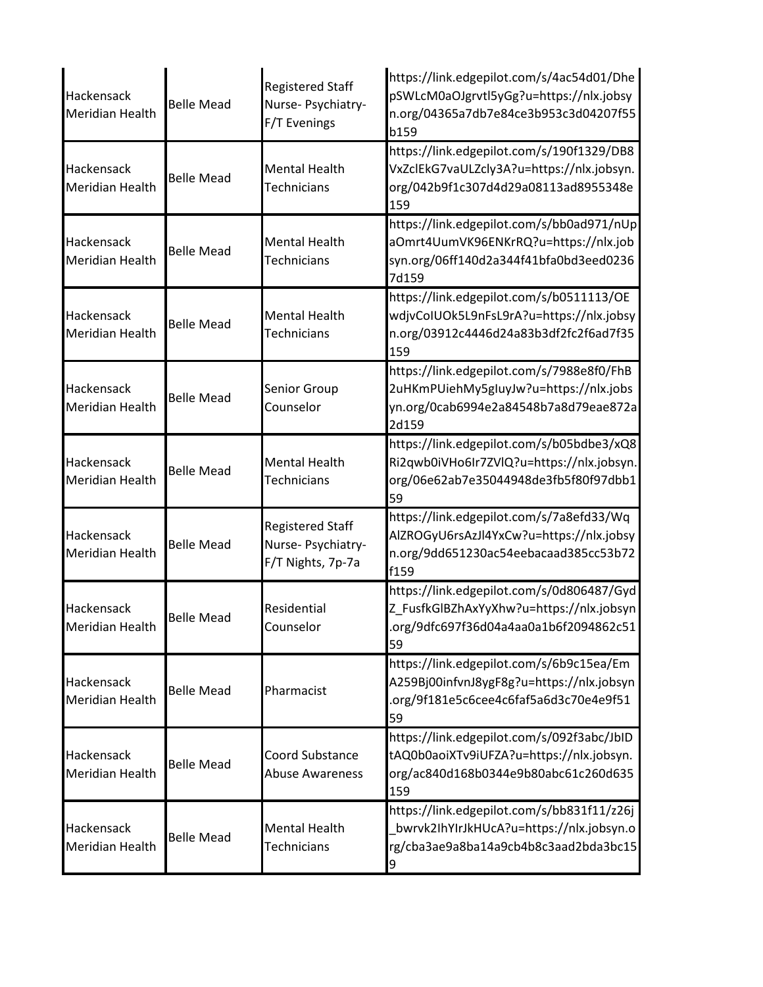| Hackensack<br>Meridian Health | <b>Belle Mead</b> | <b>Registered Staff</b><br>Nurse- Psychiatry-<br>F/T Evenings      | https://link.edgepilot.com/s/4ac54d01/Dhe<br>pSWLcM0aOJgrvtl5yGg?u=https://nlx.jobsy<br>n.org/04365a7db7e84ce3b953c3d04207f55<br>b159 |
|-------------------------------|-------------------|--------------------------------------------------------------------|---------------------------------------------------------------------------------------------------------------------------------------|
| Hackensack<br>Meridian Health | <b>Belle Mead</b> | <b>Mental Health</b><br><b>Technicians</b>                         | https://link.edgepilot.com/s/190f1329/DB8<br>VxZclEkG7vaULZcly3A?u=https://nlx.jobsyn.<br>org/042b9f1c307d4d29a08113ad8955348e<br>159 |
| Hackensack<br>Meridian Health | <b>Belle Mead</b> | <b>Mental Health</b><br><b>Technicians</b>                         | https://link.edgepilot.com/s/bb0ad971/nUp<br>aOmrt4UumVK96ENKrRQ?u=https://nlx.job<br>syn.org/06ff140d2a344f41bfa0bd3eed0236<br>7d159 |
| Hackensack<br>Meridian Health | <b>Belle Mead</b> | <b>Mental Health</b><br><b>Technicians</b>                         | https://link.edgepilot.com/s/b0511113/OE<br>wdjvCoIUOk5L9nFsL9rA?u=https://nlx.jobsy<br>n.org/03912c4446d24a83b3df2fc2f6ad7f35<br>159 |
| Hackensack<br>Meridian Health | <b>Belle Mead</b> | Senior Group<br>Counselor                                          | https://link.edgepilot.com/s/7988e8f0/FhB<br>2uHKmPUiehMy5gIuyJw?u=https://nlx.jobs<br>yn.org/0cab6994e2a84548b7a8d79eae872a<br>2d159 |
| Hackensack<br>Meridian Health | <b>Belle Mead</b> | <b>Mental Health</b><br><b>Technicians</b>                         | https://link.edgepilot.com/s/b05bdbe3/xQ8<br>Ri2qwb0iVHo6Ir7ZVlQ?u=https://nlx.jobsyn.<br>org/06e62ab7e35044948de3fb5f80f97dbb1<br>59 |
| Hackensack<br>Meridian Health | <b>Belle Mead</b> | <b>Registered Staff</b><br>Nurse- Psychiatry-<br>F/T Nights, 7p-7a | https://link.edgepilot.com/s/7a8efd33/Wq<br>AlZROGyU6rsAzJl4YxCw?u=https://nlx.jobsy<br>n.org/9dd651230ac54eebacaad385cc53b72<br>f159 |
| Hackensack<br>Meridian Health | Belle Mead        | Residential<br>Counselor                                           | https://link.edgepilot.com/s/0d806487/Gyd<br>Z_FusfkGlBZhAxYyXhw?u=https://nlx.jobsyn<br>.org/9dfc697f36d04a4aa0a1b6f2094862c51<br>59 |
| Hackensack<br>Meridian Health | <b>Belle Mead</b> | Pharmacist                                                         | https://link.edgepilot.com/s/6b9c15ea/Em<br>A259Bj00infvnJ8ygF8g?u=https://nlx.jobsyn<br>.org/9f181e5c6cee4c6faf5a6d3c70e4e9f51<br>59 |
| Hackensack<br>Meridian Health | <b>Belle Mead</b> | Coord Substance<br><b>Abuse Awareness</b>                          | https://link.edgepilot.com/s/092f3abc/JbID<br>tAQ0b0aoiXTv9iUFZA?u=https://nlx.jobsyn.<br>org/ac840d168b0344e9b80abc61c260d635<br>159 |
| Hackensack<br>Meridian Health | <b>Belle Mead</b> | <b>Mental Health</b><br>Technicians                                | https://link.edgepilot.com/s/bb831f11/z26j<br>bwrvk2IhYIrJkHUcA?u=https://nlx.jobsyn.o<br>rg/cba3ae9a8ba14a9cb4b8c3aad2bda3bc15<br>9  |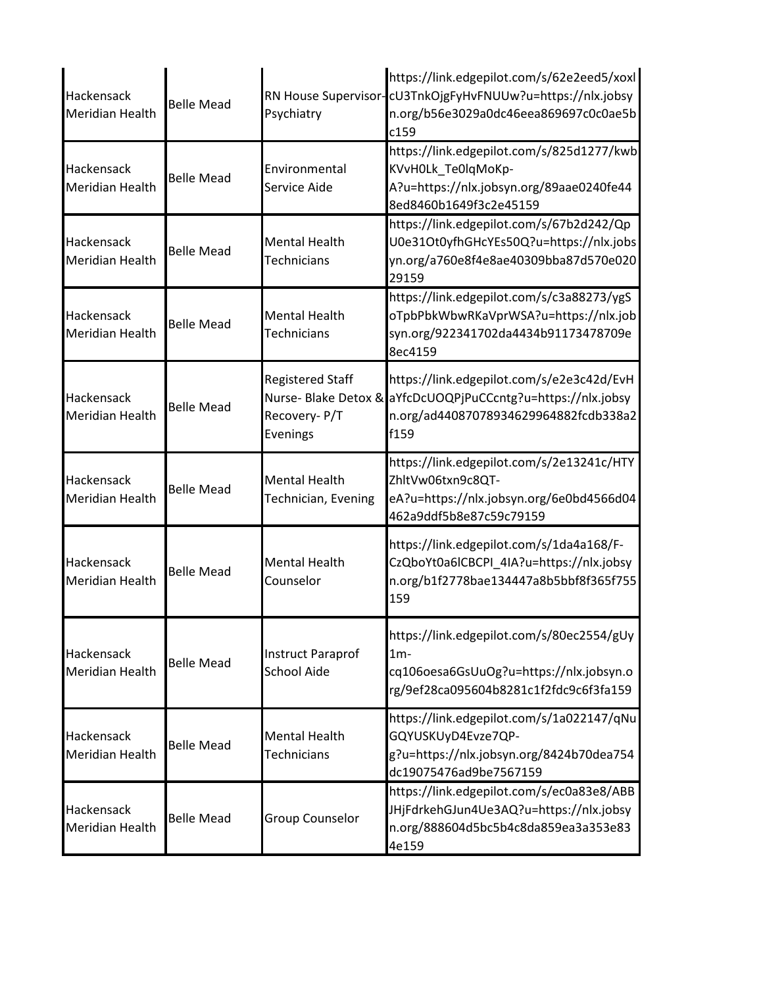| Hackensack<br><b>Meridian Health</b> | <b>Belle Mead</b> | Psychiatry                                          | https://link.edgepilot.com/s/62e2eed5/xoxl<br>RN House Supervisor-cU3TnkOjgFyHvFNUUw?u=https://nlx.jobsy<br>n.org/b56e3029a0dc46eea869697c0c0ae5b<br>c159  |
|--------------------------------------|-------------------|-----------------------------------------------------|------------------------------------------------------------------------------------------------------------------------------------------------------------|
| Hackensack<br><b>Meridian Health</b> | <b>Belle Mead</b> | Environmental<br>Service Aide                       | https://link.edgepilot.com/s/825d1277/kwb<br>KVvH0Lk_Te0lqMoKp-<br>A?u=https://nlx.jobsyn.org/89aae0240fe44<br>8ed8460b1649f3c2e45159                      |
| Hackensack<br><b>Meridian Health</b> | <b>Belle Mead</b> | <b>Mental Health</b><br>Technicians                 | https://link.edgepilot.com/s/67b2d242/Qp<br>U0e31Ot0yfhGHcYEs50Q?u=https://nlx.jobs<br>yn.org/a760e8f4e8ae40309bba87d570e020<br>29159                      |
| Hackensack<br><b>Meridian Health</b> | <b>Belle Mead</b> | <b>Mental Health</b><br><b>Technicians</b>          | https://link.edgepilot.com/s/c3a88273/ygS<br>oTpbPbkWbwRKaVprWSA?u=https://nlx.job<br>syn.org/922341702da4434b91173478709e<br>8ec4159                      |
| Hackensack<br><b>Meridian Health</b> | <b>Belle Mead</b> | <b>Registered Staff</b><br>Recovery-P/T<br>Evenings | https://link.edgepilot.com/s/e2e3c42d/EvH<br>Nurse- Blake Detox & aYfcDcUOQPjPuCCcntg?u=https://nlx.jobsy<br>n.org/ad44087078934629964882fcdb338a2<br>f159 |
| Hackensack<br><b>Meridian Health</b> | <b>Belle Mead</b> | <b>Mental Health</b><br>Technician, Evening         | https://link.edgepilot.com/s/2e13241c/HTY<br>ZhltVw06txn9c8QT-<br>eA?u=https://nlx.jobsyn.org/6e0bd4566d04<br>462a9ddf5b8e87c59c79159                      |
| Hackensack<br><b>Meridian Health</b> | <b>Belle Mead</b> | <b>Mental Health</b><br>Counselor                   | https://link.edgepilot.com/s/1da4a168/F-<br>CzQboYt0a6lCBCPI_4IA?u=https://nlx.jobsy<br>n.org/b1f2778bae134447a8b5bbf8f365f755<br>159                      |
| Hackensack<br><b>Meridian Health</b> | <b>Belle Mead</b> | <b>Instruct Paraprof</b><br><b>School Aide</b>      | https://link.edgepilot.com/s/80ec2554/gUy<br>$1m-$<br>cq106oesa6GsUuOg?u=https://nlx.jobsyn.o<br>rg/9ef28ca095604b8281c1f2fdc9c6f3fa159                    |
| Hackensack<br><b>Meridian Health</b> | <b>Belle Mead</b> | <b>Mental Health</b><br>Technicians                 | https://link.edgepilot.com/s/1a022147/qNu<br>GQYUSKUyD4Evze7QP-<br>g?u=https://nlx.jobsyn.org/8424b70dea754<br>dc19075476ad9be7567159                      |
| Hackensack<br><b>Meridian Health</b> | <b>Belle Mead</b> | <b>Group Counselor</b>                              | https://link.edgepilot.com/s/ec0a83e8/ABB<br>JHjFdrkehGJun4Ue3AQ?u=https://nlx.jobsy<br>n.org/888604d5bc5b4c8da859ea3a353e83<br>4e159                      |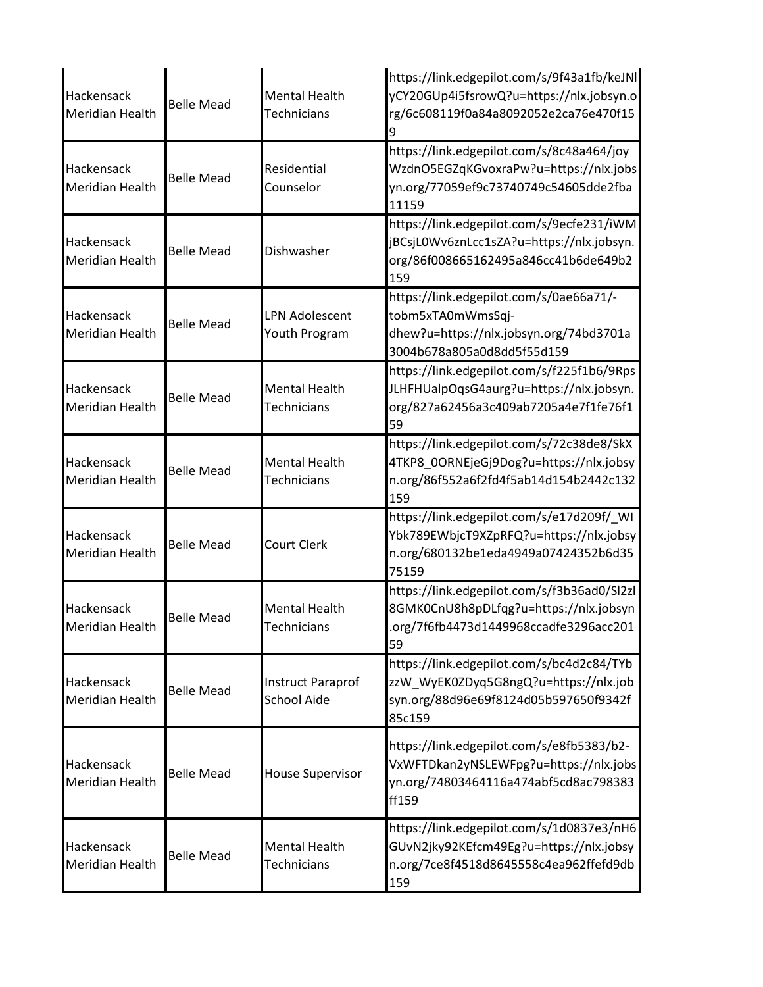| Hackensack<br>Meridian Health        | <b>Belle Mead</b> | <b>Mental Health</b><br>Technicians            | https://link.edgepilot.com/s/9f43a1fb/keJNl<br>yCY20GUp4i5fsrowQ?u=https://nlx.jobsyn.o<br>rg/6c608119f0a84a8092052e2ca76e470f15      |
|--------------------------------------|-------------------|------------------------------------------------|---------------------------------------------------------------------------------------------------------------------------------------|
| Hackensack<br>Meridian Health        | <b>Belle Mead</b> | Residential<br>Counselor                       | https://link.edgepilot.com/s/8c48a464/joy<br>WzdnO5EGZqKGvoxraPw?u=https://nlx.jobs<br>yn.org/77059ef9c73740749c54605dde2fba<br>11159 |
| Hackensack<br><b>Meridian Health</b> | <b>Belle Mead</b> | Dishwasher                                     | https://link.edgepilot.com/s/9ecfe231/iWM<br>jBCsjL0Wv6znLcc1sZA?u=https://nlx.jobsyn.<br>org/86f008665162495a846cc41b6de649b2<br>159 |
| Hackensack<br>Meridian Health        | <b>Belle Mead</b> | <b>LPN Adolescent</b><br>Youth Program         | https://link.edgepilot.com/s/0ae66a71/-<br>tobm5xTA0mWmsSqj-<br>dhew?u=https://nlx.jobsyn.org/74bd3701a<br>3004b678a805a0d8dd5f55d159 |
| <b>Hackensack</b><br>Meridian Health | <b>Belle Mead</b> | <b>Mental Health</b><br><b>Technicians</b>     | https://link.edgepilot.com/s/f225f1b6/9Rps<br>JLHFHUalpOqsG4aurg?u=https://nlx.jobsyn.<br>org/827a62456a3c409ab7205a4e7f1fe76f1<br>59 |
| Hackensack<br>Meridian Health        | <b>Belle Mead</b> | <b>Mental Health</b><br>Technicians            | https://link.edgepilot.com/s/72c38de8/SkX<br>4TKP8_0ORNEjeGj9Dog?u=https://nlx.jobsy<br>n.org/86f552a6f2fd4f5ab14d154b2442c132<br>159 |
| Hackensack<br>Meridian Health        | <b>Belle Mead</b> | <b>Court Clerk</b>                             | https://link.edgepilot.com/s/e17d209f/_WI<br>Ybk789EWbjcT9XZpRFQ?u=https://nlx.jobsy<br>n.org/680132be1eda4949a07424352b6d35<br>75159 |
| Hackensack<br><b>Meridian Health</b> | <b>Belle Mead</b> | <b>Mental Health</b><br>Technicians            | https://link.edgepilot.com/s/f3b36ad0/Sl2zl<br>8GMK0CnU8h8pDLfqg?u=https://nlx.jobsyn<br>.org/7f6fb4473d1449968ccadfe3296acc201<br>59 |
| Hackensack<br>Meridian Health        | <b>Belle Mead</b> | <b>Instruct Paraprof</b><br><b>School Aide</b> | https://link.edgepilot.com/s/bc4d2c84/TYb<br>zzW_WyEK0ZDyq5G8ngQ?u=https://nlx.job<br>syn.org/88d96e69f8124d05b597650f9342f<br>85c159 |
| Hackensack<br>Meridian Health        | <b>Belle Mead</b> | <b>House Supervisor</b>                        | https://link.edgepilot.com/s/e8fb5383/b2-<br>VxWFTDkan2yNSLEWFpg?u=https://nlx.jobs<br>yn.org/74803464116a474abf5cd8ac798383<br>ff159 |
| Hackensack<br>Meridian Health        | <b>Belle Mead</b> | <b>Mental Health</b><br><b>Technicians</b>     | https://link.edgepilot.com/s/1d0837e3/nH6<br>GUvN2jky92KEfcm49Eg?u=https://nlx.jobsy<br>n.org/7ce8f4518d8645558c4ea962ffefd9db<br>159 |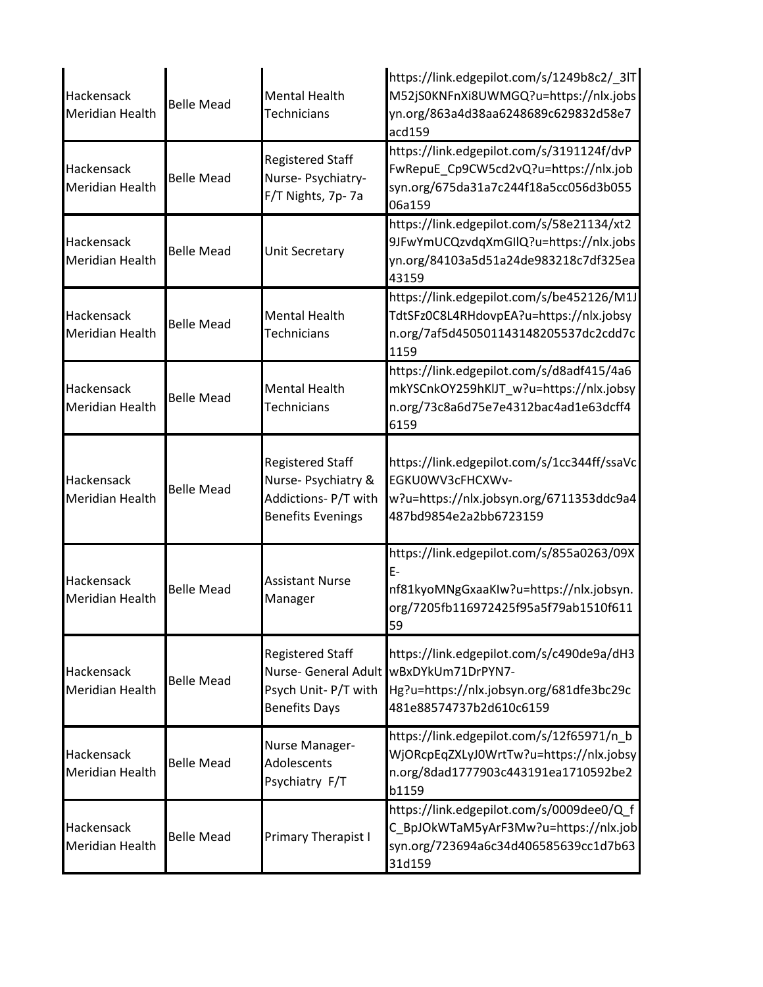| Hackensack<br>Meridian Health        | <b>Belle Mead</b> | <b>Mental Health</b><br><b>Technicians</b>                                                         | https://link.edgepilot.com/s/1249b8c2/_3IT<br>M52jS0KNFnXi8UWMGQ?u=https://nlx.jobs<br>yn.org/863a4d38aa6248689c629832d58e7<br>acd159     |
|--------------------------------------|-------------------|----------------------------------------------------------------------------------------------------|-------------------------------------------------------------------------------------------------------------------------------------------|
| Hackensack<br>Meridian Health        | <b>Belle Mead</b> | <b>Registered Staff</b><br>Nurse- Psychiatry-<br>F/T Nights, 7p-7a                                 | https://link.edgepilot.com/s/3191124f/dvP<br>FwRepuE_Cp9CW5cd2vQ?u=https://nlx.job<br>syn.org/675da31a7c244f18a5cc056d3b055<br>06a159     |
| Hackensack<br><b>Meridian Health</b> | <b>Belle Mead</b> | Unit Secretary                                                                                     | https://link.edgepilot.com/s/58e21134/xt2<br>9JFwYmUCQzvdqXmGIlQ?u=https://nlx.jobs<br>yn.org/84103a5d51a24de983218c7df325ea<br>43159     |
| Hackensack<br><b>Meridian Health</b> | <b>Belle Mead</b> | <b>Mental Health</b><br><b>Technicians</b>                                                         | https://link.edgepilot.com/s/be452126/M1J<br>TdtSFz0C8L4RHdovpEA?u=https://nlx.jobsy<br>n.org/7af5d450501143148205537dc2cdd7c<br>1159     |
| Hackensack<br>Meridian Health        | <b>Belle Mead</b> | <b>Mental Health</b><br><b>Technicians</b>                                                         | https://link.edgepilot.com/s/d8adf415/4a6<br>mkYSCnkOY259hKIJT_w?u=https://nlx.jobsy<br>n.org/73c8a6d75e7e4312bac4ad1e63dcff4<br>6159     |
| Hackensack<br><b>Meridian Health</b> | <b>Belle Mead</b> | <b>Registered Staff</b><br>Nurse- Psychiatry &<br>Addictions- P/T with<br><b>Benefits Evenings</b> | https://link.edgepilot.com/s/1cc344ff/ssaVc<br>EGKU0WV3cFHCXWv-<br>w?u=https://nlx.jobsyn.org/6711353ddc9a4<br>487bd9854e2a2bb6723159     |
| Hackensack<br>Meridian Health        | <b>Belle Mead</b> | <b>Assistant Nurse</b><br>Manager                                                                  | https://link.edgepilot.com/s/855a0263/09X<br>Ē-<br>nf81kyoMNgGxaaKIw?u=https://nlx.jobsyn.<br>org/7205fb116972425f95a5f79ab1510f611<br>59 |
| Hackensack<br>Meridian Health        | <b>Belle Mead</b> | <b>Registered Staff</b><br>Nurse- General Adult<br>Psych Unit- P/T with<br><b>Benefits Days</b>    | https://link.edgepilot.com/s/c490de9a/dH3<br>wBxDYkUm71DrPYN7-<br>Hg?u=https://nlx.jobsyn.org/681dfe3bc29c<br>481e88574737b2d610c6159     |
| Hackensack<br>Meridian Health        | <b>Belle Mead</b> | Nurse Manager-<br>Adolescents<br>Psychiatry F/T                                                    | https://link.edgepilot.com/s/12f65971/n_b<br>WjORcpEqZXLyJ0WrtTw?u=https://nlx.jobsy<br>n.org/8dad1777903c443191ea1710592be2<br>b1159     |
| Hackensack<br>Meridian Health        | <b>Belle Mead</b> | Primary Therapist I                                                                                | https://link.edgepilot.com/s/0009dee0/Q_f<br>C_BpJOkWTaM5yArF3Mw?u=https://nlx.job<br>syn.org/723694a6c34d406585639cc1d7b63<br>31d159     |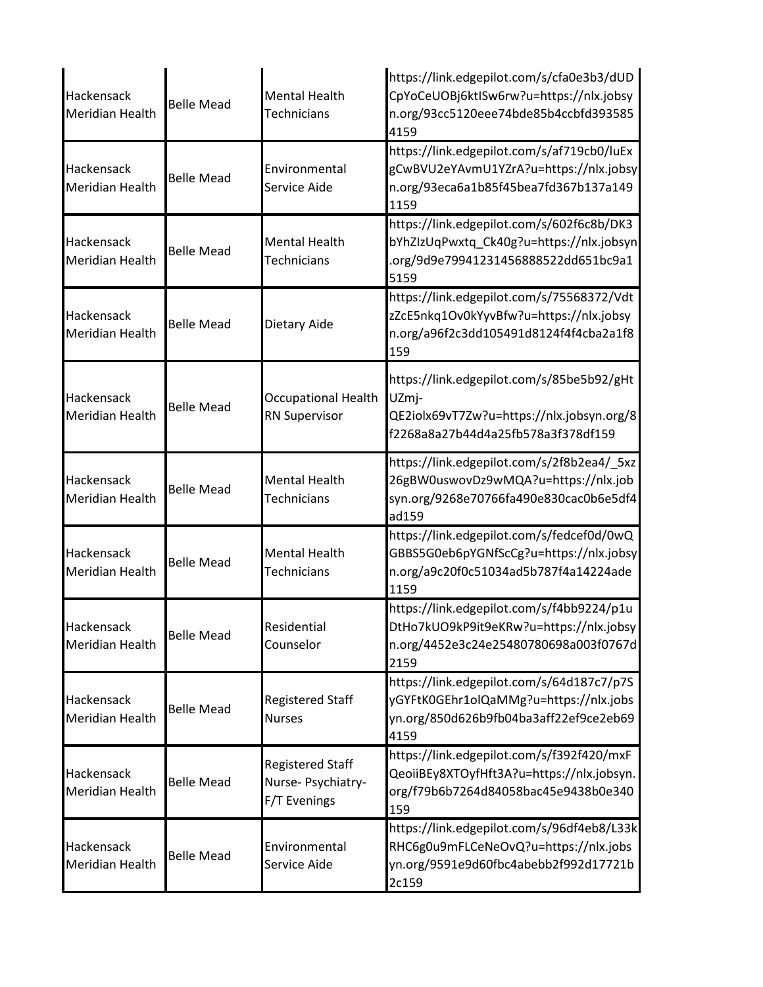| Hackensack<br>Meridian Health        | <b>Belle Mead</b> | <b>Mental Health</b><br>Technicians                           | https://link.edgepilot.com/s/cfa0e3b3/dUD<br>CpYoCeUOBj6ktISw6rw?u=https://nlx.jobsy<br>n.org/93cc5120eee74bde85b4ccbfd393585<br>4159 |
|--------------------------------------|-------------------|---------------------------------------------------------------|---------------------------------------------------------------------------------------------------------------------------------------|
| Hackensack<br><b>Meridian Health</b> | <b>Belle Mead</b> | Environmental<br>Service Aide                                 | https://link.edgepilot.com/s/af719cb0/luEx<br>gCwBVU2eYAvmU1YZrA?u=https://nlx.jobsy<br>n.org/93eca6a1b85f45bea7fd367b137a149<br>1159 |
| Hackensack<br>Meridian Health        | <b>Belle Mead</b> | <b>Mental Health</b><br><b>Technicians</b>                    | https://link.edgepilot.com/s/602f6c8b/DK3<br>bYhZIzUqPwxtq_Ck40g?u=https://nlx.jobsyn<br>.org/9d9e79941231456888522dd651bc9a1<br>5159 |
| Hackensack<br><b>Meridian Health</b> | <b>Belle Mead</b> | Dietary Aide                                                  | https://link.edgepilot.com/s/75568372/Vdt<br>zZcE5nkq1Ov0kYyvBfw?u=https://nlx.jobsy<br>n.org/a96f2c3dd105491d8124f4f4cba2a1f8<br>159 |
| Hackensack<br><b>Meridian Health</b> | <b>Belle Mead</b> | <b>Occupational Health</b><br><b>RN Supervisor</b>            | https://link.edgepilot.com/s/85be5b92/gHt<br>UZmj-<br>QE2iolx69vT7Zw?u=https://nlx.jobsyn.org/8<br>f2268a8a27b44d4a25fb578a3f378df159 |
| Hackensack<br>Meridian Health        | <b>Belle Mead</b> | <b>Mental Health</b><br><b>Technicians</b>                    | https://link.edgepilot.com/s/2f8b2ea4/_5xz<br>26gBW0uswovDz9wMQA?u=https://nlx.job<br>syn.org/9268e70766fa490e830cac0b6e5df4<br>ad159 |
| Hackensack<br>Meridian Health        | <b>Belle Mead</b> | <b>Mental Health</b><br>Technicians                           | https://link.edgepilot.com/s/fedcef0d/0wQ<br>GBBS5G0eb6pYGNfScCg?u=https://nlx.jobsy<br>n.org/a9c20f0c51034ad5b787f4a14224ade<br>1159 |
| Hackensack<br>Meridian Health        | <b>Belle Mead</b> | Residential<br>Counselor                                      | https://link.edgepilot.com/s/f4bb9224/p1u<br>DtHo7kUO9kP9it9eKRw?u=https://nlx.jobsy<br>n.org/4452e3c24e25480780698a003f0767d<br>2159 |
| Hackensack<br>Meridian Health        | <b>Belle Mead</b> | <b>Registered Staff</b><br><b>Nurses</b>                      | https://link.edgepilot.com/s/64d187c7/p7S<br>yGYFtK0GEhr1olQaMMg?u=https://nlx.jobs<br>yn.org/850d626b9fb04ba3aff22ef9ce2eb69<br>4159 |
| Hackensack<br>Meridian Health        | <b>Belle Mead</b> | <b>Registered Staff</b><br>Nurse- Psychiatry-<br>F/T Evenings | https://link.edgepilot.com/s/f392f420/mxF<br>QeoiiBEy8XTOyfHft3A?u=https://nlx.jobsyn.<br>org/f79b6b7264d84058bac45e9438b0e340<br>159 |
| Hackensack<br>Meridian Health        | <b>Belle Mead</b> | Environmental<br>Service Aide                                 | https://link.edgepilot.com/s/96df4eb8/L33k<br>RHC6g0u9mFLCeNeOvQ?u=https://nlx.jobs<br>yn.org/9591e9d60fbc4abebb2f992d17721b<br>2c159 |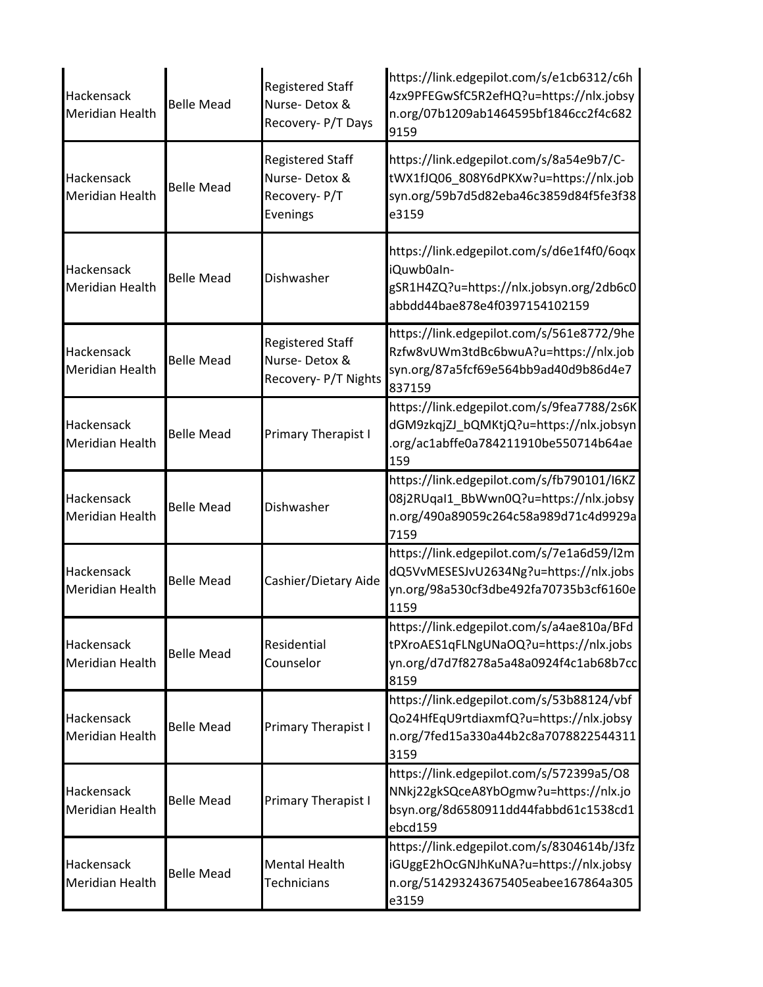| Hackensack<br><b>Meridian Health</b> | <b>Belle Mead</b> | <b>Registered Staff</b><br>Nurse-Detox &<br>Recovery- P/T Days       | https://link.edgepilot.com/s/e1cb6312/c6h<br>4zx9PFEGwSfC5R2efHQ?u=https://nlx.jobsy<br>n.org/07b1209ab1464595bf1846cc2f4c682<br>9159 |
|--------------------------------------|-------------------|----------------------------------------------------------------------|---------------------------------------------------------------------------------------------------------------------------------------|
| Hackensack<br><b>Meridian Health</b> | <b>Belle Mead</b> | <b>Registered Staff</b><br>Nurse-Detox &<br>Recovery-P/T<br>Evenings | https://link.edgepilot.com/s/8a54e9b7/C-<br>tWX1fJQ06_808Y6dPKXw?u=https://nlx.job<br>syn.org/59b7d5d82eba46c3859d84f5fe3f38<br>e3159 |
| Hackensack<br><b>Meridian Health</b> | <b>Belle Mead</b> | Dishwasher                                                           | https://link.edgepilot.com/s/d6e1f4f0/6oqx<br>iQuwb0aln-<br>gSR1H4ZQ?u=https://nlx.jobsyn.org/2db6c0<br>abbdd44bae878e4f0397154102159 |
| Hackensack<br><b>Meridian Health</b> | <b>Belle Mead</b> | <b>Registered Staff</b><br>Nurse-Detox &<br>Recovery- P/T Nights     | https://link.edgepilot.com/s/561e8772/9he<br>Rzfw8vUWm3tdBc6bwuA?u=https://nlx.job<br>syn.org/87a5fcf69e564bb9ad40d9b86d4e7<br>837159 |
| Hackensack<br><b>Meridian Health</b> | <b>Belle Mead</b> | <b>Primary Therapist I</b>                                           | https://link.edgepilot.com/s/9fea7788/2s6K<br>dGM9zkqjZJ_bQMKtjQ?u=https://nlx.jobsyn<br>.org/ac1abffe0a784211910be550714b64ae<br>159 |
| Hackensack<br><b>Meridian Health</b> | <b>Belle Mead</b> | Dishwasher                                                           | https://link.edgepilot.com/s/fb790101/I6KZ<br>08j2RUqal1_BbWwn0Q?u=https://nlx.jobsy<br>n.org/490a89059c264c58a989d71c4d9929a<br>7159 |
| Hackensack<br>Meridian Health        | <b>Belle Mead</b> | Cashier/Dietary Aide                                                 | https://link.edgepilot.com/s/7e1a6d59/l2m<br>dQ5VvMESESJvU2634Ng?u=https://nlx.jobs<br>yn.org/98a530cf3dbe492fa70735b3cf6160e<br>1159 |
| Hackensack<br><b>Meridian Health</b> | <b>Belle Mead</b> | Residential<br>Counselor                                             | https://link.edgepilot.com/s/a4ae810a/BFd<br>tPXroAES1qFLNgUNaOQ?u=https://nlx.jobs<br>yn.org/d7d7f8278a5a48a0924f4c1ab68b7cc<br>8159 |
| Hackensack<br>Meridian Health        | <b>Belle Mead</b> | Primary Therapist I                                                  | https://link.edgepilot.com/s/53b88124/vbf<br>Qo24HfEqU9rtdiaxmfQ?u=https://nlx.jobsy<br>n.org/7fed15a330a44b2c8a7078822544311<br>3159 |
| Hackensack<br><b>Meridian Health</b> | <b>Belle Mead</b> | Primary Therapist I                                                  | https://link.edgepilot.com/s/572399a5/O8<br>NNkj22gkSQceA8YbOgmw?u=https://nlx.jo<br>bsyn.org/8d6580911dd44fabbd61c1538cd1<br>ebcd159 |
| Hackensack<br><b>Meridian Health</b> | <b>Belle Mead</b> | <b>Mental Health</b><br>Technicians                                  | https://link.edgepilot.com/s/8304614b/J3fz<br>iGUggE2hOcGNJhKuNA?u=https://nlx.jobsy<br>n.org/514293243675405eabee167864a305<br>e3159 |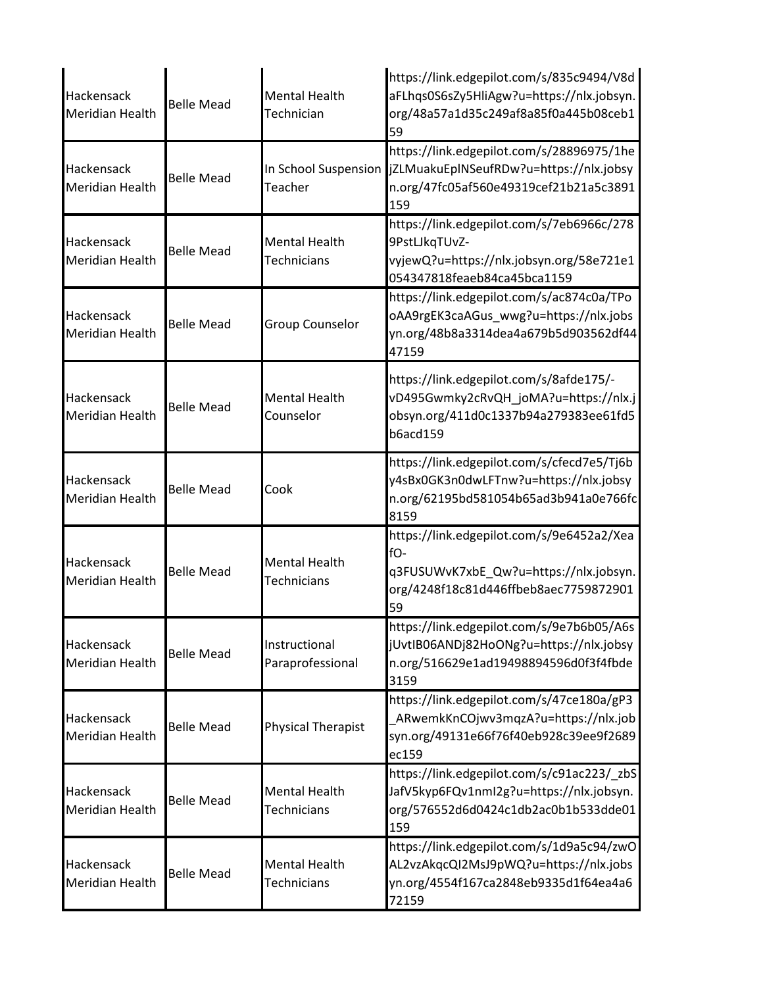| Hackensack<br><b>Meridian Health</b>        | <b>Belle Mead</b> | <b>Mental Health</b><br>Technician         | https://link.edgepilot.com/s/835c9494/V8d<br>aFLhqs0S6sZy5HliAgw?u=https://nlx.jobsyn.<br>org/48a57a1d35c249af8a85f0a445b08ceb1<br>59        |
|---------------------------------------------|-------------------|--------------------------------------------|----------------------------------------------------------------------------------------------------------------------------------------------|
| Hackensack<br>Meridian Health               | <b>Belle Mead</b> | In School Suspension<br>Teacher            | https://link.edgepilot.com/s/28896975/1he<br>jZLMuakuEplNSeufRDw?u=https://nlx.jobsy<br>n.org/47fc05af560e49319cef21b21a5c3891<br>159        |
| Hackensack<br><b>Meridian Health</b>        | <b>Belle Mead</b> | <b>Mental Health</b><br><b>Technicians</b> | https://link.edgepilot.com/s/7eb6966c/278<br>9PstLJkqTUvZ-<br>vyjewQ?u=https://nlx.jobsyn.org/58e721e1<br>054347818feaeb84ca45bca1159        |
| Hackensack<br><b>Meridian Health</b>        | <b>Belle Mead</b> | Group Counselor                            | https://link.edgepilot.com/s/ac874c0a/TPo<br>oAA9rgEK3caAGus_wwg?u=https://nlx.jobs<br>yn.org/48b8a3314dea4a679b5d903562df44<br>47159        |
| Hackensack<br><b>Meridian Health</b>        | <b>Belle Mead</b> | <b>Mental Health</b><br>Counselor          | https://link.edgepilot.com/s/8afde175/-<br>vD495Gwmky2cRvQH_joMA?u=https://nlx.j<br>obsyn.org/411d0c1337b94a279383ee61fd5<br><b>b6acd159</b> |
| Hackensack<br><b>Meridian Health</b>        | <b>Belle Mead</b> | Cook                                       | https://link.edgepilot.com/s/cfecd7e5/Tj6b<br>y4sBx0GK3n0dwLFTnw?u=https://nlx.jobsy<br>n.org/62195bd581054b65ad3b941a0e766fc<br>8159        |
| <b>Hackensack</b><br><b>Meridian Health</b> | <b>Belle Mead</b> | <b>Mental Health</b><br><b>Technicians</b> | https://link.edgepilot.com/s/9e6452a2/Xea<br>fO-<br>q3FUSUWvK7xbE Qw?u=https://nlx.jobsyn.<br>org/4248f18c81d446ffbeb8aec7759872901<br>59    |
| Hackensack<br><b>Meridian Health</b>        | <b>Belle Mead</b> | Instructional<br>Paraprofessional          | https://link.edgepilot.com/s/9e7b6b05/A6s<br>jUvtIB06ANDj82HoONg?u=https://nlx.jobsy<br>n.org/516629e1ad19498894596d0f3f4fbde<br>3159        |
| Hackensack<br><b>Meridian Health</b>        | <b>Belle Mead</b> | <b>Physical Therapist</b>                  | https://link.edgepilot.com/s/47ce180a/gP3<br>ARwemkKnCOjwv3mqzA?u=https://nlx.job<br>syn.org/49131e66f76f40eb928c39ee9f2689<br>ec159         |
| Hackensack<br><b>Meridian Health</b>        | <b>Belle Mead</b> | <b>Mental Health</b><br>Technicians        | https://link.edgepilot.com/s/c91ac223/zbS<br>JafV5kyp6FQv1nmI2g?u=https://nlx.jobsyn.<br>org/576552d6d0424c1db2ac0b1b533dde01<br>159         |
| Hackensack<br><b>Meridian Health</b>        | <b>Belle Mead</b> | <b>Mental Health</b><br>Technicians        | https://link.edgepilot.com/s/1d9a5c94/zwO<br>AL2vzAkqcQI2MsJ9pWQ?u=https://nlx.jobs<br>yn.org/4554f167ca2848eb9335d1f64ea4a6<br>72159        |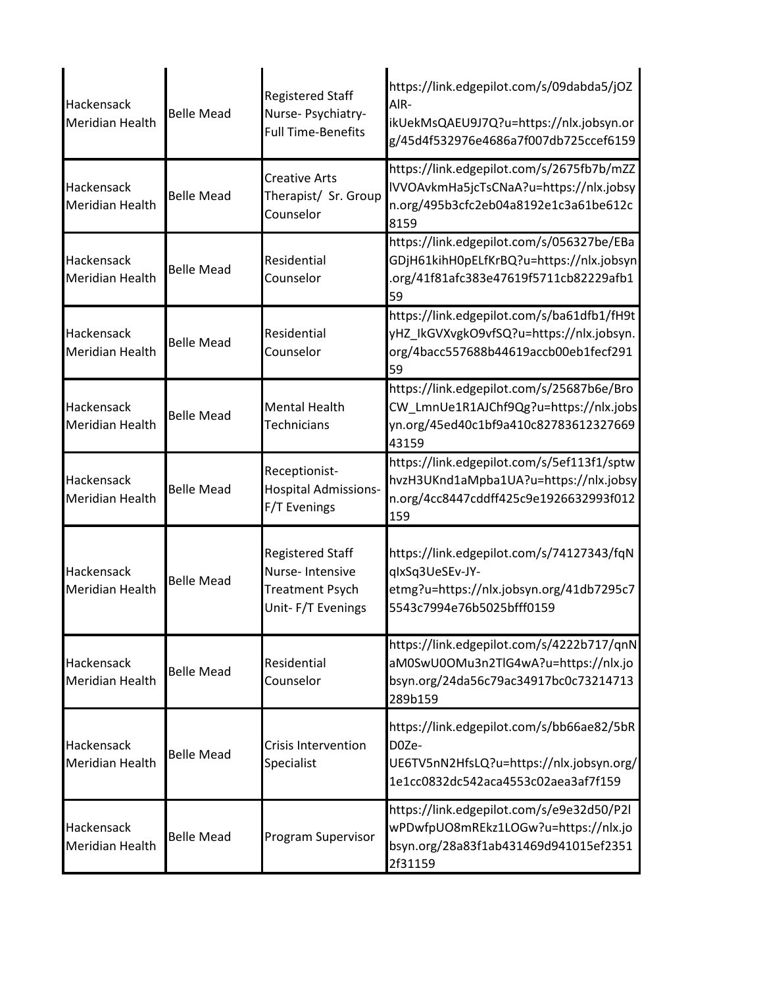| Hackensack<br><b>Meridian Health</b> | <b>Belle Mead</b> | <b>Registered Staff</b><br>Nurse- Psychiatry-<br><b>Full Time-Benefits</b>                | https://link.edgepilot.com/s/09dabda5/jOZ<br>AIR-<br>ikUekMsQAEU9J7Q?u=https://nlx.jobsyn.or<br>g/45d4f532976e4686a7f007db725ccef6159 |
|--------------------------------------|-------------------|-------------------------------------------------------------------------------------------|---------------------------------------------------------------------------------------------------------------------------------------|
| Hackensack<br><b>Meridian Health</b> | <b>Belle Mead</b> | <b>Creative Arts</b><br>Therapist/ Sr. Group<br>Counselor                                 | https://link.edgepilot.com/s/2675fb7b/mZZ<br>IVVOAvkmHa5jcTsCNaA?u=https://nlx.jobsy<br>n.org/495b3cfc2eb04a8192e1c3a61be612c<br>8159 |
| Hackensack<br><b>Meridian Health</b> | <b>Belle Mead</b> | Residential<br>Counselor                                                                  | https://link.edgepilot.com/s/056327be/EBa<br>GDjH61kihH0pELfKrBQ?u=https://nlx.jobsyn<br>.org/41f81afc383e47619f5711cb82229afb1<br>59 |
| Hackensack<br><b>Meridian Health</b> | <b>Belle Mead</b> | Residential<br>Counselor                                                                  | https://link.edgepilot.com/s/ba61dfb1/fH9t<br>yHZ_IkGVXvgkO9vfSQ?u=https://nlx.jobsyn.<br>org/4bacc557688b44619accb00eb1fecf291<br>59 |
| Hackensack<br><b>Meridian Health</b> | <b>Belle Mead</b> | <b>Mental Health</b><br><b>Technicians</b>                                                | https://link.edgepilot.com/s/25687b6e/Bro<br>CW_LmnUe1R1AJChf9Qg?u=https://nlx.jobs<br>yn.org/45ed40c1bf9a410c82783612327669<br>43159 |
| Hackensack<br><b>Meridian Health</b> | <b>Belle Mead</b> | Receptionist-<br><b>Hospital Admissions-</b><br>F/T Evenings                              | https://link.edgepilot.com/s/5ef113f1/sptw<br>hvzH3UKnd1aMpba1UA?u=https://nlx.jobsy<br>n.org/4cc8447cddff425c9e1926632993f012<br>159 |
| Hackensack<br><b>Meridian Health</b> | <b>Belle Mead</b> | <b>Registered Staff</b><br>Nurse-Intensive<br><b>Treatment Psych</b><br>Unit-F/T Evenings | https://link.edgepilot.com/s/74127343/fqN<br>qlxSq3UeSEv-JY-<br>etmg?u=https://nlx.jobsyn.org/41db7295c7<br>5543c7994e76b5025bfff0159 |
| Hackensack<br><b>Meridian Health</b> | <b>Belle Mead</b> | Residential<br>Counselor                                                                  | https://link.edgepilot.com/s/4222b717/qnN<br>aM0SwU0OMu3n2TlG4wA?u=https://nlx.jo<br>bsyn.org/24da56c79ac34917bc0c73214713<br>289b159 |
| Hackensack<br><b>Meridian Health</b> | <b>Belle Mead</b> | <b>Crisis Intervention</b><br>Specialist                                                  | https://link.edgepilot.com/s/bb66ae82/5bR<br>D0Ze-<br>UE6TV5nN2HfsLQ?u=https://nlx.jobsyn.org/<br>1e1cc0832dc542aca4553c02aea3af7f159 |
| Hackensack<br><b>Meridian Health</b> | <b>Belle Mead</b> | Program Supervisor                                                                        | https://link.edgepilot.com/s/e9e32d50/P2l<br>wPDwfpUO8mREkz1LOGw?u=https://nlx.jo<br>bsyn.org/28a83f1ab431469d941015ef2351<br>2f31159 |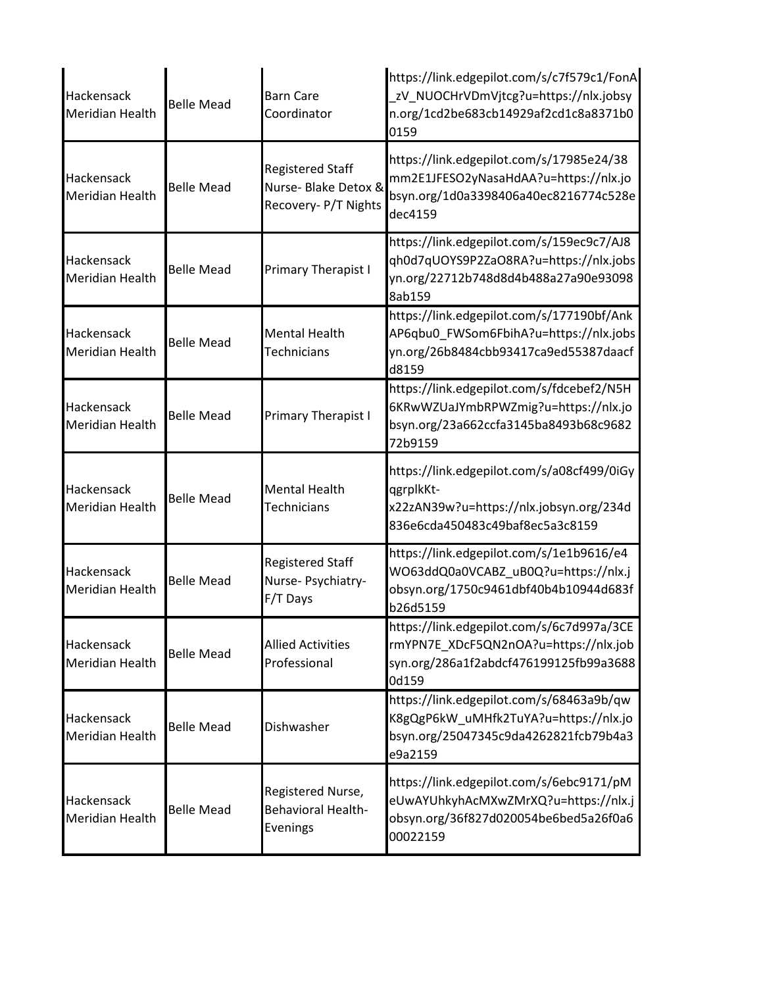| Hackensack<br>Meridian Health               | <b>Belle Mead</b> | <b>Barn Care</b><br>Coordinator                                         | https://link.edgepilot.com/s/c7f579c1/FonA<br>zV_NUOCHrVDmVjtcg?u=https://nlx.jobsy<br>n.org/1cd2be683cb14929af2cd1c8a8371b0<br>0159  |
|---------------------------------------------|-------------------|-------------------------------------------------------------------------|---------------------------------------------------------------------------------------------------------------------------------------|
| Hackensack<br>Meridian Health               | <b>Belle Mead</b> | <b>Registered Staff</b><br>Nurse- Blake Detox &<br>Recovery- P/T Nights | https://link.edgepilot.com/s/17985e24/38<br>mm2E1JFESO2yNasaHdAA?u=https://nlx.jo<br>bsyn.org/1d0a3398406a40ec8216774c528e<br>dec4159 |
| Hackensack<br>Meridian Health               | <b>Belle Mead</b> | <b>Primary Therapist I</b>                                              | https://link.edgepilot.com/s/159ec9c7/AJ8<br>qh0d7qUOYS9P2ZaO8RA?u=https://nlx.jobs<br>yn.org/22712b748d8d4b488a27a90e93098<br>8ab159 |
| <b>Hackensack</b><br><b>Meridian Health</b> | <b>Belle Mead</b> | <b>Mental Health</b><br>Technicians                                     | https://link.edgepilot.com/s/177190bf/Ank<br>AP6qbu0_FWSom6FbihA?u=https://nlx.jobs<br>yn.org/26b8484cbb93417ca9ed55387daacf<br>d8159 |
| Hackensack<br>Meridian Health               | <b>Belle Mead</b> | Primary Therapist I                                                     | https://link.edgepilot.com/s/fdcebef2/N5H<br>6KRwWZUaJYmbRPWZmig?u=https://nlx.jo<br>bsyn.org/23a662ccfa3145ba8493b68c9682<br>72b9159 |
| Hackensack<br><b>Meridian Health</b>        | <b>Belle Mead</b> | <b>Mental Health</b><br><b>Technicians</b>                              | https://link.edgepilot.com/s/a08cf499/0iGy<br>qgrplkKt-<br>x22zAN39w?u=https://nlx.jobsyn.org/234d<br>836e6cda450483c49baf8ec5a3c8159 |
| Hackensack<br><b>Meridian Health</b>        | <b>Belle Mead</b> | <b>Registered Staff</b><br>Nurse- Psychiatry-<br>F/T Days               | https://link.edgepilot.com/s/1e1b9616/e4<br>WO63ddQ0a0VCABZ_uB0Q?u=https://nlx.j<br>obsyn.org/1750c9461dbf40b4b10944d683f<br>b26d5159 |
| Hackensack<br>Meridian Health               | <b>Belle Mead</b> | <b>Allied Activities</b><br>Professional                                | https://link.edgepilot.com/s/6c7d997a/3CE<br>rmYPN7E_XDcF5QN2nOA?u=https://nlx.job<br>syn.org/286a1f2abdcf476199125fb99a3688<br>0d159 |
| Hackensack<br>Meridian Health               | <b>Belle Mead</b> | Dishwasher                                                              | https://link.edgepilot.com/s/68463a9b/qw<br>K8gQgP6kW_uMHfk2TuYA?u=https://nlx.jo<br>bsyn.org/25047345c9da4262821fcb79b4a3<br>e9a2159 |
| Hackensack<br>Meridian Health               | <b>Belle Mead</b> | Registered Nurse,<br><b>Behavioral Health-</b><br>Evenings              | https://link.edgepilot.com/s/6ebc9171/pM<br>eUwAYUhkyhAcMXwZMrXQ?u=https://nlx.j<br>obsyn.org/36f827d020054be6bed5a26f0a6<br>00022159 |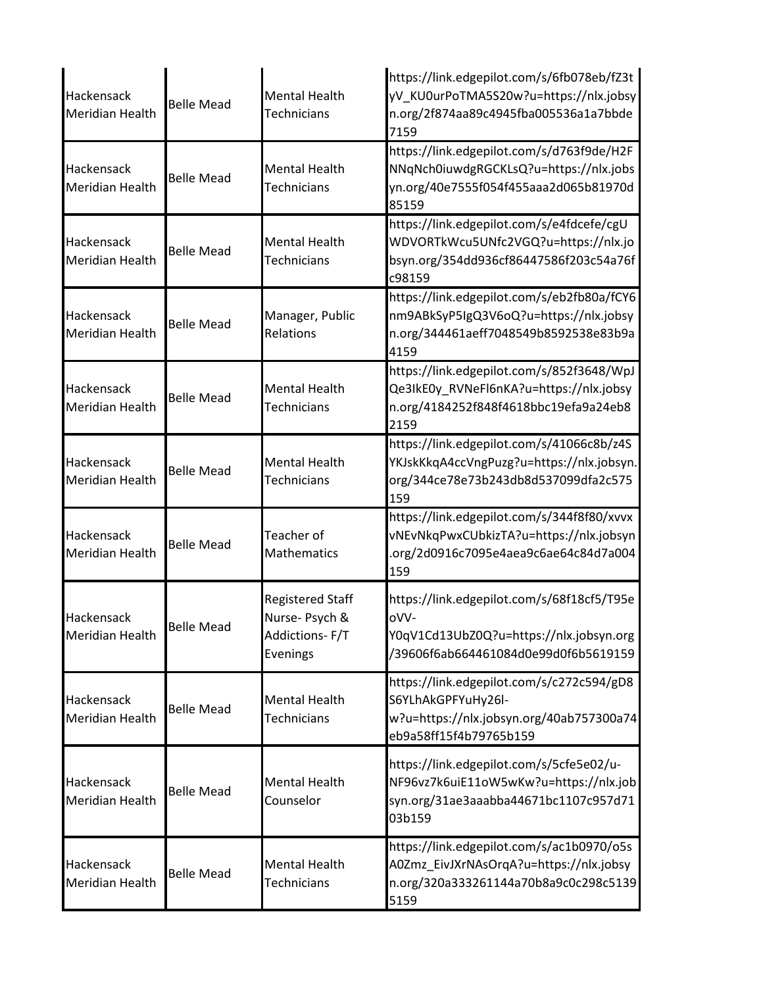| Hackensack<br>Meridian Health        | <b>Belle Mead</b> | <b>Mental Health</b><br><b>Technicians</b>                              | https://link.edgepilot.com/s/6fb078eb/fZ3t<br>yV KU0urPoTMA5S20w?u=https://nlx.jobsy<br>n.org/2f874aa89c4945fba005536a1a7bbde<br>7159 |
|--------------------------------------|-------------------|-------------------------------------------------------------------------|---------------------------------------------------------------------------------------------------------------------------------------|
| Hackensack<br><b>Meridian Health</b> | <b>Belle Mead</b> | <b>Mental Health</b><br><b>Technicians</b>                              | https://link.edgepilot.com/s/d763f9de/H2F<br>NNqNch0iuwdgRGCKLsQ?u=https://nlx.jobs<br>yn.org/40e7555f054f455aaa2d065b81970d<br>85159 |
| Hackensack<br>Meridian Health        | <b>Belle Mead</b> | <b>Mental Health</b><br><b>Technicians</b>                              | https://link.edgepilot.com/s/e4fdcefe/cgU<br>WDVORTkWcu5UNfc2VGQ?u=https://nlx.jo<br>bsyn.org/354dd936cf86447586f203c54a76f<br>c98159 |
| Hackensack<br><b>Meridian Health</b> | <b>Belle Mead</b> | Manager, Public<br>Relations                                            | https://link.edgepilot.com/s/eb2fb80a/fCY6<br>nm9ABkSyP5IgQ3V6oQ?u=https://nlx.jobsy<br>n.org/344461aeff7048549b8592538e83b9a<br>4159 |
| Hackensack<br>Meridian Health        | <b>Belle Mead</b> | <b>Mental Health</b><br>Technicians                                     | https://link.edgepilot.com/s/852f3648/WpJ<br>Qe3IkE0y_RVNeFl6nKA?u=https://nlx.jobsy<br>n.org/4184252f848f4618bbc19efa9a24eb8<br>2159 |
| Hackensack<br>Meridian Health        | <b>Belle Mead</b> | <b>Mental Health</b><br><b>Technicians</b>                              | https://link.edgepilot.com/s/41066c8b/z4S<br>YKJskKkqA4ccVngPuzg?u=https://nlx.jobsyn.<br>org/344ce78e73b243db8d537099dfa2c575<br>159 |
| Hackensack<br><b>Meridian Health</b> | <b>Belle Mead</b> | Teacher of<br><b>Mathematics</b>                                        | https://link.edgepilot.com/s/344f8f80/xvvx<br>vNEvNkqPwxCUbkizTA?u=https://nlx.jobsyn<br>.org/2d0916c7095e4aea9c6ae64c84d7a004<br>159 |
| Hackensack<br><b>Meridian Health</b> | <b>Belle Mead</b> | <b>Registered Staff</b><br>Nurse- Psych &<br>Addictions-F/T<br>Evenings | https://link.edgepilot.com/s/68f18cf5/T95e<br>oVV-<br>Y0qV1Cd13UbZ0Q?u=https://nlx.jobsyn.org<br>/39606f6ab664461084d0e99d0f6b5619159 |
| Hackensack<br>Meridian Health        | <b>Belle Mead</b> | <b>Mental Health</b><br><b>Technicians</b>                              | https://link.edgepilot.com/s/c272c594/gD8<br>S6YLhAkGPFYuHy26l-<br>w?u=https://nlx.jobsyn.org/40ab757300a74<br>eb9a58ff15f4b79765b159 |
| Hackensack<br>Meridian Health        | <b>Belle Mead</b> | <b>Mental Health</b><br>Counselor                                       | https://link.edgepilot.com/s/5cfe5e02/u-<br>NF96vz7k6uiE11oW5wKw?u=https://nlx.job<br>syn.org/31ae3aaabba44671bc1107c957d71<br>03b159 |
| Hackensack<br>Meridian Health        | <b>Belle Mead</b> | <b>Mental Health</b><br>Technicians                                     | https://link.edgepilot.com/s/ac1b0970/o5s<br>A0Zmz_EivJXrNAsOrqA?u=https://nlx.jobsy<br>n.org/320a333261144a70b8a9c0c298c5139<br>5159 |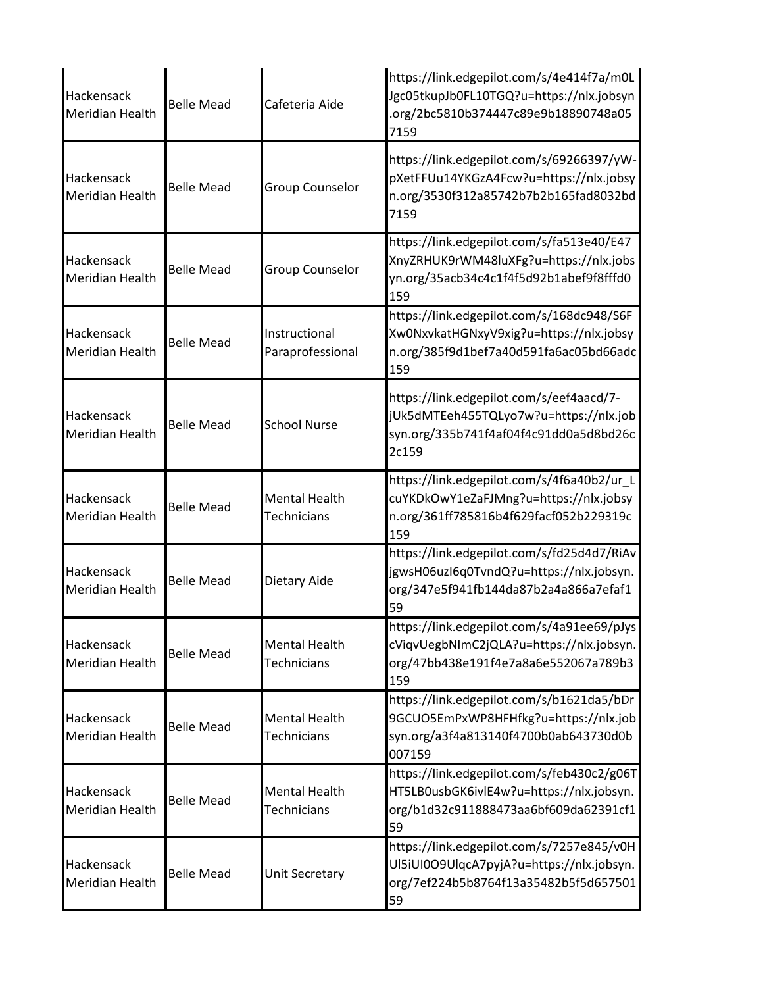| Hackensack<br><b>Meridian Health</b> | <b>Belle Mead</b> | Cafeteria Aide                             | https://link.edgepilot.com/s/4e414f7a/m0L<br>Jgc05tkupJb0FL10TGQ?u=https://nlx.jobsyn<br>.org/2bc5810b374447c89e9b18890748a05<br>7159 |
|--------------------------------------|-------------------|--------------------------------------------|---------------------------------------------------------------------------------------------------------------------------------------|
| <b>Hackensack</b><br>Meridian Health | <b>Belle Mead</b> | <b>Group Counselor</b>                     | https://link.edgepilot.com/s/69266397/yW-<br>pXetFFUu14YKGzA4Fcw?u=https://nlx.jobsy<br>n.org/3530f312a85742b7b2b165fad8032bd<br>7159 |
| Hackensack<br><b>Meridian Health</b> | <b>Belle Mead</b> | <b>Group Counselor</b>                     | https://link.edgepilot.com/s/fa513e40/E47<br>XnyZRHUK9rWM48luXFg?u=https://nlx.jobs<br>yn.org/35acb34c4c1f4f5d92b1abef9f8fffd0<br>159 |
| Hackensack<br>Meridian Health        | <b>Belle Mead</b> | Instructional<br>Paraprofessional          | https://link.edgepilot.com/s/168dc948/S6F<br>Xw0NxvkatHGNxyV9xig?u=https://nlx.jobsy<br>n.org/385f9d1bef7a40d591fa6ac05bd66adc<br>159 |
| <b>Hackensack</b><br>Meridian Health | <b>Belle Mead</b> | <b>School Nurse</b>                        | https://link.edgepilot.com/s/eef4aacd/7-<br>jUk5dMTEeh455TQLyo7w?u=https://nlx.job<br>syn.org/335b741f4af04f4c91dd0a5d8bd26c<br>2c159 |
| Hackensack<br>Meridian Health        | <b>Belle Mead</b> | <b>Mental Health</b><br><b>Technicians</b> | https://link.edgepilot.com/s/4f6a40b2/ur_L<br>cuYKDkOwY1eZaFJMng?u=https://nlx.jobsy<br>n.org/361ff785816b4f629facf052b229319c<br>159 |
| Hackensack<br><b>Meridian Health</b> | <b>Belle Mead</b> | Dietary Aide                               | https://link.edgepilot.com/s/fd25d4d7/RiAv<br>jgwsH06uzI6q0TvndQ?u=https://nlx.jobsyn.<br>org/347e5f941fb144da87b2a4a866a7efaf1<br>59 |
| Hackensack<br>Meridian Health        | <b>Belle Mead</b> | <b>Mental Health</b><br><b>Technicians</b> | https://link.edgepilot.com/s/4a91ee69/pJys<br>cViqvUegbNImC2jQLA?u=https://nlx.jobsyn.<br>org/47bb438e191f4e7a8a6e552067a789b3<br>159 |
| Hackensack<br>Meridian Health        | <b>Belle Mead</b> | <b>Mental Health</b><br><b>Technicians</b> | https://link.edgepilot.com/s/b1621da5/bDr<br>9GCUO5EmPxWP8HFHfkg?u=https://nlx.job<br>syn.org/a3f4a813140f4700b0ab643730d0b<br>007159 |
| Hackensack<br>Meridian Health        | <b>Belle Mead</b> | <b>Mental Health</b><br><b>Technicians</b> | https://link.edgepilot.com/s/feb430c2/g06T<br>HT5LB0usbGK6ivlE4w?u=https://nlx.jobsyn.<br>org/b1d32c911888473aa6bf609da62391cf1<br>59 |
| Hackensack<br>Meridian Health        | <b>Belle Mead</b> | Unit Secretary                             | https://link.edgepilot.com/s/7257e845/v0H<br>Ul5iUI0O9UlqcA7pyjA?u=https://nlx.jobsyn.<br>org/7ef224b5b8764f13a35482b5f5d657501<br>59 |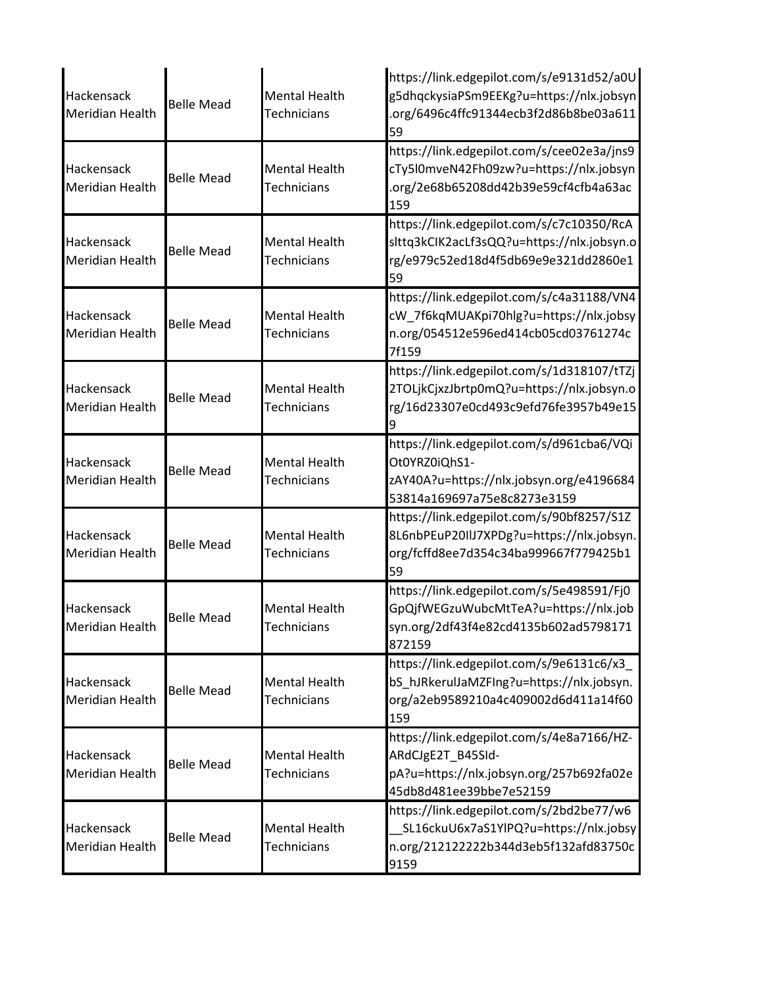| Hackensack<br>Meridian Health        | <b>Belle Mead</b> | <b>Mental Health</b><br><b>Technicians</b> | https://link.edgepilot.com/s/e9131d52/a0U<br>g5dhqckysiaPSm9EEKg?u=https://nlx.jobsyn<br>.org/6496c4ffc91344ecb3f2d86b8be03a611<br>59 |
|--------------------------------------|-------------------|--------------------------------------------|---------------------------------------------------------------------------------------------------------------------------------------|
| Hackensack<br><b>Meridian Health</b> | <b>Belle Mead</b> | <b>Mental Health</b><br><b>Technicians</b> | https://link.edgepilot.com/s/cee02e3a/jns9<br>cTy5l0mveN42Fh09zw?u=https://nlx.jobsyn<br>.org/2e68b65208dd42b39e59cf4cfb4a63ac<br>159 |
| Hackensack<br>Meridian Health        | <b>Belle Mead</b> | <b>Mental Health</b><br><b>Technicians</b> | https://link.edgepilot.com/s/c7c10350/RcA<br>slttq3kClK2acLf3sQQ?u=https://nlx.jobsyn.o<br>rg/e979c52ed18d4f5db69e9e321dd2860e1<br>59 |
| Hackensack<br><b>Meridian Health</b> | <b>Belle Mead</b> | <b>Mental Health</b><br><b>Technicians</b> | https://link.edgepilot.com/s/c4a31188/VN4<br>cW_7f6kqMUAKpi70hlg?u=https://nlx.jobsy<br>n.org/054512e596ed414cb05cd03761274c<br>7f159 |
| Hackensack<br><b>Meridian Health</b> | <b>Belle Mead</b> | <b>Mental Health</b><br><b>Technicians</b> | https://link.edgepilot.com/s/1d318107/tTZj<br>2TOLjkCjxzJbrtp0mQ?u=https://nlx.jobsyn.o<br>rg/16d23307e0cd493c9efd76fe3957b49e15<br>9 |
| Hackensack<br>Meridian Health        | <b>Belle Mead</b> | <b>Mental Health</b><br><b>Technicians</b> | https://link.edgepilot.com/s/d961cba6/VQi<br>Ot0YRZ0iQhS1-<br>zAY40A?u=https://nlx.jobsyn.org/e4196684<br>53814a169697a75e8c8273e3159 |
| Hackensack<br>Meridian Health        | <b>Belle Mead</b> | <b>Mental Health</b><br>Technicians        | https://link.edgepilot.com/s/90bf8257/S1Z<br>8L6nbPEuP20IIJ7XPDg?u=https://nlx.jobsyn.<br>org/fcffd8ee7d354c34ba999667f779425b1<br>59 |
| Hackensack<br>Meridian Health        | Belle Mead        | <b>Mental Health</b><br>Technicians        | https://link.edgepilot.com/s/5e498591/Fj0<br>GpQjfWEGzuWubcMtTeA?u=https://nlx.job<br>syn.org/2df43f4e82cd4135b602ad5798171<br>872159 |
| Hackensack<br>Meridian Health        | <b>Belle Mead</b> | <b>Mental Health</b><br>Technicians        | https://link.edgepilot.com/s/9e6131c6/x3<br>bS hJRkerulJaMZFIng?u=https://nlx.jobsyn.<br>org/a2eb9589210a4c409002d6d411a14f60<br>159  |
| Hackensack<br>Meridian Health        | <b>Belle Mead</b> | <b>Mental Health</b><br><b>Technicians</b> | https://link.edgepilot.com/s/4e8a7166/HZ-<br>ARdCJgE2T B45SId-<br>pA?u=https://nlx.jobsyn.org/257b692fa02e<br>45db8d481ee39bbe7e52159 |
| Hackensack<br>Meridian Health        | <b>Belle Mead</b> | <b>Mental Health</b><br>Technicians        | https://link.edgepilot.com/s/2bd2be77/w6<br>SL16ckuU6x7aS1YlPQ?u=https://nlx.jobsy<br>n.org/212122222b344d3eb5f132afd83750c<br>9159   |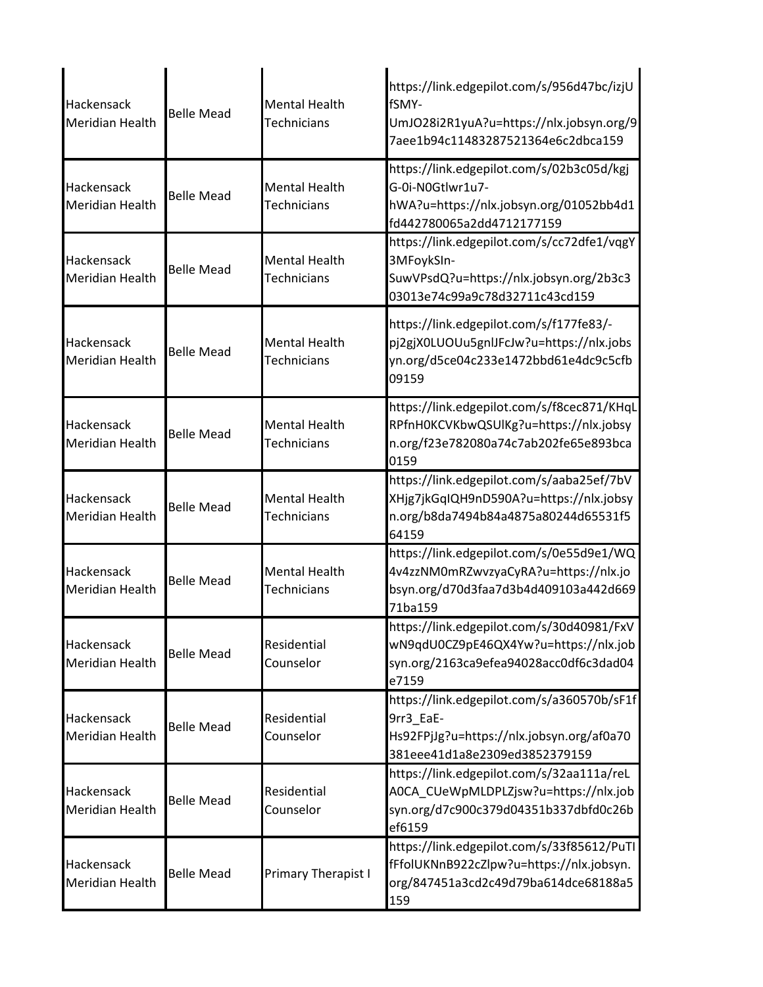| <b>Hackensack</b><br><b>Meridian Health</b> | <b>Belle Mead</b> | <b>Mental Health</b><br><b>Technicians</b> | https://link.edgepilot.com/s/956d47bc/izjU<br>fSMY-<br>UmJO28i2R1yuA?u=https://nlx.jobsyn.org/9<br>7aee1b94c11483287521364e6c2dbca159 |
|---------------------------------------------|-------------------|--------------------------------------------|---------------------------------------------------------------------------------------------------------------------------------------|
| Hackensack<br><b>Meridian Health</b>        | <b>Belle Mead</b> | <b>Mental Health</b><br><b>Technicians</b> | https://link.edgepilot.com/s/02b3c05d/kgj<br>G-0i-N0Gtlwr1u7-<br>hWA?u=https://nlx.jobsyn.org/01052bb4d1<br>fd442780065a2dd4712177159 |
| Hackensack<br><b>Meridian Health</b>        | <b>Belle Mead</b> | <b>Mental Health</b><br><b>Technicians</b> | https://link.edgepilot.com/s/cc72dfe1/vqgY<br>3MFoykSIn-<br>SuwVPsdQ?u=https://nlx.jobsyn.org/2b3c3<br>03013e74c99a9c78d32711c43cd159 |
| Hackensack<br><b>Meridian Health</b>        | <b>Belle Mead</b> | <b>Mental Health</b><br><b>Technicians</b> | https://link.edgepilot.com/s/f177fe83/-<br>pj2gjX0LUOUu5gnlJFcJw?u=https://nlx.jobs<br>yn.org/d5ce04c233e1472bbd61e4dc9c5cfb<br>09159 |
| Hackensack<br><b>Meridian Health</b>        | <b>Belle Mead</b> | <b>Mental Health</b><br><b>Technicians</b> | https://link.edgepilot.com/s/f8cec871/KHqL<br>RPfnH0KCVKbwQSUlKg?u=https://nlx.jobsy<br>n.org/f23e782080a74c7ab202fe65e893bca<br>0159 |
| Hackensack<br><b>Meridian Health</b>        | <b>Belle Mead</b> | <b>Mental Health</b><br>Technicians        | https://link.edgepilot.com/s/aaba25ef/7bV<br>XHjg7jkGqIQH9nD590A?u=https://nlx.jobsy<br>n.org/b8da7494b84a4875a80244d65531f5<br>64159 |
| Hackensack<br><b>Meridian Health</b>        | <b>Belle Mead</b> | <b>Mental Health</b><br><b>Technicians</b> | https://link.edgepilot.com/s/0e55d9e1/WQ<br>4v4zzNM0mRZwvzyaCyRA?u=https://nlx.jo<br>bsyn.org/d70d3faa7d3b4d409103a442d669<br>71ba159 |
| Hackensack<br><b>Meridian Health</b>        | <b>Belle Mead</b> | Residential<br>Counselor                   | https://link.edgepilot.com/s/30d40981/FxV<br>wN9qdU0CZ9pE46QX4Yw?u=https://nlx.job<br>syn.org/2163ca9efea94028acc0df6c3dad04<br>e7159 |
| Hackensack<br><b>Meridian Health</b>        | <b>Belle Mead</b> | Residential<br>Counselor                   | https://link.edgepilot.com/s/a360570b/sF1f<br>9rr3 EaE-<br>Hs92FPjJg?u=https://nlx.jobsyn.org/af0a70<br>381eee41d1a8e2309ed3852379159 |
| Hackensack<br><b>Meridian Health</b>        | <b>Belle Mead</b> | Residential<br>Counselor                   | https://link.edgepilot.com/s/32aa111a/reL<br>A0CA_CUeWpMLDPLZjsw?u=https://nlx.job<br>syn.org/d7c900c379d04351b337dbfd0c26b<br>ef6159 |
| Hackensack<br><b>Meridian Health</b>        | <b>Belle Mead</b> | Primary Therapist I                        | https://link.edgepilot.com/s/33f85612/PuTI<br>fFfolUKNnB922cZlpw?u=https://nlx.jobsyn.<br>org/847451a3cd2c49d79ba614dce68188a5<br>159 |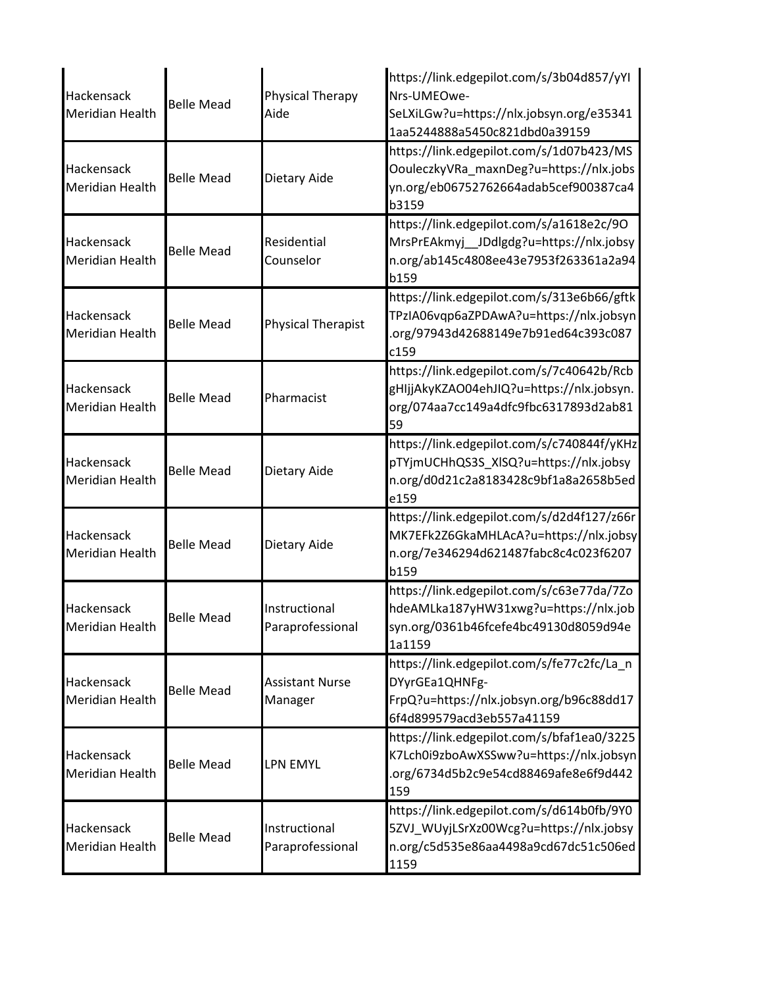| Hackensack<br><b>Meridian Health</b> | <b>Belle Mead</b> | <b>Physical Therapy</b><br>Aide   | https://link.edgepilot.com/s/3b04d857/yYI<br>Nrs-UMEOwe-<br>SeLXiLGw?u=https://nlx.jobsyn.org/e35341<br>1aa5244888a5450c821dbd0a39159 |
|--------------------------------------|-------------------|-----------------------------------|---------------------------------------------------------------------------------------------------------------------------------------|
| Hackensack<br><b>Meridian Health</b> | <b>Belle Mead</b> | Dietary Aide                      | https://link.edgepilot.com/s/1d07b423/MS<br>OouleczkyVRa_maxnDeg?u=https://nlx.jobs<br>yn.org/eb06752762664adab5cef900387ca4<br>b3159 |
| Hackensack<br><b>Meridian Health</b> | <b>Belle Mead</b> | Residential<br>Counselor          | https://link.edgepilot.com/s/a1618e2c/90<br>MrsPrEAkmyj_JDdlgdg?u=https://nlx.jobsy<br>n.org/ab145c4808ee43e7953f263361a2a94<br>b159  |
| Hackensack<br><b>Meridian Health</b> | <b>Belle Mead</b> | <b>Physical Therapist</b>         | https://link.edgepilot.com/s/313e6b66/gftk<br>TPzIA06vqp6aZPDAwA?u=https://nlx.jobsyn<br>.org/97943d42688149e7b91ed64c393c087<br>c159 |
| Hackensack<br><b>Meridian Health</b> | <b>Belle Mead</b> | Pharmacist                        | https://link.edgepilot.com/s/7c40642b/Rcb<br>gHIjjAkyKZAO04ehJIQ?u=https://nlx.jobsyn.<br>org/074aa7cc149a4dfc9fbc6317893d2ab81<br>59 |
| Hackensack<br><b>Meridian Health</b> | <b>Belle Mead</b> | Dietary Aide                      | https://link.edgepilot.com/s/c740844f/yKHz<br>pTYjmUCHhQS3S_XlSQ?u=https://nlx.jobsy<br>n.org/d0d21c2a8183428c9bf1a8a2658b5ed<br>e159 |
| Hackensack<br><b>Meridian Health</b> | <b>Belle Mead</b> | Dietary Aide                      | https://link.edgepilot.com/s/d2d4f127/z66r<br>MK7EFk2Z6GkaMHLAcA?u=https://nlx.jobsy<br>n.org/7e346294d621487fabc8c4c023f6207<br>b159 |
| Hackensack<br><b>Meridian Health</b> | <b>Belle Mead</b> | Instructional<br>Paraprofessional | https://link.edgepilot.com/s/c63e77da/7Zo<br>hdeAMLka187yHW31xwg?u=https://nlx.job<br>syn.org/0361b46fcefe4bc49130d8059d94e<br>1a1159 |
| Hackensack<br><b>Meridian Health</b> | <b>Belle Mead</b> | <b>Assistant Nurse</b><br>Manager | https://link.edgepilot.com/s/fe77c2fc/La_n<br>DYyrGEa1QHNFg-<br>FrpQ?u=https://nlx.jobsyn.org/b96c88dd17<br>6f4d899579acd3eb557a41159 |
| Hackensack<br>Meridian Health        | <b>Belle Mead</b> | LPN EMYL                          | https://link.edgepilot.com/s/bfaf1ea0/3225<br>K7Lch0i9zboAwXSSww?u=https://nlx.jobsyn<br>.org/6734d5b2c9e54cd88469afe8e6f9d442<br>159 |
| Hackensack<br><b>Meridian Health</b> | <b>Belle Mead</b> | Instructional<br>Paraprofessional | https://link.edgepilot.com/s/d614b0fb/9Y0<br>5ZVJ_WUyjLSrXz00Wcg?u=https://nlx.jobsy<br>n.org/c5d535e86aa4498a9cd67dc51c506ed<br>1159 |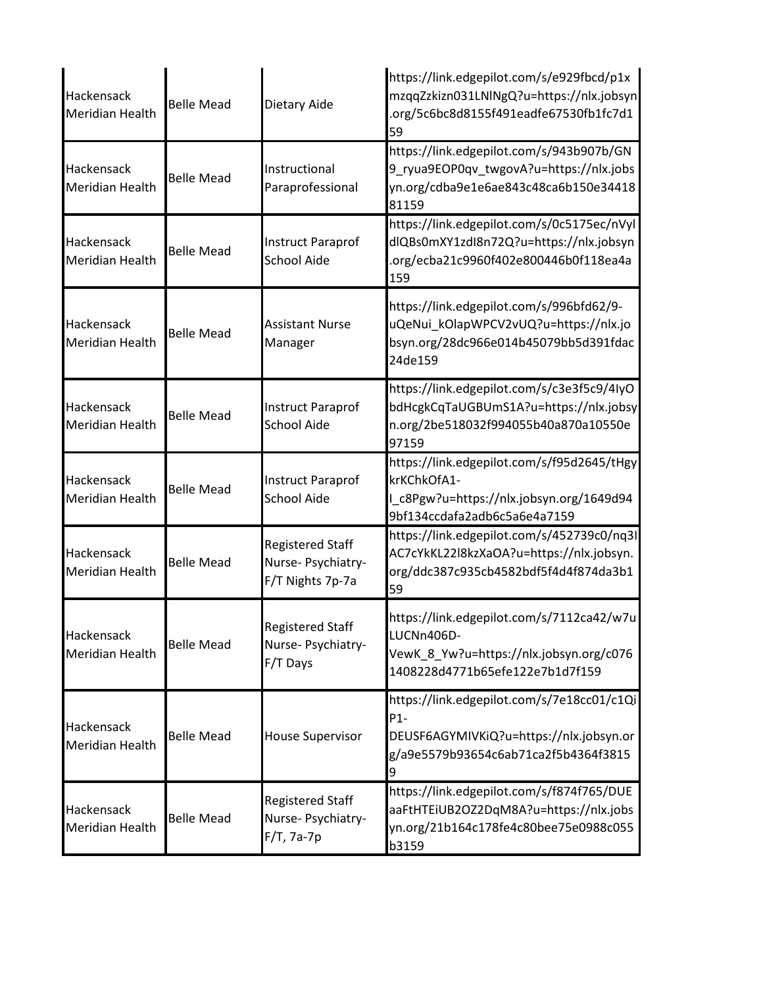| Hackensack<br>Meridian Health        | <b>Belle Mead</b> | Dietary Aide                                                      | https://link.edgepilot.com/s/e929fbcd/p1x<br>mzqqZzkizn031LNlNgQ?u=https://nlx.jobsyn<br>.org/5c6bc8d8155f491eadfe67530fb1fc7d1<br>59  |
|--------------------------------------|-------------------|-------------------------------------------------------------------|----------------------------------------------------------------------------------------------------------------------------------------|
| Hackensack<br><b>Meridian Health</b> | <b>Belle Mead</b> | Instructional<br>Paraprofessional                                 | https://link.edgepilot.com/s/943b907b/GN<br>9_ryua9EOP0qv_twgovA?u=https://nlx.jobs<br>yn.org/cdba9e1e6ae843c48ca6b150e34418<br>81159  |
| Hackensack<br><b>Meridian Health</b> | <b>Belle Mead</b> | <b>Instruct Paraprof</b><br><b>School Aide</b>                    | https://link.edgepilot.com/s/0c5175ec/nVyl<br>dlQBs0mXY1zdl8n72Q?u=https://nlx.jobsyn<br>.org/ecba21c9960f402e800446b0f118ea4a<br>159  |
| Hackensack<br><b>Meridian Health</b> | <b>Belle Mead</b> | <b>Assistant Nurse</b><br>Manager                                 | https://link.edgepilot.com/s/996bfd62/9-<br>uQeNui_kOlapWPCV2vUQ?u=https://nlx.jo<br>bsyn.org/28dc966e014b45079bb5d391fdac<br>24de159  |
| Hackensack<br><b>Meridian Health</b> | <b>Belle Mead</b> | <b>Instruct Paraprof</b><br><b>School Aide</b>                    | https://link.edgepilot.com/s/c3e3f5c9/4IyO<br>bdHcgkCqTaUGBUmS1A?u=https://nlx.jobsy<br>n.org/2be518032f994055b40a870a10550e<br>97159  |
| Hackensack<br><b>Meridian Health</b> | <b>Belle Mead</b> | <b>Instruct Paraprof</b><br><b>School Aide</b>                    | https://link.edgepilot.com/s/f95d2645/tHgy<br>krKChkOfA1-<br>I_c8Pgw?u=https://nlx.jobsyn.org/1649d94<br>9bf134ccdafa2adb6c5a6e4a7159  |
| Hackensack<br><b>Meridian Health</b> | <b>Belle Mead</b> | <b>Registered Staff</b><br>Nurse- Psychiatry-<br>F/T Nights 7p-7a | https://link.edgepilot.com/s/452739c0/nq3I<br>AC7cYkKL22l8kzXaOA?u=https://nlx.jobsyn.<br>org/ddc387c935cb4582bdf5f4d4f874da3b1<br>59  |
| Hackensack<br><b>Meridian Health</b> | <b>Belle Mead</b> | <b>Registered Staff</b><br>Nurse- Psychiatry-<br>F/T Days         | https://link.edgepilot.com/s/7112ca42/w7u<br>LUCNn406D-<br>VewK_8_Yw?u=https://nlx.jobsyn.org/c076<br>1408228d4771b65efe122e7b1d7f159  |
| Hackensack<br><b>Meridian Health</b> | <b>Belle Mead</b> | <b>House Supervisor</b>                                           | https://link.edgepilot.com/s/7e18cc01/c1Qi<br>$P1-$<br>DEUSF6AGYMIVKiQ?u=https://nlx.jobsyn.or<br>g/a9e5579b93654c6ab71ca2f5b4364f3815 |
| Hackensack<br>Meridian Health        | <b>Belle Mead</b> | <b>Registered Staff</b><br>Nurse-Psychiatry-<br>F/T, 7a-7p        | https://link.edgepilot.com/s/f874f765/DUE<br>aaFtHTEiUB2OZ2DqM8A?u=https://nlx.jobs<br>yn.org/21b164c178fe4c80bee75e0988c055<br>b3159  |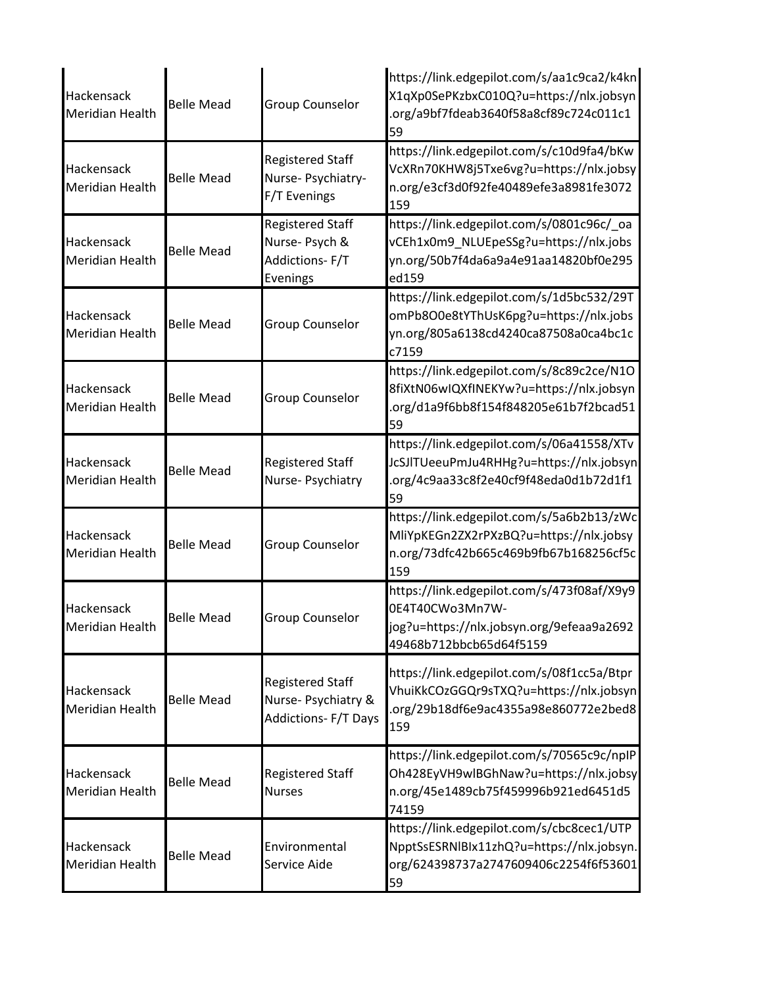| Hackensack<br><b>Meridian Health</b> | <b>Belle Mead</b> | <b>Group Counselor</b>                                                       | https://link.edgepilot.com/s/aa1c9ca2/k4kn<br>X1qXp0SePKzbxC010Q?u=https://nlx.jobsyn<br>.org/a9bf7fdeab3640f58a8cf89c724c011c1<br>59 |
|--------------------------------------|-------------------|------------------------------------------------------------------------------|---------------------------------------------------------------------------------------------------------------------------------------|
| Hackensack<br><b>Meridian Health</b> | <b>Belle Mead</b> | <b>Registered Staff</b><br>Nurse- Psychiatry-<br>F/T Evenings                | https://link.edgepilot.com/s/c10d9fa4/bKw<br>VcXRn70KHW8j5Txe6vg?u=https://nlx.jobsy<br>n.org/e3cf3d0f92fe40489efe3a8981fe3072<br>159 |
| Hackensack<br><b>Meridian Health</b> | <b>Belle Mead</b> | <b>Registered Staff</b><br>Nurse-Psych &<br>Addictions-F/T<br>Evenings       | https://link.edgepilot.com/s/0801c96c/_oa<br>vCEh1x0m9 NLUEpeSSg?u=https://nlx.jobs<br>yn.org/50b7f4da6a9a4e91aa14820bf0e295<br>ed159 |
| Hackensack<br><b>Meridian Health</b> | <b>Belle Mead</b> | <b>Group Counselor</b>                                                       | https://link.edgepilot.com/s/1d5bc532/29T<br>omPb8O0e8tYThUsK6pg?u=https://nlx.jobs<br>yn.org/805a6138cd4240ca87508a0ca4bc1c<br>c7159 |
| Hackensack<br><b>Meridian Health</b> | <b>Belle Mead</b> | <b>Group Counselor</b>                                                       | https://link.edgepilot.com/s/8c89c2ce/N1O<br>8fiXtN06wIQXfINEKYw?u=https://nlx.jobsyn<br>.org/d1a9f6bb8f154f848205e61b7f2bcad51<br>59 |
| Hackensack<br>Meridian Health        | <b>Belle Mead</b> | <b>Registered Staff</b><br>Nurse-Psychiatry                                  | https://link.edgepilot.com/s/06a41558/XTv<br>JcSJlTUeeuPmJu4RHHg?u=https://nlx.jobsyn<br>.org/4c9aa33c8f2e40cf9f48eda0d1b72d1f1<br>59 |
| Hackensack<br><b>Meridian Health</b> | <b>Belle Mead</b> | <b>Group Counselor</b>                                                       | https://link.edgepilot.com/s/5a6b2b13/zWc<br>MliYpKEGn2ZX2rPXzBQ?u=https://nlx.jobsy<br>n.org/73dfc42b665c469b9fb67b168256cf5c<br>159 |
| Hackensack<br>Meridian Health        | <b>Belle Mead</b> | Group Counselor                                                              | https://link.edgepilot.com/s/473f08af/X9y9<br>0E4T40CWo3Mn7W-<br>jog?u=https://nlx.jobsyn.org/9efeaa9a2692<br>49468b712bbcb65d64f5159 |
| Hackensack<br><b>Meridian Health</b> | <b>Belle Mead</b> | <b>Registered Staff</b><br>Nurse- Psychiatry &<br><b>Addictions-F/T Days</b> | https://link.edgepilot.com/s/08f1cc5a/Btpr<br>VhuiKkCOzGGQr9sTXQ?u=https://nlx.jobsyn<br>.org/29b18df6e9ac4355a98e860772e2bed8<br>159 |
| Hackensack<br><b>Meridian Health</b> | <b>Belle Mead</b> | <b>Registered Staff</b><br><b>Nurses</b>                                     | https://link.edgepilot.com/s/70565c9c/npIP<br>Oh428EyVH9wlBGhNaw?u=https://nlx.jobsy<br>n.org/45e1489cb75f459996b921ed6451d5<br>74159 |
| Hackensack<br><b>Meridian Health</b> | <b>Belle Mead</b> | Environmental<br>Service Aide                                                | https://link.edgepilot.com/s/cbc8cec1/UTP<br>NpptSsESRNIBIx11zhQ?u=https://nlx.jobsyn.<br>org/624398737a2747609406c2254f6f53601<br>59 |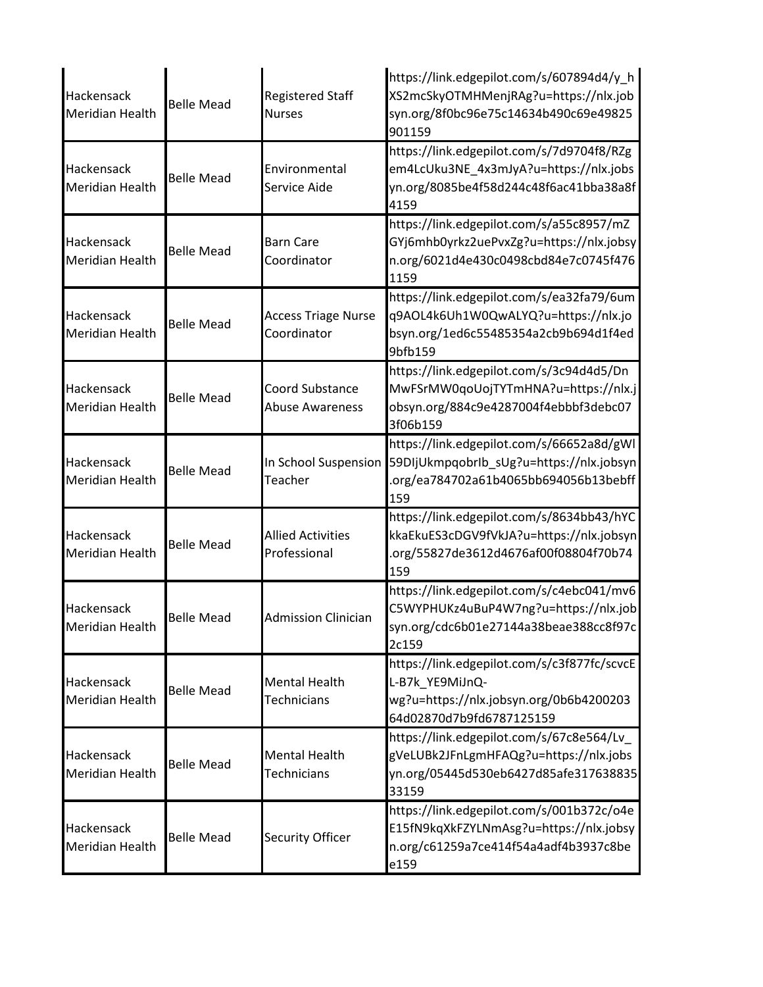| Hackensack<br>Meridian Health | <b>Belle Mead</b> | <b>Registered Staff</b><br><b>Nurses</b>   | https://link.edgepilot.com/s/607894d4/y_h<br>XS2mcSkyOTMHMenjRAg?u=https://nlx.job<br>syn.org/8f0bc96e75c14634b490c69e49825<br>901159 |
|-------------------------------|-------------------|--------------------------------------------|---------------------------------------------------------------------------------------------------------------------------------------|
| Hackensack<br>Meridian Health | <b>Belle Mead</b> | Environmental<br>Service Aide              | https://link.edgepilot.com/s/7d9704f8/RZg<br>em4LcUku3NE_4x3mJyA?u=https://nlx.jobs<br>yn.org/8085be4f58d244c48f6ac41bba38a8f<br>4159 |
| Hackensack<br>Meridian Health | <b>Belle Mead</b> | <b>Barn Care</b><br>Coordinator            | https://link.edgepilot.com/s/a55c8957/mZ<br>GYj6mhb0yrkz2uePvxZg?u=https://nlx.jobsy<br>n.org/6021d4e430c0498cbd84e7c0745f476<br>1159 |
| Hackensack<br>Meridian Health | <b>Belle Mead</b> | <b>Access Triage Nurse</b><br>Coordinator  | https://link.edgepilot.com/s/ea32fa79/6um<br>q9AOL4k6Uh1W0QwALYQ?u=https://nlx.jo<br>bsyn.org/1ed6c55485354a2cb9b694d1f4ed<br>9bfb159 |
| Hackensack<br>Meridian Health | <b>Belle Mead</b> | Coord Substance<br><b>Abuse Awareness</b>  | https://link.edgepilot.com/s/3c94d4d5/Dn<br>MwFSrMW0qoUojTYTmHNA?u=https://nlx.j<br>obsyn.org/884c9e4287004f4ebbbf3debc07<br>3f06b159 |
| Hackensack<br>Meridian Health | <b>Belle Mead</b> | In School Suspension<br>Teacher            | https://link.edgepilot.com/s/66652a8d/gWl<br>59DIjUkmpqobrlb_sUg?u=https://nlx.jobsyn<br>.org/ea784702a61b4065bb694056b13bebff<br>159 |
| Hackensack<br>Meridian Health | <b>Belle Mead</b> | <b>Allied Activities</b><br>Professional   | https://link.edgepilot.com/s/8634bb43/hYC<br>kkaEkuES3cDGV9fVkJA?u=https://nlx.jobsyn<br>.org/55827de3612d4676af00f08804f70b74<br>159 |
| Hackensack<br>Meridian Health | Belle Mead        | Admission Clinician                        | https://link.edgepilot.com/s/c4ebc041/mv6<br>C5WYPHUKz4uBuP4W7ng?u=https://nlx.job<br>syn.org/cdc6b01e27144a38beae388cc8f97c<br>2c159 |
| Hackensack<br>Meridian Health | <b>Belle Mead</b> | <b>Mental Health</b><br>Technicians        | https://link.edgepilot.com/s/c3f877fc/scvcE<br>L-B7k_YE9MiJnQ-<br>wg?u=https://nlx.jobsyn.org/0b6b4200203<br>64d02870d7b9fd6787125159 |
| Hackensack<br>Meridian Health | <b>Belle Mead</b> | <b>Mental Health</b><br><b>Technicians</b> | https://link.edgepilot.com/s/67c8e564/Lv_<br>gVeLUBk2JFnLgmHFAQg?u=https://nlx.jobs<br>yn.org/05445d530eb6427d85afe317638835<br>33159 |
| Hackensack<br>Meridian Health | <b>Belle Mead</b> | <b>Security Officer</b>                    | https://link.edgepilot.com/s/001b372c/o4e<br>E15fN9kqXkFZYLNmAsg?u=https://nlx.jobsy<br>n.org/c61259a7ce414f54a4adf4b3937c8be<br>e159 |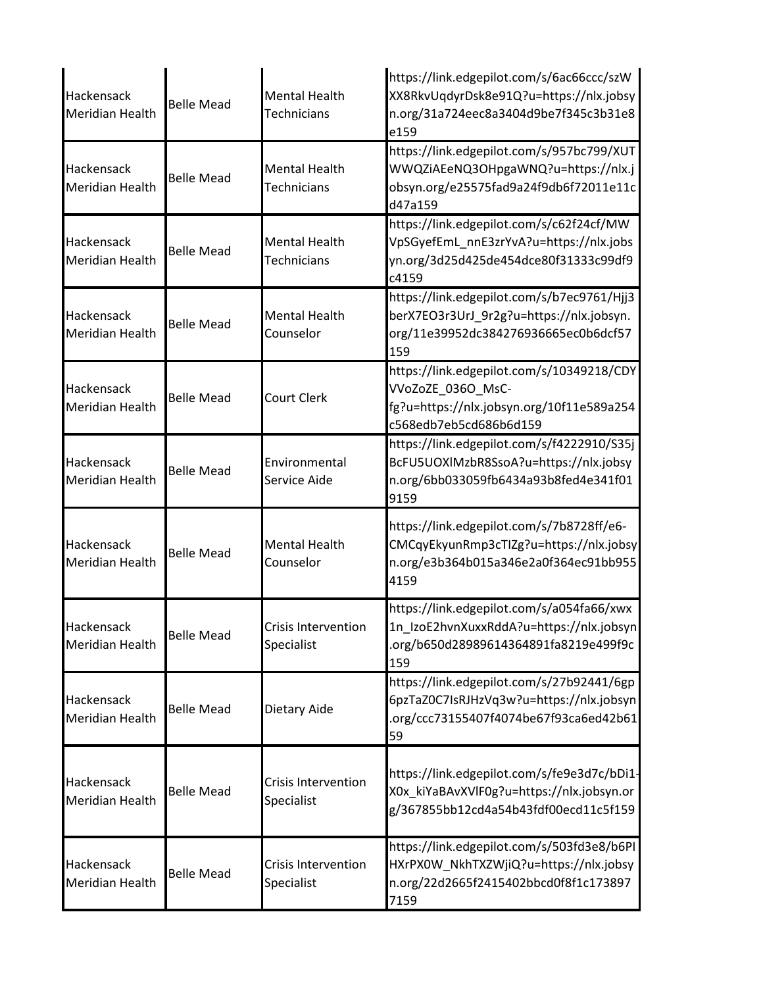| Hackensack<br>Meridian Health        | <b>Belle Mead</b> | <b>Mental Health</b><br><b>Technicians</b> | https://link.edgepilot.com/s/6ac66ccc/szW<br>XX8RkvUqdyrDsk8e91Q?u=https://nlx.jobsy<br>n.org/31a724eec8a3404d9be7f345c3b31e8<br>e159 |
|--------------------------------------|-------------------|--------------------------------------------|---------------------------------------------------------------------------------------------------------------------------------------|
| Hackensack<br><b>Meridian Health</b> | <b>Belle Mead</b> | <b>Mental Health</b><br><b>Technicians</b> | https://link.edgepilot.com/s/957bc799/XUT<br>WWQZiAEeNQ3OHpgaWNQ?u=https://nlx.j<br>obsyn.org/e25575fad9a24f9db6f72011e11c<br>d47a159 |
| Hackensack<br>Meridian Health        | <b>Belle Mead</b> | <b>Mental Health</b><br><b>Technicians</b> | https://link.edgepilot.com/s/c62f24cf/MW<br>VpSGyefEmL_nnE3zrYvA?u=https://nlx.jobs<br>yn.org/3d25d425de454dce80f31333c99df9<br>c4159 |
| Hackensack<br>Meridian Health        | <b>Belle Mead</b> | <b>Mental Health</b><br>Counselor          | https://link.edgepilot.com/s/b7ec9761/Hjj3<br>berX7EO3r3UrJ_9r2g?u=https://nlx.jobsyn.<br>org/11e39952dc384276936665ec0b6dcf57<br>159 |
| Hackensack<br>Meridian Health        | <b>Belle Mead</b> | <b>Court Clerk</b>                         | https://link.edgepilot.com/s/10349218/CDY<br>VVoZoZE_036O_MsC-<br>fg?u=https://nlx.jobsyn.org/10f11e589a254<br>c568edb7eb5cd686b6d159 |
| Hackensack<br>Meridian Health        | <b>Belle Mead</b> | Environmental<br>Service Aide              | https://link.edgepilot.com/s/f4222910/S35j<br>BcFU5UOXIMzbR8SsoA?u=https://nlx.jobsy<br>n.org/6bb033059fb6434a93b8fed4e341f01<br>9159 |
| Hackensack<br>Meridian Health        | <b>Belle Mead</b> | <b>Mental Health</b><br>Counselor          | https://link.edgepilot.com/s/7b8728ff/e6-<br>CMCqyEkyunRmp3cTIZg?u=https://nlx.jobsy<br>n.org/e3b364b015a346e2a0f364ec91bb955<br>4159 |
| Hackensack<br>Meridian Health        | <b>Belle Mead</b> | <b>Crisis Intervention</b><br>Specialist   | https://link.edgepilot.com/s/a054fa66/xwx<br>1n_IzoE2hvnXuxxRddA?u=https://nlx.jobsyn<br>.org/b650d28989614364891fa8219e499f9c<br>159 |
| Hackensack<br><b>Meridian Health</b> | <b>Belle Mead</b> | Dietary Aide                               | https://link.edgepilot.com/s/27b92441/6gp<br>6pzTaZ0C7IsRJHzVq3w?u=https://nlx.jobsyn<br>.org/ccc73155407f4074be67f93ca6ed42b61<br>59 |
| Hackensack<br>Meridian Health        | <b>Belle Mead</b> | <b>Crisis Intervention</b><br>Specialist   | https://link.edgepilot.com/s/fe9e3d7c/bDi1-<br>X0x_kiYaBAvXVlF0g?u=https://nlx.jobsyn.or<br>g/367855bb12cd4a54b43fdf00ecd11c5f159     |
| Hackensack<br>Meridian Health        | <b>Belle Mead</b> | <b>Crisis Intervention</b><br>Specialist   | https://link.edgepilot.com/s/503fd3e8/b6PI<br>HXrPX0W NkhTXZWjiQ?u=https://nlx.jobsy<br>n.org/22d2665f2415402bbcd0f8f1c173897<br>7159 |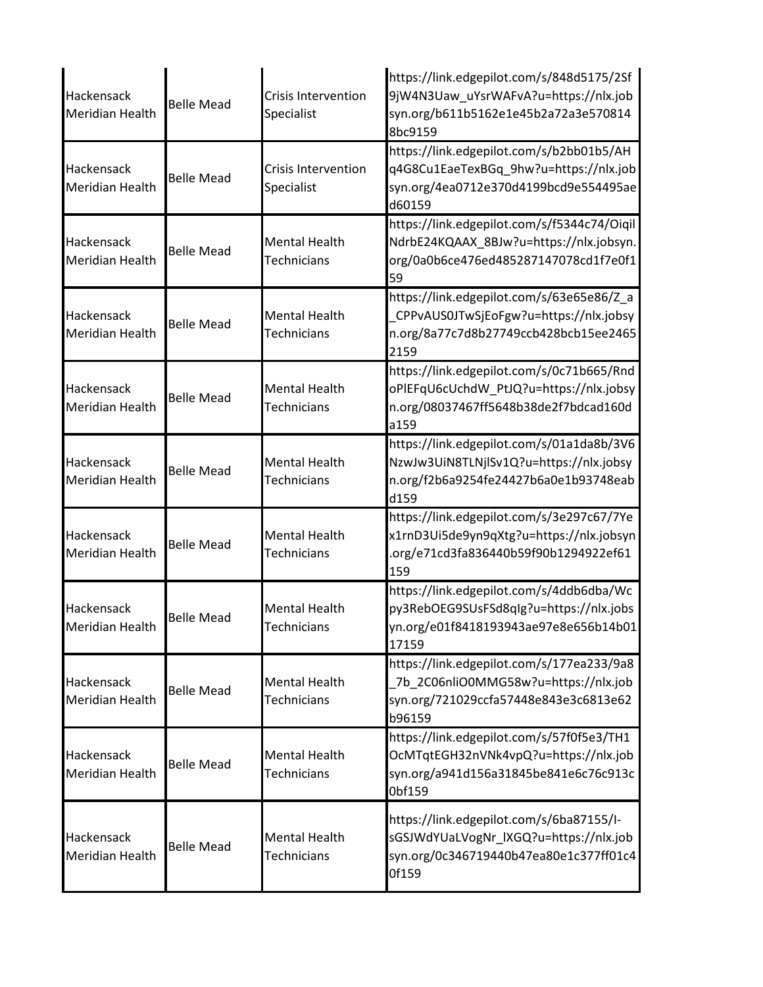| Hackensack<br><b>Meridian Health</b> | <b>Belle Mead</b> | <b>Crisis Intervention</b><br>Specialist   | https://link.edgepilot.com/s/848d5175/2Sf<br>9jW4N3Uaw_uYsrWAFvA?u=https://nlx.job<br>syn.org/b611b5162e1e45b2a72a3e570814<br>8bc9159 |
|--------------------------------------|-------------------|--------------------------------------------|---------------------------------------------------------------------------------------------------------------------------------------|
| Hackensack<br><b>Meridian Health</b> | <b>Belle Mead</b> | <b>Crisis Intervention</b><br>Specialist   | https://link.edgepilot.com/s/b2bb01b5/AH<br>q4G8Cu1EaeTexBGq_9hw?u=https://nlx.job<br>syn.org/4ea0712e370d4199bcd9e554495ae<br>d60159 |
| Hackensack<br><b>Meridian Health</b> | <b>Belle Mead</b> | <b>Mental Health</b><br>Technicians        | https://link.edgepilot.com/s/f5344c74/Oiqil<br>NdrbE24KQAAX 8BJw?u=https://nlx.jobsyn.<br>org/0a0b6ce476ed485287147078cd1f7e0f1<br>59 |
| Hackensack<br><b>Meridian Health</b> | <b>Belle Mead</b> | <b>Mental Health</b><br><b>Technicians</b> | https://link.edgepilot.com/s/63e65e86/Z_a<br>CPPvAUS0JTwSjEoFgw?u=https://nlx.jobsy<br>n.org/8a77c7d8b27749ccb428bcb15ee2465<br>2159  |
| Hackensack<br><b>Meridian Health</b> | <b>Belle Mead</b> | <b>Mental Health</b><br><b>Technicians</b> | https://link.edgepilot.com/s/0c71b665/Rnd<br>oPIEFqU6cUchdW_PtJQ?u=https://nlx.jobsy<br>n.org/08037467ff5648b38de2f7bdcad160d<br>a159 |
| Hackensack<br><b>Meridian Health</b> | <b>Belle Mead</b> | <b>Mental Health</b><br>Technicians        | https://link.edgepilot.com/s/01a1da8b/3V6<br>NzwJw3UiN8TLNjlSv1Q?u=https://nlx.jobsy<br>n.org/f2b6a9254fe24427b6a0e1b93748eab<br>d159 |
| Hackensack<br><b>Meridian Health</b> | <b>Belle Mead</b> | <b>Mental Health</b><br><b>Technicians</b> | https://link.edgepilot.com/s/3e297c67/7Ye<br>x1rnD3Ui5de9yn9qXtg?u=https://nlx.jobsyn<br>.org/e71cd3fa836440b59f90b1294922ef61<br>159 |
| Hackensack<br>Meridian Health        | <b>Belle Mead</b> | <b>Mental Health</b><br><b>Technicians</b> | https://link.edgepilot.com/s/4ddb6dba/Wc<br>py3RebOEG9SUsFSd8qlg?u=https://nlx.jobs<br>yn.org/e01f8418193943ae97e8e656b14b01<br>17159 |
| Hackensack<br>Meridian Health        | <b>Belle Mead</b> | <b>Mental Health</b><br>Technicians        | https://link.edgepilot.com/s/177ea233/9a8<br>7b_2C06nliO0MMG58w?u=https://nlx.job<br>syn.org/721029ccfa57448e843e3c6813e62<br>b96159  |
| Hackensack<br><b>Meridian Health</b> | <b>Belle Mead</b> | <b>Mental Health</b><br><b>Technicians</b> | https://link.edgepilot.com/s/57f0f5e3/TH1<br>OcMTqtEGH32nVNk4vpQ?u=https://nlx.job<br>syn.org/a941d156a31845be841e6c76c913c<br>0bf159 |
| Hackensack<br><b>Meridian Health</b> | <b>Belle Mead</b> | <b>Mental Health</b><br><b>Technicians</b> | https://link.edgepilot.com/s/6ba87155/I-<br>sGSJWdYUaLVogNr_lXGQ?u=https://nlx.job<br>syn.org/0c346719440b47ea80e1c377ff01c4<br>0f159 |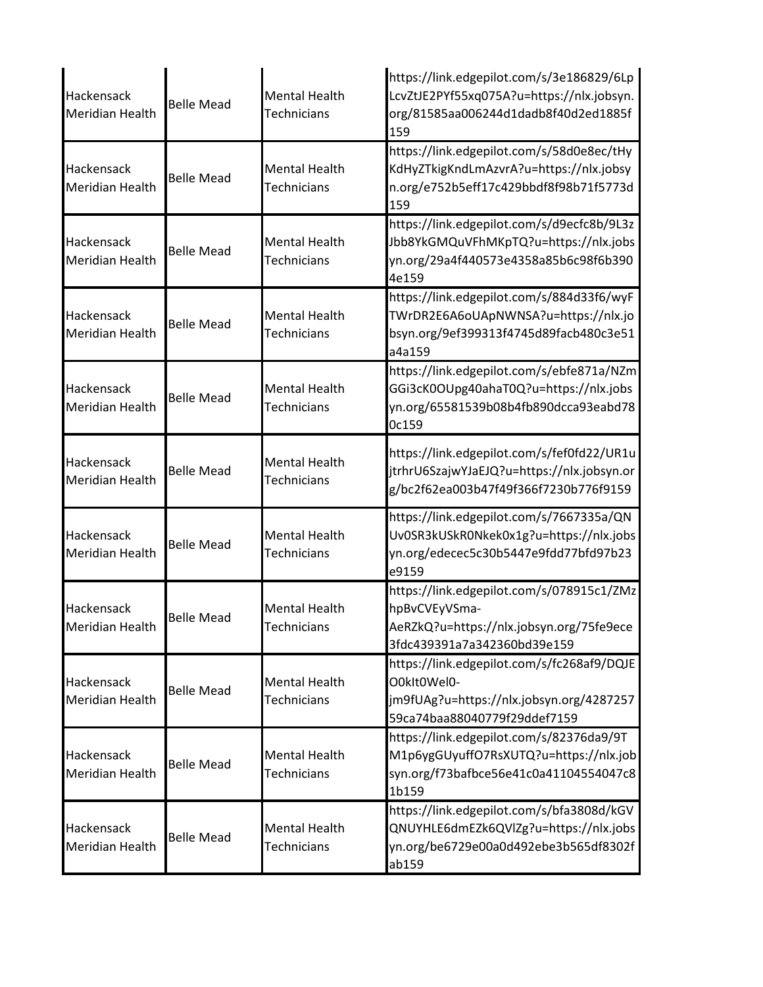| Hackensack<br>Meridian Health        | <b>Belle Mead</b> | <b>Mental Health</b><br><b>Technicians</b> | https://link.edgepilot.com/s/3e186829/6Lp<br>LcvZtJE2PYf55xq075A?u=https://nlx.jobsyn.<br>org/81585aa006244d1dadb8f40d2ed1885f<br>159 |
|--------------------------------------|-------------------|--------------------------------------------|---------------------------------------------------------------------------------------------------------------------------------------|
| Hackensack<br>Meridian Health        | <b>Belle Mead</b> | <b>Mental Health</b><br><b>Technicians</b> | https://link.edgepilot.com/s/58d0e8ec/tHy<br>KdHyZTkigKndLmAzvrA?u=https://nlx.jobsy<br>n.org/e752b5eff17c429bbdf8f98b71f5773d<br>159 |
| Hackensack<br>Meridian Health        | <b>Belle Mead</b> | <b>Mental Health</b><br><b>Technicians</b> | https://link.edgepilot.com/s/d9ecfc8b/9L3z<br>Jbb8YkGMQuVFhMKpTQ?u=https://nlx.jobs<br>yn.org/29a4f440573e4358a85b6c98f6b390<br>4e159 |
| Hackensack<br><b>Meridian Health</b> | <b>Belle Mead</b> | <b>Mental Health</b><br><b>Technicians</b> | https://link.edgepilot.com/s/884d33f6/wyF<br>TWrDR2E6A6oUApNWNSA?u=https://nlx.jo<br>bsyn.org/9ef399313f4745d89facb480c3e51<br>a4a159 |
| Hackensack<br><b>Meridian Health</b> | <b>Belle Mead</b> | <b>Mental Health</b><br><b>Technicians</b> | https://link.edgepilot.com/s/ebfe871a/NZm<br>GGi3cK0OUpg40ahaT0Q?u=https://nlx.jobs<br>yn.org/65581539b08b4fb890dcca93eabd78<br>0c159 |
| Hackensack<br>Meridian Health        | <b>Belle Mead</b> | <b>Mental Health</b><br><b>Technicians</b> | https://link.edgepilot.com/s/fef0fd22/UR1u<br>jtrhrU6SzajwYJaEJQ?u=https://nlx.jobsyn.or<br>g/bc2f62ea003b47f49f366f7230b776f9159     |
| Hackensack<br>Meridian Health        | <b>Belle Mead</b> | <b>Mental Health</b><br>Technicians        | https://link.edgepilot.com/s/7667335a/QN<br>Uv0SR3kUSkR0Nkek0x1g?u=https://nlx.jobs<br>yn.org/edecec5c30b5447e9fdd77bfd97b23<br>e9159 |
| Hackensack<br>Meridian Health        | Belle Mead        | <b>Mental Health</b><br>Technicians        | https://link.edgepilot.com/s/078915c1/ZMz<br>hpBvCVEyVSma-<br>AeRZkQ?u=https://nlx.jobsyn.org/75fe9ece<br>3fdc439391a7a342360bd39e159 |
| Hackensack<br>Meridian Health        | <b>Belle Mead</b> | <b>Mental Health</b><br>Technicians        | https://link.edgepilot.com/s/fc268af9/DQJE<br>O0kIt0Wel0-<br>jm9fUAg?u=https://nlx.jobsyn.org/4287257<br>59ca74baa88040779f29ddef7159 |
| Hackensack<br>Meridian Health        | <b>Belle Mead</b> | <b>Mental Health</b><br><b>Technicians</b> | https://link.edgepilot.com/s/82376da9/9T<br>M1p6ygGUyuffO7RsXUTQ?u=https://nlx.job<br>syn.org/f73bafbce56e41c0a41104554047c8<br>1b159 |
| Hackensack<br>Meridian Health        | <b>Belle Mead</b> | <b>Mental Health</b><br><b>Technicians</b> | https://link.edgepilot.com/s/bfa3808d/kGV<br>QNUYHLE6dmEZk6QVlZg?u=https://nlx.jobs<br>yn.org/be6729e00a0d492ebe3b565df8302f<br>ab159 |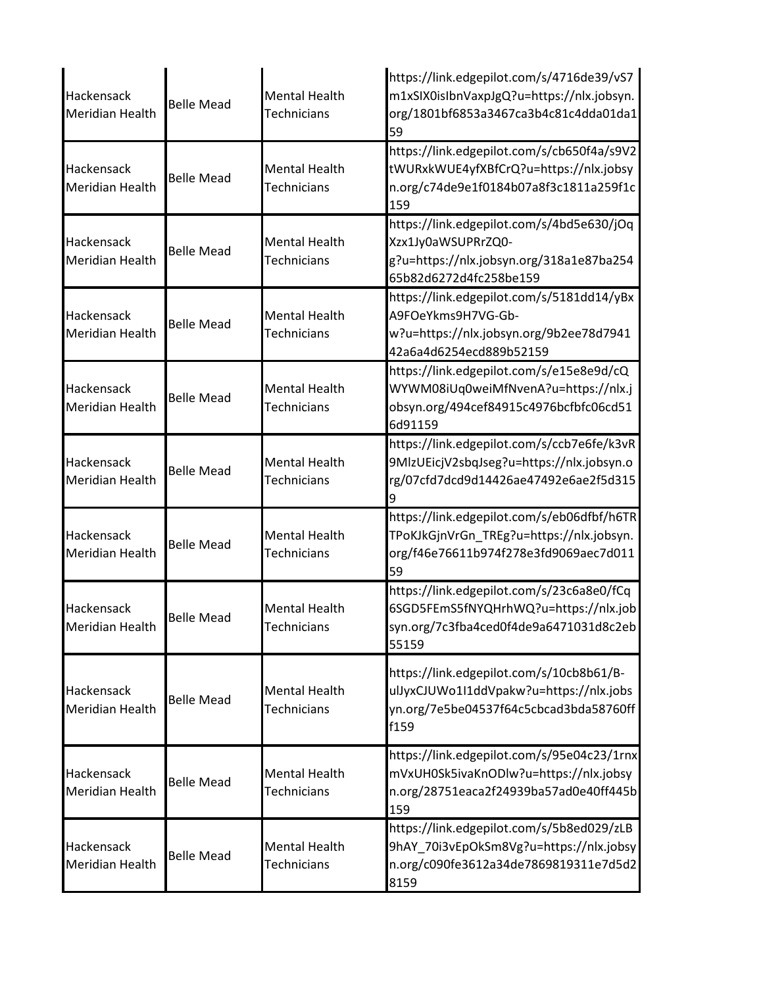| Hackensack<br><b>Meridian Health</b> | <b>Belle Mead</b> | <b>Mental Health</b><br><b>Technicians</b> | https://link.edgepilot.com/s/4716de39/vS7<br>m1xSIX0isIbnVaxpJgQ?u=https://nlx.jobsyn.<br>org/1801bf6853a3467ca3b4c81c4dda01da1<br>59 |
|--------------------------------------|-------------------|--------------------------------------------|---------------------------------------------------------------------------------------------------------------------------------------|
| Hackensack<br><b>Meridian Health</b> | <b>Belle Mead</b> | <b>Mental Health</b><br><b>Technicians</b> | https://link.edgepilot.com/s/cb650f4a/s9V2<br>tWURxkWUE4yfXBfCrQ?u=https://nlx.jobsy<br>n.org/c74de9e1f0184b07a8f3c1811a259f1c<br>159 |
| Hackensack<br><b>Meridian Health</b> | <b>Belle Mead</b> | <b>Mental Health</b><br>Technicians        | https://link.edgepilot.com/s/4bd5e630/jOq<br>Xzx1Jy0aWSUPRrZQ0-<br>g?u=https://nlx.jobsyn.org/318a1e87ba254<br>65b82d6272d4fc258be159 |
| Hackensack<br><b>Meridian Health</b> | <b>Belle Mead</b> | <b>Mental Health</b><br><b>Technicians</b> | https://link.edgepilot.com/s/5181dd14/yBx<br>A9FOeYkms9H7VG-Gb-<br>w?u=https://nlx.jobsyn.org/9b2ee78d7941<br>42a6a4d6254ecd889b52159 |
| Hackensack<br><b>Meridian Health</b> | <b>Belle Mead</b> | <b>Mental Health</b><br><b>Technicians</b> | https://link.edgepilot.com/s/e15e8e9d/cQ<br>WYWM08iUq0weiMfNvenA?u=https://nlx.j<br>obsyn.org/494cef84915c4976bcfbfc06cd51<br>6d91159 |
| Hackensack<br><b>Meridian Health</b> | <b>Belle Mead</b> | <b>Mental Health</b><br>Technicians        | https://link.edgepilot.com/s/ccb7e6fe/k3vR<br>9MlzUEicjV2sbqJseg?u=https://nlx.jobsyn.o<br>rg/07cfd7dcd9d14426ae47492e6ae2f5d315<br>9 |
| Hackensack<br><b>Meridian Health</b> | <b>Belle Mead</b> | <b>Mental Health</b><br>Technicians        | https://link.edgepilot.com/s/eb06dfbf/h6TR<br>TPoKJkGjnVrGn_TREg?u=https://nlx.jobsyn.<br>org/f46e76611b974f278e3fd9069aec7d011<br>59 |
| Hackensack<br><b>Meridian Health</b> | <b>Belle Mead</b> | <b>Mental Health</b><br>Technicians        | https://link.edgepilot.com/s/23c6a8e0/fCq<br>6SGD5FEmS5fNYQHrhWQ?u=https://nlx.job<br>syn.org/7c3fba4ced0f4de9a6471031d8c2eb<br>55159 |
| Hackensack<br><b>Meridian Health</b> | <b>Belle Mead</b> | <b>Mental Health</b><br><b>Technicians</b> | https://link.edgepilot.com/s/10cb8b61/B-<br>ulJyxCJUWo1I1ddVpakw?u=https://nlx.jobs<br>yn.org/7e5be04537f64c5cbcad3bda58760ff<br>f159 |
| Hackensack<br><b>Meridian Health</b> | <b>Belle Mead</b> | <b>Mental Health</b><br>Technicians        | https://link.edgepilot.com/s/95e04c23/1rnx<br>mVxUH0Sk5ivaKnODlw?u=https://nlx.jobsy<br>n.org/28751eaca2f24939ba57ad0e40ff445b<br>159 |
| Hackensack<br><b>Meridian Health</b> | <b>Belle Mead</b> | <b>Mental Health</b><br>Technicians        | https://link.edgepilot.com/s/5b8ed029/zLB<br>9hAY_70i3vEpOkSm8Vg?u=https://nlx.jobsy<br>n.org/c090fe3612a34de7869819311e7d5d2<br>8159 |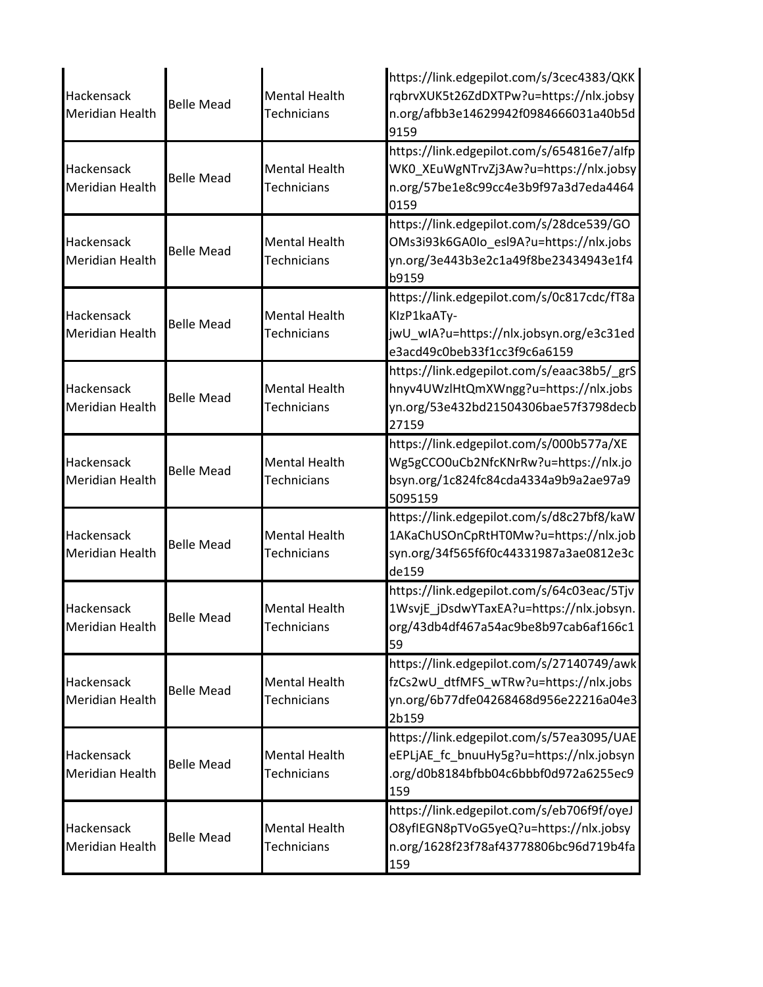| Hackensack<br>Meridian Health        | <b>Belle Mead</b> | <b>Mental Health</b><br><b>Technicians</b> | https://link.edgepilot.com/s/3cec4383/QKK<br>rqbrvXUK5t26ZdDXTPw?u=https://nlx.jobsy<br>n.org/afbb3e14629942f0984666031a40b5d<br>9159 |
|--------------------------------------|-------------------|--------------------------------------------|---------------------------------------------------------------------------------------------------------------------------------------|
| Hackensack<br><b>Meridian Health</b> | <b>Belle Mead</b> | <b>Mental Health</b><br><b>Technicians</b> | https://link.edgepilot.com/s/654816e7/alfp<br>WK0_XEuWgNTrvZj3Aw?u=https://nlx.jobsy<br>n.org/57be1e8c99cc4e3b9f97a3d7eda4464<br>0159 |
| Hackensack<br>Meridian Health        | <b>Belle Mead</b> | <b>Mental Health</b><br><b>Technicians</b> | https://link.edgepilot.com/s/28dce539/GO<br>OMs3i93k6GA0Io_esl9A?u=https://nlx.jobs<br>yn.org/3e443b3e2c1a49f8be23434943e1f4<br>b9159 |
| Hackensack<br>Meridian Health        | <b>Belle Mead</b> | <b>Mental Health</b><br><b>Technicians</b> | https://link.edgepilot.com/s/0c817cdc/fT8a<br>KIzP1kaATy-<br>jwU_wIA?u=https://nlx.jobsyn.org/e3c31ed<br>e3acd49c0beb33f1cc3f9c6a6159 |
| Hackensack<br>Meridian Health        | <b>Belle Mead</b> | <b>Mental Health</b><br><b>Technicians</b> | https://link.edgepilot.com/s/eaac38b5/_grS<br>hnyv4UWzlHtQmXWngg?u=https://nlx.jobs<br>yn.org/53e432bd21504306bae57f3798decb<br>27159 |
| Hackensack<br>Meridian Health        | <b>Belle Mead</b> | <b>Mental Health</b><br><b>Technicians</b> | https://link.edgepilot.com/s/000b577a/XE<br>Wg5gCCO0uCb2NfcKNrRw?u=https://nlx.jo<br>bsyn.org/1c824fc84cda4334a9b9a2ae97a9<br>5095159 |
| Hackensack<br>Meridian Health        | <b>Belle Mead</b> | <b>Mental Health</b><br>Technicians        | https://link.edgepilot.com/s/d8c27bf8/kaW<br>1AKaChUSOnCpRtHT0Mw?u=https://nlx.job<br>syn.org/34f565f6f0c44331987a3ae0812e3c<br>de159 |
| Hackensack<br>Meridian Health        | Belle Mead        | <b>Mental Health</b><br>Technicians        | https://link.edgepilot.com/s/64c03eac/5Tjv<br>1WsvjE_jDsdwYTaxEA?u=https://nlx.jobsyn.<br>org/43db4df467a54ac9be8b97cab6af166c1<br>59 |
| Hackensack<br>Meridian Health        | <b>Belle Mead</b> | <b>Mental Health</b><br>Technicians        | https://link.edgepilot.com/s/27140749/awk<br>fzCs2wU dtfMFS wTRw?u=https://nlx.jobs<br>yn.org/6b77dfe04268468d956e22216a04e3<br>2b159 |
| Hackensack<br>Meridian Health        | <b>Belle Mead</b> | <b>Mental Health</b><br><b>Technicians</b> | https://link.edgepilot.com/s/57ea3095/UAE<br>eEPLjAE fc bnuuHy5g?u=https://nlx.jobsyn<br>.org/d0b8184bfbb04c6bbbf0d972a6255ec9<br>159 |
| Hackensack<br>Meridian Health        | <b>Belle Mead</b> | <b>Mental Health</b><br>Technicians        | https://link.edgepilot.com/s/eb706f9f/oyeJ<br>O8yfIEGN8pTVoG5yeQ?u=https://nlx.jobsy<br>n.org/1628f23f78af43778806bc96d719b4fa<br>159 |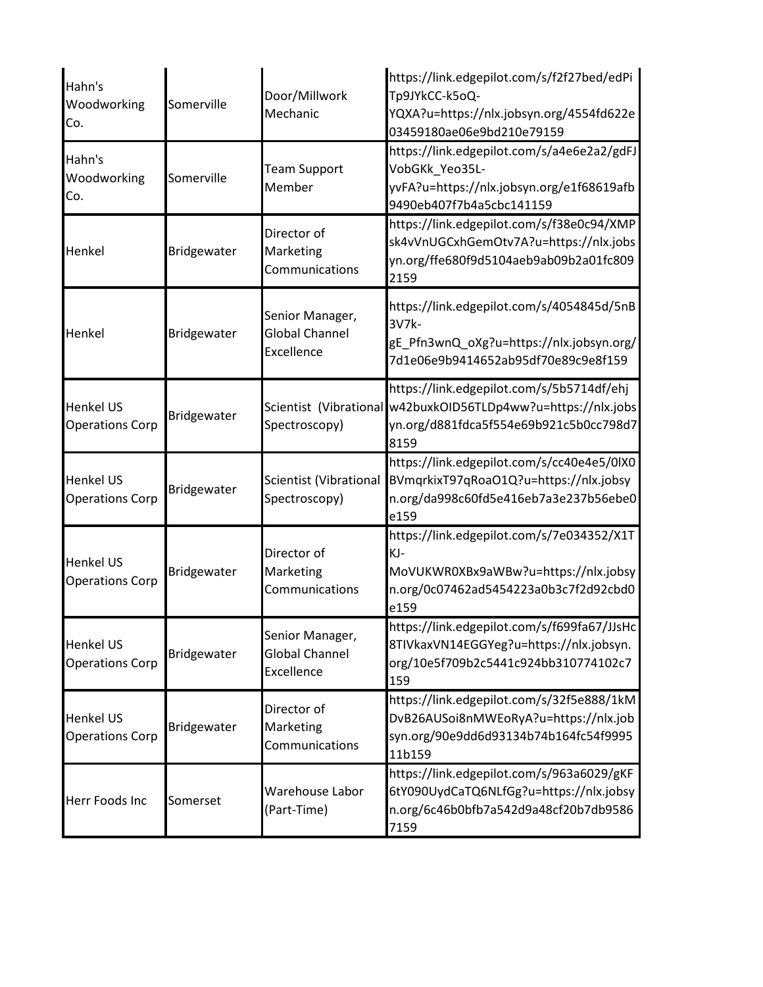| Hahn's<br>Woodworking<br>Co.               | Somerville         | Door/Millwork<br>Mechanic                              | https://link.edgepilot.com/s/f2f27bed/edPi<br>Tp9JYkCC-k5oQ-<br>YQXA?u=https://nlx.jobsyn.org/4554fd622e<br>03459180ae06e9bd210e79159                        |
|--------------------------------------------|--------------------|--------------------------------------------------------|--------------------------------------------------------------------------------------------------------------------------------------------------------------|
| Hahn's<br>Woodworking<br>Co.               | Somerville         | <b>Team Support</b><br>Member                          | https://link.edgepilot.com/s/a4e6e2a2/gdFJ<br>VobGKk Yeo35L-<br>yvFA?u=https://nlx.jobsyn.org/e1f68619afb<br>9490eb407f7b4a5cbc141159                        |
| Henkel                                     | Bridgewater        | Director of<br>Marketing<br>Communications             | https://link.edgepilot.com/s/f38e0c94/XMP<br>sk4vVnUGCxhGemOtv7A?u=https://nlx.jobs<br>yn.org/ffe680f9d5104aeb9ab09b2a01fc809<br>2159                        |
| Henkel                                     | Bridgewater        | Senior Manager,<br>Global Channel<br><b>Excellence</b> | https://link.edgepilot.com/s/4054845d/5nB<br>3V7k-<br>gE_Pfn3wnQ_oXg?u=https://nlx.jobsyn.org/<br>7d1e06e9b9414652ab95df70e89c9e8f159                        |
| <b>Henkel US</b><br><b>Operations Corp</b> | <b>Bridgewater</b> | Spectroscopy)                                          | https://link.edgepilot.com/s/5b5714df/ehj<br>Scientist (Vibrational w42buxkOID56TLDp4ww?u=https://nlx.jobs<br>yn.org/d881fdca5f554e69b921c5b0cc798d7<br>8159 |
| <b>Henkel US</b><br><b>Operations Corp</b> | Bridgewater        | Scientist (Vibrational<br>Spectroscopy)                | https://link.edgepilot.com/s/cc40e4e5/0lX0<br>BVmqrkixT97qRoaO1Q?u=https://nlx.jobsy<br>n.org/da998c60fd5e416eb7a3e237b56ebe0<br>e159                        |
| <b>Henkel US</b><br><b>Operations Corp</b> | Bridgewater        | Director of<br>Marketing<br>Communications             | https://link.edgepilot.com/s/7e034352/X1T<br>KJ-<br>MoVUKWR0XBx9aWBw?u=https://nlx.jobsy<br>n.org/0c07462ad5454223a0b3c7f2d92cbd0<br>e159                    |
| <b>Henkel US</b><br><b>Operations Corp</b> | Bridgewater        | Senior Manager,<br>Global Channel<br><b>Excellence</b> | https://link.edgepilot.com/s/f699fa67/JJsHc<br>8TIVkaxVN14EGGYeg?u=https://nlx.jobsyn.<br>org/10e5f709b2c5441c924bb310774102c7<br>159                        |
| <b>Henkel US</b><br><b>Operations Corp</b> | Bridgewater        | Director of<br>Marketing<br>Communications             | https://link.edgepilot.com/s/32f5e888/1kM<br>DvB26AUSoi8nMWEoRyA?u=https://nlx.job<br>syn.org/90e9dd6d93134b74b164fc54f9995<br>11b159                        |
| Herr Foods Inc                             | Somerset           | Warehouse Labor<br>(Part-Time)                         | https://link.edgepilot.com/s/963a6029/gKF<br>6tY090UydCaTQ6NLfGg?u=https://nlx.jobsy<br>n.org/6c46b0bfb7a542d9a48cf20b7db9586<br>7159                        |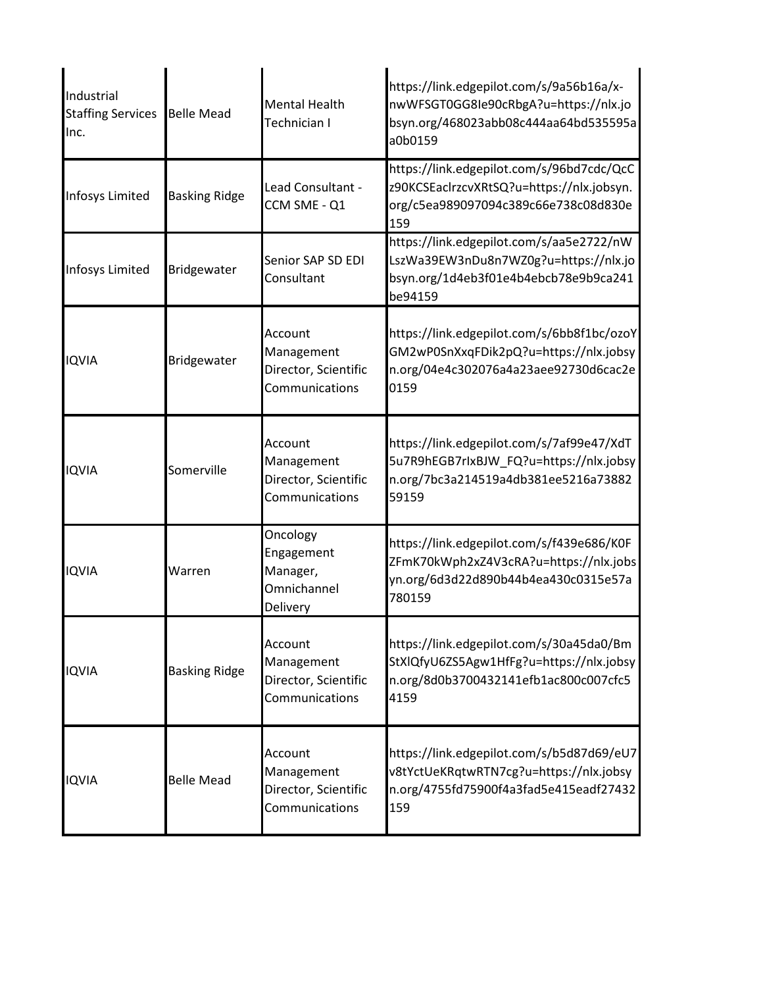| Industrial<br><b>Staffing Services</b><br>Inc. | <b>Belle Mead</b>    | <b>Mental Health</b><br>Technician I                            | https://link.edgepilot.com/s/9a56b16a/x-<br>nwWFSGT0GG8Ie90cRbgA?u=https://nlx.jo<br>bsyn.org/468023abb08c444aa64bd535595a<br>a0b0159 |
|------------------------------------------------|----------------------|-----------------------------------------------------------------|---------------------------------------------------------------------------------------------------------------------------------------|
| Infosys Limited                                | <b>Basking Ridge</b> | Lead Consultant -<br>CCM SME - Q1                               | https://link.edgepilot.com/s/96bd7cdc/QcC<br>z90KCSEaclrzcvXRtSQ?u=https://nlx.jobsyn.<br>org/c5ea989097094c389c66e738c08d830e<br>159 |
| Infosys Limited                                | Bridgewater          | Senior SAP SD EDI<br>Consultant                                 | https://link.edgepilot.com/s/aa5e2722/nW<br>LszWa39EW3nDu8n7WZ0g?u=https://nlx.jo<br>bsyn.org/1d4eb3f01e4b4ebcb78e9b9ca241<br>be94159 |
| <b>IQVIA</b>                                   | Bridgewater          | Account<br>Management<br>Director, Scientific<br>Communications | https://link.edgepilot.com/s/6bb8f1bc/ozoY<br>GM2wP0SnXxqFDik2pQ?u=https://nlx.jobsy<br>n.org/04e4c302076a4a23aee92730d6cac2e<br>0159 |
| <b>IQVIA</b>                                   | Somerville           | Account<br>Management<br>Director, Scientific<br>Communications | https://link.edgepilot.com/s/7af99e47/XdT<br>5u7R9hEGB7rlxBJW_FQ?u=https://nlx.jobsy<br>n.org/7bc3a214519a4db381ee5216a73882<br>59159 |
| <b>IQVIA</b>                                   | Warren               | Oncology<br>Engagement<br>Manager,<br>Omnichannel<br>Delivery   | https://link.edgepilot.com/s/f439e686/K0F<br>ZFmK70kWph2xZ4V3cRA?u=https://nlx.jobs<br>yn.org/6d3d22d890b44b4ea430c0315e57a<br>780159 |
| <b>IQVIA</b>                                   | <b>Basking Ridge</b> | Account<br>Management<br>Director, Scientific<br>Communications | https://link.edgepilot.com/s/30a45da0/Bm<br>StXlQfyU6ZS5Agw1HfFg?u=https://nlx.jobsy<br>n.org/8d0b3700432141efb1ac800c007cfc5<br>4159 |
| <b>IQVIA</b>                                   | <b>Belle Mead</b>    | Account<br>Management<br>Director, Scientific<br>Communications | https://link.edgepilot.com/s/b5d87d69/eU7<br>v8tYctUeKRqtwRTN7cg?u=https://nlx.jobsy<br>n.org/4755fd75900f4a3fad5e415eadf27432<br>159 |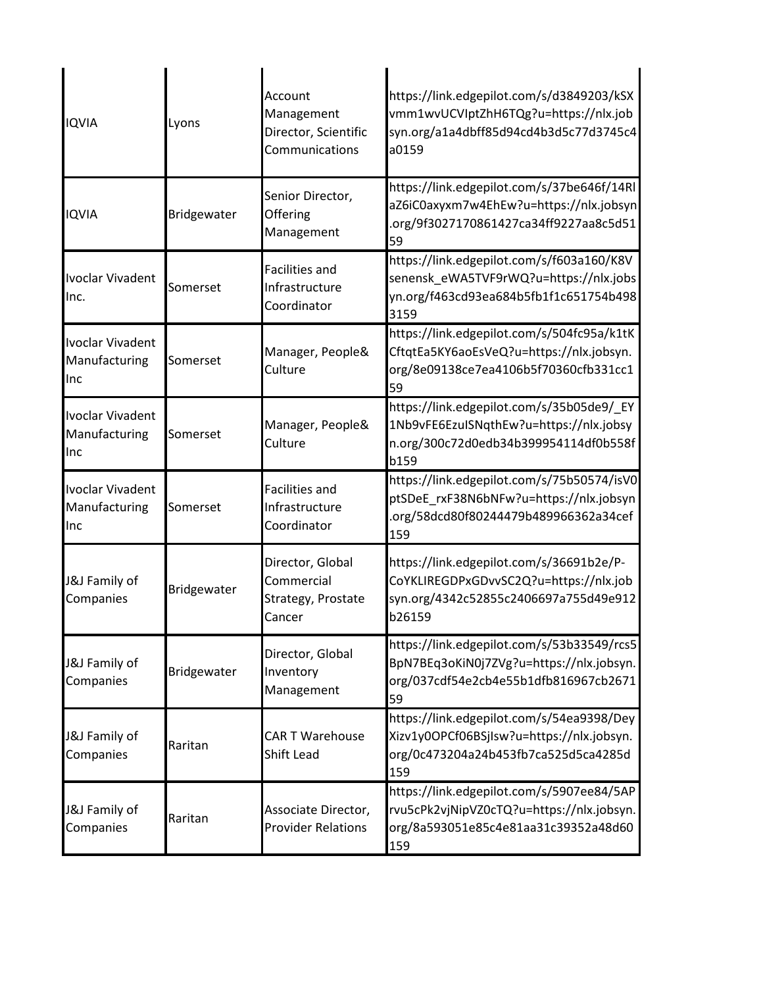| <b>IQVIA</b>                             | Lyons       | Account<br>Management<br>Director, Scientific<br>Communications | https://link.edgepilot.com/s/d3849203/kSX<br>vmm1wvUCVIptZhH6TQg?u=https://nlx.job<br>syn.org/a1a4dbff85d94cd4b3d5c77d3745c4<br>a0159 |
|------------------------------------------|-------------|-----------------------------------------------------------------|---------------------------------------------------------------------------------------------------------------------------------------|
| <b>IQVIA</b>                             | Bridgewater | Senior Director,<br>Offering<br>Management                      | https://link.edgepilot.com/s/37be646f/14Rl<br>aZ6iC0axyxm7w4EhEw?u=https://nlx.jobsyn<br>.org/9f3027170861427ca34ff9227aa8c5d51<br>59 |
| Ivoclar Vivadent<br>Inc.                 | Somerset    | <b>Facilities and</b><br>Infrastructure<br>Coordinator          | https://link.edgepilot.com/s/f603a160/K8V<br>senensk_eWA5TVF9rWQ?u=https://nlx.jobs<br>yn.org/f463cd93ea684b5fb1f1c651754b498<br>3159 |
| Ivoclar Vivadent<br>Manufacturing<br>Inc | Somerset    | Manager, People&<br>Culture                                     | https://link.edgepilot.com/s/504fc95a/k1tK<br>CftqtEa5KY6aoEsVeQ?u=https://nlx.jobsyn.<br>org/8e09138ce7ea4106b5f70360cfb331cc1<br>59 |
| Ivoclar Vivadent<br>Manufacturing<br>Inc | Somerset    | Manager, People&<br>Culture                                     | https://link.edgepilot.com/s/35b05de9/ EY<br>1Nb9vFE6EzulSNqthEw?u=https://nlx.jobsy<br>n.org/300c72d0edb34b399954114df0b558f<br>b159 |
| Ivoclar Vivadent<br>Manufacturing<br>Inc | Somerset    | <b>Facilities and</b><br>Infrastructure<br>Coordinator          | https://link.edgepilot.com/s/75b50574/isV0<br>ptSDeE_rxF38N6bNFw?u=https://nlx.jobsyn<br>.org/58dcd80f80244479b489966362a34cef<br>159 |
| J&J Family of<br>Companies               | Bridgewater | Director, Global<br>Commercial<br>Strategy, Prostate<br>Cancer  | https://link.edgepilot.com/s/36691b2e/P-<br>CoYKLIREGDPxGDvvSC2Q?u=https://nlx.job<br>syn.org/4342c52855c2406697a755d49e912<br>b26159 |
| J&J Family of<br>Companies               | Bridgewater | Director, Global<br>Inventory<br>Management                     | https://link.edgepilot.com/s/53b33549/rcs5<br>BpN7BEq3oKiN0j7ZVg?u=https://nlx.jobsyn.<br>org/037cdf54e2cb4e55b1dfb816967cb2671<br>59 |
| J&J Family of<br>Companies               | Raritan     | <b>CAR T Warehouse</b><br>Shift Lead                            | https://link.edgepilot.com/s/54ea9398/Dey<br>Xizv1y0OPCf06BSjIsw?u=https://nlx.jobsyn.<br>org/0c473204a24b453fb7ca525d5ca4285d<br>159 |
| J&J Family of<br>Companies               | Raritan     | Associate Director,<br><b>Provider Relations</b>                | https://link.edgepilot.com/s/5907ee84/5AP<br>rvu5cPk2vjNipVZ0cTQ?u=https://nlx.jobsyn.<br>org/8a593051e85c4e81aa31c39352a48d60<br>159 |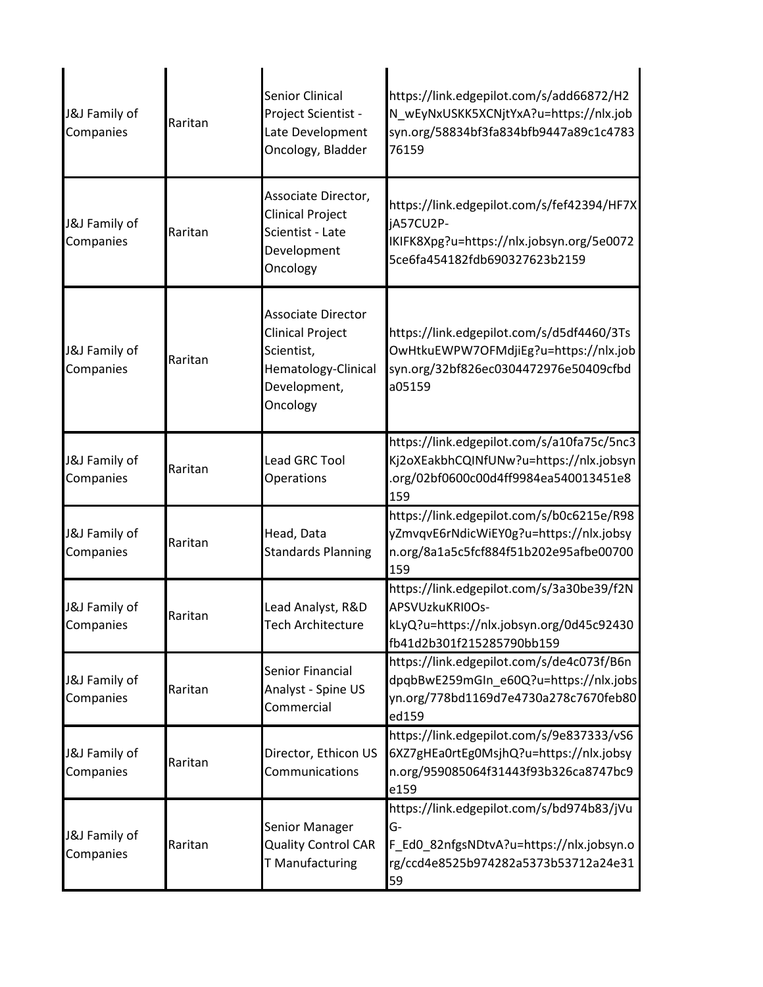| J&J Family of<br>Companies | Raritan | <b>Senior Clinical</b><br>Project Scientist -<br>Late Development<br>Oncology, Bladder                         | https://link.edgepilot.com/s/add66872/H2<br>N_wEyNxUSKK5XCNjtYxA?u=https://nlx.job<br>syn.org/58834bf3fa834bfb9447a89c1c4783<br>76159     |
|----------------------------|---------|----------------------------------------------------------------------------------------------------------------|-------------------------------------------------------------------------------------------------------------------------------------------|
| J&J Family of<br>Companies | Raritan | Associate Director,<br>Clinical Project<br>Scientist - Late<br>Development<br>Oncology                         | https://link.edgepilot.com/s/fef42394/HF7X<br>jA57CU2P-<br>IKIFK8Xpg?u=https://nlx.jobsyn.org/5e0072<br>5ce6fa454182fdb690327623b2159     |
| J&J Family of<br>Companies | Raritan | <b>Associate Director</b><br>Clinical Project<br>Scientist,<br>Hematology-Clinical<br>Development,<br>Oncology | https://link.edgepilot.com/s/d5df4460/3Ts<br>OwHtkuEWPW7OFMdjiEg?u=https://nlx.job<br>syn.org/32bf826ec0304472976e50409cfbd<br>a05159     |
| J&J Family of<br>Companies | Raritan | <b>Lead GRC Tool</b><br>Operations                                                                             | https://link.edgepilot.com/s/a10fa75c/5nc3<br>Kj2oXEakbhCQINfUNw?u=https://nlx.jobsyn<br>.org/02bf0600c00d4ff9984ea540013451e8<br>159     |
| J&J Family of<br>Companies | Raritan | Head, Data<br><b>Standards Planning</b>                                                                        | https://link.edgepilot.com/s/b0c6215e/R98<br>yZmvqvE6rNdicWiEY0g?u=https://nlx.jobsy<br>n.org/8a1a5c5fcf884f51b202e95afbe00700<br>159     |
| J&J Family of<br>Companies | Raritan | Lead Analyst, R&D<br>Tech Architecture                                                                         | https://link.edgepilot.com/s/3a30be39/f2N<br>APSVUzkuKRI0Os-<br>kLyQ?u=https://nlx.jobsyn.org/0d45c92430<br>fb41d2b301f215285790bb159     |
| J&J Family of<br>Companies | Raritan | Senior Financial<br>Analyst - Spine US<br>Commercial                                                           | https://link.edgepilot.com/s/de4c073f/B6n<br>dpqbBwE259mGIn_e60Q?u=https://nlx.jobs<br>yn.org/778bd1169d7e4730a278c7670feb80<br>ed159     |
| J&J Family of<br>Companies | Raritan | Director, Ethicon US<br>Communications                                                                         | https://link.edgepilot.com/s/9e837333/vS6<br>6XZ7gHEa0rtEg0MsjhQ?u=https://nlx.jobsy<br>n.org/959085064f31443f93b326ca8747bc9<br>e159     |
| J&J Family of<br>Companies | Raritan | Senior Manager<br><b>Quality Control CAR</b><br>T Manufacturing                                                | https://link.edgepilot.com/s/bd974b83/jVu<br>G-<br>F_Ed0_82nfgsNDtvA?u=https://nlx.jobsyn.o<br>rg/ccd4e8525b974282a5373b53712a24e31<br>59 |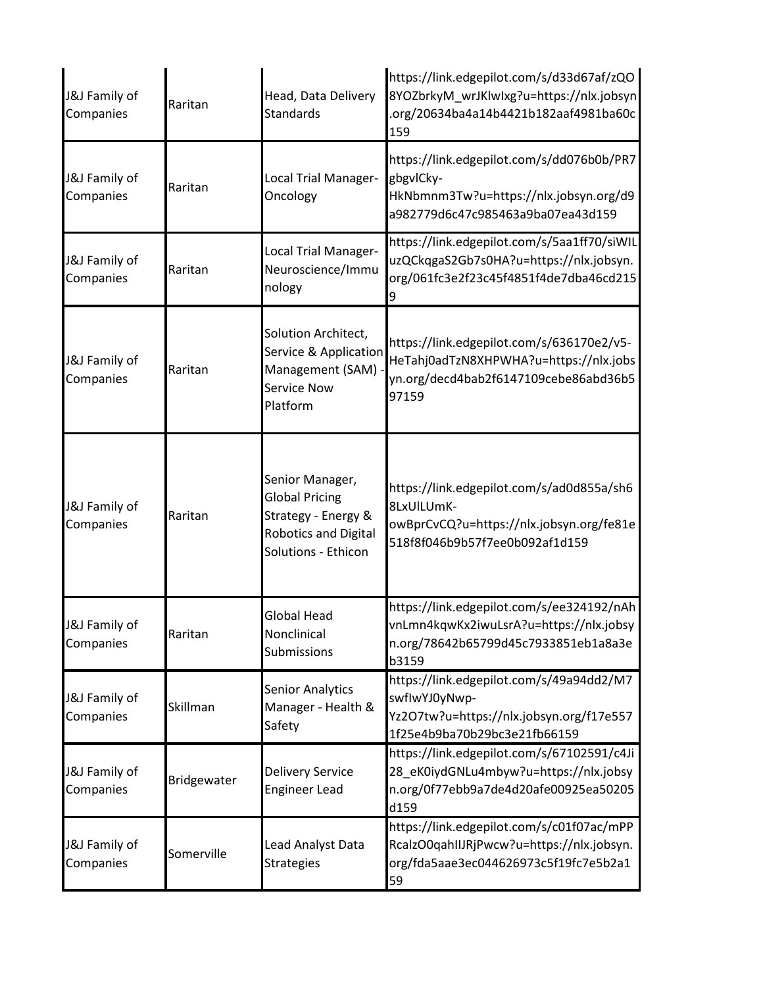| J&J Family of<br>Companies | Raritan     | Head, Data Delivery<br><b>Standards</b>                                                                               | https://link.edgepilot.com/s/d33d67af/zQO<br>8YOZbrkyM wrJKlwlxg?u=https://nlx.jobsyn<br>.org/20634ba4a14b4421b182aaf4981ba60c<br>159 |
|----------------------------|-------------|-----------------------------------------------------------------------------------------------------------------------|---------------------------------------------------------------------------------------------------------------------------------------|
| J&J Family of<br>Companies | Raritan     | Local Trial Manager-<br>Oncology                                                                                      | https://link.edgepilot.com/s/dd076b0b/PR7<br>gbgvlCky-<br>HkNbmnm3Tw?u=https://nlx.jobsyn.org/d9<br>a982779d6c47c985463a9ba07ea43d159 |
| J&J Family of<br>Companies | Raritan     | Local Trial Manager-<br>Neuroscience/Immu<br>nology                                                                   | https://link.edgepilot.com/s/5aa1ff70/siWIL<br>uzQCkqgaS2Gb7s0HA?u=https://nlx.jobsyn.<br>org/061fc3e2f23c45f4851f4de7dba46cd215<br>9 |
| J&J Family of<br>Companies | Raritan     | Solution Architect,<br>Service & Application<br>Management (SAM)<br><b>Service Now</b><br>Platform                    | https://link.edgepilot.com/s/636170e2/v5-<br>HeTahj0adTzN8XHPWHA?u=https://nlx.jobs<br>yn.org/decd4bab2f6147109cebe86abd36b5<br>97159 |
| J&J Family of<br>Companies | Raritan     | Senior Manager,<br><b>Global Pricing</b><br>Strategy - Energy &<br><b>Robotics and Digital</b><br>Solutions - Ethicon | https://link.edgepilot.com/s/ad0d855a/sh6<br>8LxUILUmK-<br>owBprCvCQ?u=https://nlx.jobsyn.org/fe81e<br>518f8f046b9b57f7ee0b092af1d159 |
| J&J Family of<br>Companies | Raritan     | <b>Global Head</b><br>Nonclinical<br>Submissions                                                                      | https://link.edgepilot.com/s/ee324192/nAh<br>vnLmn4kqwKx2iwuLsrA?u=https://nlx.jobsy<br>n.org/78642b65799d45c7933851eb1a8a3e<br>b3159 |
| J&J Family of<br>Companies | Skillman    | <b>Senior Analytics</b><br>Manager - Health &<br>Safety                                                               | https://link.edgepilot.com/s/49a94dd2/M7<br>swflwYJ0yNwp-<br>Yz2O7tw?u=https://nlx.jobsyn.org/f17e557<br>1f25e4b9ba70b29bc3e21fb66159 |
| J&J Family of<br>Companies | Bridgewater | <b>Delivery Service</b><br><b>Engineer Lead</b>                                                                       | https://link.edgepilot.com/s/67102591/c4Ji<br>28_eK0iydGNLu4mbyw?u=https://nlx.jobsy<br>n.org/0f77ebb9a7de4d20afe00925ea50205<br>d159 |
| J&J Family of<br>Companies | Somerville  | Lead Analyst Data<br><b>Strategies</b>                                                                                | https://link.edgepilot.com/s/c01f07ac/mPP<br>RcalzO0qahIIJRjPwcw?u=https://nlx.jobsyn.<br>org/fda5aae3ec044626973c5f19fc7e5b2a1<br>59 |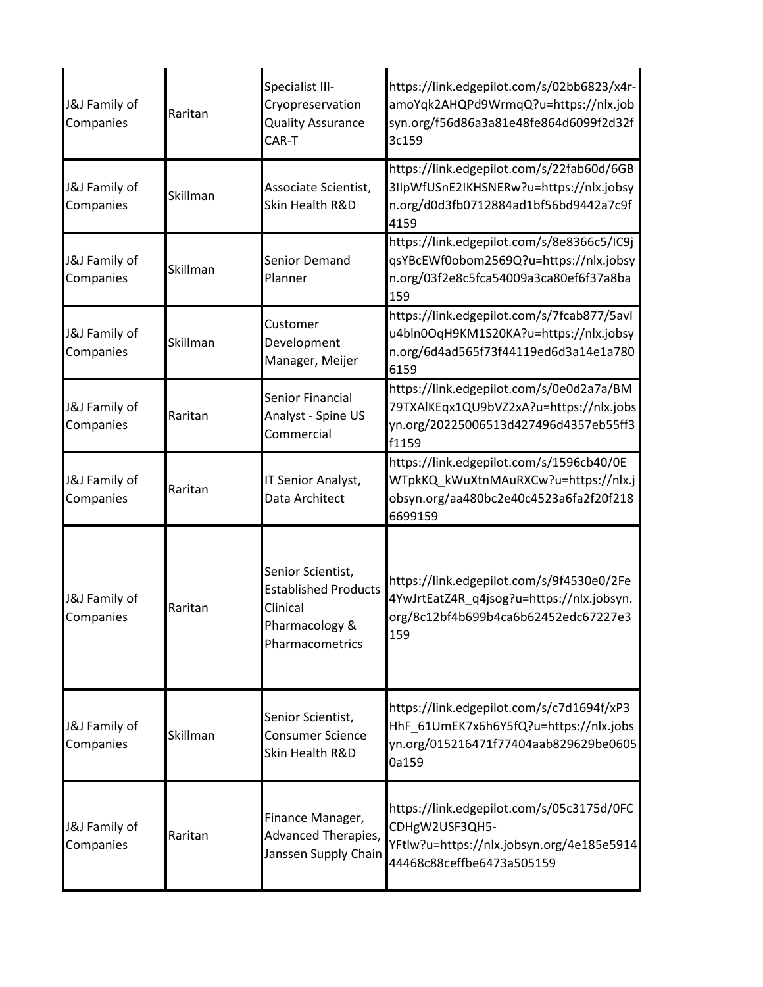| J&J Family of<br>Companies | Raritan  | Specialist III-<br>Cryopreservation<br><b>Quality Assurance</b><br>CAR-T                          | https://link.edgepilot.com/s/02bb6823/x4r-<br>amoYqk2AHQPd9WrmqQ?u=https://nlx.job<br>syn.org/f56d86a3a81e48fe864d6099f2d32f<br>3c159 |
|----------------------------|----------|---------------------------------------------------------------------------------------------------|---------------------------------------------------------------------------------------------------------------------------------------|
| J&J Family of<br>Companies | Skillman | Associate Scientist,<br>Skin Health R&D                                                           | https://link.edgepilot.com/s/22fab60d/6GB<br>3IIpWfUSnE2IKHSNERw?u=https://nlx.jobsy<br>n.org/d0d3fb0712884ad1bf56bd9442a7c9f<br>4159 |
| J&J Family of<br>Companies | Skillman | Senior Demand<br>Planner                                                                          | https://link.edgepilot.com/s/8e8366c5/IC9j<br>qsYBcEWf0obom2569Q?u=https://nlx.jobsy<br>n.org/03f2e8c5fca54009a3ca80ef6f37a8ba<br>159 |
| J&J Family of<br>Companies | Skillman | Customer<br>Development<br>Manager, Meijer                                                        | https://link.edgepilot.com/s/7fcab877/5avl<br>u4bln0OqH9KM1S20KA?u=https://nlx.jobsy<br>n.org/6d4ad565f73f44119ed6d3a14e1a780<br>6159 |
| J&J Family of<br>Companies | Raritan  | Senior Financial<br>Analyst - Spine US<br>Commercial                                              | https://link.edgepilot.com/s/0e0d2a7a/BM<br>79TXAlKEqx1QU9bVZ2xA?u=https://nlx.jobs<br>yn.org/20225006513d427496d4357eb55ff3<br>f1159 |
| J&J Family of<br>Companies | Raritan  | IT Senior Analyst,<br>Data Architect                                                              | https://link.edgepilot.com/s/1596cb40/0E<br>WTpkKQ_kWuXtnMAuRXCw?u=https://nlx.j<br>obsyn.org/aa480bc2e40c4523a6fa2f20f218<br>6699159 |
| J&J Family of<br>Companies | Raritan  | Senior Scientist,<br><b>Established Products</b><br>Clinical<br>Pharmacology &<br>Pharmacometrics | https://link.edgepilot.com/s/9f4530e0/2Fe<br>4YwJrtEatZ4R_q4jsog?u=https://nlx.jobsyn.<br>org/8c12bf4b699b4ca6b62452edc67227e3<br>159 |
| J&J Family of<br>Companies | Skillman | Senior Scientist,<br><b>Consumer Science</b><br>Skin Health R&D                                   | https://link.edgepilot.com/s/c7d1694f/xP3<br>HhF_61UmEK7x6h6Y5fQ?u=https://nlx.jobs<br>yn.org/015216471f77404aab829629be0605<br>0a159 |
| J&J Family of<br>Companies | Raritan  | Finance Manager,<br>Advanced Therapies,<br>Janssen Supply Chain                                   | https://link.edgepilot.com/s/05c3175d/0FC<br>CDHgW2USF3QH5-<br>YFtlw?u=https://nlx.jobsyn.org/4e185e5914<br>44468c88ceffbe6473a505159 |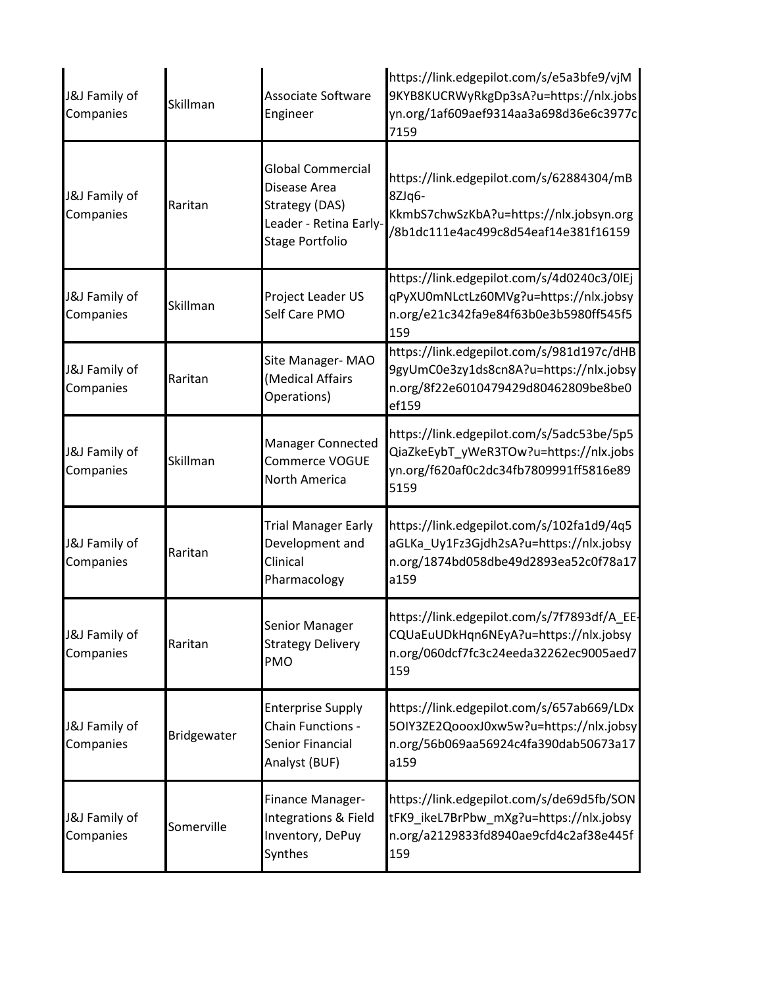| J&J Family of<br>Companies | Skillman    | <b>Associate Software</b><br>Engineer                                                                          | https://link.edgepilot.com/s/e5a3bfe9/vjM<br>9KYB8KUCRWyRkgDp3sA?u=https://nlx.jobs<br>yn.org/1af609aef9314aa3a698d36e6c3977c<br>7159 |
|----------------------------|-------------|----------------------------------------------------------------------------------------------------------------|---------------------------------------------------------------------------------------------------------------------------------------|
| J&J Family of<br>Companies | Raritan     | <b>Global Commercial</b><br>Disease Area<br>Strategy (DAS)<br>Leader - Retina Early-<br><b>Stage Portfolio</b> | https://link.edgepilot.com/s/62884304/mB<br>-8ZJq6<br>KkmbS7chwSzKbA?u=https://nlx.jobsyn.org<br>/8b1dc111e4ac499c8d54eaf14e381f16159 |
| J&J Family of<br>Companies | Skillman    | Project Leader US<br>Self Care PMO                                                                             | https://link.edgepilot.com/s/4d0240c3/0lEj<br>qPyXU0mNLctLz60MVg?u=https://nlx.jobsy<br>n.org/e21c342fa9e84f63b0e3b5980ff545f5<br>159 |
| J&J Family of<br>Companies | Raritan     | Site Manager-MAO<br>(Medical Affairs<br>Operations)                                                            | https://link.edgepilot.com/s/981d197c/dHB<br>9gyUmC0e3zy1ds8cn8A?u=https://nlx.jobsy<br>n.org/8f22e6010479429d80462809be8be0<br>ef159 |
| J&J Family of<br>Companies | Skillman    | <b>Manager Connected</b><br><b>Commerce VOGUE</b><br><b>North America</b>                                      | https://link.edgepilot.com/s/5adc53be/5p5<br>QiaZkeEybT_yWeR3TOw?u=https://nlx.jobs<br>yn.org/f620af0c2dc34fb7809991ff5816e89<br>5159 |
| J&J Family of<br>Companies | Raritan     | <b>Trial Manager Early</b><br>Development and<br>Clinical<br>Pharmacology                                      | https://link.edgepilot.com/s/102fa1d9/4q5<br>aGLKa_Uy1Fz3Gjdh2sA?u=https://nlx.jobsy<br>n.org/1874bd058dbe49d2893ea52c0f78a17<br>a159 |
| J&J Family of<br>Companies | Raritan     | Senior Manager<br><b>Strategy Delivery</b><br><b>PMO</b>                                                       | https://link.edgepilot.com/s/7f7893df/A_EE-<br>CQUaEuUDkHqn6NEyA?u=https://nlx.jobsy<br>n.org/060dcf7fc3c24eeda32262ec9005aed7<br>159 |
| J&J Family of<br>Companies | Bridgewater | <b>Enterprise Supply</b><br>Chain Functions -<br>Senior Financial<br>Analyst (BUF)                             | https://link.edgepilot.com/s/657ab669/LDx<br>5OIY3ZE2QoooxJ0xw5w?u=https://nlx.jobsy<br>n.org/56b069aa56924c4fa390dab50673a17<br>a159 |
| J&J Family of<br>Companies | Somerville  | Finance Manager-<br>Integrations & Field<br>Inventory, DePuy<br>Synthes                                        | https://link.edgepilot.com/s/de69d5fb/SON<br>tFK9_ikeL7BrPbw_mXg?u=https://nlx.jobsy<br>n.org/a2129833fd8940ae9cfd4c2af38e445f<br>159 |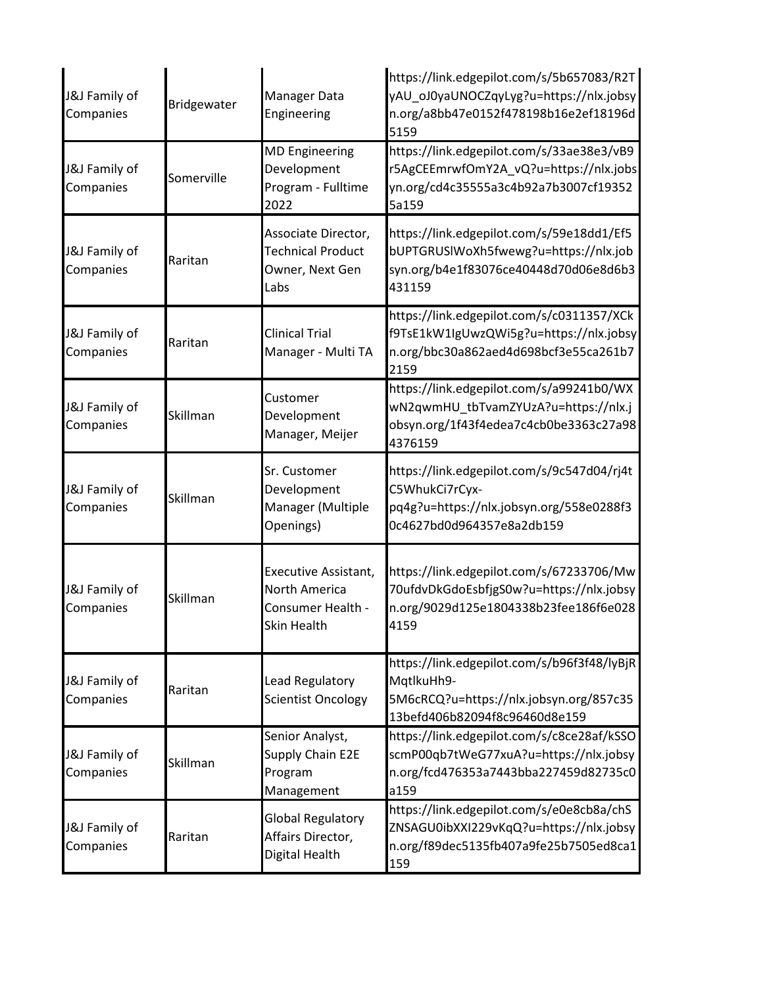| J&J Family of<br>Companies | Bridgewater | Manager Data<br>Engineering                                                      | https://link.edgepilot.com/s/5b657083/R2T<br>yAU_oJ0yaUNOCZqyLyg?u=https://nlx.jobsy<br>n.org/a8bb47e0152f478198b16e2ef18196d<br>5159 |
|----------------------------|-------------|----------------------------------------------------------------------------------|---------------------------------------------------------------------------------------------------------------------------------------|
| J&J Family of<br>Companies | Somerville  | <b>MD Engineering</b><br>Development<br>Program - Fulltime<br>2022               | https://link.edgepilot.com/s/33ae38e3/vB9<br>r5AgCEEmrwfOmY2A_vQ?u=https://nlx.jobs<br>yn.org/cd4c35555a3c4b92a7b3007cf19352<br>5a159 |
| J&J Family of<br>Companies | Raritan     | Associate Director,<br><b>Technical Product</b><br>Owner, Next Gen<br>Labs       | https://link.edgepilot.com/s/59e18dd1/Ef5<br>bUPTGRUSIWoXh5fwewg?u=https://nlx.job<br>syn.org/b4e1f83076ce40448d70d06e8d6b3<br>431159 |
| J&J Family of<br>Companies | Raritan     | <b>Clinical Trial</b><br>Manager - Multi TA                                      | https://link.edgepilot.com/s/c0311357/XCk<br>f9TsE1kW1IgUwzQWi5g?u=https://nlx.jobsy<br>n.org/bbc30a862aed4d698bcf3e55ca261b7<br>2159 |
| J&J Family of<br>Companies | Skillman    | Customer<br>Development<br>Manager, Meijer                                       | https://link.edgepilot.com/s/a99241b0/WX<br>wN2qwmHU_tbTvamZYUzA?u=https://nlx.j<br>obsyn.org/1f43f4edea7c4cb0be3363c27a98<br>4376159 |
| J&J Family of<br>Companies | Skillman    | Sr. Customer<br>Development<br>Manager (Multiple<br>Openings)                    | https://link.edgepilot.com/s/9c547d04/rj4t<br>C5WhukCi7rCyx-<br>pq4g?u=https://nlx.jobsyn.org/558e0288f3<br>0c4627bd0d964357e8a2db159 |
| J&J Family of<br>Companies | Skillman    | Executive Assistant,<br><b>North America</b><br>Consumer Health -<br>Skin Health | https://link.edgepilot.com/s/67233706/Mw<br>70ufdvDkGdoEsbfjgS0w?u=https://nlx.jobsy<br>n.org/9029d125e1804338b23fee186f6e028<br>4159 |
| J&J Family of<br>Companies | Raritan     | Lead Regulatory<br><b>Scientist Oncology</b>                                     | https://link.edgepilot.com/s/b96f3f48/lyBjR<br>MqtlkuHh9-<br>5M6cRCQ?u=https://nlx.jobsyn.org/857c35<br>13befd406b82094f8c96460d8e159 |
| J&J Family of<br>Companies | Skillman    | Senior Analyst,<br>Supply Chain E2E<br>Program<br>Management                     | https://link.edgepilot.com/s/c8ce28af/kSSO<br>scmP00qb7tWeG77xuA?u=https://nlx.jobsy<br>n.org/fcd476353a7443bba227459d82735c0<br>a159 |
| J&J Family of<br>Companies | Raritan     | <b>Global Regulatory</b><br>Affairs Director,<br>Digital Health                  | https://link.edgepilot.com/s/e0e8cb8a/chS<br>ZNSAGU0ibXXI229vKqQ?u=https://nlx.jobsy<br>n.org/f89dec5135fb407a9fe25b7505ed8ca1<br>159 |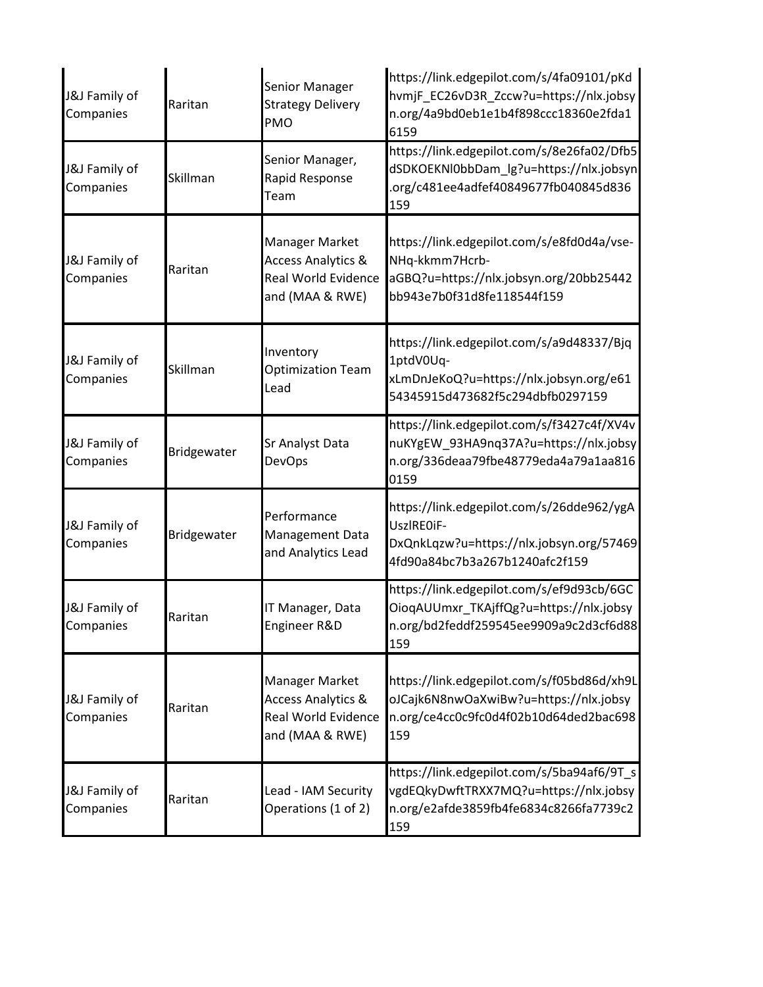| J&J Family of<br>Companies | Raritan     | Senior Manager<br><b>Strategy Delivery</b><br>PMO                                                | https://link.edgepilot.com/s/4fa09101/pKd<br>hvmjF_EC26vD3R_Zccw?u=https://nlx.jobsy<br>n.org/4a9bd0eb1e1b4f898ccc18360e2fda1<br>6159 |
|----------------------------|-------------|--------------------------------------------------------------------------------------------------|---------------------------------------------------------------------------------------------------------------------------------------|
| J&J Family of<br>Companies | Skillman    | Senior Manager,<br>Rapid Response<br>Team                                                        | https://link.edgepilot.com/s/8e26fa02/Dfb5<br>dSDKOEKNl0bbDam_lg?u=https://nlx.jobsyn<br>.org/c481ee4adfef40849677fb040845d836<br>159 |
| J&J Family of<br>Companies | Raritan     | Manager Market<br><b>Access Analytics &amp;</b><br><b>Real World Evidence</b><br>and (MAA & RWE) | https://link.edgepilot.com/s/e8fd0d4a/vse-<br>NHq-kkmm7Hcrb-<br>aGBQ?u=https://nlx.jobsyn.org/20bb25442<br>bb943e7b0f31d8fe118544f159 |
| J&J Family of<br>Companies | Skillman    | Inventory<br><b>Optimization Team</b><br>Lead                                                    | https://link.edgepilot.com/s/a9d48337/Bjq<br>1ptdV0Uq-<br>xLmDnJeKoQ?u=https://nlx.jobsyn.org/e61<br>54345915d473682f5c294dbfb0297159 |
| J&J Family of<br>Companies | Bridgewater | Sr Analyst Data<br><b>DevOps</b>                                                                 | https://link.edgepilot.com/s/f3427c4f/XV4v<br>nuKYgEW_93HA9nq37A?u=https://nlx.jobsy<br>n.org/336deaa79fbe48779eda4a79a1aa816<br>0159 |
| J&J Family of<br>Companies | Bridgewater | Performance<br>Management Data<br>and Analytics Lead                                             | https://link.edgepilot.com/s/26dde962/ygA<br>UszlRE0iF-<br>DxQnkLqzw?u=https://nlx.jobsyn.org/57469<br>4fd90a84bc7b3a267b1240afc2f159 |
| J&J Family of<br>Companies | Raritan     | IT Manager, Data<br>Engineer R&D                                                                 | https://link.edgepilot.com/s/ef9d93cb/6GC<br>OioqAUUmxr_TKAjffQg?u=https://nlx.jobsy<br>n.org/bd2feddf259545ee9909a9c2d3cf6d88<br>159 |
| J&J Family of<br>Companies | Raritan     | Manager Market<br><b>Access Analytics &amp;</b><br><b>Real World Evidence</b><br>and (MAA & RWE) | https://link.edgepilot.com/s/f05bd86d/xh9L<br>oJCajk6N8nwOaXwiBw?u=https://nlx.jobsy<br>n.org/ce4cc0c9fc0d4f02b10d64ded2bac698<br>159 |
| J&J Family of<br>Companies | Raritan     | Lead - IAM Security<br>Operations (1 of 2)                                                       | https://link.edgepilot.com/s/5ba94af6/9T_s<br>vgdEQkyDwftTRXX7MQ?u=https://nlx.jobsy<br>n.org/e2afde3859fb4fe6834c8266fa7739c2<br>159 |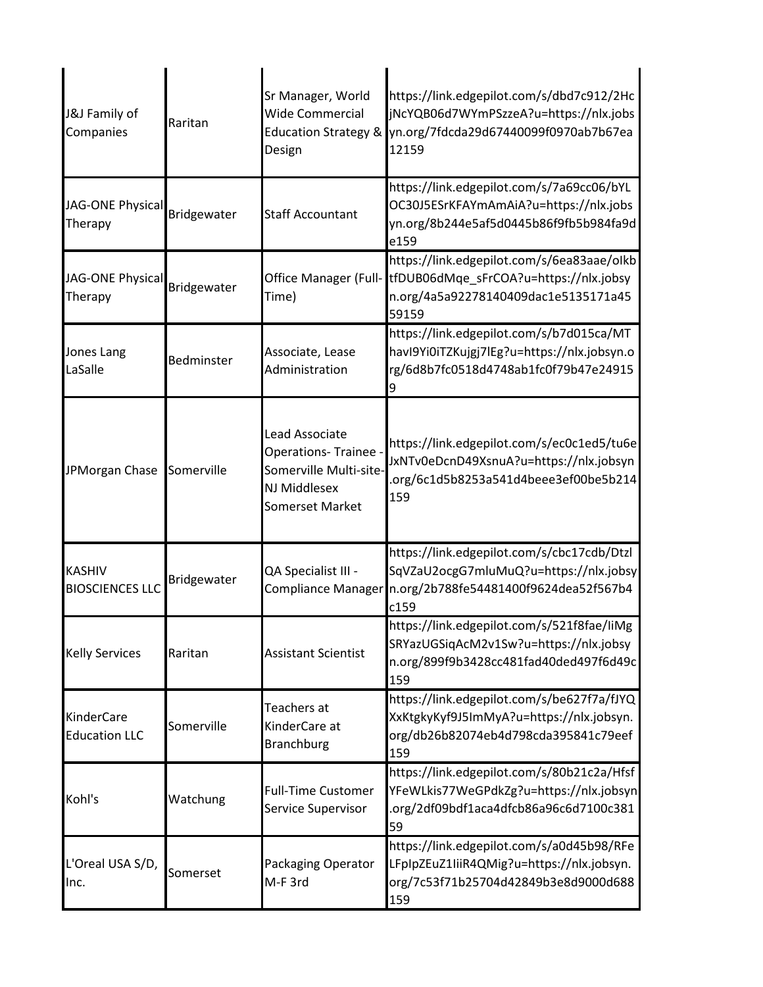| J&J Family of<br>Companies              | Raritan     | Sr Manager, World<br><b>Wide Commercial</b><br><b>Education Strategy &amp;</b><br>Design                   | https://link.edgepilot.com/s/dbd7c912/2Hc<br>jNcYQB06d7WYmPSzzeA?u=https://nlx.jobs<br>yn.org/7fdcda29d67440099f0970ab7b67ea<br>12159                    |
|-----------------------------------------|-------------|------------------------------------------------------------------------------------------------------------|----------------------------------------------------------------------------------------------------------------------------------------------------------|
| JAG-ONE Physical<br>Therapy             | Bridgewater | <b>Staff Accountant</b>                                                                                    | https://link.edgepilot.com/s/7a69cc06/bYL<br>OC30J5ESrKFAYmAmAiA?u=https://nlx.jobs<br>yn.org/8b244e5af5d0445b86f9fb5b984fa9d<br>e159                    |
| JAG-ONE Physical<br>Therapy             | Bridgewater | Office Manager (Full-<br>Time)                                                                             | https://link.edgepilot.com/s/6ea83aae/olkb<br>tfDUB06dMqe sFrCOA?u=https://nlx.jobsy<br>n.org/4a5a92278140409dac1e5135171a45<br>59159                    |
| Jones Lang<br>LaSalle                   | Bedminster  | Associate, Lease<br>Administration                                                                         | https://link.edgepilot.com/s/b7d015ca/MT<br>havl9Yi0iTZKujgj7lEg?u=https://nlx.jobsyn.o<br>rg/6d8b7fc0518d4748ab1fc0f79b47e24915                         |
| JPMorgan Chase                          | Somerville  | Lead Associate<br>Operations-Trainee -<br>Somerville Multi-site-<br>NJ Middlesex<br><b>Somerset Market</b> | https://link.edgepilot.com/s/ec0c1ed5/tu6e<br>JxNTv0eDcnD49XsnuA?u=https://nlx.jobsyn<br>.org/6c1d5b8253a541d4beee3ef00be5b214<br>159                    |
| <b>KASHIV</b><br><b>BIOSCIENCES LLC</b> | Bridgewater | QA Specialist III -                                                                                        | https://link.edgepilot.com/s/cbc17cdb/Dtzl<br>SqVZaU2ocgG7mluMuQ?u=https://nlx.jobsy<br>Compliance Manager n.org/2b788fe54481400f9624dea52f567b4<br>c159 |
| <b>Kelly Services</b>                   | Raritan     | <b>Assistant Scientist</b>                                                                                 | https://link.edgepilot.com/s/521f8fae/liMg<br>SRYazUGSiqAcM2v1Sw?u=https://nlx.jobsy<br>n.org/899f9b3428cc481fad40ded497f6d49c<br>159                    |
| KinderCare<br><b>Education LLC</b>      | Somerville  | Teachers at<br>KinderCare at<br><b>Branchburg</b>                                                          | https://link.edgepilot.com/s/be627f7a/fJYQ<br>XxKtgkyKyf9J5ImMyA?u=https://nlx.jobsyn.<br>org/db26b82074eb4d798cda395841c79eef<br>159                    |
| Kohl's                                  | Watchung    | <b>Full-Time Customer</b><br>Service Supervisor                                                            | https://link.edgepilot.com/s/80b21c2a/Hfsf<br>YFeWLkis77WeGPdkZg?u=https://nlx.jobsyn<br>.org/2df09bdf1aca4dfcb86a96c6d7100c381<br>59                    |
| L'Oreal USA S/D,<br>Inc.                | Somerset    | Packaging Operator<br>M-F 3rd                                                                              | https://link.edgepilot.com/s/a0d45b98/RFe<br>LFpIpZEuZ1liiR4QMig?u=https://nlx.jobsyn.<br>org/7c53f71b25704d42849b3e8d9000d688<br>159                    |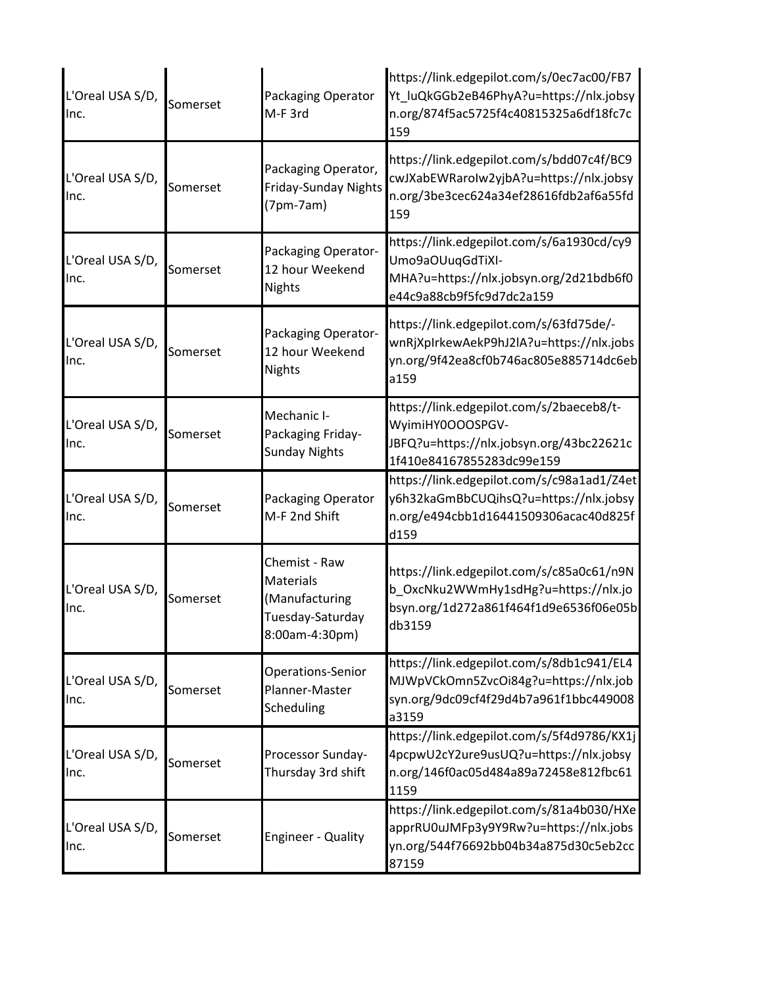| L'Oreal USA S/D,<br>Inc. | Somerset | Packaging Operator<br>M-F 3rd                                                             | https://link.edgepilot.com/s/0ec7ac00/FB7<br>Yt_luQkGGb2eB46PhyA?u=https://nlx.jobsy<br>n.org/874f5ac5725f4c40815325a6df18fc7c<br>159 |
|--------------------------|----------|-------------------------------------------------------------------------------------------|---------------------------------------------------------------------------------------------------------------------------------------|
| L'Oreal USA S/D,<br>Inc. | Somerset | Packaging Operator,<br><b>Friday-Sunday Nights</b><br>$(7pm-7am)$                         | https://link.edgepilot.com/s/bdd07c4f/BC9<br>cwJXabEWRaroIw2yjbA?u=https://nlx.jobsy<br>n.org/3be3cec624a34ef28616fdb2af6a55fd<br>159 |
| L'Oreal USA S/D,<br>Inc. | Somerset | Packaging Operator-<br>12 hour Weekend<br><b>Nights</b>                                   | https://link.edgepilot.com/s/6a1930cd/cy9<br>Umo9aOUuqGdTiXI-<br>MHA?u=https://nlx.jobsyn.org/2d21bdb6f0<br>e44c9a88cb9f5fc9d7dc2a159 |
| L'Oreal USA S/D,<br>Inc. | Somerset | Packaging Operator-<br>12 hour Weekend<br><b>Nights</b>                                   | https://link.edgepilot.com/s/63fd75de/-<br>wnRjXpIrkewAekP9hJ2IA?u=https://nlx.jobs<br>yn.org/9f42ea8cf0b746ac805e885714dc6eb<br>a159 |
| L'Oreal USA S/D,<br>Inc. | Somerset | Mechanic I-<br>Packaging Friday-<br><b>Sunday Nights</b>                                  | https://link.edgepilot.com/s/2baeceb8/t-<br>WyimiHY0OOOSPGV-<br>JBFQ?u=https://nlx.jobsyn.org/43bc22621c<br>1f410e84167855283dc99e159 |
| L'Oreal USA S/D,<br>Inc. | Somerset | Packaging Operator<br>M-F 2nd Shift                                                       | https://link.edgepilot.com/s/c98a1ad1/Z4et<br>y6h32kaGmBbCUQihsQ?u=https://nlx.jobsy<br>n.org/e494cbb1d16441509306acac40d825f<br>d159 |
| L'Oreal USA S/D,<br>Inc. | Somerset | Chemist - Raw<br><b>Materials</b><br>(Manufacturing<br>Tuesday-Saturday<br>8:00am-4:30pm) | https://link.edgepilot.com/s/c85a0c61/n9N<br>b_OxcNku2WWmHy1sdHg?u=https://nlx.jo<br>bsyn.org/1d272a861f464f1d9e6536f06e05b<br>db3159 |
| L'Oreal USA S/D,<br>Inc. | Somerset | Operations-Senior<br>Planner-Master<br>Scheduling                                         | https://link.edgepilot.com/s/8db1c941/EL4<br>MJWpVCkOmn5ZvcOi84g?u=https://nlx.job<br>syn.org/9dc09cf4f29d4b7a961f1bbc449008<br>a3159 |
| L'Oreal USA S/D,<br>Inc. | Somerset | Processor Sunday-<br>Thursday 3rd shift                                                   | https://link.edgepilot.com/s/5f4d9786/KX1j<br>4pcpwU2cY2ure9usUQ?u=https://nlx.jobsy<br>n.org/146f0ac05d484a89a72458e812fbc61<br>1159 |
| L'Oreal USA S/D,<br>Inc. | Somerset | <b>Engineer - Quality</b>                                                                 | https://link.edgepilot.com/s/81a4b030/HXe<br>apprRU0uJMFp3y9Y9Rw?u=https://nlx.jobs<br>yn.org/544f76692bb04b34a875d30c5eb2cc<br>87159 |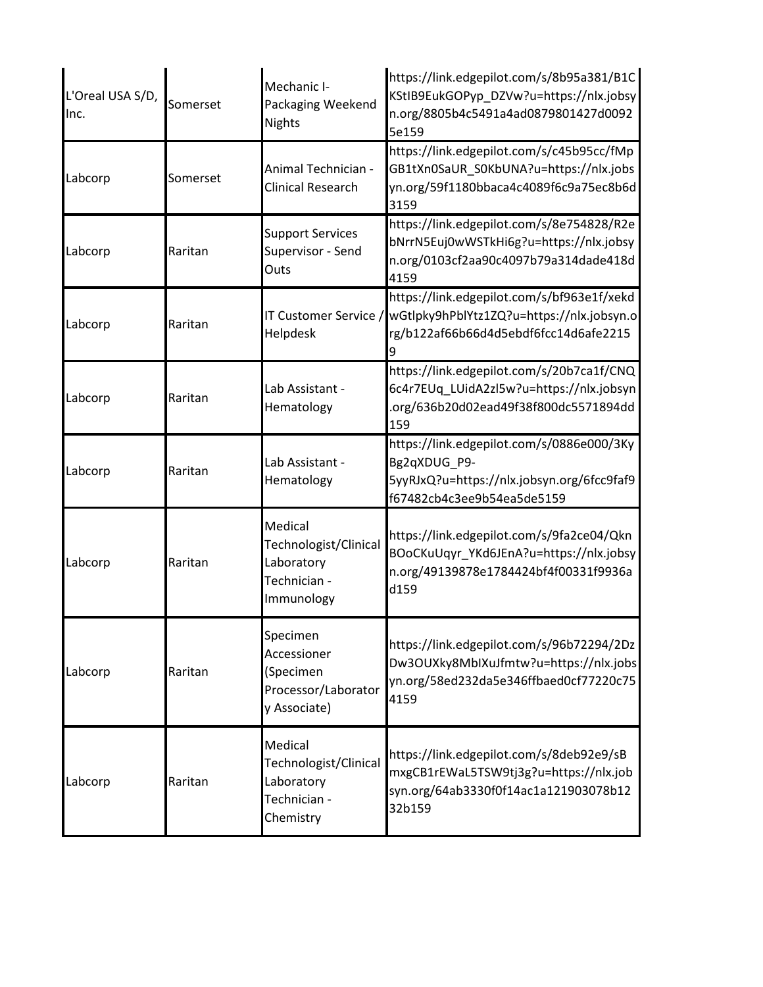| L'Oreal USA S/D,<br>Inc. | Somerset | Mechanic I-<br>Packaging Weekend<br><b>Nights</b>                            | https://link.edgepilot.com/s/8b95a381/B1C<br>KStIB9EukGOPyp_DZVw?u=https://nlx.jobsy<br>n.org/8805b4c5491a4ad0879801427d0092<br>5e159 |
|--------------------------|----------|------------------------------------------------------------------------------|---------------------------------------------------------------------------------------------------------------------------------------|
| Labcorp                  | Somerset | Animal Technician -<br><b>Clinical Research</b>                              | https://link.edgepilot.com/s/c45b95cc/fMp<br>GB1tXn0SaUR_S0KbUNA?u=https://nlx.jobs<br>yn.org/59f1180bbaca4c4089f6c9a75ec8b6d<br>3159 |
| Labcorp                  | Raritan  | <b>Support Services</b><br>Supervisor - Send<br>Outs                         | https://link.edgepilot.com/s/8e754828/R2e<br>bNrrN5Euj0wWSTkHi6g?u=https://nlx.jobsy<br>n.org/0103cf2aa90c4097b79a314dade418d<br>4159 |
| Labcorp                  | Raritan  | IT Customer Service /<br>Helpdesk                                            | https://link.edgepilot.com/s/bf963e1f/xekd<br>wGtlpky9hPblYtz1ZQ?u=https://nlx.jobsyn.o<br>rg/b122af66b66d4d5ebdf6fcc14d6afe2215      |
| Labcorp                  | Raritan  | Lab Assistant -<br>Hematology                                                | https://link.edgepilot.com/s/20b7ca1f/CNQ<br>6c4r7EUq LUidA2zl5w?u=https://nlx.jobsyn<br>.org/636b20d02ead49f38f800dc5571894dd<br>159 |
| Labcorp                  | Raritan  | Lab Assistant -<br>Hematology                                                | https://link.edgepilot.com/s/0886e000/3Ky<br>Bg2qXDUG_P9-<br>5yyRJxQ?u=https://nlx.jobsyn.org/6fcc9faf9<br>f67482cb4c3ee9b54ea5de5159 |
| Labcorp                  | Raritan  | Medical<br>Technologist/Clinical<br>Laboratory<br>Technician -<br>Immunology | https://link.edgepilot.com/s/9fa2ce04/Qkn<br>BOoCKuUqyr_YKd6JEnA?u=https://nlx.jobsy<br>n.org/49139878e1784424bf4f00331f9936a<br>d159 |
| Labcorp                  | Raritan  | Specimen<br>Accessioner<br>(Specimen<br>Processor/Laborator<br>y Associate)  | https://link.edgepilot.com/s/96b72294/2Dz<br>Dw3OUXky8MbIXuJfmtw?u=https://nlx.jobs<br>yn.org/58ed232da5e346ffbaed0cf77220c75<br>4159 |
| Labcorp                  | Raritan  | Medical<br>Technologist/Clinical<br>Laboratory<br>Technician -<br>Chemistry  | https://link.edgepilot.com/s/8deb92e9/sB<br>mxgCB1rEWaL5TSW9tj3g?u=https://nlx.job<br>syn.org/64ab3330f0f14ac1a121903078b12<br>32b159 |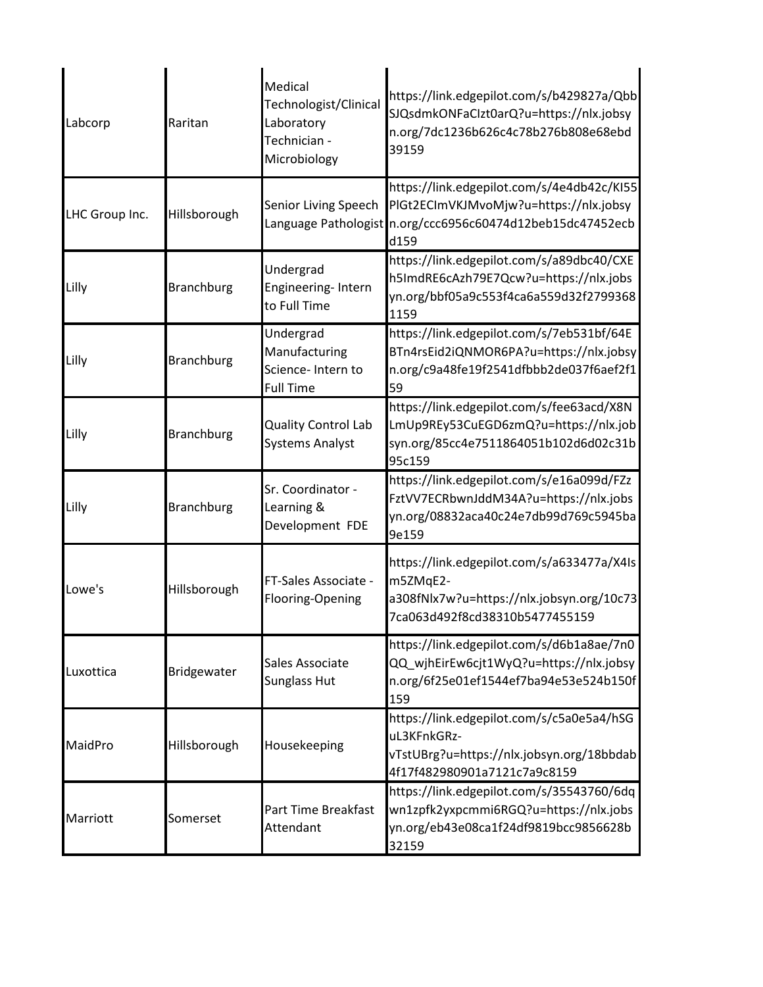| Labcorp        | Raritan           | Medical<br>Technologist/Clinical<br>Laboratory<br>Technician -<br>Microbiology | https://link.edgepilot.com/s/b429827a/Qbb<br>SJQsdmkONFaCIzt0arQ?u=https://nlx.jobsy<br>n.org/7dc1236b626c4c78b276b808e68ebd<br>39159                      |
|----------------|-------------------|--------------------------------------------------------------------------------|------------------------------------------------------------------------------------------------------------------------------------------------------------|
| LHC Group Inc. | Hillsborough      | Senior Living Speech                                                           | https://link.edgepilot.com/s/4e4db42c/KI55<br>PlGt2ECImVKJMvoMjw?u=https://nlx.jobsy<br>Language Pathologist n.org/ccc6956c60474d12beb15dc47452ecb<br>d159 |
| Lilly          | <b>Branchburg</b> | Undergrad<br>Engineering-Intern<br>to Full Time                                | https://link.edgepilot.com/s/a89dbc40/CXE<br>h5ImdRE6cAzh79E7Qcw?u=https://nlx.jobs<br>yn.org/bbf05a9c553f4ca6a559d32f2799368<br>1159                      |
| Lilly          | <b>Branchburg</b> | Undergrad<br>Manufacturing<br>Science- Intern to<br><b>Full Time</b>           | https://link.edgepilot.com/s/7eb531bf/64E<br>BTn4rsEid2iQNMOR6PA?u=https://nlx.jobsy<br>n.org/c9a48fe19f2541dfbbb2de037f6aef2f1<br>59                      |
| Lilly          | <b>Branchburg</b> | <b>Quality Control Lab</b><br><b>Systems Analyst</b>                           | https://link.edgepilot.com/s/fee63acd/X8N<br>LmUp9REy53CuEGD6zmQ?u=https://nlx.job<br>syn.org/85cc4e7511864051b102d6d02c31b<br>95c159                      |
| Lilly          | <b>Branchburg</b> | Sr. Coordinator -<br>Learning &<br>Development FDE                             | https://link.edgepilot.com/s/e16a099d/FZz<br>FztVV7ECRbwnJddM34A?u=https://nlx.jobs<br>yn.org/08832aca40c24e7db99d769c5945ba<br>9e159                      |
| Lowe's         | Hillsborough      | FT-Sales Associate -<br>Flooring-Opening                                       | https://link.edgepilot.com/s/a633477a/X4Is<br>m5ZMqE2-<br>a308fNlx7w?u=https://nlx.jobsyn.org/10c73<br>7ca063d492f8cd38310b5477455159                      |
| Luxottica      | Bridgewater       | Sales Associate<br><b>Sunglass Hut</b>                                         | https://link.edgepilot.com/s/d6b1a8ae/7n0<br>QQ_wjhEirEw6cjt1WyQ?u=https://nlx.jobsy<br>n.org/6f25e01ef1544ef7ba94e53e524b150f<br>159                      |
| MaidPro        | Hillsborough      | Housekeeping                                                                   | https://link.edgepilot.com/s/c5a0e5a4/hSG<br>uL3KFnkGRz-<br>vTstUBrg?u=https://nlx.jobsyn.org/18bbdab<br>4f17f482980901a7121c7a9c8159                      |
| Marriott       | Somerset          | Part Time Breakfast<br>Attendant                                               | https://link.edgepilot.com/s/35543760/6dq<br>wn1zpfk2yxpcmmi6RGQ?u=https://nlx.jobs<br>yn.org/eb43e08ca1f24df9819bcc9856628b<br>32159                      |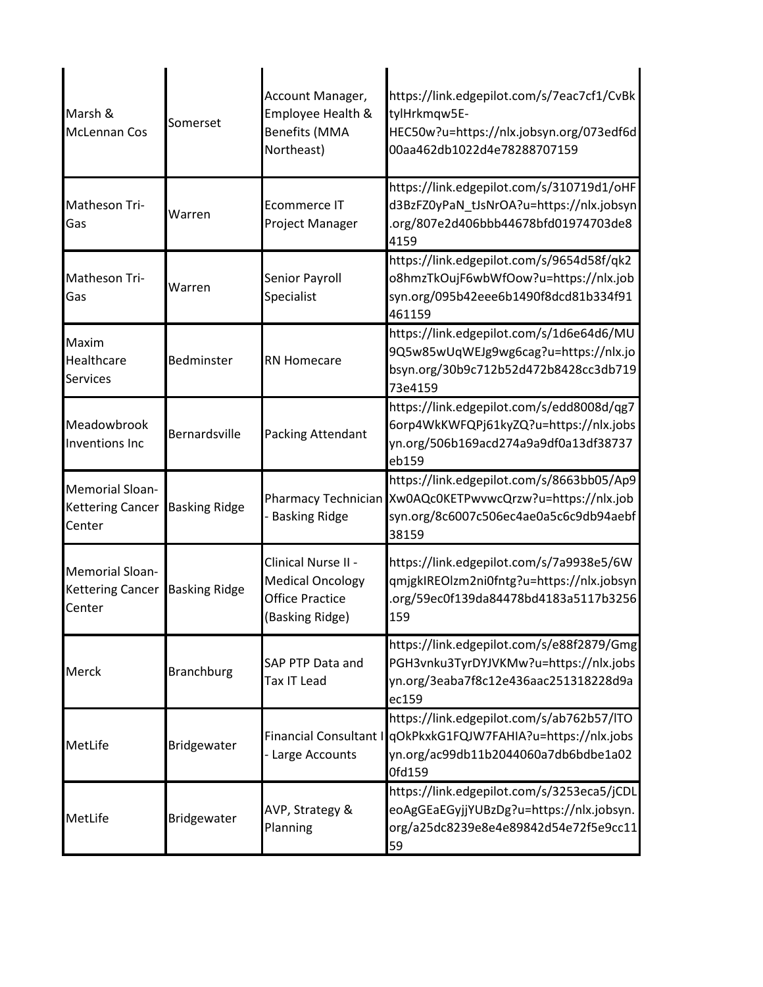| Marsh &<br><b>McLennan Cos</b>                              | Somerset             | Account Manager,<br>Employee Health &<br><b>Benefits (MMA</b><br>Northeast)                 | https://link.edgepilot.com/s/7eac7cf1/CvBk<br>tylHrkmqw5E-<br>HEC50w?u=https://nlx.jobsyn.org/073edf6d<br>00aa462db1022d4e78288707159                        |
|-------------------------------------------------------------|----------------------|---------------------------------------------------------------------------------------------|--------------------------------------------------------------------------------------------------------------------------------------------------------------|
| Matheson Tri-<br>Gas                                        | Warren               | <b>Ecommerce IT</b><br>Project Manager                                                      | https://link.edgepilot.com/s/310719d1/oHF<br>d3BzFZ0yPaN_tJsNrOA?u=https://nlx.jobsyn<br>.org/807e2d406bbb44678bfd01974703de8<br>4159                        |
| Matheson Tri-<br>Gas                                        | Warren               | Senior Payroll<br>Specialist                                                                | https://link.edgepilot.com/s/9654d58f/qk2<br>o8hmzTkOujF6wbWfOow?u=https://nlx.job<br>syn.org/095b42eee6b1490f8dcd81b334f91<br>461159                        |
| Maxim<br>Healthcare<br><b>Services</b>                      | Bedminster           | <b>RN Homecare</b>                                                                          | https://link.edgepilot.com/s/1d6e64d6/MU<br>9Q5w85wUqWEJg9wg6cag?u=https://nlx.jo<br>bsyn.org/30b9c712b52d472b8428cc3db719<br>73e4159                        |
| Meadowbrook<br>Inventions Inc                               | Bernardsville        | Packing Attendant                                                                           | https://link.edgepilot.com/s/edd8008d/qg7<br>6orp4WkKWFQPj61kyZQ?u=https://nlx.jobs<br>yn.org/506b169acd274a9a9df0a13df38737<br>eb159                        |
| Memorial Sloan-<br><b>Kettering Cancer</b><br>Center        | <b>Basking Ridge</b> | <b>Basking Ridge</b>                                                                        | https://link.edgepilot.com/s/8663bb05/Ap9<br>Pharmacy Technician Xw0AQc0KETPwvwcQrzw?u=https://nlx.job<br>syn.org/8c6007c506ec4ae0a5c6c9db94aebf<br>38159    |
| Memorial Sloan-<br>Kettering Cancer Basking Ridge<br>Center |                      | Clinical Nurse II -<br><b>Medical Oncology</b><br><b>Office Practice</b><br>(Basking Ridge) | https://link.edgepilot.com/s/7a9938e5/6W<br>qmjgkIREOlzm2ni0fntg?u=https://nlx.jobsyn<br>.org/59ec0f139da84478bd4183a5117b3256<br>159                        |
| Merck                                                       | <b>Branchburg</b>    | SAP PTP Data and<br><b>Tax IT Lead</b>                                                      | https://link.edgepilot.com/s/e88f2879/Gmg<br>PGH3vnku3TyrDYJVKMw?u=https://nlx.jobs<br>yn.org/3eaba7f8c12e436aac251318228d9a<br>ec159                        |
| MetLife                                                     | Bridgewater          | Large Accounts                                                                              | https://link.edgepilot.com/s/ab762b57/ITO<br>Financial Consultant I gOkPkxkG1FQJW7FAHIA?u=https://nlx.jobs<br>yn.org/ac99db11b2044060a7db6bdbe1a02<br>0fd159 |
| MetLife                                                     | Bridgewater          | AVP, Strategy &<br>Planning                                                                 | https://link.edgepilot.com/s/3253eca5/jCDL<br>eoAgGEaEGyjjYUBzDg?u=https://nlx.jobsyn.<br>org/a25dc8239e8e4e89842d54e72f5e9cc11<br>59                        |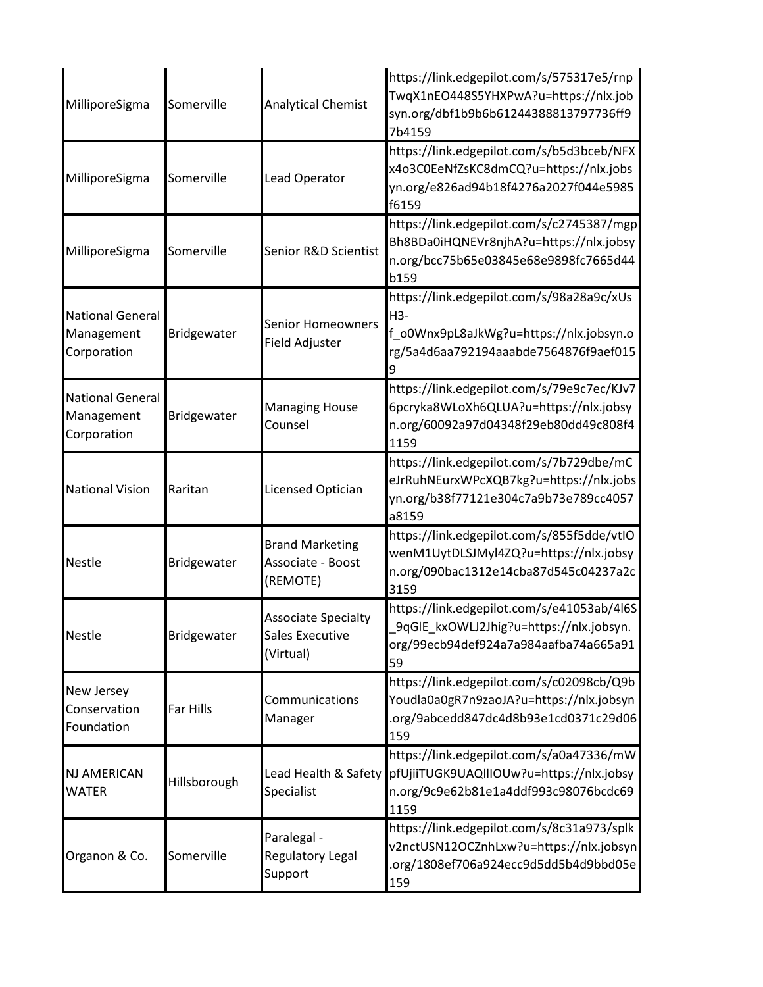| MilliporeSigma                                       | Somerville       | <b>Analytical Chemist</b>                                         | https://link.edgepilot.com/s/575317e5/rnp<br>TwqX1nEO448S5YHXPwA?u=https://nlx.job<br>syn.org/dbf1b9b6b61244388813797736ff9<br>7b4159 |
|------------------------------------------------------|------------------|-------------------------------------------------------------------|---------------------------------------------------------------------------------------------------------------------------------------|
| MilliporeSigma                                       | Somerville       | Lead Operator                                                     | https://link.edgepilot.com/s/b5d3bceb/NFX<br>x4o3C0EeNfZsKC8dmCQ?u=https://nlx.jobs<br>yn.org/e826ad94b18f4276a2027f044e5985<br>f6159 |
| MilliporeSigma                                       | Somerville       | Senior R&D Scientist                                              | https://link.edgepilot.com/s/c2745387/mgp<br>Bh8BDa0iHQNEVr8njhA?u=https://nlx.jobsy<br>n.org/bcc75b65e03845e68e9898fc7665d44<br>b159 |
| <b>National General</b><br>Management<br>Corporation | Bridgewater      | <b>Senior Homeowners</b><br>Field Adjuster                        | https://link.edgepilot.com/s/98a28a9c/xUs<br>H3-<br>f_o0Wnx9pL8aJkWg?u=https://nlx.jobsyn.o<br>rg/5a4d6aa792194aaabde7564876f9aef015  |
| <b>National General</b><br>Management<br>Corporation | Bridgewater      | <b>Managing House</b><br>Counsel                                  | https://link.edgepilot.com/s/79e9c7ec/KJv7<br>6pcryka8WLoXh6QLUA?u=https://nlx.jobsy<br>n.org/60092a97d04348f29eb80dd49c808f4<br>1159 |
| <b>National Vision</b>                               | Raritan          | Licensed Optician                                                 | https://link.edgepilot.com/s/7b729dbe/mC<br>eJrRuhNEurxWPcXQB7kg?u=https://nlx.jobs<br>yn.org/b38f77121e304c7a9b73e789cc4057<br>a8159 |
| <b>Nestle</b>                                        | Bridgewater      | <b>Brand Marketing</b><br>Associate - Boost<br>(REMOTE)           | https://link.edgepilot.com/s/855f5dde/vtIO<br>wenM1UytDLSJMyl4ZQ?u=https://nlx.jobsy<br>n.org/090bac1312e14cba87d545c04237a2c<br>3159 |
| <b>Nestle</b>                                        | Bridgewater      | <b>Associate Specialty</b><br><b>Sales Executive</b><br>(Virtual) | https://link.edgepilot.com/s/e41053ab/4l6S<br>9qGIE_kxOWLJ2Jhig?u=https://nlx.jobsyn.<br>org/99ecb94def924a7a984aafba74a665a91<br>59  |
| New Jersey<br>Conservation<br>Foundation             | <b>Far Hills</b> | Communications<br>Manager                                         | https://link.edgepilot.com/s/c02098cb/Q9b<br>Youdla0a0gR7n9zaoJA?u=https://nlx.jobsyn<br>.org/9abcedd847dc4d8b93e1cd0371c29d06<br>159 |
| <b>NJ AMERICAN</b><br><b>WATER</b>                   | Hillsborough     | Lead Health & Safety<br>Specialist                                | https://link.edgepilot.com/s/a0a47336/mW<br>pfUjiiTUGK9UAQIIIOUw?u=https://nlx.jobsy<br>n.org/9c9e62b81e1a4ddf993c98076bcdc69<br>1159 |
| Organon & Co.                                        | Somerville       | Paralegal -<br>Regulatory Legal<br>Support                        | https://link.edgepilot.com/s/8c31a973/splk<br>v2nctUSN12OCZnhLxw?u=https://nlx.jobsyn<br>.org/1808ef706a924ecc9d5dd5b4d9bbd05e<br>159 |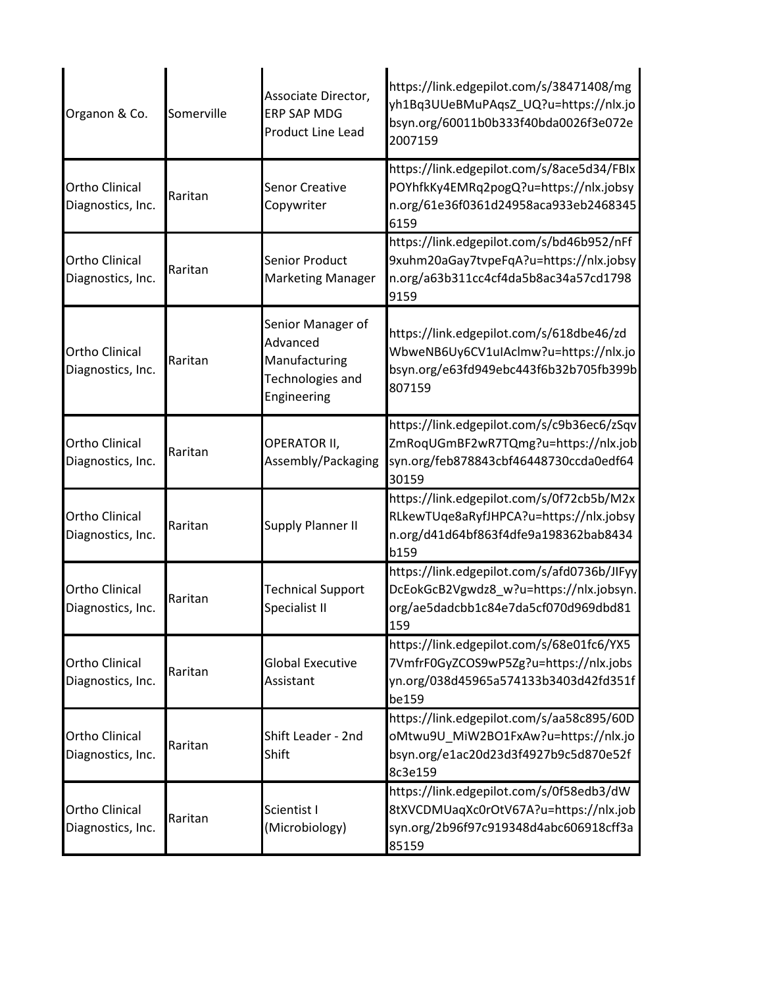| Organon & Co.                              | Somerville | Associate Director,<br><b>ERP SAP MDG</b><br><b>Product Line Lead</b>             | https://link.edgepilot.com/s/38471408/mg<br>yh1Bq3UUeBMuPAqsZ_UQ?u=https://nlx.jo<br>bsyn.org/60011b0b333f40bda0026f3e072e<br>2007159 |
|--------------------------------------------|------------|-----------------------------------------------------------------------------------|---------------------------------------------------------------------------------------------------------------------------------------|
| <b>Ortho Clinical</b><br>Diagnostics, Inc. | Raritan    | <b>Senor Creative</b><br>Copywriter                                               | https://link.edgepilot.com/s/8ace5d34/FBIx<br>POYhfkKy4EMRq2pogQ?u=https://nlx.jobsy<br>n.org/61e36f0361d24958aca933eb2468345<br>6159 |
| <b>Ortho Clinical</b><br>Diagnostics, Inc. | Raritan    | <b>Senior Product</b><br><b>Marketing Manager</b>                                 | https://link.edgepilot.com/s/bd46b952/nFf<br>9xuhm20aGay7tvpeFqA?u=https://nlx.jobsy<br>n.org/a63b311cc4cf4da5b8ac34a57cd1798<br>9159 |
| <b>Ortho Clinical</b><br>Diagnostics, Inc. | Raritan    | Senior Manager of<br>Advanced<br>Manufacturing<br>Technologies and<br>Engineering | https://link.edgepilot.com/s/618dbe46/zd<br>WbweNB6Uy6CV1uIAclmw?u=https://nlx.jo<br>bsyn.org/e63fd949ebc443f6b32b705fb399b<br>807159 |
| <b>Ortho Clinical</b><br>Diagnostics, Inc. | Raritan    | OPERATOR II,<br>Assembly/Packaging                                                | https://link.edgepilot.com/s/c9b36ec6/zSqv<br>ZmRoqUGmBF2wR7TQmg?u=https://nlx.job<br>syn.org/feb878843cbf46448730ccda0edf64<br>30159 |
| <b>Ortho Clinical</b><br>Diagnostics, Inc. | Raritan    | <b>Supply Planner II</b>                                                          | https://link.edgepilot.com/s/0f72cb5b/M2x<br>RLkewTUqe8aRyfJHPCA?u=https://nlx.jobsy<br>n.org/d41d64bf863f4dfe9a198362bab8434<br>b159 |
| <b>Ortho Clinical</b><br>Diagnostics, Inc. | Raritan    | <b>Technical Support</b><br>Specialist II                                         | https://link.edgepilot.com/s/afd0736b/JIFyy<br>DcEokGcB2Vgwdz8_w?u=https://nlx.jobsyn.<br>org/ae5dadcbb1c84e7da5cf070d969dbd81<br>159 |
| <b>Ortho Clinical</b><br>Diagnostics, Inc. | Raritan    | <b>Global Executive</b><br>Assistant                                              | https://link.edgepilot.com/s/68e01fc6/YX5<br>7VmfrF0GyZCOS9wP5Zg?u=https://nlx.jobs<br>yn.org/038d45965a574133b3403d42fd351f<br>be159 |
| <b>Ortho Clinical</b><br>Diagnostics, Inc. | Raritan    | Shift Leader - 2nd<br>Shift                                                       | https://link.edgepilot.com/s/aa58c895/60D<br>oMtwu9U_MiW2BO1FxAw?u=https://nlx.jo<br>bsyn.org/e1ac20d23d3f4927b9c5d870e52f<br>8c3e159 |
| <b>Ortho Clinical</b><br>Diagnostics, Inc. | Raritan    | Scientist I<br>(Microbiology)                                                     | https://link.edgepilot.com/s/0f58edb3/dW<br>8tXVCDMUaqXc0rOtV67A?u=https://nlx.job<br>syn.org/2b96f97c919348d4abc606918cff3a<br>85159 |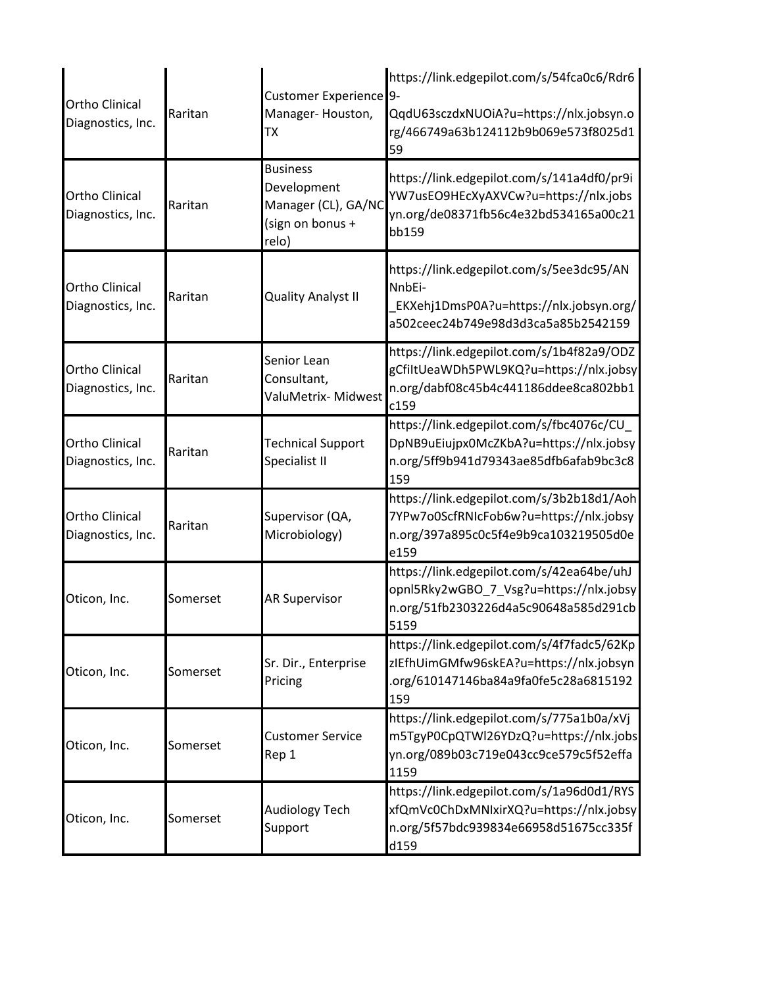| <b>Ortho Clinical</b><br>Diagnostics, Inc. | Raritan  | Customer Experience <sup>9-</sup><br>Manager-Houston,<br><b>TX</b>                 | https://link.edgepilot.com/s/54fca0c6/Rdr6<br>QqdU63sczdxNUOiA?u=https://nlx.jobsyn.o<br>rg/466749a63b124112b9b069e573f8025d1<br>59   |
|--------------------------------------------|----------|------------------------------------------------------------------------------------|---------------------------------------------------------------------------------------------------------------------------------------|
| <b>Ortho Clinical</b><br>Diagnostics, Inc. | Raritan  | <b>Business</b><br>Development<br>Manager (CL), GA/NC<br>(sign on bonus +<br>relo) | https://link.edgepilot.com/s/141a4df0/pr9i<br>YW7usEO9HEcXyAXVCw?u=https://nlx.jobs<br>yn.org/de08371fb56c4e32bd534165a00c21<br>bb159 |
| <b>Ortho Clinical</b><br>Diagnostics, Inc. | Raritan  | <b>Quality Analyst II</b>                                                          | https://link.edgepilot.com/s/5ee3dc95/AN<br>NnbEi-<br>EKXehj1DmsP0A?u=https://nlx.jobsyn.org/<br>a502ceec24b749e98d3d3ca5a85b2542159  |
| <b>Ortho Clinical</b><br>Diagnostics, Inc. | Raritan  | Senior Lean<br>Consultant,<br>ValuMetrix- Midwest                                  | https://link.edgepilot.com/s/1b4f82a9/ODZ<br>gCfiItUeaWDh5PWL9KQ?u=https://nlx.jobsy<br>n.org/dabf08c45b4c441186ddee8ca802bb1<br>c159 |
| <b>Ortho Clinical</b><br>Diagnostics, Inc. | Raritan  | <b>Technical Support</b><br>Specialist II                                          | https://link.edgepilot.com/s/fbc4076c/CU_<br>DpNB9uEiujpx0McZKbA?u=https://nlx.jobsy<br>n.org/5ff9b941d79343ae85dfb6afab9bc3c8<br>159 |
| <b>Ortho Clinical</b><br>Diagnostics, Inc. | Raritan  | Supervisor (QA,<br>Microbiology)                                                   | https://link.edgepilot.com/s/3b2b18d1/Aoh<br>7YPw7o0ScfRNIcFob6w?u=https://nlx.jobsy<br>n.org/397a895c0c5f4e9b9ca103219505d0e<br>e159 |
| Oticon, Inc.                               | Somerset | <b>AR Supervisor</b>                                                               | https://link.edgepilot.com/s/42ea64be/uhJ<br>opnl5Rky2wGBO_7_Vsg?u=https://nlx.jobsy<br>n.org/51fb2303226d4a5c90648a585d291cb<br>5159 |
| Oticon, Inc.                               | Somerset | Sr. Dir., Enterprise<br>Pricing                                                    | https://link.edgepilot.com/s/4f7fadc5/62Kp<br>zIEfhUimGMfw96skEA?u=https://nlx.jobsyn<br>org/610147146ba84a9fa0fe5c28a6815192<br>159  |
| Oticon, Inc.                               | Somerset | <b>Customer Service</b><br>Rep 1                                                   | https://link.edgepilot.com/s/775a1b0a/xVj<br>m5TgyP0CpQTWl26YDzQ?u=https://nlx.jobs<br>yn.org/089b03c719e043cc9ce579c5f52effa<br>1159 |
| Oticon, Inc.                               | Somerset | <b>Audiology Tech</b><br>Support                                                   | https://link.edgepilot.com/s/1a96d0d1/RYS<br>xfQmVc0ChDxMNIxirXQ?u=https://nlx.jobsy<br>n.org/5f57bdc939834e66958d51675cc335f<br>d159 |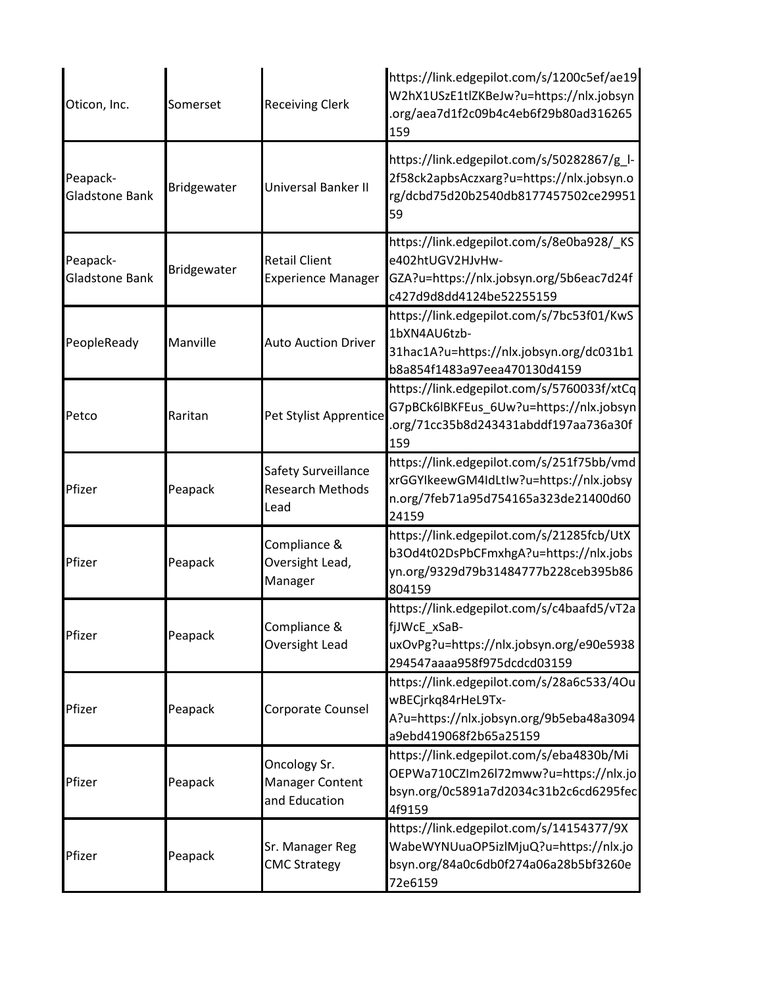| Oticon, Inc.               | Somerset    | <b>Receiving Clerk</b>                                  | https://link.edgepilot.com/s/1200c5ef/ae19<br>W2hX1USzE1tlZKBeJw?u=https://nlx.jobsyn<br>.org/aea7d1f2c09b4c4eb6f29b80ad316265<br>159 |
|----------------------------|-------------|---------------------------------------------------------|---------------------------------------------------------------------------------------------------------------------------------------|
| Peapack-<br>Gladstone Bank | Bridgewater | Universal Banker II                                     | https://link.edgepilot.com/s/50282867/g_l-<br>2f58ck2apbsAczxarg?u=https://nlx.jobsyn.o<br>rg/dcbd75d20b2540db8177457502ce29951<br>59 |
| Peapack-<br>Gladstone Bank | Bridgewater | <b>Retail Client</b><br><b>Experience Manager</b>       | https://link.edgepilot.com/s/8e0ba928/_KS<br>e402htUGV2HJvHw-<br>GZA?u=https://nlx.jobsyn.org/5b6eac7d24f<br>c427d9d8dd4124be52255159 |
| PeopleReady                | Manville    | <b>Auto Auction Driver</b>                              | https://link.edgepilot.com/s/7bc53f01/KwS<br>1bXN4AU6tzb-<br>31hac1A?u=https://nlx.jobsyn.org/dc031b1<br>b8a854f1483a97eea470130d4159 |
| Petco                      | Raritan     | Pet Stylist Apprentice                                  | https://link.edgepilot.com/s/5760033f/xtCq<br>G7pBCk6lBKFEus_6Uw?u=https://nlx.jobsyn<br>.org/71cc35b8d243431abddf197aa736a30f<br>159 |
| Pfizer                     | Peapack     | Safety Surveillance<br><b>Research Methods</b><br>Lead  | https://link.edgepilot.com/s/251f75bb/vmd<br>xrGGYIkeewGM4IdLtIw?u=https://nlx.jobsy<br>n.org/7feb71a95d754165a323de21400d60<br>24159 |
| Pfizer                     | Peapack     | Compliance &<br>Oversight Lead,<br>Manager              | https://link.edgepilot.com/s/21285fcb/UtX<br>b3Od4t02DsPbCFmxhgA?u=https://nlx.jobs<br>yn.org/9329d79b31484777b228ceb395b86<br>804159 |
| Pfizer                     | Peapack     | Compliance &<br>Oversight Lead                          | https://link.edgepilot.com/s/c4baafd5/vT2a<br>fjJWcE_xSaB-<br>uxOvPg?u=https://nlx.jobsyn.org/e90e5938<br>294547aaaa958f975dcdcd03159 |
| Pfizer                     | Peapack     | Corporate Counsel                                       | https://link.edgepilot.com/s/28a6c533/4Ou<br>wBECjrkq84rHeL9Tx-<br>A?u=https://nlx.jobsyn.org/9b5eba48a3094<br>a9ebd419068f2b65a25159 |
| Pfizer                     | Peapack     | Oncology Sr.<br><b>Manager Content</b><br>and Education | https://link.edgepilot.com/s/eba4830b/Mi<br>OEPWa710CZIm26l72mww?u=https://nlx.jo<br>bsyn.org/0c5891a7d2034c31b2c6cd6295fec<br>4f9159 |
| Pfizer                     | Peapack     | Sr. Manager Reg<br><b>CMC Strategy</b>                  | https://link.edgepilot.com/s/14154377/9X<br>WabeWYNUuaOP5izlMjuQ?u=https://nlx.jo<br>bsyn.org/84a0c6db0f274a06a28b5bf3260e<br>72e6159 |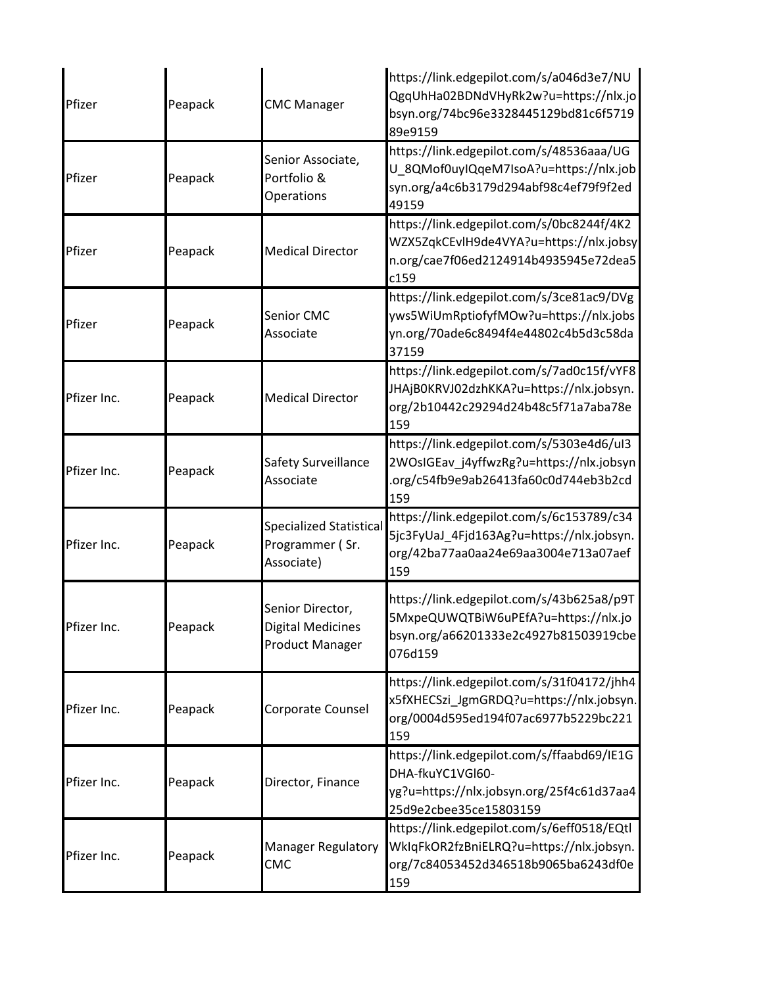| Pfizer      | Peapack | <b>CMC Manager</b>                                                     | https://link.edgepilot.com/s/a046d3e7/NU<br>QgqUhHa02BDNdVHyRk2w?u=https://nlx.jo<br>bsyn.org/74bc96e3328445129bd81c6f5719<br>89e9159 |
|-------------|---------|------------------------------------------------------------------------|---------------------------------------------------------------------------------------------------------------------------------------|
| Pfizer      | Peapack | Senior Associate,<br>Portfolio &<br>Operations                         | https://link.edgepilot.com/s/48536aaa/UG<br>U_8QMof0uyIQqeM7IsoA?u=https://nlx.job<br>syn.org/a4c6b3179d294abf98c4ef79f9f2ed<br>49159 |
| Pfizer      | Peapack | <b>Medical Director</b>                                                | https://link.edgepilot.com/s/0bc8244f/4K2<br>WZX5ZqkCEvlH9de4VYA?u=https://nlx.jobsy<br>n.org/cae7f06ed2124914b4935945e72dea5<br>c159 |
| Pfizer      | Peapack | <b>Senior CMC</b><br>Associate                                         | https://link.edgepilot.com/s/3ce81ac9/DVg<br>yws5WiUmRptiofyfMOw?u=https://nlx.jobs<br>yn.org/70ade6c8494f4e44802c4b5d3c58da<br>37159 |
| Pfizer Inc. | Peapack | <b>Medical Director</b>                                                | https://link.edgepilot.com/s/7ad0c15f/vYF8<br>JHAjB0KRVJ02dzhKKA?u=https://nlx.jobsyn.<br>org/2b10442c29294d24b48c5f71a7aba78e<br>159 |
| Pfizer Inc. | Peapack | Safety Surveillance<br>Associate                                       | https://link.edgepilot.com/s/5303e4d6/uI3<br>2WOsIGEav_j4yffwzRg?u=https://nlx.jobsyn<br>.org/c54fb9e9ab26413fa60c0d744eb3b2cd<br>159 |
| Pfizer Inc. | Peapack | <b>Specialized Statistical</b><br>Programmer (Sr.<br>Associate)        | https://link.edgepilot.com/s/6c153789/c34<br>5jc3FyUaJ_4Fjd163Ag?u=https://nlx.jobsyn.<br>org/42ba77aa0aa24e69aa3004e713a07aef<br>159 |
| Pfizer Inc. | Peapack | Senior Director,<br><b>Digital Medicines</b><br><b>Product Manager</b> | https://link.edgepilot.com/s/43b625a8/p9T<br>5MxpeQUWQTBiW6uPEfA?u=https://nlx.jo<br>bsyn.org/a66201333e2c4927b81503919cbe<br>076d159 |
| Pfizer Inc. | Peapack | Corporate Counsel                                                      | https://link.edgepilot.com/s/31f04172/jhh4<br>x5fXHECSzi_JgmGRDQ?u=https://nlx.jobsyn.<br>org/0004d595ed194f07ac6977b5229bc221<br>159 |
| Pfizer Inc. | Peapack | Director, Finance                                                      | https://link.edgepilot.com/s/ffaabd69/IE1G<br>DHA-fkuYC1VGI60-<br>yg?u=https://nlx.jobsyn.org/25f4c61d37aa4<br>25d9e2cbee35ce15803159 |
| Pfizer Inc. | Peapack | <b>Manager Regulatory</b><br>CMC                                       | https://link.edgepilot.com/s/6eff0518/EQtl<br>WkIqFkOR2fzBniELRQ?u=https://nlx.jobsyn.<br>org/7c84053452d346518b9065ba6243df0e<br>159 |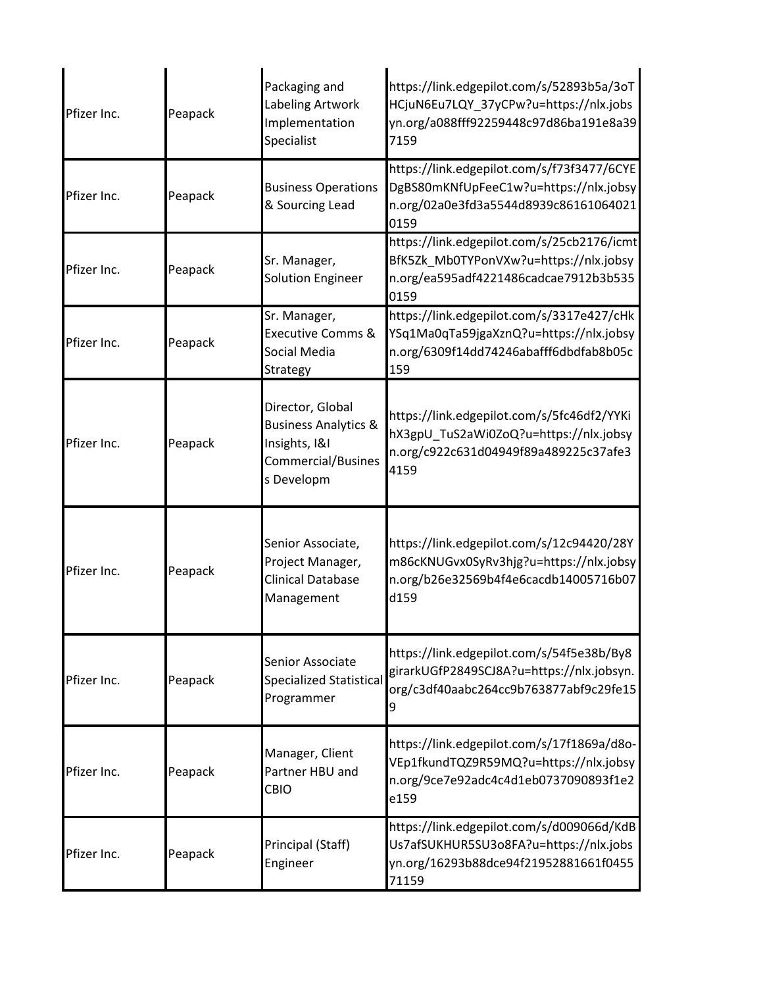| Pfizer Inc. | Peapack | Packaging and<br>Labeling Artwork<br>Implementation<br>Specialist                                        | https://link.edgepilot.com/s/52893b5a/3oT<br>HCjuN6Eu7LQY_37yCPw?u=https://nlx.jobs<br>yn.org/a088fff92259448c97d86ba191e8a39<br>7159 |
|-------------|---------|----------------------------------------------------------------------------------------------------------|---------------------------------------------------------------------------------------------------------------------------------------|
| Pfizer Inc. | Peapack | <b>Business Operations</b><br>& Sourcing Lead                                                            | https://link.edgepilot.com/s/f73f3477/6CYE<br>DgBS80mKNfUpFeeC1w?u=https://nlx.jobsy<br>n.org/02a0e3fd3a5544d8939c86161064021<br>0159 |
| Pfizer Inc. | Peapack | Sr. Manager,<br><b>Solution Engineer</b>                                                                 | https://link.edgepilot.com/s/25cb2176/icmt<br>BfK5Zk_Mb0TYPonVXw?u=https://nlx.jobsy<br>n.org/ea595adf4221486cadcae7912b3b535<br>0159 |
| Pfizer Inc. | Peapack | Sr. Manager,<br><b>Executive Comms &amp;</b><br>Social Media<br>Strategy                                 | https://link.edgepilot.com/s/3317e427/cHk<br>YSq1Ma0qTa59jgaXznQ?u=https://nlx.jobsy<br>n.org/6309f14dd74246abafff6dbdfab8b05c<br>159 |
| Pfizer Inc. | Peapack | Director, Global<br><b>Business Analytics &amp;</b><br>Insights, I&I<br>Commercial/Busines<br>s Developm | https://link.edgepilot.com/s/5fc46df2/YYKi<br>hX3gpU TuS2aWi0ZoQ?u=https://nlx.jobsy<br>n.org/c922c631d04949f89a489225c37afe3<br>4159 |
| Pfizer Inc. | Peapack | Senior Associate,<br>Project Manager,<br>Clinical Database<br>Management                                 | https://link.edgepilot.com/s/12c94420/28Y<br>m86cKNUGvx0SyRv3hjg?u=https://nlx.jobsy<br>n.org/b26e32569b4f4e6cacdb14005716b07<br>d159 |
| Pfizer Inc. | Peapack | Senior Associate<br><b>Specialized Statistical</b><br>Programmer                                         | https://link.edgepilot.com/s/54f5e38b/By8<br>girarkUGfP2849SCJ8A?u=https://nlx.jobsyn.<br>org/c3df40aabc264cc9b763877abf9c29fe15<br>9 |
| Pfizer Inc. | Peapack | Manager, Client<br>Partner HBU and<br>CBIO                                                               | https://link.edgepilot.com/s/17f1869a/d8o-<br>VEp1fkundTQZ9R59MQ?u=https://nlx.jobsy<br>n.org/9ce7e92adc4c4d1eb0737090893f1e2<br>e159 |
| Pfizer Inc. | Peapack | Principal (Staff)<br>Engineer                                                                            | https://link.edgepilot.com/s/d009066d/KdB<br>Us7afSUKHUR5SU3o8FA?u=https://nlx.jobs<br>yn.org/16293b88dce94f21952881661f0455<br>71159 |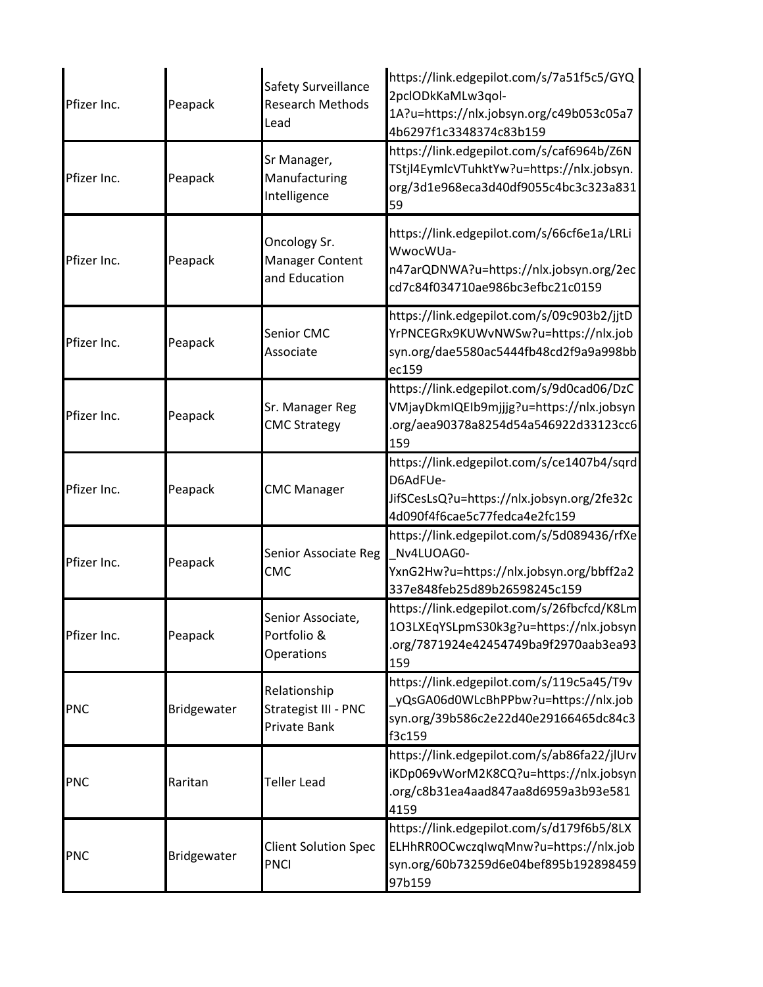| Pfizer Inc. | Peapack     | Safety Surveillance<br><b>Research Methods</b><br>Lead  | https://link.edgepilot.com/s/7a51f5c5/GYQ<br>2pclODkKaMLw3qol-<br>1A?u=https://nlx.jobsyn.org/c49b053c05a7<br>4b6297f1c3348374c83b159 |
|-------------|-------------|---------------------------------------------------------|---------------------------------------------------------------------------------------------------------------------------------------|
| Pfizer Inc. | Peapack     | Sr Manager,<br>Manufacturing<br>Intelligence            | https://link.edgepilot.com/s/caf6964b/Z6N<br>TStjl4EymlcVTuhktYw?u=https://nlx.jobsyn.<br>org/3d1e968eca3d40df9055c4bc3c323a831<br>59 |
| Pfizer Inc. | Peapack     | Oncology Sr.<br><b>Manager Content</b><br>and Education | https://link.edgepilot.com/s/66cf6e1a/LRLi<br>WwocWUa-<br>n47arQDNWA?u=https://nlx.jobsyn.org/2ec<br>cd7c84f034710ae986bc3efbc21c0159 |
| Pfizer Inc. | Peapack     | <b>Senior CMC</b><br>Associate                          | https://link.edgepilot.com/s/09c903b2/jjtD<br>YrPNCEGRx9KUWvNWSw?u=https://nlx.job<br>syn.org/dae5580ac5444fb48cd2f9a9a998bb<br>ec159 |
| Pfizer Inc. | Peapack     | Sr. Manager Reg<br><b>CMC Strategy</b>                  | https://link.edgepilot.com/s/9d0cad06/DzC<br>VMjayDkmIQEIb9mjjjg?u=https://nlx.jobsyn<br>.org/aea90378a8254d54a546922d33123cc6<br>159 |
| Pfizer Inc. | Peapack     | <b>CMC Manager</b>                                      | https://link.edgepilot.com/s/ce1407b4/sqrd<br>D6AdFUe-<br>JifSCesLsQ?u=https://nlx.jobsyn.org/2fe32c<br>4d090f4f6cae5c77fedca4e2fc159 |
| Pfizer Inc. | Peapack     | Senior Associate Reg<br><b>CMC</b>                      | https://link.edgepilot.com/s/5d089436/rfXe<br>Nv4LUOAG0-<br>YxnG2Hw?u=https://nlx.jobsyn.org/bbff2a2<br>337e848feb25d89b26598245c159  |
| Pfizer Inc. | Peapack     | Senior Associate,<br>Portfolio &<br>Operations          | https://link.edgepilot.com/s/26fbcfcd/K8Lm<br>1O3LXEqYSLpmS30k3g?u=https://nlx.jobsyn<br>.org/7871924e42454749ba9f2970aab3ea93<br>159 |
| <b>PNC</b>  | Bridgewater | Relationship<br>Strategist III - PNC<br>Private Bank    | https://link.edgepilot.com/s/119c5a45/T9v<br>yQsGA06d0WLcBhPPbw?u=https://nlx.job<br>syn.org/39b586c2e22d40e29166465dc84c3<br>f3c159  |
| <b>PNC</b>  | Raritan     | Teller Lead                                             | https://link.edgepilot.com/s/ab86fa22/jlUrv<br>iKDp069vWorM2K8CQ?u=https://nlx.jobsyn<br>.org/c8b31ea4aad847aa8d6959a3b93e581<br>4159 |
| <b>PNC</b>  | Bridgewater | <b>Client Solution Spec</b><br><b>PNCI</b>              | https://link.edgepilot.com/s/d179f6b5/8LX<br>ELHhRR0OCwczqIwqMnw?u=https://nlx.job<br>syn.org/60b73259d6e04bef895b192898459<br>97b159 |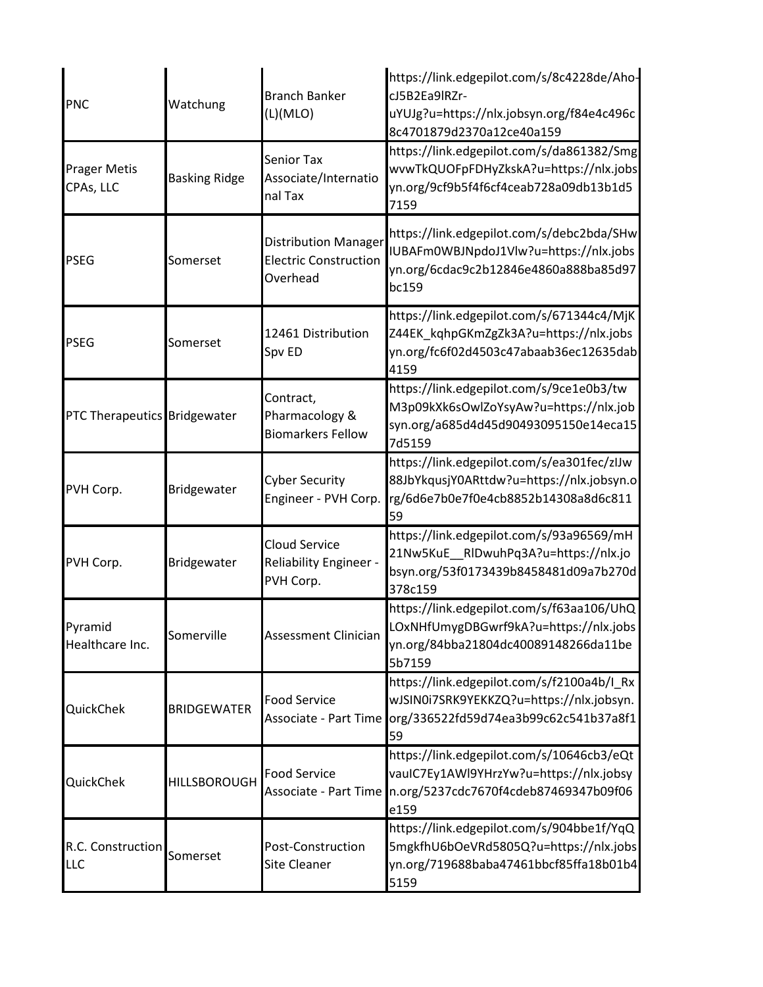| <b>PNC</b>                       | Watchung             | <b>Branch Banker</b><br>(L)(MLO)                                        | https://link.edgepilot.com/s/8c4228de/Aho-<br>cJ5B2Ea9lRZr-<br>uYUJg?u=https://nlx.jobsyn.org/f84e4c496c<br>8c4701879d2370a12ce40a159 |
|----------------------------------|----------------------|-------------------------------------------------------------------------|---------------------------------------------------------------------------------------------------------------------------------------|
| <b>Prager Metis</b><br>CPAs, LLC | <b>Basking Ridge</b> | Senior Tax<br>Associate/Internatio<br>nal Tax                           | https://link.edgepilot.com/s/da861382/Smg<br>wvwTkQUOFpFDHyZkskA?u=https://nlx.jobs<br>yn.org/9cf9b5f4f6cf4ceab728a09db13b1d5<br>7159 |
| <b>PSEG</b>                      | Somerset             | <b>Distribution Manager</b><br><b>Electric Construction</b><br>Overhead | https://link.edgepilot.com/s/debc2bda/SHw<br>IUBAFm0WBJNpdoJ1Vlw?u=https://nlx.jobs<br>yn.org/6cdac9c2b12846e4860a888ba85d97<br>bc159 |
| <b>PSEG</b>                      | Somerset             | 12461 Distribution<br>Spv ED                                            | https://link.edgepilot.com/s/671344c4/MjK<br>Z44EK_kqhpGKmZgZk3A?u=https://nlx.jobs<br>yn.org/fc6f02d4503c47abaab36ec12635dab<br>4159 |
| PTC Therapeutics Bridgewater     |                      | Contract,<br>Pharmacology &<br><b>Biomarkers Fellow</b>                 | https://link.edgepilot.com/s/9ce1e0b3/tw<br>M3p09kXk6sOwlZoYsyAw?u=https://nlx.job<br>syn.org/a685d4d45d90493095150e14eca15<br>7d5159 |
| PVH Corp.                        | Bridgewater          | <b>Cyber Security</b><br>Engineer - PVH Corp.                           | https://link.edgepilot.com/s/ea301fec/zlJw<br>88JbYkqusjY0ARttdw?u=https://nlx.jobsyn.o<br>rg/6d6e7b0e7f0e4cb8852b14308a8d6c811<br>59 |
| PVH Corp.                        | Bridgewater          | <b>Cloud Service</b><br><b>Reliability Engineer -</b><br>PVH Corp.      | https://link.edgepilot.com/s/93a96569/mH<br>21Nw5KuE RIDwuhPq3A?u=https://nlx.jo<br>bsyn.org/53f0173439b8458481d09a7b270d<br>378c159  |
| Pyramid<br>Healthcare Inc.       | Somerville           | Assessment Clinician                                                    | https://link.edgepilot.com/s/f63aa106/UhQ<br>LOxNHfUmygDBGwrf9kA?u=https://nlx.jobs<br>yn.org/84bba21804dc40089148266da11be<br>5b7159 |
| QuickChek                        | <b>BRIDGEWATER</b>   | <b>Food Service</b><br><b>Associate - Part Time</b>                     | https://link.edgepilot.com/s/f2100a4b/I_Rx<br>wJSIN0i7SRK9YEKKZQ?u=https://nlx.jobsyn.<br>org/336522fd59d74ea3b99c62c541b37a8f1<br>59 |
| QuickChek                        | <b>HILLSBOROUGH</b>  | <b>Food Service</b><br>Associate - Part Time                            | https://link.edgepilot.com/s/10646cb3/eQt<br>vauIC7Ey1AWI9YHrzYw?u=https://nlx.jobsy<br>n.org/5237cdc7670f4cdeb87469347b09f06<br>e159 |
| R.C. Construction<br>LLC         | Somerset             | Post-Construction<br><b>Site Cleaner</b>                                | https://link.edgepilot.com/s/904bbe1f/YqQ<br>5mgkfhU6bOeVRd5805Q?u=https://nlx.jobs<br>yn.org/719688baba47461bbcf85ffa18b01b4<br>5159 |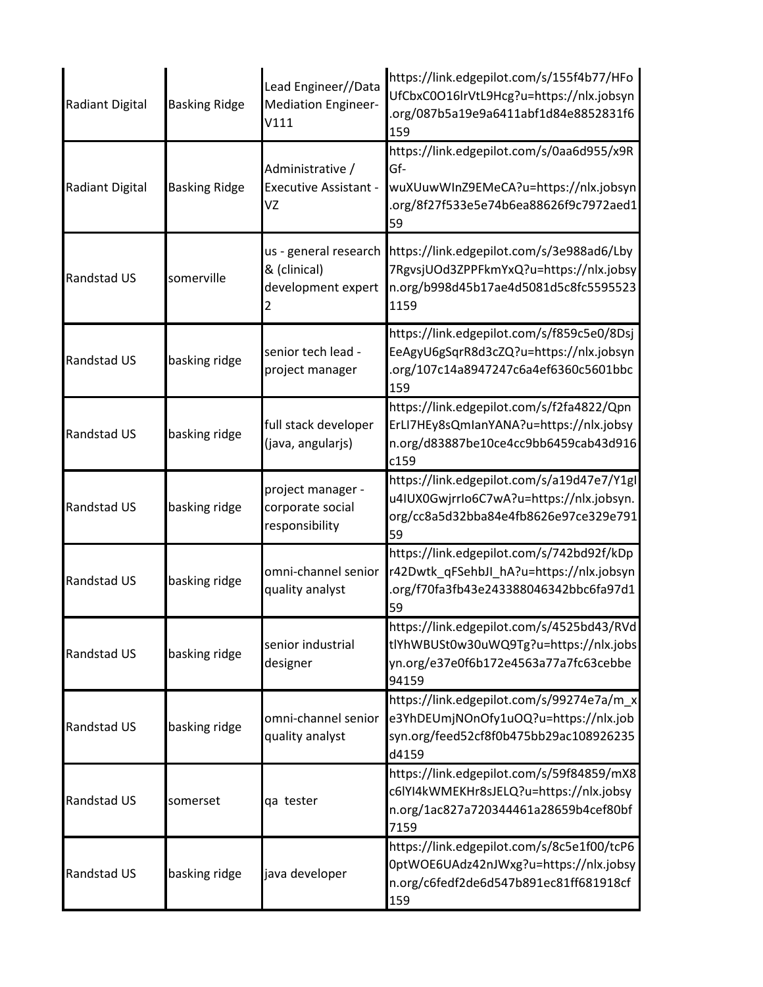| Radiant Digital | <b>Basking Ridge</b> | Lead Engineer//Data<br><b>Mediation Engineer-</b><br>V111   | https://link.edgepilot.com/s/155f4b77/HFo<br>UfCbxC0O16lrVtL9Hcg?u=https://nlx.jobsyn<br>.org/087b5a19e9a6411abf1d84e8852831f6<br>159     |
|-----------------|----------------------|-------------------------------------------------------------|-------------------------------------------------------------------------------------------------------------------------------------------|
| Radiant Digital | <b>Basking Ridge</b> | Administrative /<br><b>Executive Assistant -</b><br>VZ      | https://link.edgepilot.com/s/0aa6d955/x9R<br>Gf-<br>wuXUuwWInZ9EMeCA?u=https://nlx.jobsyn<br>.org/8f27f533e5e74b6ea88626f9c7972aed1<br>59 |
| Randstad US     | somerville           | us - general research<br>& (clinical)<br>development expert | https://link.edgepilot.com/s/3e988ad6/Lby<br>7RgvsjUOd3ZPPFkmYxQ?u=https://nlx.jobsy<br>n.org/b998d45b17ae4d5081d5c8fc5595523<br>1159     |
| Randstad US     | basking ridge        | senior tech lead -<br>project manager                       | https://link.edgepilot.com/s/f859c5e0/8Dsj<br>EeAgyU6gSqrR8d3cZQ?u=https://nlx.jobsyn<br>.org/107c14a8947247c6a4ef6360c5601bbc<br>159     |
| Randstad US     | basking ridge        | full stack developer<br>(java, angularjs)                   | https://link.edgepilot.com/s/f2fa4822/Qpn<br>ErLI7HEy8sQmIanYANA?u=https://nlx.jobsy<br>n.org/d83887be10ce4cc9bb6459cab43d916<br>c159     |
| Randstad US     | basking ridge        | project manager -<br>corporate social<br>responsibility     | https://link.edgepilot.com/s/a19d47e7/Y1gl<br>u4IUX0GwjrrIo6C7wA?u=https://nlx.jobsyn.<br>org/cc8a5d32bba84e4fb8626e97ce329e791<br>59     |
| Randstad US     | basking ridge        | omni-channel senior<br>quality analyst                      | https://link.edgepilot.com/s/742bd92f/kDp<br>r42Dwtk qFSehbJI hA?u=https://nlx.jobsyn<br>.org/f70fa3fb43e243388046342bbc6fa97d1<br>59     |
| Randstad US     | basking ridge        | senior industrial<br>designer                               | https://link.edgepilot.com/s/4525bd43/RVd<br>tlYhWBUSt0w30uWQ9Tg?u=https://nlx.jobs<br>yn.org/e37e0f6b172e4563a77a7fc63cebbe<br>94159     |
| Randstad US     | basking ridge        | omni-channel senior<br>quality analyst                      | https://link.edgepilot.com/s/99274e7a/m x<br>e3YhDEUmjNOnOfy1uOQ?u=https://nlx.job<br>syn.org/feed52cf8f0b475bb29ac108926235<br>d4159     |
| Randstad US     | somerset             | qa tester                                                   | https://link.edgepilot.com/s/59f84859/mX8<br>c6lYI4kWMEKHr8sJELQ?u=https://nlx.jobsy<br>n.org/1ac827a720344461a28659b4cef80bf<br>7159     |
| Randstad US     | basking ridge        | java developer                                              | https://link.edgepilot.com/s/8c5e1f00/tcP6<br>0ptWOE6UAdz42nJWxg?u=https://nlx.jobsy<br>n.org/c6fedf2de6d547b891ec81ff681918cf<br>159     |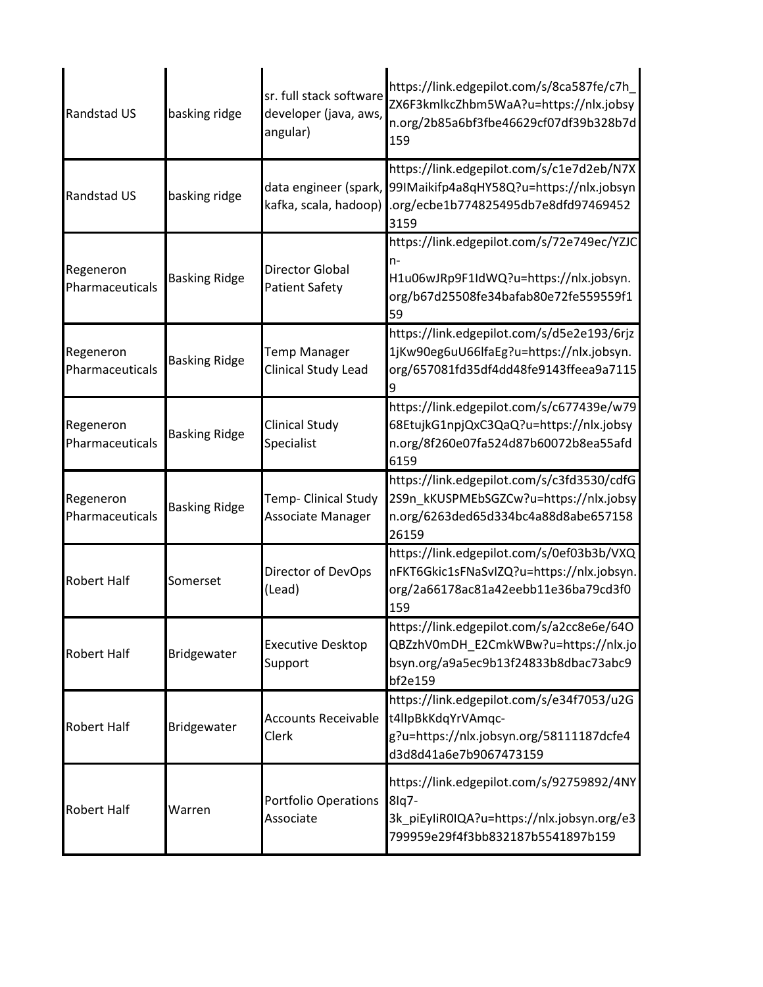| Randstad US                  | basking ridge        | sr. full stack software<br>developer (java, aws,<br>angular) | https://link.edgepilot.com/s/8ca587fe/c7h_<br>ZX6F3kmlkcZhbm5WaA?u=https://nlx.jobsy<br>n.org/2b85a6bf3fbe46629cf07df39b328b7d<br>159                       |
|------------------------------|----------------------|--------------------------------------------------------------|-------------------------------------------------------------------------------------------------------------------------------------------------------------|
| Randstad US                  | basking ridge        | kafka, scala, hadoop)                                        | https://link.edgepilot.com/s/c1e7d2eb/N7X<br>data engineer (spark, 99IMaikifp4a8qHY58Q?u=https://nlx.jobsyn<br>.org/ecbe1b774825495db7e8dfd97469452<br>3159 |
| Regeneron<br>Pharmaceuticals | <b>Basking Ridge</b> | <b>Director Global</b><br><b>Patient Safety</b>              | https://link.edgepilot.com/s/72e749ec/YZJC<br>n-<br>H1u06wJRp9F1IdWQ?u=https://nlx.jobsyn.<br>org/b67d25508fe34bafab80e72fe559559f1<br>59                   |
| Regeneron<br>Pharmaceuticals | <b>Basking Ridge</b> | <b>Temp Manager</b><br>Clinical Study Lead                   | https://link.edgepilot.com/s/d5e2e193/6rjz<br>1jKw90eg6uU66lfaEg?u=https://nlx.jobsyn.<br>org/657081fd35df4dd48fe9143ffeea9a7115                            |
| Regeneron<br>Pharmaceuticals | <b>Basking Ridge</b> | <b>Clinical Study</b><br>Specialist                          | https://link.edgepilot.com/s/c677439e/w79<br>68EtujkG1npjQxC3QaQ?u=https://nlx.jobsy<br>n.org/8f260e07fa524d87b60072b8ea55afd<br>6159                       |
| Regeneron<br>Pharmaceuticals | <b>Basking Ridge</b> | Temp- Clinical Study<br>Associate Manager                    | https://link.edgepilot.com/s/c3fd3530/cdfG<br>2S9n_kKUSPMEbSGZCw?u=https://nlx.jobsy<br>n.org/6263ded65d334bc4a88d8abe657158<br>26159                       |
| <b>Robert Half</b>           | Somerset             | Director of DevOps<br>(Lead)                                 | https://link.edgepilot.com/s/0ef03b3b/VXQ<br>nFKT6Gkic1sFNaSvIZQ?u=https://nlx.jobsyn.<br>org/2a66178ac81a42eebb11e36ba79cd3f0<br>159                       |
| <b>Robert Half</b>           | Bridgewater          | <b>Executive Desktop</b><br>Support                          | https://link.edgepilot.com/s/a2cc8e6e/64O<br>QBZzhV0mDH_E2CmkWBw?u=https://nlx.jo<br>bsyn.org/a9a5ec9b13f24833b8dbac73abc9<br>bf2e159                       |
| <b>Robert Half</b>           | Bridgewater          | <b>Accounts Receivable</b><br>Clerk                          | https://link.edgepilot.com/s/e34f7053/u2G<br>t4llpBkKdqYrVAmqc-<br>g?u=https://nlx.jobsyn.org/58111187dcfe4<br>d3d8d41a6e7b9067473159                       |
| <b>Robert Half</b>           | Warren               | <b>Portfolio Operations</b><br>Associate                     | https://link.edgepilot.com/s/92759892/4NY<br>8lq7-<br>3k_piEyliR0IQA?u=https://nlx.jobsyn.org/e3<br>799959e29f4f3bb832187b5541897b159                       |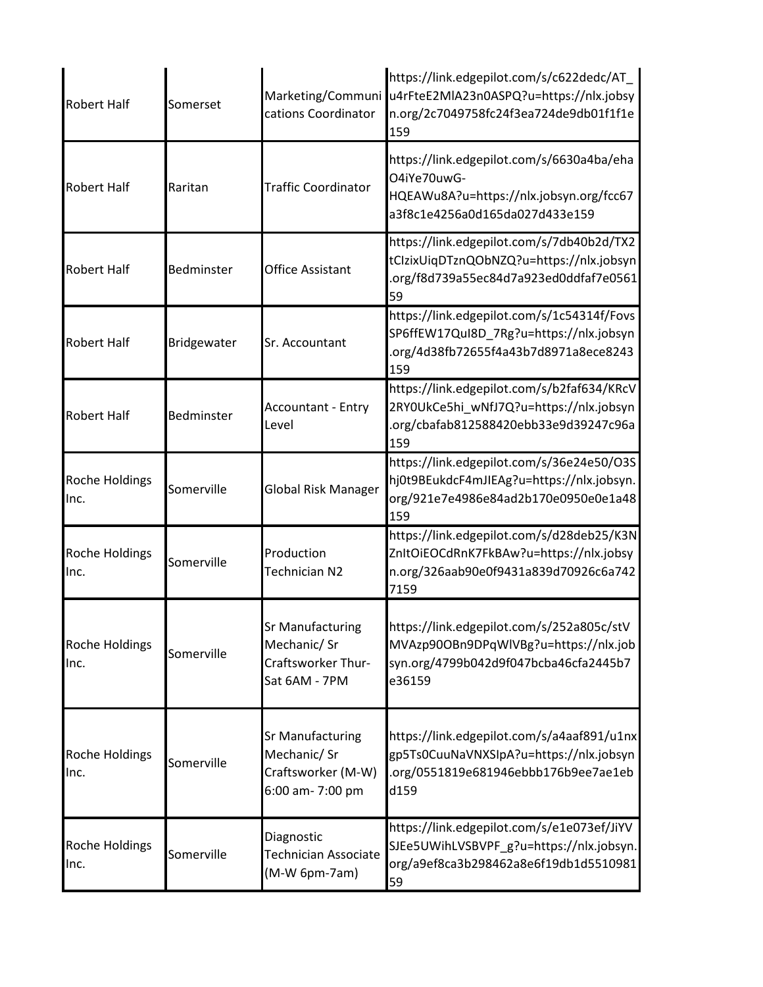| <b>Robert Half</b>            | Somerset    | Marketing/Communi<br>cations Coordinator                                          | https://link.edgepilot.com/s/c622dedc/AT<br>u4rFteE2MIA23n0ASPQ?u=https://nlx.jobsy<br>n.org/2c7049758fc24f3ea724de9db01f1f1e<br>159  |
|-------------------------------|-------------|-----------------------------------------------------------------------------------|---------------------------------------------------------------------------------------------------------------------------------------|
| <b>Robert Half</b>            | Raritan     | <b>Traffic Coordinator</b>                                                        | https://link.edgepilot.com/s/6630a4ba/eha<br>O4iYe70uwG-<br>HQEAWu8A?u=https://nlx.jobsyn.org/fcc67<br>a3f8c1e4256a0d165da027d433e159 |
| <b>Robert Half</b>            | Bedminster  | Office Assistant                                                                  | https://link.edgepilot.com/s/7db40b2d/TX2<br>tClzixUiqDTznQObNZQ?u=https://nlx.jobsyn<br>.org/f8d739a55ec84d7a923ed0ddfaf7e0561<br>59 |
| <b>Robert Half</b>            | Bridgewater | Sr. Accountant                                                                    | https://link.edgepilot.com/s/1c54314f/Fovs<br>SP6ffEW17QuI8D 7Rg?u=https://nlx.jobsyn<br>.org/4d38fb72655f4a43b7d8971a8ece8243<br>159 |
| <b>Robert Half</b>            | Bedminster  | <b>Accountant - Entry</b><br>Level                                                | https://link.edgepilot.com/s/b2faf634/KRcV<br>2RYOUkCe5hi wNfJ7Q?u=https://nlx.jobsyn<br>.org/cbafab812588420ebb33e9d39247c96a<br>159 |
| <b>Roche Holdings</b><br>Inc. | Somerville  | Global Risk Manager                                                               | https://link.edgepilot.com/s/36e24e50/O3S<br>hj0t9BEukdcF4mJIEAg?u=https://nlx.jobsyn.<br>org/921e7e4986e84ad2b170e0950e0e1a48<br>159 |
| <b>Roche Holdings</b><br>Inc. | Somerville  | Production<br>Technician N2                                                       | https://link.edgepilot.com/s/d28deb25/K3N<br>ZnItOiEOCdRnK7FkBAw?u=https://nlx.jobsy<br>n.org/326aab90e0f9431a839d70926c6a742<br>7159 |
| Roche Holdings<br>Inc.        | Somerville  | Sr Manufacturing<br>Mechanic/ Sr<br>Craftsworker Thur-<br>Sat 6AM - 7PM           | https://link.edgepilot.com/s/252a805c/stV<br>MVAzp90OBn9DPqWlVBg?u=https://nlx.job<br>syn.org/4799b042d9f047bcba46cfa2445b7<br>e36159 |
| <b>Roche Holdings</b><br>Inc. | Somerville  | <b>Sr Manufacturing</b><br>Mechanic/ Sr<br>Craftsworker (M-W)<br>6:00 am- 7:00 pm | https://link.edgepilot.com/s/a4aaf891/u1nx<br>gp5Ts0CuuNaVNXSIpA?u=https://nlx.jobsyn<br>.org/0551819e681946ebbb176b9ee7ae1eb<br>d159 |
| <b>Roche Holdings</b><br>Inc. | Somerville  | Diagnostic<br>Technician Associate<br>(M-W 6pm-7am)                               | https://link.edgepilot.com/s/e1e073ef/JiYV<br>SJEe5UWihLVSBVPF_g?u=https://nlx.jobsyn.<br>org/a9ef8ca3b298462a8e6f19db1d5510981<br>59 |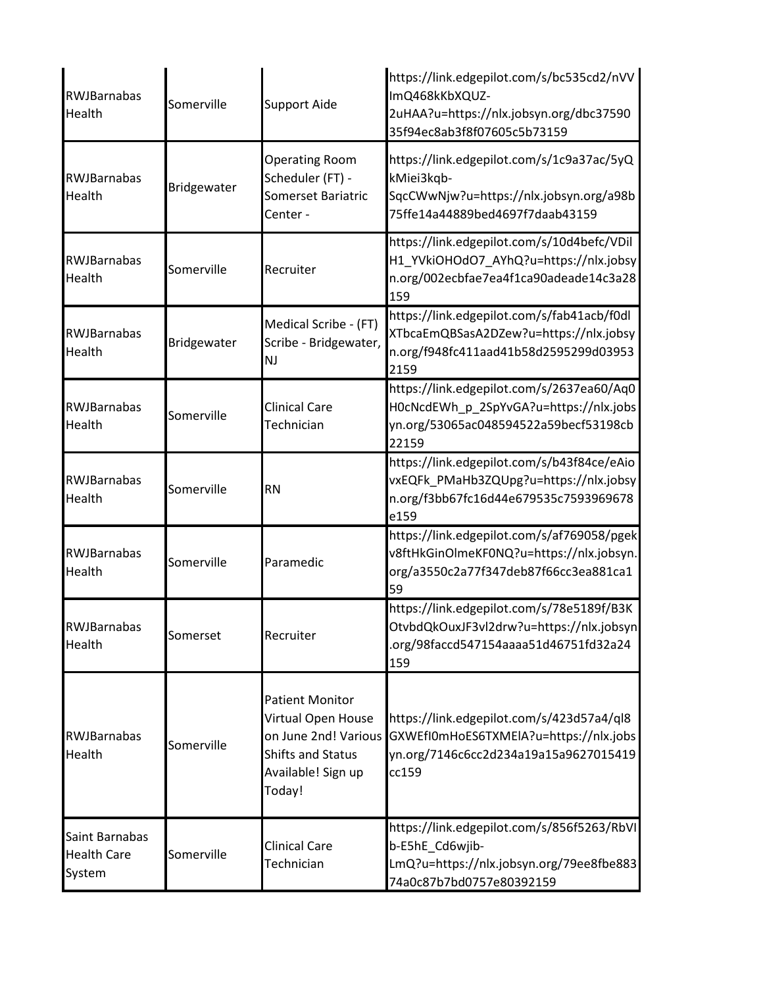| <b>RWJBarnabas</b><br>Health                   | Somerville  | <b>Support Aide</b>                                                                                                              | https://link.edgepilot.com/s/bc535cd2/nVV<br>ImQ468kKbXQUZ-<br>2uHAA?u=https://nlx.jobsyn.org/dbc37590<br>35f94ec8ab3f8f07605c5b73159 |
|------------------------------------------------|-------------|----------------------------------------------------------------------------------------------------------------------------------|---------------------------------------------------------------------------------------------------------------------------------------|
| RWJBarnabas<br>Health                          | Bridgewater | <b>Operating Room</b><br>Scheduler (FT) -<br><b>Somerset Bariatric</b><br>Center -                                               | https://link.edgepilot.com/s/1c9a37ac/5yQ<br>kMiei3kqb-<br>SqcCWwNjw?u=https://nlx.jobsyn.org/a98b<br>75ffe14a44889bed4697f7daab43159 |
| RWJBarnabas<br>Health                          | Somerville  | Recruiter                                                                                                                        | https://link.edgepilot.com/s/10d4befc/VDil<br>H1_YVkiOHOdO7_AYhQ?u=https://nlx.jobsy<br>n.org/002ecbfae7ea4f1ca90adeade14c3a28<br>159 |
| RWJBarnabas<br>Health                          | Bridgewater | Medical Scribe - (FT)<br>Scribe - Bridgewater,<br><b>NJ</b>                                                                      | https://link.edgepilot.com/s/fab41acb/f0dl<br>XTbcaEmQBSasA2DZew?u=https://nlx.jobsy<br>n.org/f948fc411aad41b58d2595299d03953<br>2159 |
| RWJBarnabas<br>Health                          | Somerville  | <b>Clinical Care</b><br>Technician                                                                                               | https://link.edgepilot.com/s/2637ea60/Aq0<br>H0cNcdEWh_p_2SpYvGA?u=https://nlx.jobs<br>yn.org/53065ac048594522a59becf53198cb<br>22159 |
| <b>RWJBarnabas</b><br>Health                   | Somerville  | <b>RN</b>                                                                                                                        | https://link.edgepilot.com/s/b43f84ce/eAio<br>vxEQFk_PMaHb3ZQUpg?u=https://nlx.jobsy<br>n.org/f3bb67fc16d44e679535c7593969678<br>e159 |
| RWJBarnabas<br>Health                          | Somerville  | Paramedic                                                                                                                        | https://link.edgepilot.com/s/af769058/pgek<br>v8ftHkGinOlmeKF0NQ?u=https://nlx.jobsyn.<br>org/a3550c2a77f347deb87f66cc3ea881ca1<br>59 |
| <b>RWIBarnabas</b><br>Health                   | Somerset    | Recruiter                                                                                                                        | https://link.edgepilot.com/s/78e5189f/B3K<br>OtvbdQkOuxJF3vl2drw?u=https://nlx.jobsyn<br>.org/98faccd547154aaaa51d46751fd32a24<br>159 |
| <b>RWJBarnabas</b><br>Health                   | Somerville  | <b>Patient Monitor</b><br>Virtual Open House<br>on June 2nd! Various<br><b>Shifts and Status</b><br>Available! Sign up<br>Today! | https://link.edgepilot.com/s/423d57a4/ql8<br>GXWEfI0mHoES6TXMEIA?u=https://nlx.jobs<br>yn.org/7146c6cc2d234a19a15a9627015419<br>cc159 |
| Saint Barnabas<br><b>Health Care</b><br>System | Somerville  | <b>Clinical Care</b><br>Technician                                                                                               | https://link.edgepilot.com/s/856f5263/RbVI<br>b-E5hE_Cd6wjib-<br>LmQ?u=https://nlx.jobsyn.org/79ee8fbe883<br>74a0c87b7bd0757e80392159 |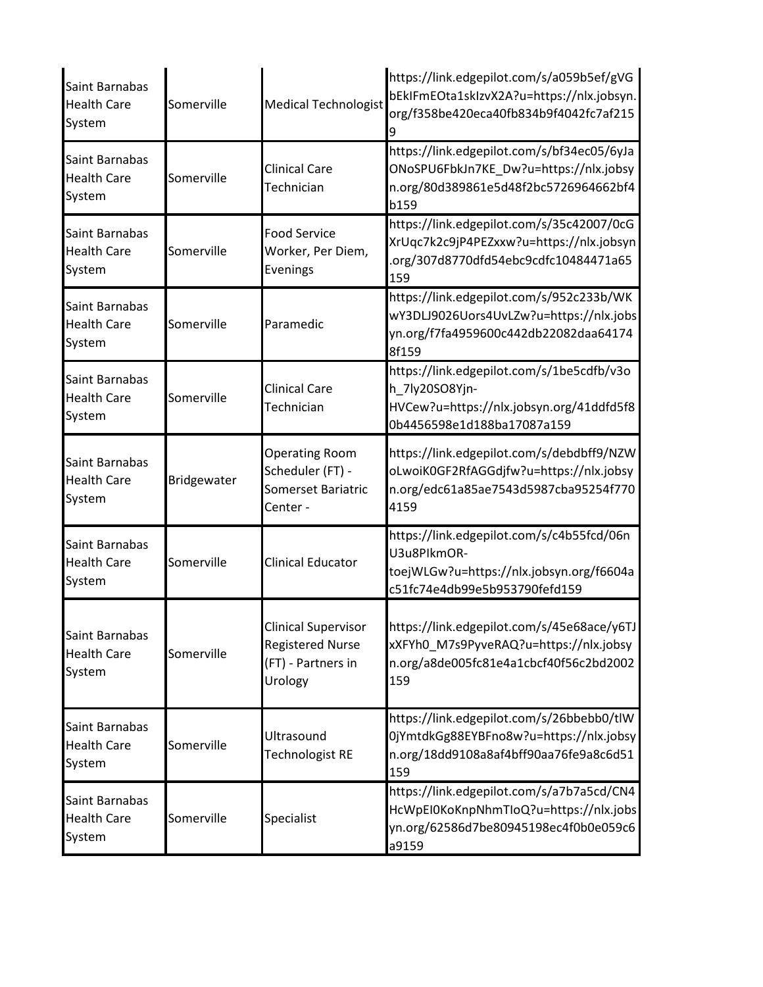| Saint Barnabas<br><b>Health Care</b><br>System | Somerville  | <b>Medical Technologist</b>                                                            | https://link.edgepilot.com/s/a059b5ef/gVG<br>bEkIFmEOta1skIzvX2A?u=https://nlx.jobsyn.<br>org/f358be420eca40fb834b9f4042fc7af215      |
|------------------------------------------------|-------------|----------------------------------------------------------------------------------------|---------------------------------------------------------------------------------------------------------------------------------------|
| Saint Barnabas<br><b>Health Care</b><br>System | Somerville  | Clinical Care<br>Technician                                                            | https://link.edgepilot.com/s/bf34ec05/6yJa<br>ONoSPU6FbkJn7KE_Dw?u=https://nlx.jobsy<br>n.org/80d389861e5d48f2bc5726964662bf4<br>b159 |
| Saint Barnabas<br><b>Health Care</b><br>System | Somerville  | Food Service<br>Worker, Per Diem,<br>Evenings                                          | https://link.edgepilot.com/s/35c42007/0cG<br>XrUqc7k2c9jP4PEZxxw?u=https://nlx.jobsyn<br>.org/307d8770dfd54ebc9cdfc10484471a65<br>159 |
| Saint Barnabas<br><b>Health Care</b><br>System | Somerville  | Paramedic                                                                              | https://link.edgepilot.com/s/952c233b/WK<br>wY3DLJ9026Uors4UvLZw?u=https://nlx.jobs<br>yn.org/f7fa4959600c442db22082daa64174<br>8f159 |
| Saint Barnabas<br><b>Health Care</b><br>System | Somerville  | Clinical Care<br>Technician                                                            | https://link.edgepilot.com/s/1be5cdfb/v3o<br>h 7ly20SO8Yjn-<br>HVCew?u=https://nlx.jobsyn.org/41ddfd5f8<br>0b4456598e1d188ba17087a159 |
| Saint Barnabas<br><b>Health Care</b><br>System | Bridgewater | <b>Operating Room</b><br>Scheduler (FT) -<br><b>Somerset Bariatric</b><br>Center -     | https://link.edgepilot.com/s/debdbff9/NZW<br>oLwoiK0GF2RfAGGdjfw?u=https://nlx.jobsy<br>n.org/edc61a85ae7543d5987cba95254f770<br>4159 |
| Saint Barnabas<br><b>Health Care</b><br>System | Somerville  | Clinical Educator                                                                      | https://link.edgepilot.com/s/c4b55fcd/06n<br>U3u8PlkmOR-<br>toejWLGw?u=https://nlx.jobsyn.org/f6604a<br>c51fc74e4db99e5b953790fefd159 |
| Saint Barnabas<br><b>Health Care</b><br>System | Somerville  | <b>Clinical Supervisor</b><br><b>Registered Nurse</b><br>(FT) - Partners in<br>Urology | https://link.edgepilot.com/s/45e68ace/y6TJ<br>xXFYh0_M7s9PyveRAQ?u=https://nlx.jobsy<br>n.org/a8de005fc81e4a1cbcf40f56c2bd2002<br>159 |
| Saint Barnabas<br><b>Health Care</b><br>System | Somerville  | Ultrasound<br>Technologist RE                                                          | https://link.edgepilot.com/s/26bbebb0/tlW<br>0jYmtdkGg88EYBFno8w?u=https://nlx.jobsy<br>n.org/18dd9108a8af4bff90aa76fe9a8c6d51<br>159 |
| Saint Barnabas<br><b>Health Care</b><br>System | Somerville  | Specialist                                                                             | https://link.edgepilot.com/s/a7b7a5cd/CN4<br>HcWpEI0KoKnpNhmTloQ?u=https://nlx.jobs<br>yn.org/62586d7be80945198ec4f0b0e059c6<br>a9159 |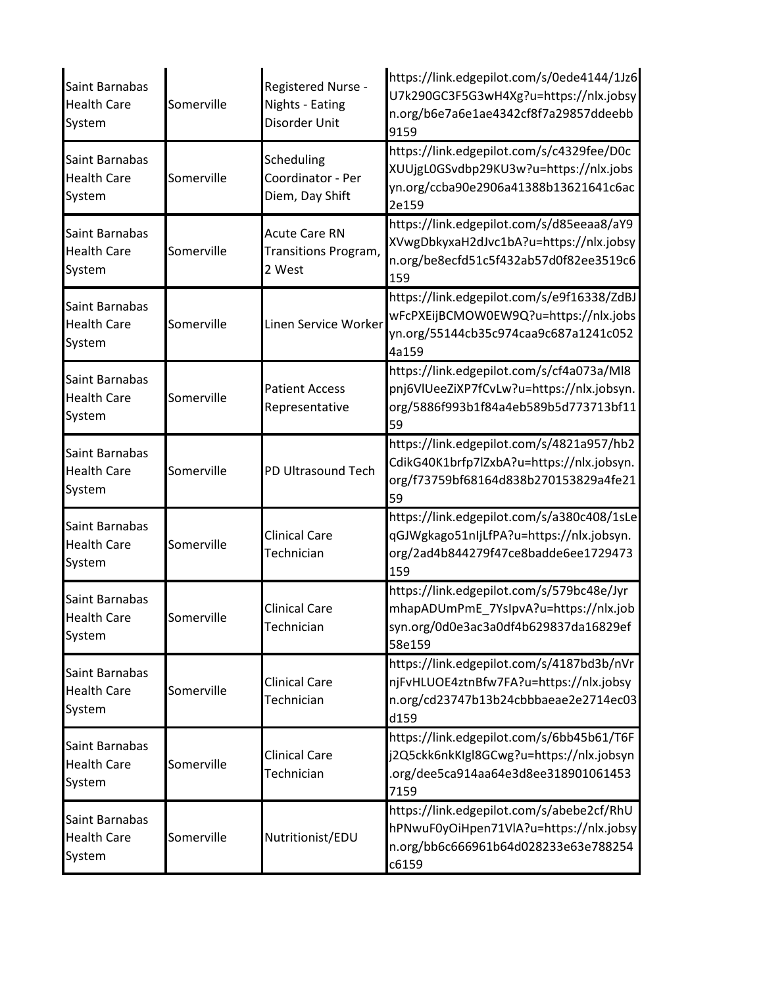| Saint Barnabas<br><b>Health Care</b><br>System | Somerville | Registered Nurse -<br>Nights - Eating<br>Disorder Unit | https://link.edgepilot.com/s/0ede4144/1Jz6<br>U7k290GC3F5G3wH4Xg?u=https://nlx.jobsy<br>n.org/b6e7a6e1ae4342cf8f7a29857ddeebb<br>9159 |
|------------------------------------------------|------------|--------------------------------------------------------|---------------------------------------------------------------------------------------------------------------------------------------|
| Saint Barnabas<br><b>Health Care</b><br>System | Somerville | Scheduling<br>Coordinator - Per<br>Diem, Day Shift     | https://link.edgepilot.com/s/c4329fee/D0c<br>XUUjgL0GSvdbp29KU3w?u=https://nlx.jobs<br>yn.org/ccba90e2906a41388b13621641c6ac<br>2e159 |
| Saint Barnabas<br><b>Health Care</b><br>System | Somerville | <b>Acute Care RN</b><br>Transitions Program,<br>2 West | https://link.edgepilot.com/s/d85eeaa8/aY9<br>XVwgDbkyxaH2dJvc1bA?u=https://nlx.jobsy<br>n.org/be8ecfd51c5f432ab57d0f82ee3519c6<br>159 |
| Saint Barnabas<br><b>Health Care</b><br>System | Somerville | Linen Service Worker                                   | https://link.edgepilot.com/s/e9f16338/ZdBJ<br>wFcPXEijBCMOW0EW9Q?u=https://nlx.jobs<br>yn.org/55144cb35c974caa9c687a1241c052<br>4a159 |
| Saint Barnabas<br><b>Health Care</b><br>System | Somerville | <b>Patient Access</b><br>Representative                | https://link.edgepilot.com/s/cf4a073a/MI8<br>pnj6VIUeeZiXP7fCvLw?u=https://nlx.jobsyn.<br>org/5886f993b1f84a4eb589b5d773713bf11<br>59 |
| Saint Barnabas<br><b>Health Care</b><br>System | Somerville | PD Ultrasound Tech                                     | https://link.edgepilot.com/s/4821a957/hb2<br>CdikG40K1brfp7lZxbA?u=https://nlx.jobsyn.<br>org/f73759bf68164d838b270153829a4fe21<br>59 |
| Saint Barnabas<br><b>Health Care</b><br>System | Somerville | <b>Clinical Care</b><br>Technician                     | https://link.edgepilot.com/s/a380c408/1sLe<br>qGJWgkago51nIjLfPA?u=https://nlx.jobsyn.<br>org/2ad4b844279f47ce8badde6ee1729473<br>159 |
| Saint Barnabas<br><b>Health Care</b><br>System | Somerville | <b>Clinical Care</b><br>Technician                     | https://link.edgepilot.com/s/579bc48e/Jyr<br>mhapADUmPmE_7YsIpvA?u=https://nlx.job<br>syn.org/0d0e3ac3a0df4b629837da16829ef<br>58e159 |
| Saint Barnabas<br><b>Health Care</b><br>System | Somerville | <b>Clinical Care</b><br>Technician                     | https://link.edgepilot.com/s/4187bd3b/nVr<br>njFvHLUOE4ztnBfw7FA?u=https://nlx.jobsy<br>n.org/cd23747b13b24cbbbaeae2e2714ec03<br>d159 |
| Saint Barnabas<br><b>Health Care</b><br>System | Somerville | Clinical Care<br>Technician                            | https://link.edgepilot.com/s/6bb45b61/T6F<br>j2Q5ckk6nkKIgl8GCwg?u=https://nlx.jobsyn<br>.org/dee5ca914aa64e3d8ee318901061453<br>7159 |
| Saint Barnabas<br><b>Health Care</b><br>System | Somerville | Nutritionist/EDU                                       | https://link.edgepilot.com/s/abebe2cf/RhU<br>hPNwuF0yOiHpen71VlA?u=https://nlx.jobsy<br>n.org/bb6c666961b64d028233e63e788254<br>c6159 |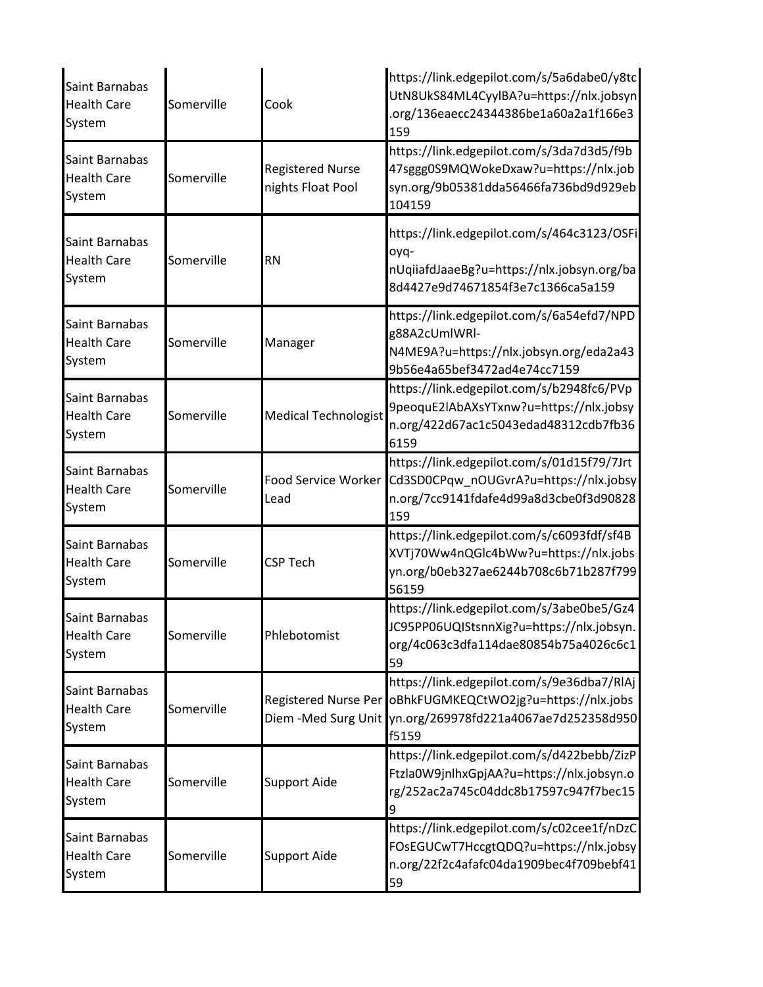| Saint Barnabas<br><b>Health Care</b><br>System | Somerville | Cook                                         | https://link.edgepilot.com/s/5a6dabe0/y8tc<br>UtN8UkS84ML4CyylBA?u=https://nlx.jobsyn<br>.org/136eaecc24344386be1a60a2a1f166e3<br>159                     |
|------------------------------------------------|------------|----------------------------------------------|-----------------------------------------------------------------------------------------------------------------------------------------------------------|
| Saint Barnabas<br><b>Health Care</b><br>System | Somerville | <b>Registered Nurse</b><br>nights Float Pool | https://link.edgepilot.com/s/3da7d3d5/f9b<br>47sggg0S9MQWokeDxaw?u=https://nlx.job<br>syn.org/9b05381dda56466fa736bd9d929eb<br>104159                     |
| Saint Barnabas<br><b>Health Care</b><br>System | Somerville | <b>RN</b>                                    | https://link.edgepilot.com/s/464c3123/OSFi<br>oyq-<br>nUqiiafdJaaeBg?u=https://nlx.jobsyn.org/ba<br>8d4427e9d74671854f3e7c1366ca5a159                     |
| Saint Barnabas<br><b>Health Care</b><br>System | Somerville | Manager                                      | https://link.edgepilot.com/s/6a54efd7/NPD<br>g88A2cUmlWRI-<br>N4ME9A?u=https://nlx.jobsyn.org/eda2a43<br>9b56e4a65bef3472ad4e74cc7159                     |
| Saint Barnabas<br><b>Health Care</b><br>System | Somerville | <b>Medical Technologist</b>                  | https://link.edgepilot.com/s/b2948fc6/PVp<br>9peoquE2lAbAXsYTxnw?u=https://nlx.jobsy<br>n.org/422d67ac1c5043edad48312cdb7fb36<br>6159                     |
| Saint Barnabas<br><b>Health Care</b><br>System | Somerville | <b>Food Service Worker</b><br>Lead           | https://link.edgepilot.com/s/01d15f79/7Jrt<br>Cd3SD0CPqw_nOUGvrA?u=https://nlx.jobsy<br>n.org/7cc9141fdafe4d99a8d3cbe0f3d90828<br>159                     |
| Saint Barnabas<br><b>Health Care</b><br>System | Somerville | <b>CSP Tech</b>                              | https://link.edgepilot.com/s/c6093fdf/sf4B<br>XVTj70Ww4nQGlc4bWw?u=https://nlx.jobs<br>yn.org/b0eb327ae6244b708c6b71b287f799<br>56159                     |
| Saint Barnabas<br><b>Health Care</b><br>System | Somerville | Phlebotomist                                 | https://link.edgepilot.com/s/3abe0be5/Gz4<br>JC95PP06UQIStsnnXig?u=https://nlx.jobsyn.<br>org/4c063c3dfa114dae80854b75a4026c6c1<br>59                     |
| Saint Barnabas<br><b>Health Care</b><br>System | Somerville | Registered Nurse Per                         | https://link.edgepilot.com/s/9e36dba7/RIAj<br>oBhkFUGMKEQCtWO2jg?u=https://nlx.jobs<br>Diem -Med Surg Unit vn.org/269978fd221a4067ae7d252358d950<br>f5159 |
| Saint Barnabas<br><b>Health Care</b><br>System | Somerville | <b>Support Aide</b>                          | https://link.edgepilot.com/s/d422bebb/ZizP<br>Ftzla0W9jnlhxGpjAA?u=https://nlx.jobsyn.o<br>rg/252ac2a745c04ddc8b17597c947f7bec15<br>9                     |
| Saint Barnabas<br><b>Health Care</b><br>System | Somerville | <b>Support Aide</b>                          | https://link.edgepilot.com/s/c02cee1f/nDzC<br>FOsEGUCwT7HccgtQDQ?u=https://nlx.jobsy<br>n.org/22f2c4afafc04da1909bec4f709bebf41<br>59                     |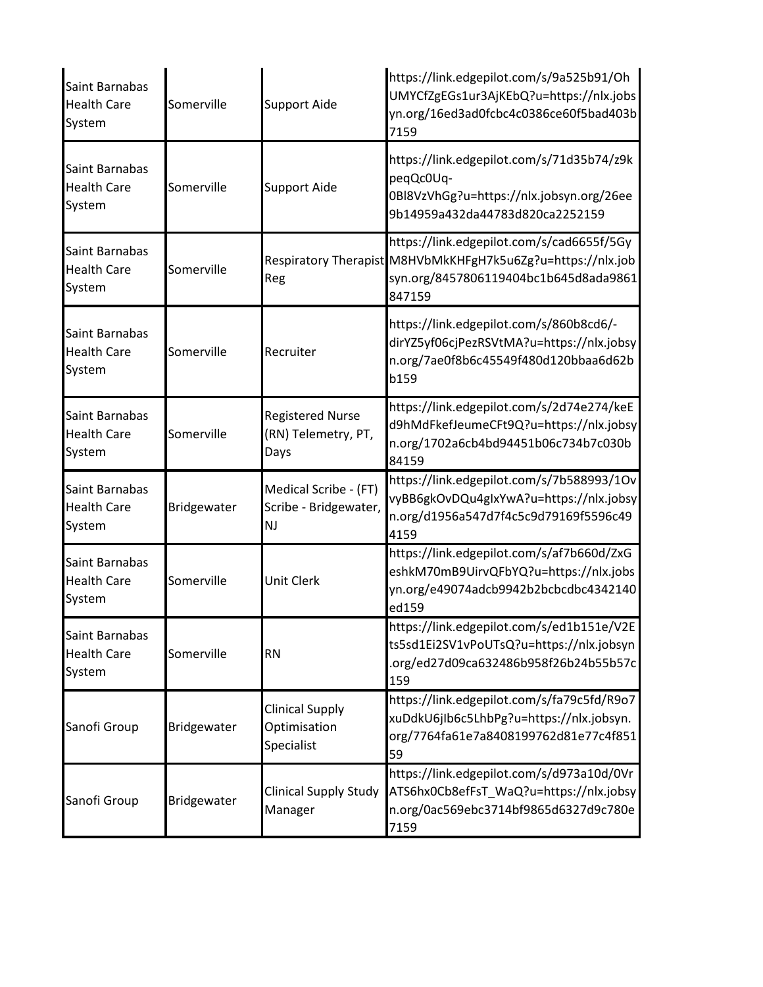| Saint Barnabas<br><b>Health Care</b><br>System | Somerville  | <b>Support Aide</b>                                    | https://link.edgepilot.com/s/9a525b91/Oh<br>UMYCfZgEGs1ur3AjKEbQ?u=https://nlx.jobs<br>yn.org/16ed3ad0fcbc4c0386ce60f5bad403b<br>7159                       |
|------------------------------------------------|-------------|--------------------------------------------------------|-------------------------------------------------------------------------------------------------------------------------------------------------------------|
| Saint Barnabas<br><b>Health Care</b><br>System | Somerville  | <b>Support Aide</b>                                    | https://link.edgepilot.com/s/71d35b74/z9k<br>peqQc0Uq-<br>0Bl8VzVhGg?u=https://nlx.jobsyn.org/26ee<br>9b14959a432da44783d820ca2252159                       |
| Saint Barnabas<br><b>Health Care</b><br>System | Somerville  | Reg                                                    | https://link.edgepilot.com/s/cad6655f/5Gy<br>Respiratory Therapist M8HVbMkKHFgH7k5u6Zg?u=https://nlx.job<br>syn.org/8457806119404bc1b645d8ada9861<br>847159 |
| Saint Barnabas<br><b>Health Care</b><br>System | Somerville  | Recruiter                                              | https://link.edgepilot.com/s/860b8cd6/-<br>dirYZ5yf06cjPezRSVtMA?u=https://nlx.jobsy<br>n.org/7ae0f8b6c45549f480d120bbaa6d62b<br>b159                       |
| Saint Barnabas<br><b>Health Care</b><br>System | Somerville  | <b>Registered Nurse</b><br>(RN) Telemetry, PT,<br>Days | https://link.edgepilot.com/s/2d74e274/keE<br>d9hMdFkefJeumeCFt9Q?u=https://nlx.jobsy<br>n.org/1702a6cb4bd94451b06c734b7c030b<br>84159                       |
| Saint Barnabas<br><b>Health Care</b><br>System | Bridgewater | Medical Scribe - (FT)<br>Scribe - Bridgewater,<br>NJ   | https://link.edgepilot.com/s/7b588993/1Ov<br>vyBB6gkOvDQu4gIxYwA?u=https://nlx.jobsy<br>n.org/d1956a547d7f4c5c9d79169f5596c49<br>4159                       |
| Saint Barnabas<br><b>Health Care</b><br>System | Somerville  | <b>Unit Clerk</b>                                      | https://link.edgepilot.com/s/af7b660d/ZxG<br>eshkM70mB9UirvQFbYQ?u=https://nlx.jobs<br>yn.org/e49074adcb9942b2bcbcdbc4342140<br>ed159                       |
| Saint Barnabas<br><b>Health Care</b><br>System | Somerville  | <b>RN</b>                                              | https://link.edgepilot.com/s/ed1b151e/V2E<br>ts5sd1Ei2SV1vPoUTsQ?u=https://nlx.jobsyn<br>.org/ed27d09ca632486b958f26b24b55b57c<br>159                       |
| Sanofi Group                                   | Bridgewater | <b>Clinical Supply</b><br>Optimisation<br>Specialist   | https://link.edgepilot.com/s/fa79c5fd/R9o7<br>xuDdkU6jIb6c5LhbPg?u=https://nlx.jobsyn.<br>org/7764fa61e7a8408199762d81e77c4f851<br>59                       |
| Sanofi Group                                   | Bridgewater | <b>Clinical Supply Study</b><br>Manager                | https://link.edgepilot.com/s/d973a10d/0Vr<br>ATS6hx0Cb8efFsT_WaQ?u=https://nlx.jobsy<br>n.org/0ac569ebc3714bf9865d6327d9c780e<br>7159                       |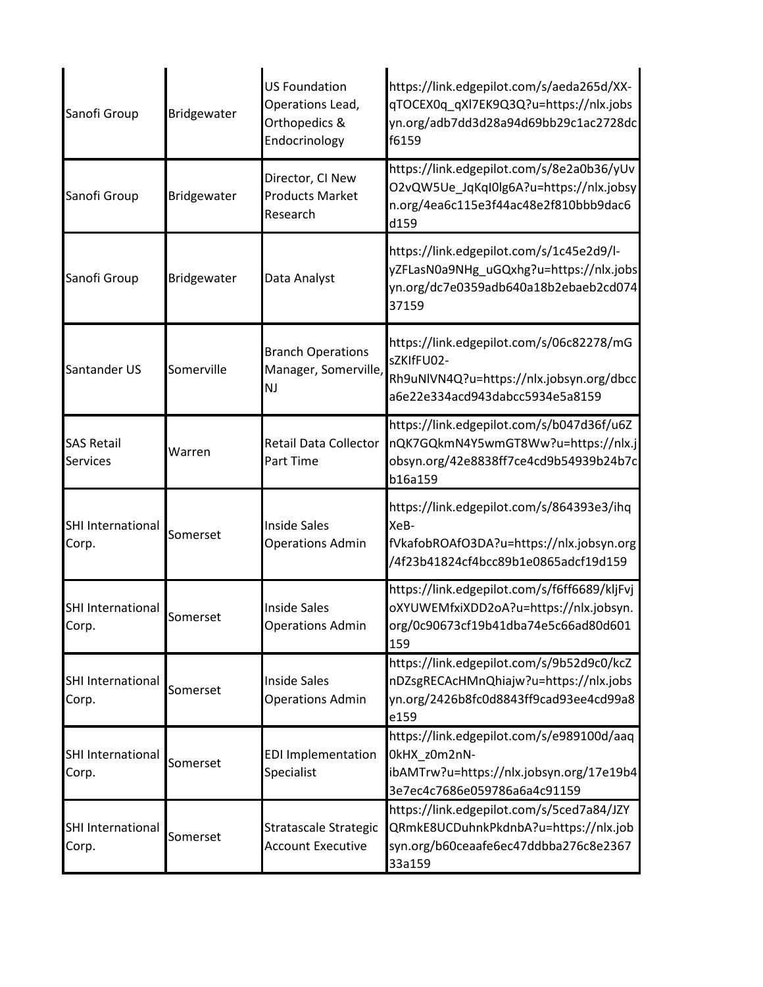| Sanofi Group                         | Bridgewater | <b>US Foundation</b><br>Operations Lead,<br>Orthopedics &<br>Endocrinology | https://link.edgepilot.com/s/aeda265d/XX-<br>qTOCEX0q_qXl7EK9Q3Q?u=https://nlx.jobs<br>yn.org/adb7dd3d28a94d69bb29c1ac2728dc<br>f6159 |
|--------------------------------------|-------------|----------------------------------------------------------------------------|---------------------------------------------------------------------------------------------------------------------------------------|
| Sanofi Group                         | Bridgewater | Director, CI New<br><b>Products Market</b><br>Research                     | https://link.edgepilot.com/s/8e2a0b36/yUv<br>O2vQW5Ue_JqKqI0lg6A?u=https://nlx.jobsy<br>n.org/4ea6c115e3f44ac48e2f810bbb9dac6<br>d159 |
| Sanofi Group                         | Bridgewater | Data Analyst                                                               | https://link.edgepilot.com/s/1c45e2d9/l-<br>yZFLasN0a9NHg_uGQxhg?u=https://nlx.jobs<br>yn.org/dc7e0359adb640a18b2ebaeb2cd074<br>37159 |
| Santander US                         | Somerville  | <b>Branch Operations</b><br>Manager, Somerville,<br><b>NJ</b>              | https://link.edgepilot.com/s/06c82278/mG<br>sZKIfFU02-<br>Rh9uNlVN4Q?u=https://nlx.jobsyn.org/dbcc<br>a6e22e334acd943dabcc5934e5a8159 |
| <b>SAS Retail</b><br><b>Services</b> | Warren      | Retail Data Collector<br>Part Time                                         | https://link.edgepilot.com/s/b047d36f/u6Z<br>nQK7GQkmN4Y5wmGT8Ww?u=https://nlx.j<br>obsyn.org/42e8838ff7ce4cd9b54939b24b7c<br>b16a159 |
| <b>SHI International</b><br>Corp.    | Somerset    | <b>Inside Sales</b><br><b>Operations Admin</b>                             | https://link.edgepilot.com/s/864393e3/ihq<br>XeB-<br>fVkafobROAfO3DA?u=https://nlx.jobsyn.org<br>/4f23b41824cf4bcc89b1e0865adcf19d159 |
| <b>SHI International</b><br>Corp.    | Somerset    | <b>Inside Sales</b><br><b>Operations Admin</b>                             | https://link.edgepilot.com/s/f6ff6689/kljFvj<br>oXYUWEMfxiXDD2oA?u=https://nlx.jobsyn.<br>org/0c90673cf19b41dba74e5c66ad80d601<br>159 |
| <b>SHI International</b><br>Corp.    | Somerset    | <b>Inside Sales</b><br><b>Operations Admin</b>                             | https://link.edgepilot.com/s/9b52d9c0/kcZ<br>nDZsgRECAcHMnQhiajw?u=https://nlx.jobs<br>yn.org/2426b8fc0d8843ff9cad93ee4cd99a8<br>e159 |
| <b>SHI International</b><br>Corp.    | Somerset    | <b>EDI Implementation</b><br>Specialist                                    | https://link.edgepilot.com/s/e989100d/aaq<br>OkHX_z0m2nN-<br>ibAMTrw?u=https://nlx.jobsyn.org/17e19b4<br>3e7ec4c7686e059786a6a4c91159 |
| <b>SHI International</b><br>Corp.    | Somerset    | Stratascale Strategic<br><b>Account Executive</b>                          | https://link.edgepilot.com/s/5ced7a84/JZY<br>QRmkE8UCDuhnkPkdnbA?u=https://nlx.job<br>syn.org/b60ceaafe6ec47ddbba276c8e2367<br>33a159 |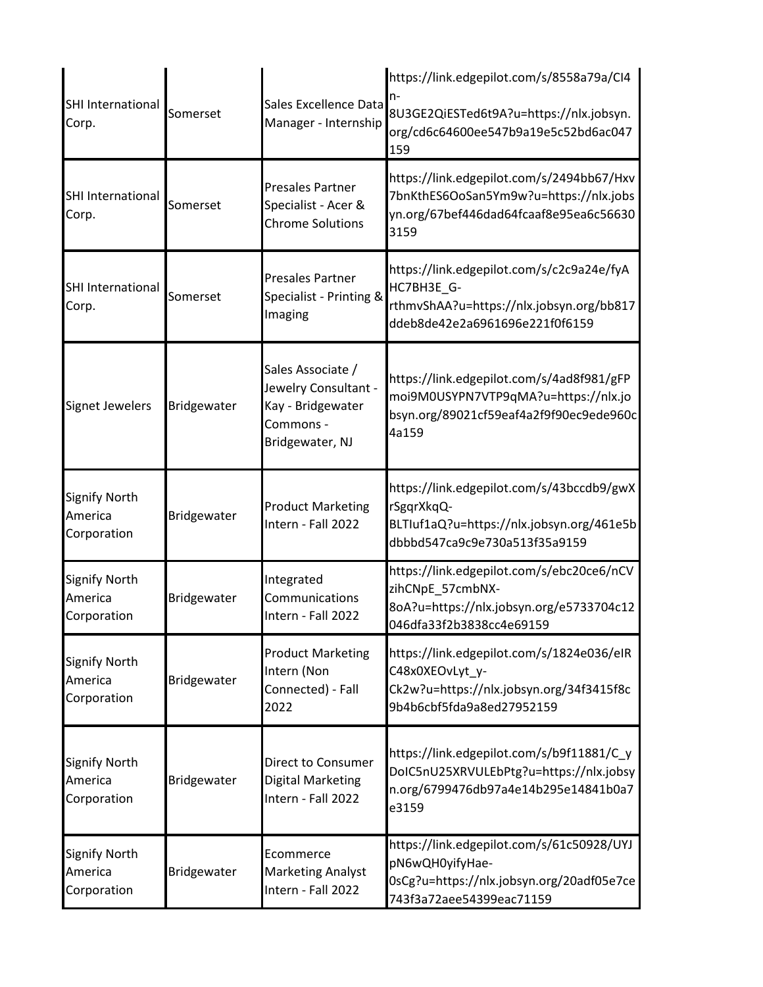| SHI International<br>Corp.                     | Somerset    | Sales Excellence Data<br>Manager - Internship                                                  | https://link.edgepilot.com/s/8558a79a/CI4<br>8U3GE2QiESTed6t9A?u=https://nlx.jobsyn.<br>org/cd6c64600ee547b9a19e5c52bd6ac047<br>159   |
|------------------------------------------------|-------------|------------------------------------------------------------------------------------------------|---------------------------------------------------------------------------------------------------------------------------------------|
| SHI International<br>Corp.                     | Somerset    | <b>Presales Partner</b><br>Specialist - Acer &<br><b>Chrome Solutions</b>                      | https://link.edgepilot.com/s/2494bb67/Hxv<br>7bnKthES6OoSan5Ym9w?u=https://nlx.jobs<br>yn.org/67bef446dad64fcaaf8e95ea6c56630<br>3159 |
| SHI International<br>Corp.                     | Somerset    | <b>Presales Partner</b><br>Specialist - Printing &<br>Imaging                                  | https://link.edgepilot.com/s/c2c9a24e/fyA<br>HC7BH3E_G-<br>rthmvShAA?u=https://nlx.jobsyn.org/bb817<br>ddeb8de42e2a6961696e221f0f6159 |
| <b>Signet Jewelers</b>                         | Bridgewater | Sales Associate /<br>Jewelry Consultant -<br>Kay - Bridgewater<br>Commons -<br>Bridgewater, NJ | https://link.edgepilot.com/s/4ad8f981/gFP<br>moi9M0USYPN7VTP9qMA?u=https://nlx.jo<br>bsyn.org/89021cf59eaf4a2f9f90ec9ede960c<br>4a159 |
| <b>Signify North</b><br>America<br>Corporation | Bridgewater | <b>Product Marketing</b><br>Intern - Fall 2022                                                 | https://link.edgepilot.com/s/43bccdb9/gwX<br>rSgqrXkqQ-<br>BLTIuf1aQ?u=https://nlx.jobsyn.org/461e5b<br>dbbbd547ca9c9e730a513f35a9159 |
| <b>Signify North</b><br>America<br>Corporation | Bridgewater | Integrated<br>Communications<br>Intern - Fall 2022                                             | https://link.edgepilot.com/s/ebc20ce6/nCV<br>zihCNpE_57cmbNX-<br>8oA?u=https://nlx.jobsyn.org/e5733704c12<br>046dfa33f2b3838cc4e69159 |
| <b>Signify North</b><br>America<br>Corporation | Bridgewater | <b>Product Marketing</b><br>Intern (Non<br>Connected) - Fall<br>2022                           | https://link.edgepilot.com/s/1824e036/eIR<br>C48x0XEOvLyt_y-<br>Ck2w?u=https://nlx.jobsyn.org/34f3415f8c<br>9b4b6cbf5fda9a8ed27952159 |
| <b>Signify North</b><br>America<br>Corporation | Bridgewater | <b>Direct to Consumer</b><br><b>Digital Marketing</b><br>Intern - Fall 2022                    | https://link.edgepilot.com/s/b9f11881/C_y<br>DoIC5nU25XRVULEbPtg?u=https://nlx.jobsy<br>n.org/6799476db97a4e14b295e14841b0a7<br>e3159 |
| <b>Signify North</b><br>America<br>Corporation | Bridgewater | Ecommerce<br><b>Marketing Analyst</b><br>Intern - Fall 2022                                    | https://link.edgepilot.com/s/61c50928/UYJ<br>pN6wQH0yifyHae-<br>0sCg?u=https://nlx.jobsyn.org/20adf05e7ce<br>743f3a72aee54399eac71159 |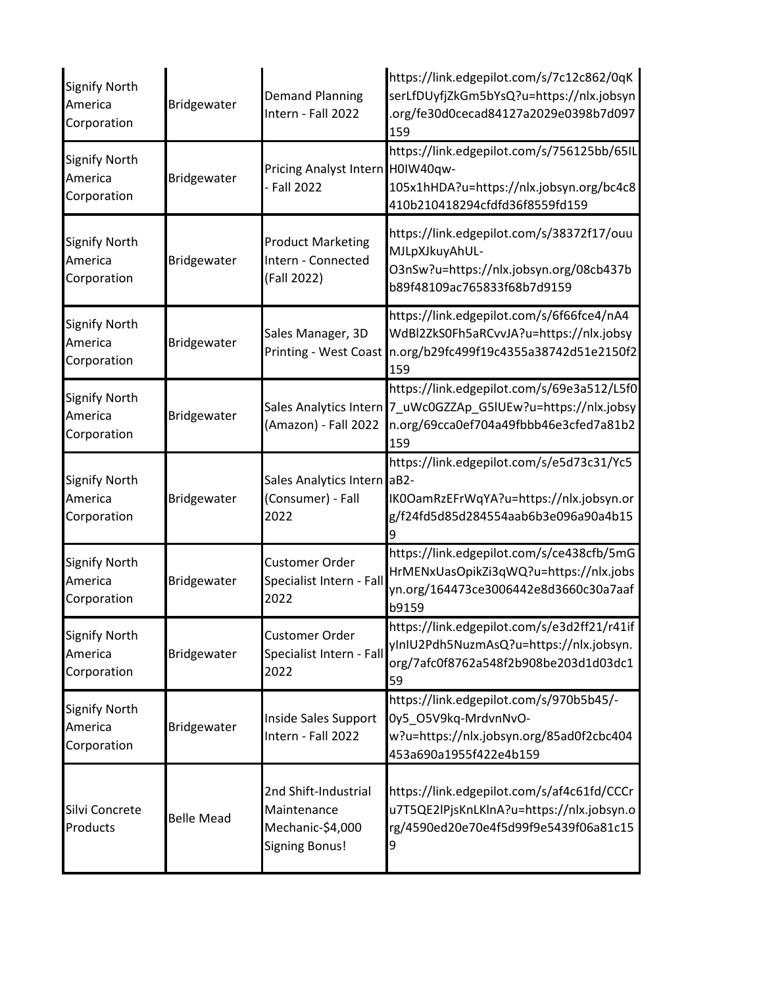| <b>Signify North</b><br>America<br>Corporation | <b>Bridgewater</b> | <b>Demand Planning</b><br>Intern - Fall 2022                                     | https://link.edgepilot.com/s/7c12c862/0qK<br>serLfDUyfjZkGm5bYsQ?u=https://nlx.jobsyn<br>.org/fe30d0cecad84127a2029e0398b7d097<br>159                        |
|------------------------------------------------|--------------------|----------------------------------------------------------------------------------|--------------------------------------------------------------------------------------------------------------------------------------------------------------|
| <b>Signify North</b><br>America<br>Corporation | <b>Bridgewater</b> | Pricing Analyst Intern H0IW40qw-<br><b>Fall 2022</b>                             | https://link.edgepilot.com/s/756125bb/65IL<br>105x1hHDA?u=https://nlx.jobsyn.org/bc4c8<br>410b210418294cfdfd36f8559fd159                                     |
| <b>Signify North</b><br>America<br>Corporation | <b>Bridgewater</b> | <b>Product Marketing</b><br>Intern - Connected<br>(Fall 2022)                    | https://link.edgepilot.com/s/38372f17/ouu<br>MJLpXJkuyAhUL-<br>O3nSw?u=https://nlx.jobsyn.org/08cb437b<br>b89f48109ac765833f68b7d9159                        |
| <b>Signify North</b><br>America<br>Corporation | <b>Bridgewater</b> | Sales Manager, 3D<br><b>Printing - West Coast</b>                                | https://link.edgepilot.com/s/6f66fce4/nA4<br>WdBl2ZkS0Fh5aRCvvJA?u=https://nlx.jobsy<br>n.org/b29fc499f19c4355a38742d51e2150f2<br>159                        |
| <b>Signify North</b><br>America<br>Corporation | Bridgewater        | (Amazon) - Fall 2022                                                             | https://link.edgepilot.com/s/69e3a512/L5f0<br>Sales Analytics Intern 7_uWc0GZZAp_G5IUEw?u=https://nlx.jobsy<br>n.org/69cca0ef704a49fbbb46e3cfed7a81b2<br>159 |
| <b>Signify North</b><br>America<br>Corporation | Bridgewater        | Sales Analytics Intern aB2-<br>(Consumer) - Fall<br>2022                         | https://link.edgepilot.com/s/e5d73c31/Yc5<br>IK0OamRzEFrWqYA?u=https://nlx.jobsyn.or<br>g/f24fd5d85d284554aab6b3e096a90a4b15                                 |
| <b>Signify North</b><br>America<br>Corporation | Bridgewater        | Customer Order<br>Specialist Intern - Fall<br>2022                               | https://link.edgepilot.com/s/ce438cfb/5mG<br>HrMENxUasOpikZi3qWQ?u=https://nlx.jobs<br>yn.org/164473ce3006442e8d3660c30a7aaf<br>b9159                        |
| <b>Signify North</b><br>America<br>Corporation | Bridgewater        | Customer Order<br>Specialist Intern - Fall<br>2022                               | https://link.edgepilot.com/s/e3d2ff21/r41if<br>yInIU2Pdh5NuzmAsQ?u=https://nlx.jobsyn.<br>org/7afc0f8762a548f2b908be203d1d03dc1<br>59                        |
| <b>Signify North</b><br>America<br>Corporation | <b>Bridgewater</b> | Inside Sales Support<br>Intern - Fall 2022                                       | https://link.edgepilot.com/s/970b5b45/-<br>0y5_O5V9kq-MrdvnNvO-<br>w?u=https://nlx.jobsyn.org/85ad0f2cbc404<br>453a690a1955f422e4b159                        |
| Silvi Concrete<br>Products                     | <b>Belle Mead</b>  | 2nd Shift-Industrial<br>Maintenance<br>Mechanic-\$4,000<br><b>Signing Bonus!</b> | https://link.edgepilot.com/s/af4c61fd/CCCr<br>u7T5QE2lPjsKnLKlnA?u=https://nlx.jobsyn.o<br>rg/4590ed20e70e4f5d99f9e5439f06a81c15<br>9                        |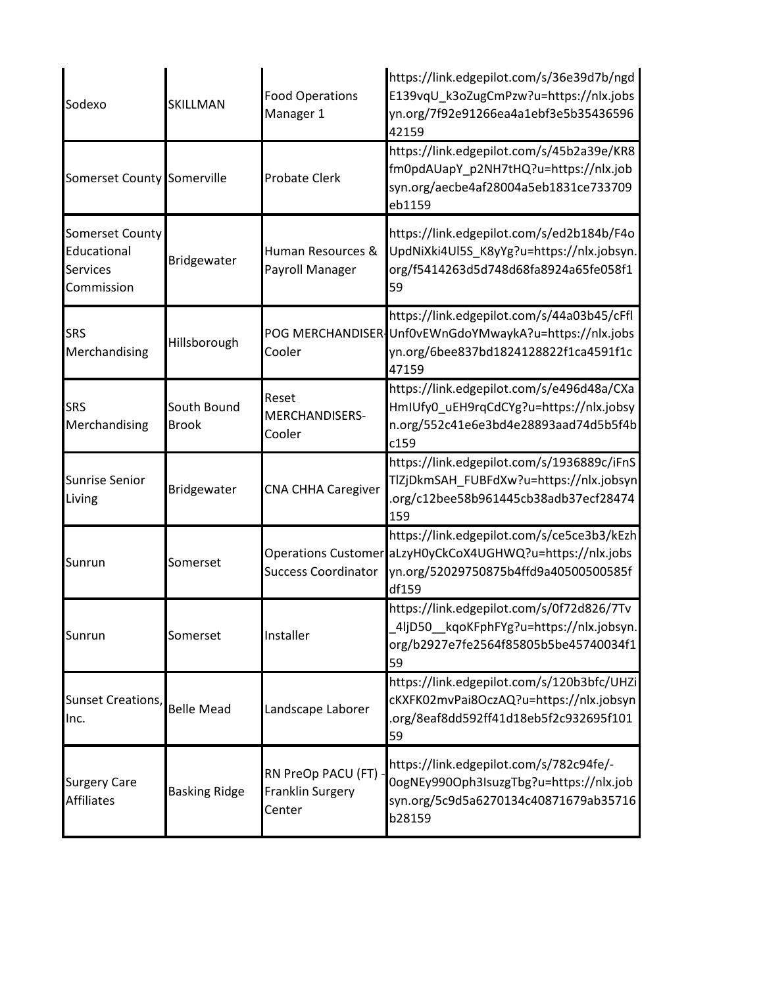| Sodexo                                                                 | SKILLMAN                    | <b>Food Operations</b><br>Manager 1                | https://link.edgepilot.com/s/36e39d7b/ngd<br>E139vqU k3oZugCmPzw?u=https://nlx.jobs<br>yn.org/7f92e91266ea4a1ebf3e5b35436596<br>42159                     |
|------------------------------------------------------------------------|-----------------------------|----------------------------------------------------|-----------------------------------------------------------------------------------------------------------------------------------------------------------|
| Somerset County Somerville                                             |                             | <b>Probate Clerk</b>                               | https://link.edgepilot.com/s/45b2a39e/KR8<br>fm0pdAUapY_p2NH7tHQ?u=https://nlx.job<br>syn.org/aecbe4af28004a5eb1831ce733709<br>eb1159                     |
| <b>Somerset County</b><br>Educational<br><b>Services</b><br>Commission | Bridgewater                 | Human Resources &<br>Payroll Manager               | https://link.edgepilot.com/s/ed2b184b/F4o<br>UpdNiXki4Ul5S_K8yYg?u=https://nlx.jobsyn.<br>org/f5414263d5d748d68fa8924a65fe058f1<br>59                     |
| <b>SRS</b><br>Merchandising                                            | Hillsborough                | POG MERCHANDISER-<br>Cooler                        | https://link.edgepilot.com/s/44a03b45/cFfl<br>Unf0vEWnGdoYMwaykA?u=https://nlx.jobs<br>yn.org/6bee837bd1824128822f1ca4591f1c<br>47159                     |
| <b>SRS</b><br>Merchandising                                            | South Bound<br><b>Brook</b> | Reset<br><b>MERCHANDISERS-</b><br>Cooler           | https://link.edgepilot.com/s/e496d48a/CXa<br>HmIUfy0_uEH9rqCdCYg?u=https://nlx.jobsy<br>n.org/552c41e6e3bd4e28893aad74d5b5f4b<br>c159                     |
| <b>Sunrise Senior</b><br>Living                                        | Bridgewater                 | <b>CNA CHHA Caregiver</b>                          | https://link.edgepilot.com/s/1936889c/iFnS<br>TlZjDkmSAH_FUBFdXw?u=https://nlx.jobsyn<br>.org/c12bee58b961445cb38adb37ecf28474<br>159                     |
| Sunrun                                                                 | Somerset                    | <b>Success Coordinator</b>                         | https://link.edgepilot.com/s/ce5ce3b3/kEzh<br>Operations Customer aLzyH0yCkCoX4UGHWQ?u=https://nlx.jobs<br>yn.org/52029750875b4ffd9a40500500585f<br>df159 |
| Sunrun                                                                 | Somerset                    | Installer                                          | https://link.edgepilot.com/s/0f72d826/7Tv<br>.4ljD50__kqoKFphFYg?u=https://nlx.jobsyn.<br>org/b2927e7fe2564f85805b5be45740034f1<br>59                     |
| Sunset Creations,<br>Inc.                                              | <b>Belle Mead</b>           | Landscape Laborer                                  | https://link.edgepilot.com/s/120b3bfc/UHZi<br>cKXFK02mvPai8OczAQ?u=https://nlx.jobsyn<br>.org/8eaf8dd592ff41d18eb5f2c932695f101<br>59                     |
| <b>Surgery Care</b><br><b>Affiliates</b>                               | <b>Basking Ridge</b>        | RN PreOp PACU (FT) -<br>Franklin Surgery<br>Center | https://link.edgepilot.com/s/782c94fe/-<br>0ogNEy990Oph3IsuzgTbg?u=https://nlx.job<br>syn.org/5c9d5a6270134c40871679ab35716<br>b28159                     |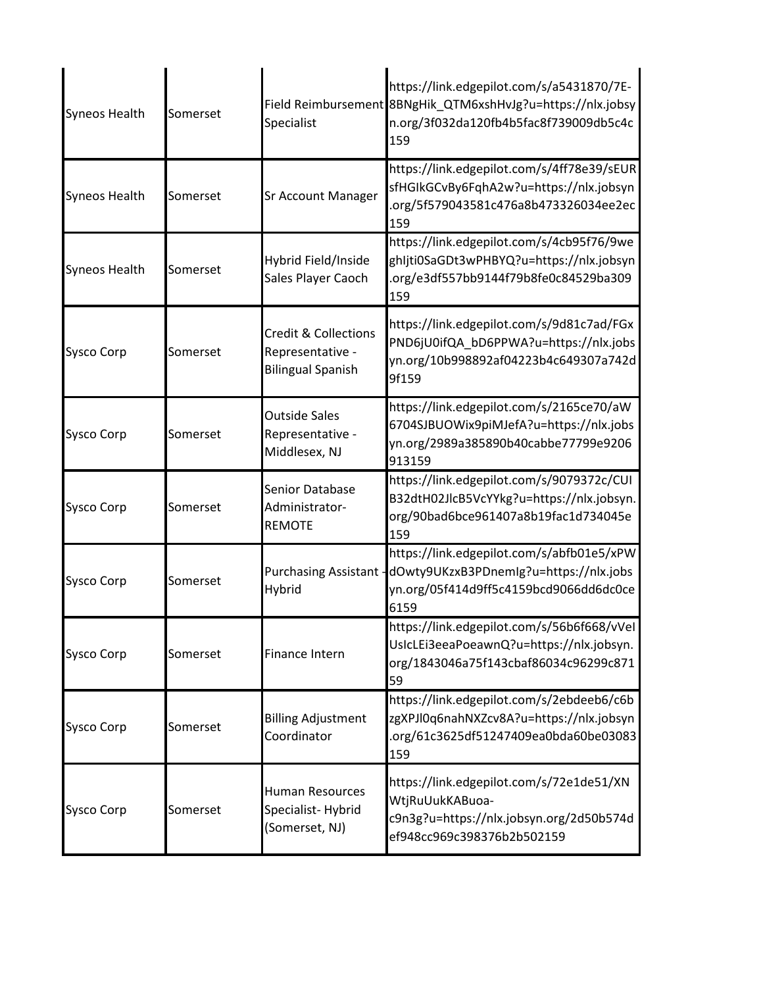| <b>Syneos Health</b> | Somerset | Specialist                                                                      | https://link.edgepilot.com/s/a5431870/7E-<br>Field Reimbursement 8BNgHik_QTM6xshHvJg?u=https://nlx.jobsy<br>n.org/3f032da120fb4b5fac8f739009db5c4c<br>159 |
|----------------------|----------|---------------------------------------------------------------------------------|-----------------------------------------------------------------------------------------------------------------------------------------------------------|
| <b>Syneos Health</b> | Somerset | <b>Sr Account Manager</b>                                                       | https://link.edgepilot.com/s/4ff78e39/sEUR<br>sfHGIkGCvBy6FqhA2w?u=https://nlx.jobsyn<br>.org/5f579043581c476a8b473326034ee2ec<br>159                     |
| <b>Syneos Health</b> | Somerset | Hybrid Field/Inside<br>Sales Player Caoch                                       | https://link.edgepilot.com/s/4cb95f76/9we<br>ghljti0SaGDt3wPHBYQ?u=https://nlx.jobsyn<br>.org/e3df557bb9144f79b8fe0c84529ba309<br>159                     |
| <b>Sysco Corp</b>    | Somerset | <b>Credit &amp; Collections</b><br>Representative -<br><b>Bilingual Spanish</b> | https://link.edgepilot.com/s/9d81c7ad/FGx<br>PND6jU0ifQA bD6PPWA?u=https://nlx.jobs<br>yn.org/10b998892af04223b4c649307a742d<br>9f159                     |
| <b>Sysco Corp</b>    | Somerset | <b>Outside Sales</b><br>Representative -<br>Middlesex, NJ                       | https://link.edgepilot.com/s/2165ce70/aW<br>6704SJBUOWix9piMJefA?u=https://nlx.jobs<br>yn.org/2989a385890b40cabbe77799e9206<br>913159                     |
| <b>Sysco Corp</b>    | Somerset | Senior Database<br>Administrator-<br><b>REMOTE</b>                              | https://link.edgepilot.com/s/9079372c/CUI<br>B32dtH02JlcB5VcYYkg?u=https://nlx.jobsyn.<br>org/90bad6bce961407a8b19fac1d734045e<br>159                     |
| <b>Sysco Corp</b>    | Somerset | Purchasing Assistant -<br>Hybrid                                                | https://link.edgepilot.com/s/abfb01e5/xPW<br>dOwty9UKzxB3PDnemIg?u=https://nlx.jobs<br>yn.org/05f414d9ff5c4159bcd9066dd6dc0ce<br>6159                     |
| <b>Sysco Corp</b>    | Somerset | <b>Finance Intern</b>                                                           | https://link.edgepilot.com/s/56b6f668/vVel<br>UsIcLEi3eeaPoeawnQ?u=https://nlx.jobsyn.<br>org/1843046a75f143cbaf86034c96299c871<br>59                     |
| <b>Sysco Corp</b>    | Somerset | <b>Billing Adjustment</b><br>Coordinator                                        | https://link.edgepilot.com/s/2ebdeeb6/c6b<br>zgXPJl0q6nahNXZcv8A?u=https://nlx.jobsyn<br>.org/61c3625df51247409ea0bda60be03083<br>159                     |
| <b>Sysco Corp</b>    | Somerset | Human Resources<br>Specialist-Hybrid<br>(Somerset, NJ)                          | https://link.edgepilot.com/s/72e1de51/XN<br>WtjRuUukKABuoa-<br>c9n3g?u=https://nlx.jobsyn.org/2d50b574d<br>ef948cc969c398376b2b502159                     |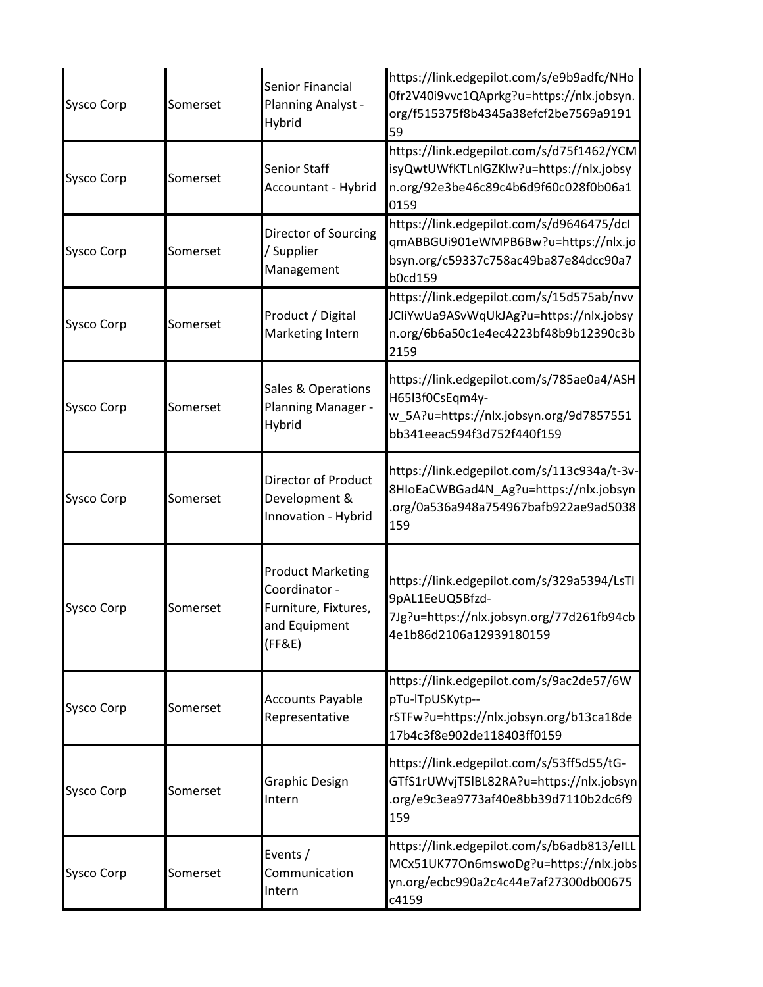| <b>Sysco Corp</b> | Somerset | Senior Financial<br>Planning Analyst -<br>Hybrid                                             | https://link.edgepilot.com/s/e9b9adfc/NHo<br>0fr2V40i9vvc1QAprkg?u=https://nlx.jobsyn.<br>org/f515375f8b4345a38efcf2be7569a9191<br>59 |
|-------------------|----------|----------------------------------------------------------------------------------------------|---------------------------------------------------------------------------------------------------------------------------------------|
| <b>Sysco Corp</b> | Somerset | <b>Senior Staff</b><br>Accountant - Hybrid                                                   | https://link.edgepilot.com/s/d75f1462/YCM<br>isyQwtUWfKTLnlGZKlw?u=https://nlx.jobsy<br>n.org/92e3be46c89c4b6d9f60c028f0b06a1<br>0159 |
| <b>Sysco Corp</b> | Somerset | Director of Sourcing<br>/ Supplier<br>Management                                             | https://link.edgepilot.com/s/d9646475/dcl<br>qmABBGUi901eWMPB6Bw?u=https://nlx.jo<br>bsyn.org/c59337c758ac49ba87e84dcc90a7<br>b0cd159 |
| <b>Sysco Corp</b> | Somerset | Product / Digital<br><b>Marketing Intern</b>                                                 | https://link.edgepilot.com/s/15d575ab/nvv<br>JCIiYwUa9ASvWqUkJAg?u=https://nlx.jobsy<br>n.org/6b6a50c1e4ec4223bf48b9b12390c3b<br>2159 |
| <b>Sysco Corp</b> | Somerset | Sales & Operations<br>Planning Manager -<br>Hybrid                                           | https://link.edgepilot.com/s/785ae0a4/ASH<br>H65l3f0CsEqm4y-<br>w_5A?u=https://nlx.jobsyn.org/9d7857551<br>bb341eeac594f3d752f440f159 |
| <b>Sysco Corp</b> | Somerset | <b>Director of Product</b><br>Development &<br>Innovation - Hybrid                           | https://link.edgepilot.com/s/113c934a/t-3v-<br>8HIoEaCWBGad4N_Ag?u=https://nlx.jobsyn<br>.org/0a536a948a754967bafb922ae9ad5038<br>159 |
| <b>Sysco Corp</b> | Somerset | <b>Product Marketing</b><br>Coordinator -<br>Furniture, Fixtures,<br>and Equipment<br>(FF&E) | https://link.edgepilot.com/s/329a5394/LsTI<br>9pAL1EeUQ5Bfzd-<br>7Jg?u=https://nlx.jobsyn.org/77d261fb94cb<br>4e1b86d2106a12939180159 |
| <b>Sysco Corp</b> | Somerset | <b>Accounts Payable</b><br>Representative                                                    | https://link.edgepilot.com/s/9ac2de57/6W<br>pTu-lTpUSKytp--<br>rSTFw?u=https://nlx.jobsyn.org/b13ca18de<br>17b4c3f8e902de118403ff0159 |
| <b>Sysco Corp</b> | Somerset | <b>Graphic Design</b><br>Intern                                                              | https://link.edgepilot.com/s/53ff5d55/tG-<br>GTfS1rUWvjT5lBL82RA?u=https://nlx.jobsyn<br>.org/e9c3ea9773af40e8bb39d7110b2dc6f9<br>159 |
| <b>Sysco Corp</b> | Somerset | Events /<br>Communication<br>Intern                                                          | https://link.edgepilot.com/s/b6adb813/eILL<br>MCx51UK77On6mswoDg?u=https://nlx.jobs<br>yn.org/ecbc990a2c4c44e7af27300db00675<br>c4159 |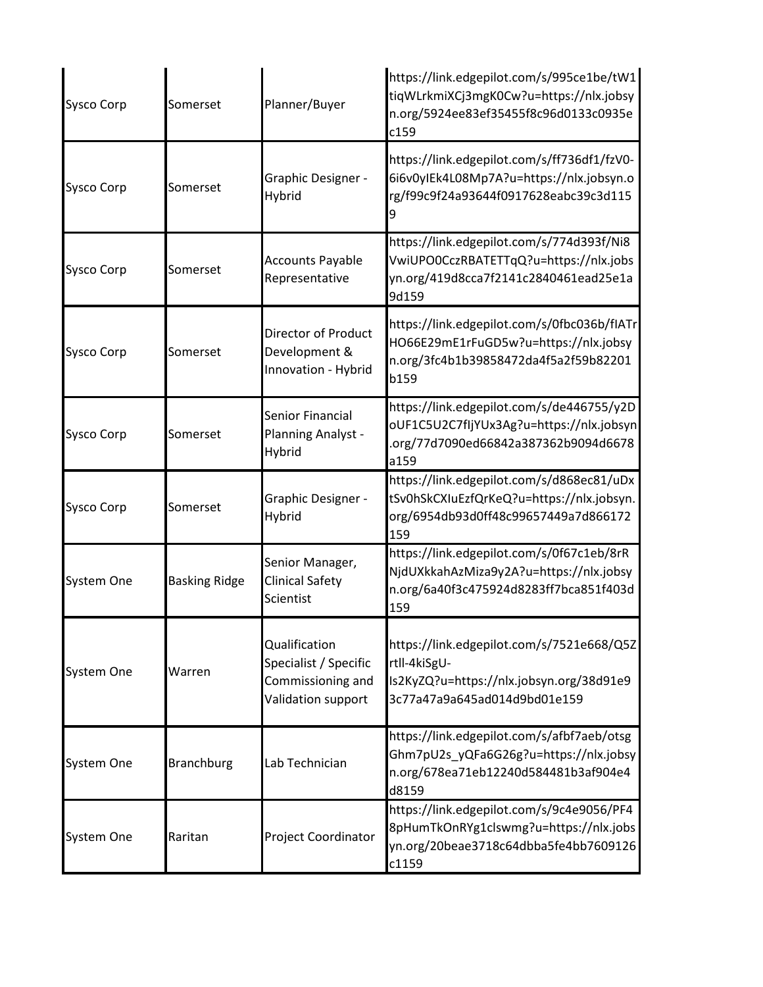| <b>Sysco Corp</b> | Somerset             | Planner/Buyer                                                                     | https://link.edgepilot.com/s/995ce1be/tW1<br>tiqWLrkmiXCj3mgK0Cw?u=https://nlx.jobsy<br>n.org/5924ee83ef35455f8c96d0133c0935e<br>c159 |
|-------------------|----------------------|-----------------------------------------------------------------------------------|---------------------------------------------------------------------------------------------------------------------------------------|
| <b>Sysco Corp</b> | Somerset             | Graphic Designer -<br>Hybrid                                                      | https://link.edgepilot.com/s/ff736df1/fzV0-<br>6i6v0yIEk4L08Mp7A?u=https://nlx.jobsyn.o<br>rg/f99c9f24a93644f0917628eabc39c3d115<br>g |
| <b>Sysco Corp</b> | Somerset             | <b>Accounts Payable</b><br>Representative                                         | https://link.edgepilot.com/s/774d393f/Ni8<br>VwiUPO0CczRBATETTqQ?u=https://nlx.jobs<br>yn.org/419d8cca7f2141c2840461ead25e1a<br>9d159 |
| <b>Sysco Corp</b> | Somerset             | <b>Director of Product</b><br>Development &<br>Innovation - Hybrid                | https://link.edgepilot.com/s/0fbc036b/fIATr<br>HO66E29mE1rFuGD5w?u=https://nlx.jobsy<br>n.org/3fc4b1b39858472da4f5a2f59b82201<br>b159 |
| <b>Sysco Corp</b> | Somerset             | Senior Financial<br>Planning Analyst -<br>Hybrid                                  | https://link.edgepilot.com/s/de446755/y2D<br>oUF1C5U2C7fIjYUx3Ag?u=https://nlx.jobsyn<br>.org/77d7090ed66842a387362b9094d6678<br>a159 |
| <b>Sysco Corp</b> | Somerset             | Graphic Designer -<br>Hybrid                                                      | https://link.edgepilot.com/s/d868ec81/uDx<br>tSv0hSkCXIuEzfQrKeQ?u=https://nlx.jobsyn.<br>org/6954db93d0ff48c99657449a7d866172<br>159 |
| <b>System One</b> | <b>Basking Ridge</b> | Senior Manager,<br><b>Clinical Safety</b><br>Scientist                            | https://link.edgepilot.com/s/0f67c1eb/8rR<br>NjdUXkkahAzMiza9y2A?u=https://nlx.jobsy<br>n.org/6a40f3c475924d8283ff7bca851f403d<br>159 |
| System One        | Warren               | Qualification<br>Specialist / Specific<br>Commissioning and<br>Validation support | https://link.edgepilot.com/s/7521e668/Q5Z<br>rtll-4kiSgU-<br>Is2KyZQ?u=https://nlx.jobsyn.org/38d91e9<br>3c77a47a9a645ad014d9bd01e159 |
| System One        | <b>Branchburg</b>    | Lab Technician                                                                    | https://link.edgepilot.com/s/afbf7aeb/otsg<br>Ghm7pU2s_yQFa6G26g?u=https://nlx.jobsy<br>n.org/678ea71eb12240d584481b3af904e4<br>d8159 |
| System One        | Raritan              | Project Coordinator                                                               | https://link.edgepilot.com/s/9c4e9056/PF4<br>8pHumTkOnRYg1clswmg?u=https://nlx.jobs<br>yn.org/20beae3718c64dbba5fe4bb7609126<br>c1159 |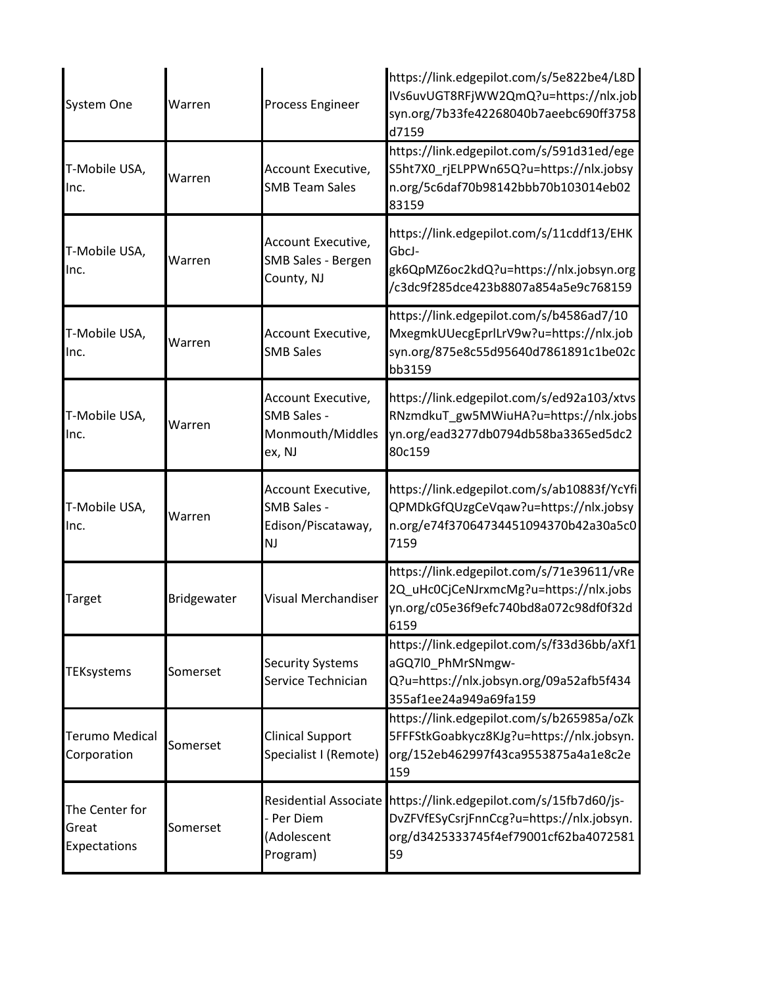| <b>System One</b>                       | Warren      | Process Engineer                                                       | https://link.edgepilot.com/s/5e822be4/L8D<br>IVs6uvUGT8RFjWW2QmQ?u=https://nlx.job<br>syn.org/7b33fe42268040b7aeebc690ff3758<br>d7159                       |
|-----------------------------------------|-------------|------------------------------------------------------------------------|-------------------------------------------------------------------------------------------------------------------------------------------------------------|
| T-Mobile USA,<br>lnc.                   | Warren      | Account Executive,<br><b>SMB Team Sales</b>                            | https://link.edgepilot.com/s/591d31ed/ege<br>S5ht7X0_rjELPPWn65Q?u=https://nlx.jobsy<br>n.org/5c6daf70b98142bbb70b103014eb02<br>83159                       |
| T-Mobile USA,<br>Inc.                   | Warren      | Account Executive,<br><b>SMB Sales - Bergen</b><br>County, NJ          | https://link.edgepilot.com/s/11cddf13/EHK<br>GbcJ-<br>gk6QpMZ6oc2kdQ?u=https://nlx.jobsyn.org<br>/c3dc9f285dce423b8807a854a5e9c768159                       |
| T-Mobile USA,<br>Inc.                   | Warren      | Account Executive,<br><b>SMB Sales</b>                                 | https://link.edgepilot.com/s/b4586ad7/10<br>MxegmkUUecgEprlLrV9w?u=https://nlx.job<br>syn.org/875e8c55d95640d7861891c1be02c<br>bb3159                       |
| T-Mobile USA,<br>Inc.                   | Warren      | Account Executive,<br><b>SMB Sales -</b><br>Monmouth/Middles<br>ex, NJ | https://link.edgepilot.com/s/ed92a103/xtvs<br>RNzmdkuT_gw5MWiuHA?u=https://nlx.jobs<br>yn.org/ead3277db0794db58ba3365ed5dc2<br>80c159                       |
| T-Mobile USA,<br>Inc.                   | Warren      | Account Executive,<br><b>SMB Sales -</b><br>Edison/Piscataway,<br>NJ   | https://link.edgepilot.com/s/ab10883f/YcYfi<br>QPMDkGfQUzgCeVqaw?u=https://nlx.jobsy<br>n.org/e74f37064734451094370b42a30a5c0<br>7159                       |
| <b>Target</b>                           | Bridgewater | <b>Visual Merchandiser</b>                                             | https://link.edgepilot.com/s/71e39611/vRe<br>2Q_uHc0CjCeNJrxmcMg?u=https://nlx.jobs<br>yn.org/c05e36f9efc740bd8a072c98df0f32d<br>6159                       |
| <b>TEKsystems</b>                       | Somerset    | <b>Security Systems</b><br>Service Technician                          | https://link.edgepilot.com/s/f33d36bb/aXf1<br>aGQ7l0_PhMrSNmgw-<br>Q?u=https://nlx.jobsyn.org/09a52afb5f434<br>355af1ee24a949a69fa159                       |
| <b>Terumo Medical</b><br>Corporation    | Somerset    | <b>Clinical Support</b><br>Specialist I (Remote)                       | https://link.edgepilot.com/s/b265985a/oZk<br>5FFFStkGoabkycz8KJg?u=https://nlx.jobsyn.<br>org/152eb462997f43ca9553875a4a1e8c2e<br>159                       |
| The Center for<br>Great<br>Expectations | Somerset    | - Per Diem<br>(Adolescent<br>Program)                                  | Residential Associate https://link.edgepilot.com/s/15fb7d60/js-<br>DvZFVfESyCsrjFnnCcg?u=https://nlx.jobsyn.<br>org/d3425333745f4ef79001cf62ba4072581<br>59 |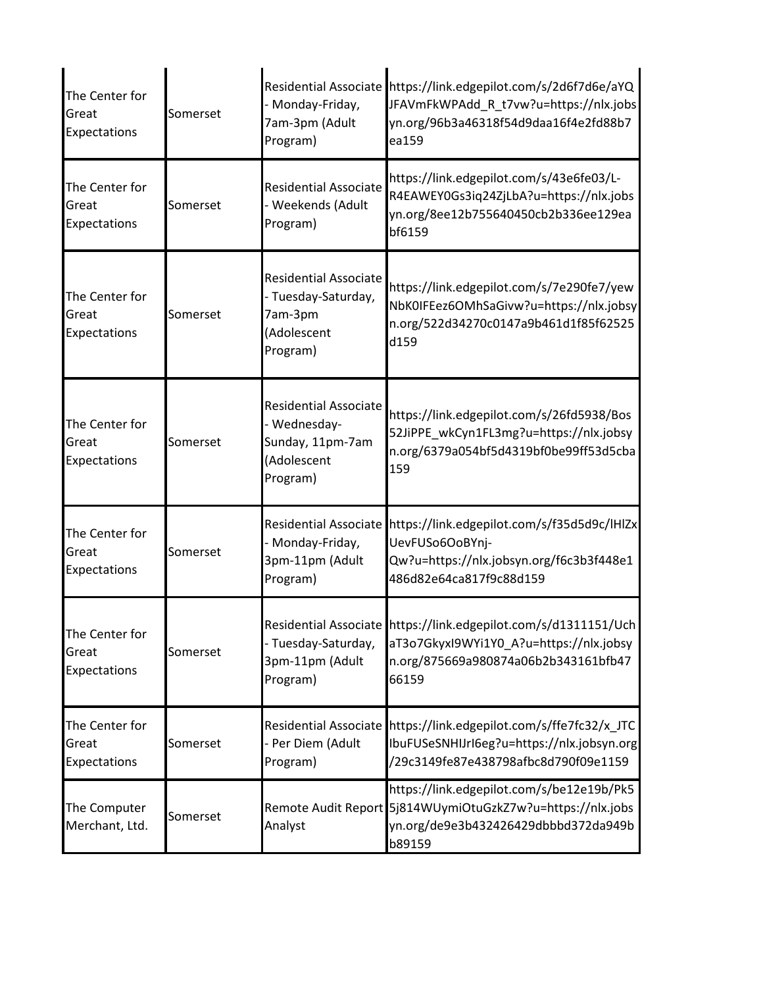| The Center for<br>Great<br>Expectations | Somerset | Residential Associate<br>Monday-Friday,<br>7am-3pm (Adult<br>Program)                       | https://link.edgepilot.com/s/2d6f7d6e/aYQ<br>JFAVmFkWPAdd R t7vw?u=https://nlx.jobs<br>yn.org/96b3a46318f54d9daa16f4e2fd88b7<br>ea159                       |
|-----------------------------------------|----------|---------------------------------------------------------------------------------------------|-------------------------------------------------------------------------------------------------------------------------------------------------------------|
| The Center for<br>Great<br>Expectations | Somerset | <b>Residential Associate</b><br>- Weekends (Adult<br>Program)                               | https://link.edgepilot.com/s/43e6fe03/L-<br>R4EAWEY0Gs3iq24ZjLbA?u=https://nlx.jobs<br>yn.org/8ee12b755640450cb2b336ee129ea<br>bf6159                       |
| The Center for<br>Great<br>Expectations | Somerset | <b>Residential Associate</b><br>- Tuesday-Saturday,<br>7am-3pm<br>(Adolescent<br>Program)   | https://link.edgepilot.com/s/7e290fe7/yew<br>NbK0IFEez6OMhSaGivw?u=https://nlx.jobsy<br>n.org/522d34270c0147a9b461d1f85f62525<br>d159                       |
| The Center for<br>Great<br>Expectations | Somerset | <b>Residential Associate</b><br>- Wednesday-<br>Sunday, 11pm-7am<br>(Adolescent<br>Program) | https://link.edgepilot.com/s/26fd5938/Bos<br>52JiPPE_wkCyn1FL3mg?u=https://nlx.jobsy<br>n.org/6379a054bf5d4319bf0be99ff53d5cba<br>159                       |
| The Center for<br>Great<br>Expectations | Somerset | Residential Associate<br>Monday-Friday,<br>3pm-11pm (Adult<br>Program)                      | https://link.edgepilot.com/s/f35d5d9c/lHlZx<br>UevFUSo6OoBYnj-<br>Qw?u=https://nlx.jobsyn.org/f6c3b3f448e1<br>486d82e64ca817f9c88d159                       |
| The Center for<br>Great<br>Expectations | Somerset | Tuesday-Saturday,<br>3pm-11pm (Adult<br>Program)                                            | Residential Associate https://link.edgepilot.com/s/d1311151/Uch<br>aT3o7GkyxI9WYi1Y0_A?u=https://nlx.jobsy<br>n.org/875669a980874a06b2b343161bfb47<br>66159 |
| The Center for<br>Great<br>Expectations | Somerset | Residential Associate<br>Per Diem (Adult<br>Program)                                        | https://link.edgepilot.com/s/ffe7fc32/x_JTC<br>IbuFUSeSNHIJrI6eg?u=https://nlx.jobsyn.org<br>/29c3149fe87e438798afbc8d790f09e1159                           |
| The Computer<br>Merchant, Ltd.          | Somerset | Analyst                                                                                     | https://link.edgepilot.com/s/be12e19b/Pk5<br>Remote Audit Report 5j814WUymiOtuGzkZ7w?u=https://nlx.jobs<br>yn.org/de9e3b432426429dbbbd372da949b<br>b89159   |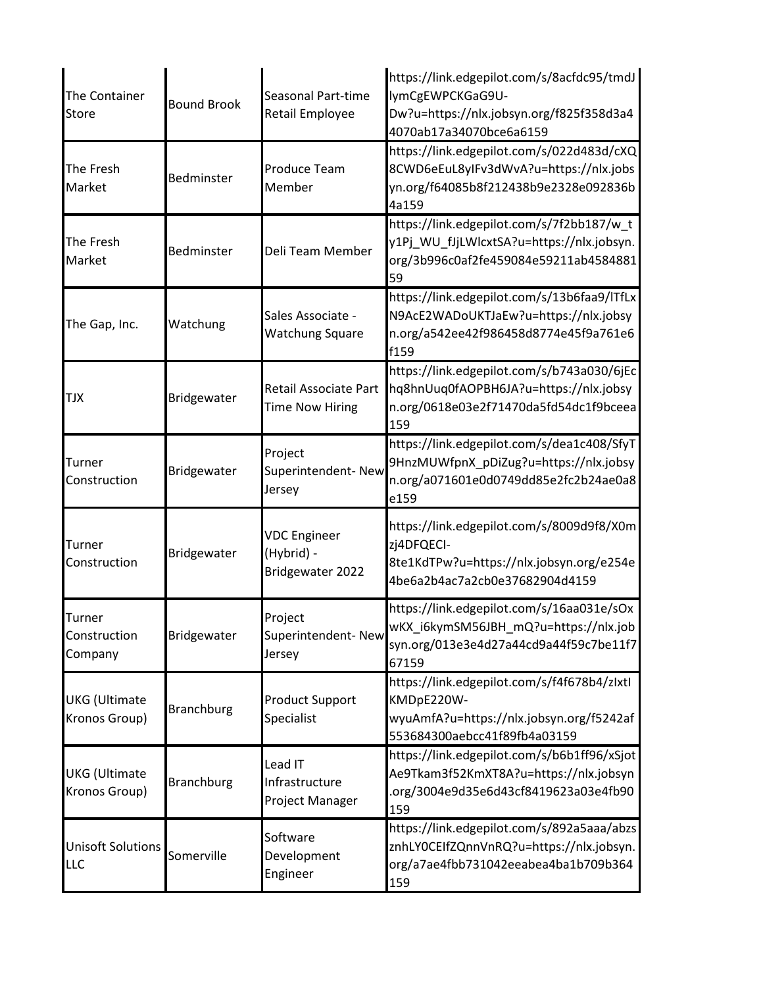| The Container<br><b>Store</b>            | <b>Bound Brook</b> | <b>Seasonal Part-time</b><br><b>Retail Employee</b>   | https://link.edgepilot.com/s/8acfdc95/tmdJ<br>lymCgEWPCKGaG9U-<br>Dw?u=https://nlx.jobsyn.org/f825f358d3a4<br>4070ab17a34070bce6a6159 |
|------------------------------------------|--------------------|-------------------------------------------------------|---------------------------------------------------------------------------------------------------------------------------------------|
| The Fresh<br>Market                      | Bedminster         | <b>Produce Team</b><br>Member                         | https://link.edgepilot.com/s/022d483d/cXQ<br>8CWD6eEuL8yIFv3dWvA?u=https://nlx.jobs<br>yn.org/f64085b8f212438b9e2328e092836b<br>4a159 |
| The Fresh<br>Market                      | <b>Bedminster</b>  | Deli Team Member                                      | https://link.edgepilot.com/s/7f2bb187/w t<br>y1Pj_WU_fJjLWlcxtSA?u=https://nlx.jobsyn.<br>org/3b996c0af2fe459084e59211ab4584881<br>59 |
| The Gap, Inc.                            | Watchung           | Sales Associate -<br><b>Watchung Square</b>           | https://link.edgepilot.com/s/13b6faa9/ITfLx<br>N9AcE2WADoUKTJaEw?u=https://nlx.jobsy<br>n.org/a542ee42f986458d8774e45f9a761e6<br>f159 |
| <b>TJX</b>                               | Bridgewater        | Retail Associate Part<br><b>Time Now Hiring</b>       | https://link.edgepilot.com/s/b743a030/6jEc<br>hq8hnUuq0fAOPBH6JA?u=https://nlx.jobsy<br>n.org/0618e03e2f71470da5fd54dc1f9bceea<br>159 |
| Turner<br>Construction                   | Bridgewater        | Project<br>Superintendent- New<br>Jersey              | https://link.edgepilot.com/s/dea1c408/SfyT<br>9HnzMUWfpnX_pDiZug?u=https://nlx.jobsy<br>n.org/a071601e0d0749dd85e2fc2b24ae0a8<br>e159 |
| Turner<br>Construction                   | Bridgewater        | <b>VDC Engineer</b><br>(Hybrid) -<br>Bridgewater 2022 | https://link.edgepilot.com/s/8009d9f8/X0m<br>zj4DFQECI-<br>8te1KdTPw?u=https://nlx.jobsyn.org/e254e<br>4be6a2b4ac7a2cb0e37682904d4159 |
| <b>Turner</b><br>Construction<br>Company | Bridgewater        | Project<br>Superintendent-New<br>Jersey               | https://link.edgepilot.com/s/16aa031e/sOx<br>wKX_i6kymSM56JBH_mQ?u=https://nlx.job<br>syn.org/013e3e4d27a44cd9a44f59c7be11f7<br>67159 |
| <b>UKG</b> (Ultimate<br>Kronos Group)    | <b>Branchburg</b>  | <b>Product Support</b><br>Specialist                  | https://link.edgepilot.com/s/f4f678b4/zlxtl<br>KMDpE220W-<br>wyuAmfA?u=https://nlx.jobsyn.org/f5242af<br>553684300aebcc41f89fb4a03159 |
| <b>UKG</b> (Ultimate<br>Kronos Group)    | <b>Branchburg</b>  | Lead IT<br>Infrastructure<br>Project Manager          | https://link.edgepilot.com/s/b6b1ff96/xSjot<br>Ae9Tkam3f52KmXT8A?u=https://nlx.jobsyn<br>org/3004e9d35e6d43cf8419623a03e4fb90<br>159  |
| <b>Unisoft Solutions</b><br><b>LLC</b>   | Somerville         | Software<br>Development<br>Engineer                   | https://link.edgepilot.com/s/892a5aaa/abzs<br>znhLY0CEIfZQnnVnRQ?u=https://nlx.jobsyn.<br>org/a7ae4fbb731042eeabea4ba1b709b364<br>159 |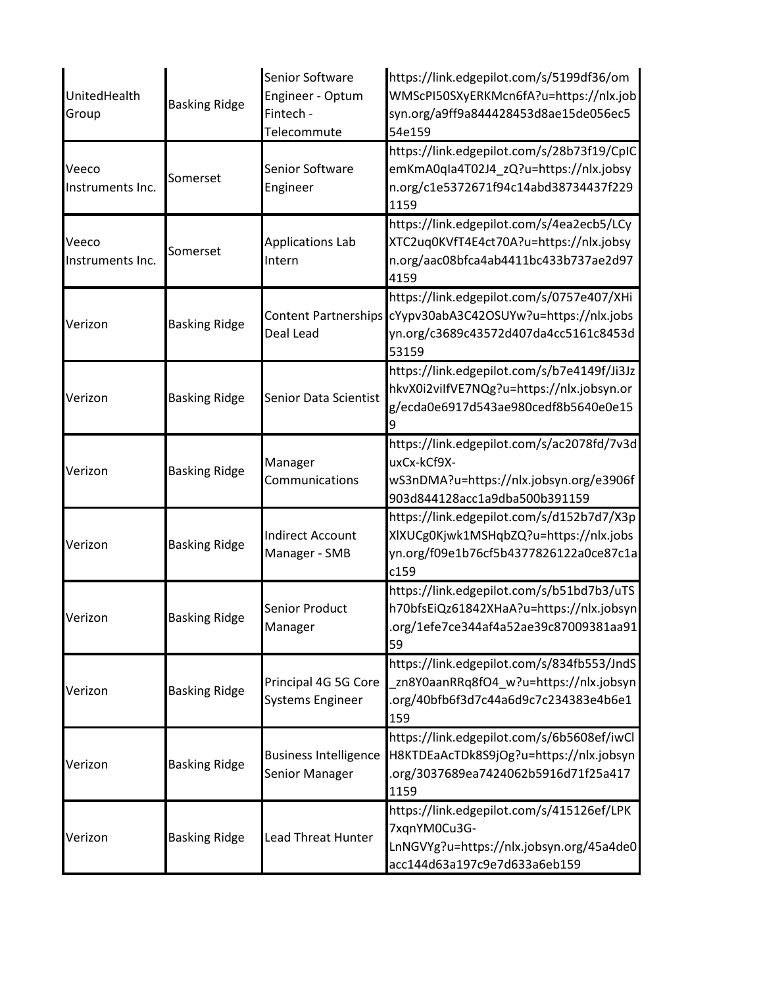| UnitedHealth<br>Group     | <b>Basking Ridge</b> | Senior Software<br>Engineer - Optum<br>Fintech -<br>Telecommute | https://link.edgepilot.com/s/5199df36/om<br>WMScPI50SXyERKMcn6fA?u=https://nlx.job<br>syn.org/a9ff9a844428453d8ae15de056ec5<br>54e159 |
|---------------------------|----------------------|-----------------------------------------------------------------|---------------------------------------------------------------------------------------------------------------------------------------|
| Veeco<br>Instruments Inc. | Somerset             | Senior Software<br>Engineer                                     | https://link.edgepilot.com/s/28b73f19/CpIC<br>emKmA0qla4T02J4_zQ?u=https://nlx.jobsy<br>n.org/c1e5372671f94c14abd38734437f229<br>1159 |
| Veeco<br>Instruments Inc. | Somerset             | <b>Applications Lab</b><br>Intern                               | https://link.edgepilot.com/s/4ea2ecb5/LCy<br>XTC2uq0KVfT4E4ct70A?u=https://nlx.jobsy<br>n.org/aac08bfca4ab4411bc433b737ae2d97<br>4159 |
| Verizon                   | <b>Basking Ridge</b> | <b>Content Partnerships</b><br>Deal Lead                        | https://link.edgepilot.com/s/0757e407/XHi<br>cYypv30abA3C42OSUYw?u=https://nlx.jobs<br>yn.org/c3689c43572d407da4cc5161c8453d<br>53159 |
| Verizon                   | <b>Basking Ridge</b> | Senior Data Scientist                                           | https://link.edgepilot.com/s/b7e4149f/Ji3Jz<br>hkvX0i2vilfVE7NQg?u=https://nlx.jobsyn.or<br>g/ecda0e6917d543ae980cedf8b5640e0e15      |
| Verizon                   | <b>Basking Ridge</b> | Manager<br>Communications                                       | https://link.edgepilot.com/s/ac2078fd/7v3d<br>uxCx-kCf9X-<br>wS3nDMA?u=https://nlx.jobsyn.org/e3906f<br>903d844128acc1a9dba500b391159 |
| Verizon                   | <b>Basking Ridge</b> | <b>Indirect Account</b><br>Manager - SMB                        | https://link.edgepilot.com/s/d152b7d7/X3p<br>XIXUCg0Kjwk1MSHqbZQ?u=https://nlx.jobs<br>yn.org/f09e1b76cf5b4377826122a0ce87c1a<br>c159 |
| Verizon                   | <b>Basking Ridge</b> | Senior Product<br>Manager                                       | https://link.edgepilot.com/s/b51bd7b3/uTS<br>h70bfsEiQz61842XHaA?u=https://nlx.jobsyn<br>.org/1efe7ce344af4a52ae39c87009381aa91<br>59 |
| Verizon                   | <b>Basking Ridge</b> | Principal 4G 5G Core<br><b>Systems Engineer</b>                 | https://link.edgepilot.com/s/834fb553/JndS<br>zn8Y0aanRRq8fO4_w?u=https://nlx.jobsyn<br>.org/40bfb6f3d7c44a6d9c7c234383e4b6e1<br>159  |
| Verizon                   | <b>Basking Ridge</b> | <b>Business Intelligence</b><br>Senior Manager                  | https://link.edgepilot.com/s/6b5608ef/iwCl<br>H8KTDEaAcTDk8S9jOg?u=https://nlx.jobsyn<br>.org/3037689ea7424062b5916d71f25a417<br>1159 |
| Verizon                   | <b>Basking Ridge</b> | Lead Threat Hunter                                              | https://link.edgepilot.com/s/415126ef/LPK<br>7xqnYM0Cu3G-<br>LnNGVYg?u=https://nlx.jobsyn.org/45a4de0<br>acc144d63a197c9e7d633a6eb159 |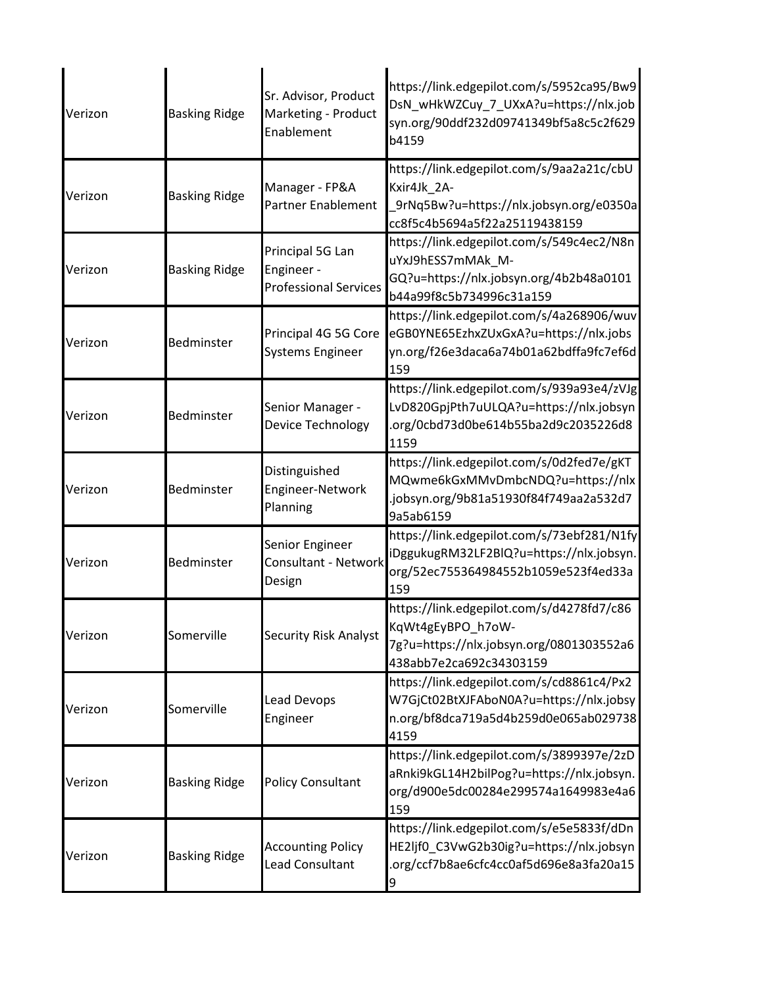| Verizon | <b>Basking Ridge</b> | Sr. Advisor, Product<br>Marketing - Product<br>Enablement      | https://link.edgepilot.com/s/5952ca95/Bw9<br>DsN_wHkWZCuy_7_UXxA?u=https://nlx.job<br>syn.org/90ddf232d09741349bf5a8c5c2f629<br>b4159 |
|---------|----------------------|----------------------------------------------------------------|---------------------------------------------------------------------------------------------------------------------------------------|
| Verizon | <b>Basking Ridge</b> | Manager - FP&A<br>Partner Enablement                           | https://link.edgepilot.com/s/9aa2a21c/cbU<br>Kxir4Jk 2A-<br>_9rNq5Bw?u=https://nlx.jobsyn.org/e0350a<br>cc8f5c4b5694a5f22a25119438159 |
| Verizon | <b>Basking Ridge</b> | Principal 5G Lan<br>Engineer -<br><b>Professional Services</b> | https://link.edgepilot.com/s/549c4ec2/N8n<br>uYxJ9hESS7mMAk_M-<br>GQ?u=https://nlx.jobsyn.org/4b2b48a0101<br>b44a99f8c5b734996c31a159 |
| Verizon | Bedminster           | Principal 4G 5G Core<br><b>Systems Engineer</b>                | https://link.edgepilot.com/s/4a268906/wuv<br>eGB0YNE65EzhxZUxGxA?u=https://nlx.jobs<br>yn.org/f26e3daca6a74b01a62bdffa9fc7ef6d<br>159 |
| Verizon | Bedminster           | Senior Manager -<br>Device Technology                          | https://link.edgepilot.com/s/939a93e4/zVJg<br>LvD820GpjPth7uULQA?u=https://nlx.jobsyn<br>.org/0cbd73d0be614b55ba2d9c2035226d8<br>1159 |
| Verizon | Bedminster           | Distinguished<br>Engineer-Network<br>Planning                  | https://link.edgepilot.com/s/0d2fed7e/gKT<br>MQwme6kGxMMvDmbcNDQ?u=https://nlx<br>.jobsyn.org/9b81a51930f84f749aa2a532d7<br>9a5ab6159 |
| Verizon | <b>Bedminster</b>    | Senior Engineer<br><b>Consultant - Network</b><br>Design       | https://link.edgepilot.com/s/73ebf281/N1fy<br>iDggukugRM32LF2BlQ?u=https://nlx.jobsyn.<br>org/52ec755364984552b1059e523f4ed33a<br>159 |
| Verizon | Somerville           | <b>Security Risk Analyst</b>                                   | https://link.edgepilot.com/s/d4278fd7/c86<br>KqWt4gEyBPO_h7oW-<br>7g?u=https://nlx.jobsyn.org/0801303552a6<br>438abb7e2ca692c34303159 |
| Verizon | Somerville           | Lead Devops<br>Engineer                                        | https://link.edgepilot.com/s/cd8861c4/Px2<br>W7GjCt02BtXJFAboN0A?u=https://nlx.jobsy<br>n.org/bf8dca719a5d4b259d0e065ab029738<br>4159 |
| Verizon | <b>Basking Ridge</b> | <b>Policy Consultant</b>                                       | https://link.edgepilot.com/s/3899397e/2zD<br>aRnki9kGL14H2bilPog?u=https://nlx.jobsyn.<br>org/d900e5dc00284e299574a1649983e4a6<br>159 |
| Verizon | <b>Basking Ridge</b> | <b>Accounting Policy</b><br>Lead Consultant                    | https://link.edgepilot.com/s/e5e5833f/dDn<br>HE2ljf0_C3VwG2b30ig?u=https://nlx.jobsyn<br>.org/ccf7b8ae6cfc4cc0af5d696e8a3fa20a15<br>9 |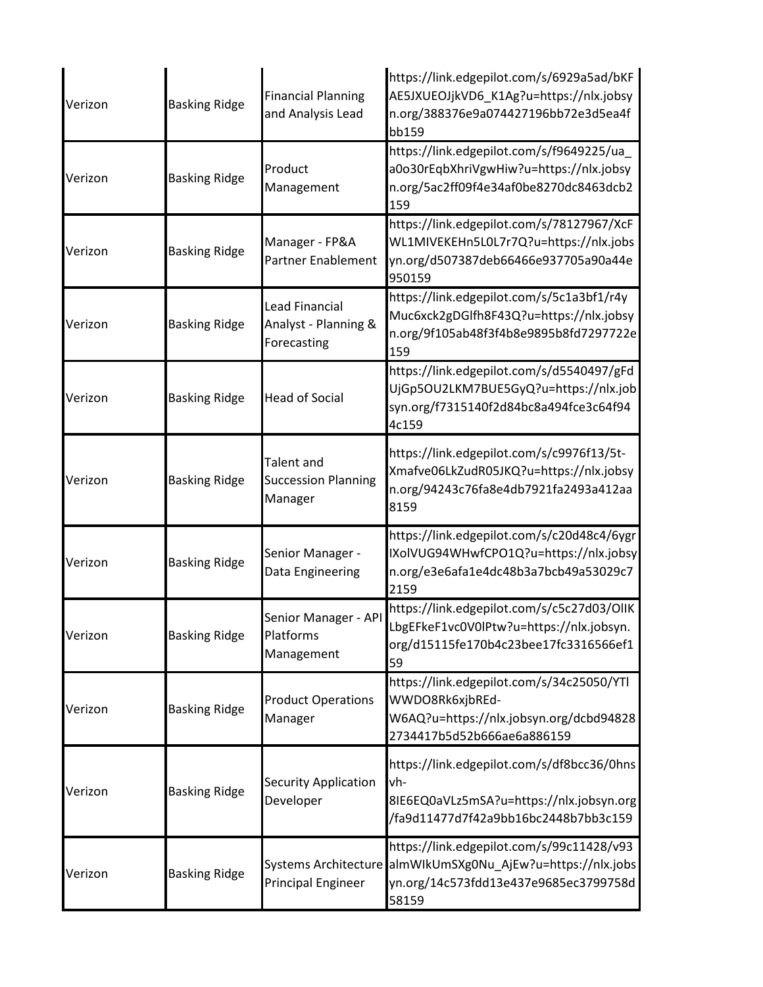| Verizon | <b>Basking Ridge</b> | <b>Financial Planning</b><br>and Analysis Lead               | https://link.edgepilot.com/s/6929a5ad/bKF<br>AE5JXUEOJjkVD6_K1Ag?u=https://nlx.jobsy<br>n.org/388376e9a074427196bb72e3d5ea4f<br>bb159 |
|---------|----------------------|--------------------------------------------------------------|---------------------------------------------------------------------------------------------------------------------------------------|
| Verizon | <b>Basking Ridge</b> | Product<br>Management                                        | https://link.edgepilot.com/s/f9649225/ua_<br>a0o30rEqbXhriVgwHiw?u=https://nlx.jobsy<br>n.org/5ac2ff09f4e34af0be8270dc8463dcb2<br>159 |
| Verizon | <b>Basking Ridge</b> | Manager - FP&A<br><b>Partner Enablement</b>                  | https://link.edgepilot.com/s/78127967/XcF<br>WL1MIVEKEHn5L0L7r7Q?u=https://nlx.jobs<br>yn.org/d507387deb66466e937705a90a44e<br>950159 |
| Verizon | <b>Basking Ridge</b> | <b>Lead Financial</b><br>Analyst - Planning &<br>Forecasting | https://link.edgepilot.com/s/5c1a3bf1/r4y<br>Muc6xck2gDGlfh8F43Q?u=https://nlx.jobsy<br>n.org/9f105ab48f3f4b8e9895b8fd7297722e<br>159 |
| Verizon | <b>Basking Ridge</b> | <b>Head of Social</b>                                        | https://link.edgepilot.com/s/d5540497/gFd<br>UjGp5OU2LKM7BUE5GyQ?u=https://nlx.job<br>syn.org/f7315140f2d84bc8a494fce3c64f94<br>4c159 |
| Verizon | <b>Basking Ridge</b> | Talent and<br><b>Succession Planning</b><br>Manager          | https://link.edgepilot.com/s/c9976f13/5t-<br>Xmafve06LkZudR05JKQ?u=https://nlx.jobsy<br>n.org/94243c76fa8e4db7921fa2493a412aa<br>8159 |
| Verizon | <b>Basking Ridge</b> | Senior Manager -<br>Data Engineering                         | https://link.edgepilot.com/s/c20d48c4/6ygr<br>IXolVUG94WHwfCPO1Q?u=https://nlx.jobsy<br>n.org/e3e6afa1e4dc48b3a7bcb49a53029c7<br>2159 |
| Verizon | <b>Basking Ridge</b> | Senior Manager - API<br>Platforms<br>Management              | https://link.edgepilot.com/s/c5c27d03/OlIK<br>LbgEFkeF1vc0V0lPtw?u=https://nlx.jobsyn.<br>org/d15115fe170b4c23bee17fc3316566ef1<br>59 |
| Verizon | <b>Basking Ridge</b> | <b>Product Operations</b><br>Manager                         | https://link.edgepilot.com/s/34c25050/YTl<br>WWDO8Rk6xjbREd-<br>W6AQ?u=https://nlx.jobsyn.org/dcbd94828<br>2734417b5d52b666ae6a886159 |
| Verizon | <b>Basking Ridge</b> | <b>Security Application</b><br>Developer                     | https://link.edgepilot.com/s/df8bcc36/0hns<br>vh-<br>8IE6EQ0aVLz5mSA?u=https://nlx.jobsyn.org<br>/fa9d11477d7f42a9bb16bc2448b7bb3c159 |
| Verizon | <b>Basking Ridge</b> | <b>Systems Architecture</b><br><b>Principal Engineer</b>     | https://link.edgepilot.com/s/99c11428/v93<br>almWIkUmSXg0Nu_AjEw?u=https://nlx.jobs<br>yn.org/14c573fdd13e437e9685ec3799758d<br>58159 |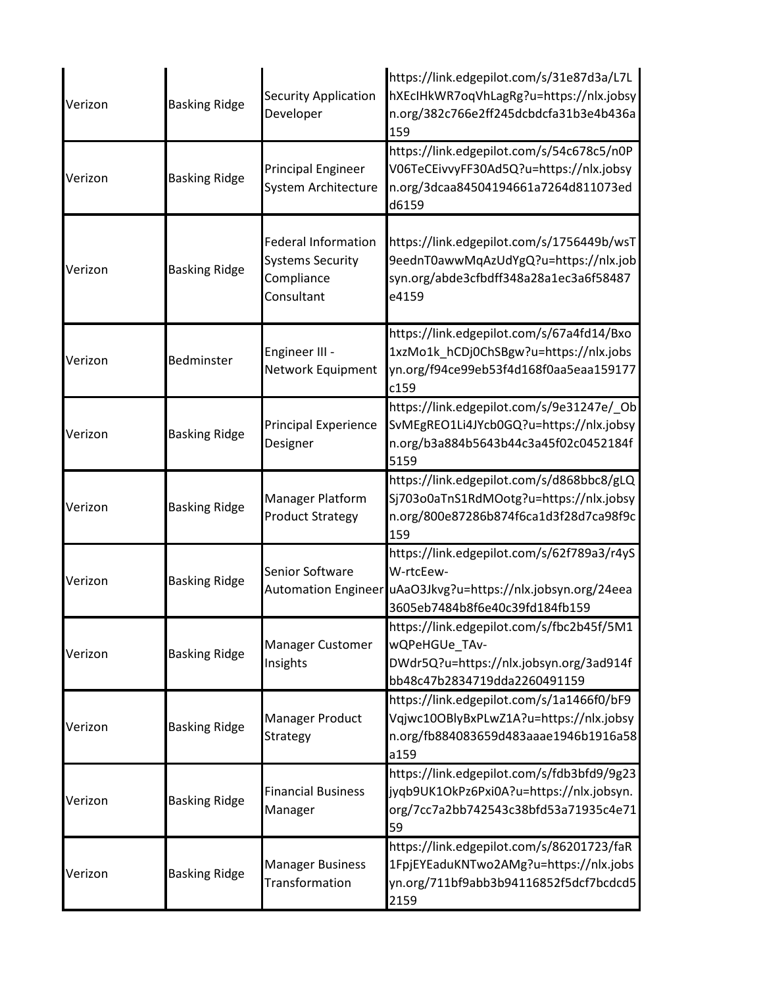| Verizon | <b>Basking Ridge</b> | <b>Security Application</b><br>Developer                                          | https://link.edgepilot.com/s/31e87d3a/L7L<br>hXEcIHkWR7oqVhLagRg?u=https://nlx.jobsy<br>n.org/382c766e2ff245dcbdcfa31b3e4b436a<br>159 |
|---------|----------------------|-----------------------------------------------------------------------------------|---------------------------------------------------------------------------------------------------------------------------------------|
| Verizon | <b>Basking Ridge</b> | <b>Principal Engineer</b><br>System Architecture                                  | https://link.edgepilot.com/s/54c678c5/n0P<br>V06TeCEivvyFF30Ad5Q?u=https://nlx.jobsy<br>n.org/3dcaa84504194661a7264d811073ed<br>d6159 |
| Verizon | <b>Basking Ridge</b> | <b>Federal Information</b><br><b>Systems Security</b><br>Compliance<br>Consultant | https://link.edgepilot.com/s/1756449b/wsT<br>9eednT0awwMqAzUdYgQ?u=https://nlx.job<br>syn.org/abde3cfbdff348a28a1ec3a6f58487<br>e4159 |
| Verizon | Bedminster           | Engineer III -<br>Network Equipment                                               | https://link.edgepilot.com/s/67a4fd14/Bxo<br>1xzMo1k_hCDj0ChSBgw?u=https://nlx.jobs<br>yn.org/f94ce99eb53f4d168f0aa5eaa159177<br>c159 |
| Verizon | <b>Basking Ridge</b> | <b>Principal Experience</b><br>Designer                                           | https://link.edgepilot.com/s/9e31247e/_Ob<br>SvMEgREO1Li4JYcb0GQ?u=https://nlx.jobsy<br>n.org/b3a884b5643b44c3a45f02c0452184f<br>5159 |
| Verizon | <b>Basking Ridge</b> | Manager Platform<br><b>Product Strategy</b>                                       | https://link.edgepilot.com/s/d868bbc8/gLQ<br>Sj703o0aTnS1RdMOotg?u=https://nlx.jobsy<br>n.org/800e87286b874f6ca1d3f28d7ca98f9c<br>159 |
| Verizon | <b>Basking Ridge</b> | Senior Software<br><b>Automation Engineer</b>                                     | https://link.edgepilot.com/s/62f789a3/r4yS<br>W-rtcEew-<br>uAaO3Jkvg?u=https://nlx.jobsyn.org/24eea<br>3605eb7484b8f6e40c39fd184fb159 |
| Verizon | <b>Basking Ridge</b> | Manager Customer<br>Insights                                                      | https://link.edgepilot.com/s/fbc2b45f/5M1<br>wQPeHGUe_TAv-<br>DWdr5Q?u=https://nlx.jobsyn.org/3ad914f<br>bb48c47b2834719dda2260491159 |
| Verizon | <b>Basking Ridge</b> | Manager Product<br>Strategy                                                       | https://link.edgepilot.com/s/1a1466f0/bF9<br>Vqjwc10OBlyBxPLwZ1A?u=https://nlx.jobsy<br>n.org/fb884083659d483aaae1946b1916a58<br>a159 |
| Verizon | <b>Basking Ridge</b> | <b>Financial Business</b><br>Manager                                              | https://link.edgepilot.com/s/fdb3bfd9/9g23<br>jyqb9UK1OkPz6Pxi0A?u=https://nlx.jobsyn.<br>org/7cc7a2bb742543c38bfd53a71935c4e71<br>59 |
| Verizon | <b>Basking Ridge</b> | <b>Manager Business</b><br>Transformation                                         | https://link.edgepilot.com/s/86201723/faR<br>1FpjEYEaduKNTwo2AMg?u=https://nlx.jobs<br>yn.org/711bf9abb3b94116852f5dcf7bcdcd5<br>2159 |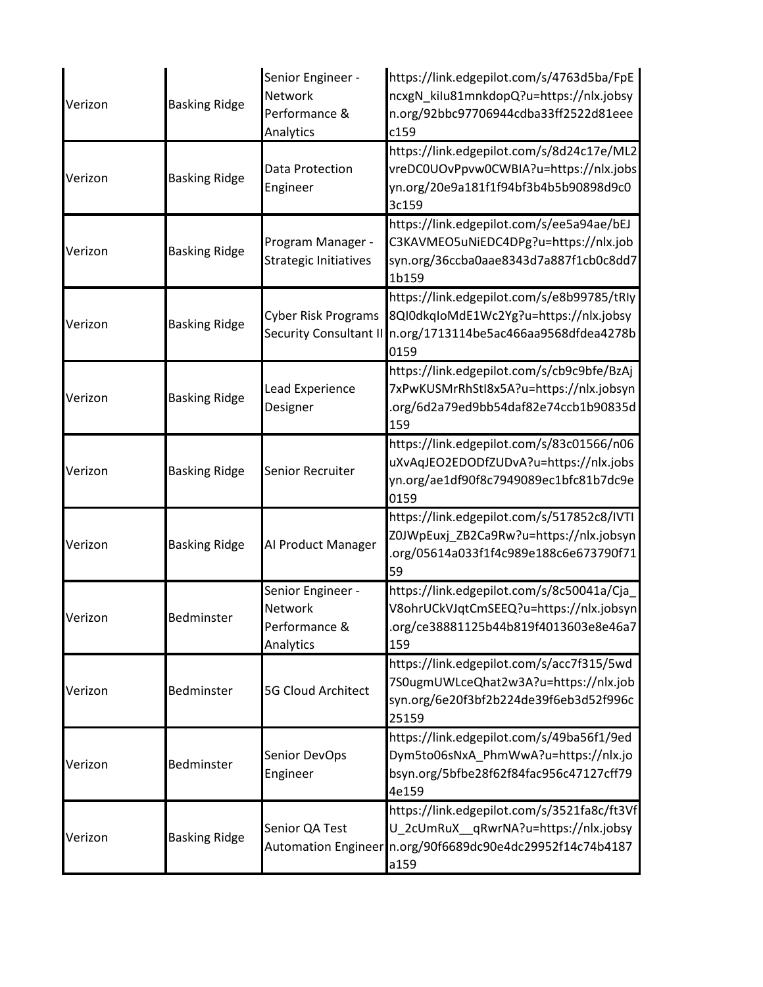| Verizon | <b>Basking Ridge</b> | Senior Engineer -<br><b>Network</b><br>Performance &<br>Analytics | https://link.edgepilot.com/s/4763d5ba/FpE<br>ncxgN_kilu81mnkdopQ?u=https://nlx.jobsy<br>n.org/92bbc97706944cdba33ff2522d81eee<br>c159                    |
|---------|----------------------|-------------------------------------------------------------------|----------------------------------------------------------------------------------------------------------------------------------------------------------|
| Verizon | <b>Basking Ridge</b> | Data Protection<br>Engineer                                       | https://link.edgepilot.com/s/8d24c17e/ML2<br>vreDC0UOvPpvw0CWBIA?u=https://nlx.jobs<br>yn.org/20e9a181f1f94bf3b4b5b90898d9c0<br>3c159                    |
| Verizon | <b>Basking Ridge</b> | Program Manager -<br>Strategic Initiatives                        | https://link.edgepilot.com/s/ee5a94ae/bEJ<br>C3KAVMEO5uNiEDC4DPg?u=https://nlx.job<br>syn.org/36ccba0aae8343d7a887f1cb0c8dd7<br>1b159                    |
| Verizon | <b>Basking Ridge</b> | <b>Cyber Risk Programs</b><br><b>Security Consultant II</b>       | https://link.edgepilot.com/s/e8b99785/tRly<br>8Ql0dkqloMdE1Wc2Yg?u=https://nlx.jobsy<br>n.org/1713114be5ac466aa9568dfdea4278b<br>0159                    |
| Verizon | <b>Basking Ridge</b> | Lead Experience<br>Designer                                       | https://link.edgepilot.com/s/cb9c9bfe/BzAj<br>7xPwKUSMrRhStl8x5A?u=https://nlx.jobsyn<br>.org/6d2a79ed9bb54daf82e74ccb1b90835d<br>159                    |
| Verizon | <b>Basking Ridge</b> | Senior Recruiter                                                  | https://link.edgepilot.com/s/83c01566/n06<br>uXvAqJEO2EDODfZUDvA?u=https://nlx.jobs<br>yn.org/ae1df90f8c7949089ec1bfc81b7dc9e<br>0159                    |
| Verizon | <b>Basking Ridge</b> | Al Product Manager                                                | https://link.edgepilot.com/s/517852c8/IVTI<br>Z0JWpEuxj_ZB2Ca9Rw?u=https://nlx.jobsyn<br>.org/05614a033f1f4c989e188c6e673790f71<br>59                    |
| Verizon | Bedminster           | Senior Engineer -<br>Network<br>Performance &<br>Analytics        | https://link.edgepilot.com/s/8c50041a/Cja_<br>V8ohrUCkVJqtCmSEEQ?u=https://nlx.jobsyn<br>.org/ce38881125b44b819f4013603e8e46a7<br>159                    |
| Verizon | Bedminster           | <b>5G Cloud Architect</b>                                         | https://link.edgepilot.com/s/acc7f315/5wd<br>7S0ugmUWLceQhat2w3A?u=https://nlx.job<br>syn.org/6e20f3bf2b224de39f6eb3d52f996c<br>25159                    |
| Verizon | Bedminster           | Senior DevOps<br>Engineer                                         | https://link.edgepilot.com/s/49ba56f1/9ed<br>Dym5to06sNxA_PhmWwA?u=https://nlx.jo<br>bsyn.org/5bfbe28f62f84fac956c47127cff79<br>4e159                    |
| Verizon | <b>Basking Ridge</b> | Senior QA Test                                                    | https://link.edgepilot.com/s/3521fa8c/ft3Vf<br>U_2cUmRuX_qRwrNA?u=https://nlx.jobsy<br>Automation Engineer n.org/90f6689dc90e4dc29952f14c74b4187<br>a159 |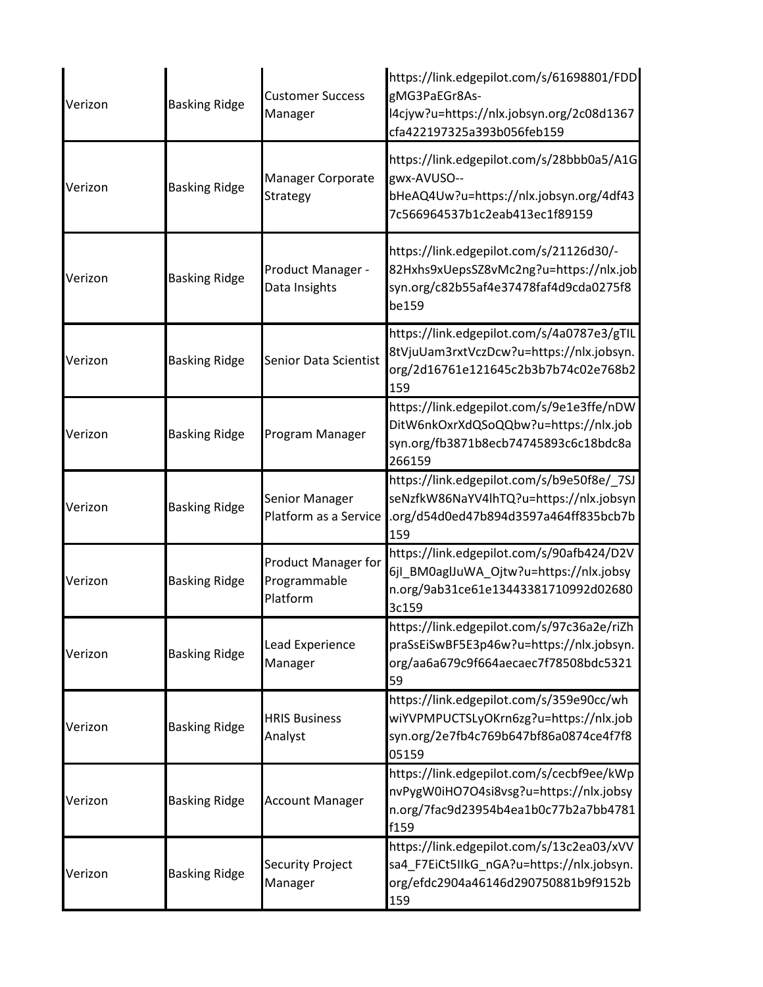| Verizon | <b>Basking Ridge</b> | <b>Customer Success</b><br>Manager                     | https://link.edgepilot.com/s/61698801/FDD<br>gMG3PaEGr8As-<br>l4cjyw?u=https://nlx.jobsyn.org/2c08d1367<br>cfa422197325a393b056feb159 |
|---------|----------------------|--------------------------------------------------------|---------------------------------------------------------------------------------------------------------------------------------------|
| Verizon | <b>Basking Ridge</b> | Manager Corporate<br>Strategy                          | https://link.edgepilot.com/s/28bbb0a5/A1G<br>gwx-AVUSO--<br>bHeAQ4Uw?u=https://nlx.jobsyn.org/4df43<br>7c566964537b1c2eab413ec1f89159 |
| Verizon | <b>Basking Ridge</b> | Product Manager -<br>Data Insights                     | https://link.edgepilot.com/s/21126d30/-<br>82Hxhs9xUepsSZ8vMc2ng?u=https://nlx.job<br>syn.org/c82b55af4e37478faf4d9cda0275f8<br>be159 |
| Verizon | <b>Basking Ridge</b> | Senior Data Scientist                                  | https://link.edgepilot.com/s/4a0787e3/gTIL<br>8tVjuUam3rxtVczDcw?u=https://nlx.jobsyn.<br>org/2d16761e121645c2b3b7b74c02e768b2<br>159 |
| Verizon | <b>Basking Ridge</b> | Program Manager                                        | https://link.edgepilot.com/s/9e1e3ffe/nDW<br>DitW6nkOxrXdQSoQQbw?u=https://nlx.job<br>syn.org/fb3871b8ecb74745893c6c18bdc8a<br>266159 |
| Verizon | <b>Basking Ridge</b> | Senior Manager<br>Platform as a Service                | https://link.edgepilot.com/s/b9e50f8e/_7SJ<br>seNzfkW86NaYV4lhTQ?u=https://nlx.jobsyn<br>.org/d54d0ed47b894d3597a464ff835bcb7b<br>159 |
| Verizon | <b>Basking Ridge</b> | <b>Product Manager for</b><br>Programmable<br>Platform | https://link.edgepilot.com/s/90afb424/D2V<br>6jl_BM0aglJuWA_Ojtw?u=https://nlx.jobsy<br>n.org/9ab31ce61e13443381710992d02680<br>3c159 |
| Verizon | <b>Basking Ridge</b> | Lead Experience<br>Manager                             | https://link.edgepilot.com/s/97c36a2e/riZh<br>praSsEiSwBF5E3p46w?u=https://nlx.jobsyn.<br>org/aa6a679c9f664aecaec7f78508bdc5321<br>59 |
| Verizon | <b>Basking Ridge</b> | <b>HRIS Business</b><br>Analyst                        | https://link.edgepilot.com/s/359e90cc/wh<br>wiYVPMPUCTSLyOKrn6zg?u=https://nlx.job<br>syn.org/2e7fb4c769b647bf86a0874ce4f7f8<br>05159 |
| Verizon | <b>Basking Ridge</b> | <b>Account Manager</b>                                 | https://link.edgepilot.com/s/cecbf9ee/kWp<br>nvPygW0iHO7O4si8vsg?u=https://nlx.jobsy<br>n.org/7fac9d23954b4ea1b0c77b2a7bb4781<br>f159 |
| Verizon | <b>Basking Ridge</b> | <b>Security Project</b><br>Manager                     | https://link.edgepilot.com/s/13c2ea03/xVV<br>sa4_F7EiCt5IIkG_nGA?u=https://nlx.jobsyn.<br>org/efdc2904a46146d290750881b9f9152b<br>159 |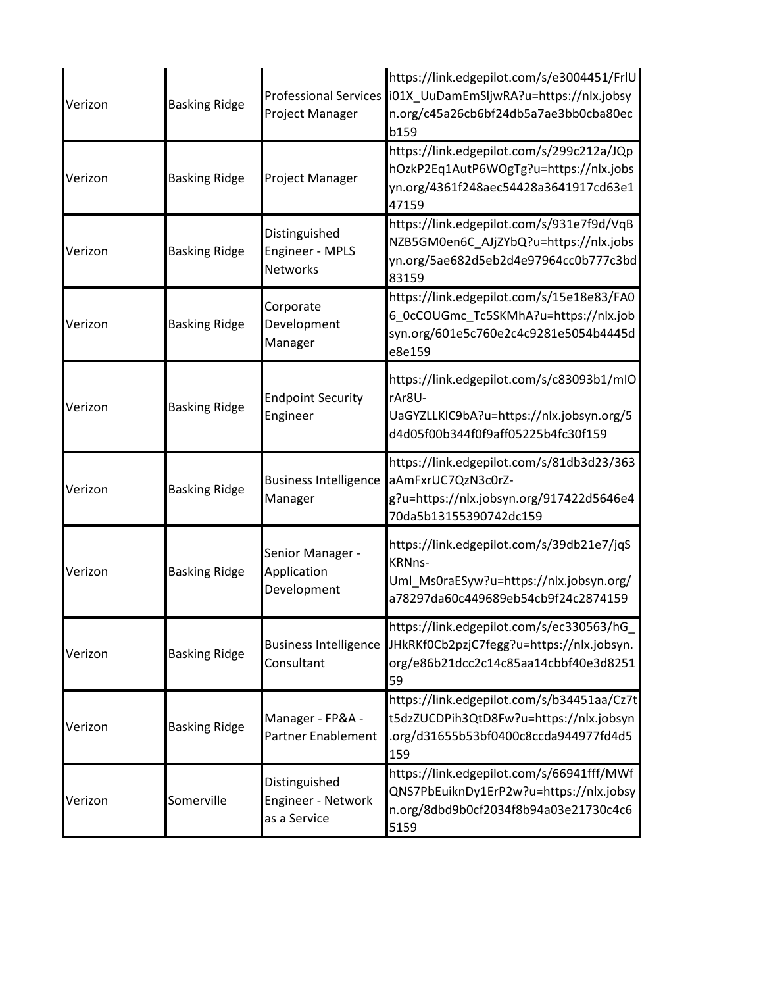| Verizon | <b>Basking Ridge</b> | <b>Professional Services</b><br>Project Manager     | https://link.edgepilot.com/s/e3004451/FrlU<br>i01X_UuDamEmSljwRA?u=https://nlx.jobsy<br>n.org/c45a26cb6bf24db5a7ae3bb0cba80ec<br>b159        |
|---------|----------------------|-----------------------------------------------------|----------------------------------------------------------------------------------------------------------------------------------------------|
| Verizon | <b>Basking Ridge</b> | Project Manager                                     | https://link.edgepilot.com/s/299c212a/JQp<br>hOzkP2Eq1AutP6WOgTg?u=https://nlx.jobs<br>yn.org/4361f248aec54428a3641917cd63e1<br>47159        |
| Verizon | <b>Basking Ridge</b> | Distinguished<br>Engineer - MPLS<br><b>Networks</b> | https://link.edgepilot.com/s/931e7f9d/VqB<br>NZB5GM0en6C_AJjZYbQ?u=https://nlx.jobs<br>yn.org/5ae682d5eb2d4e97964cc0b777c3bd<br>83159        |
| Verizon | <b>Basking Ridge</b> | Corporate<br>Development<br>Manager                 | https://link.edgepilot.com/s/15e18e83/FA0<br>6 OcCOUGmc Tc5SKMhA?u=https://nlx.job<br>syn.org/601e5c760e2c4c9281e5054b4445d<br>e8e159        |
| Verizon | <b>Basking Ridge</b> | <b>Endpoint Security</b><br>Engineer                | https://link.edgepilot.com/s/c83093b1/mIO<br>rAr8U-<br>UaGYZLLKIC9bA?u=https://nlx.jobsyn.org/5<br>d4d05f00b344f0f9aff05225b4fc30f159        |
| Verizon | <b>Basking Ridge</b> | <b>Business Intelligence</b><br>Manager             | https://link.edgepilot.com/s/81db3d23/363<br>aAmFxrUC7QzN3c0rZ-<br>g?u=https://nlx.jobsyn.org/917422d5646e4<br>70da5b13155390742dc159        |
| Verizon | <b>Basking Ridge</b> | Senior Manager -<br>Application<br>Development      | https://link.edgepilot.com/s/39db21e7/jqS<br><b>KRNns-</b><br>Uml_Ms0raESyw?u=https://nlx.jobsyn.org/<br>a78297da60c449689eb54cb9f24c2874159 |
| Verizon | <b>Basking Ridge</b> | <b>Business Intelligence</b><br>Consultant          | https://link.edgepilot.com/s/ec330563/hG<br>JHkRKf0Cb2pzjC7fegg?u=https://nlx.jobsyn.<br>org/e86b21dcc2c14c85aa14cbbf40e3d8251<br>59         |
| Verizon | <b>Basking Ridge</b> | Manager - FP&A -<br><b>Partner Enablement</b>       | https://link.edgepilot.com/s/b34451aa/Cz7t<br>t5dzZUCDPih3QtD8Fw?u=https://nlx.jobsyn<br>.org/d31655b53bf0400c8ccda944977fd4d5<br>159        |
| Verizon | Somerville           | Distinguished<br>Engineer - Network<br>as a Service | https://link.edgepilot.com/s/66941fff/MWf<br>QNS7PbEuiknDy1ErP2w?u=https://nlx.jobsy<br>n.org/8dbd9b0cf2034f8b94a03e21730c4c6<br>5159        |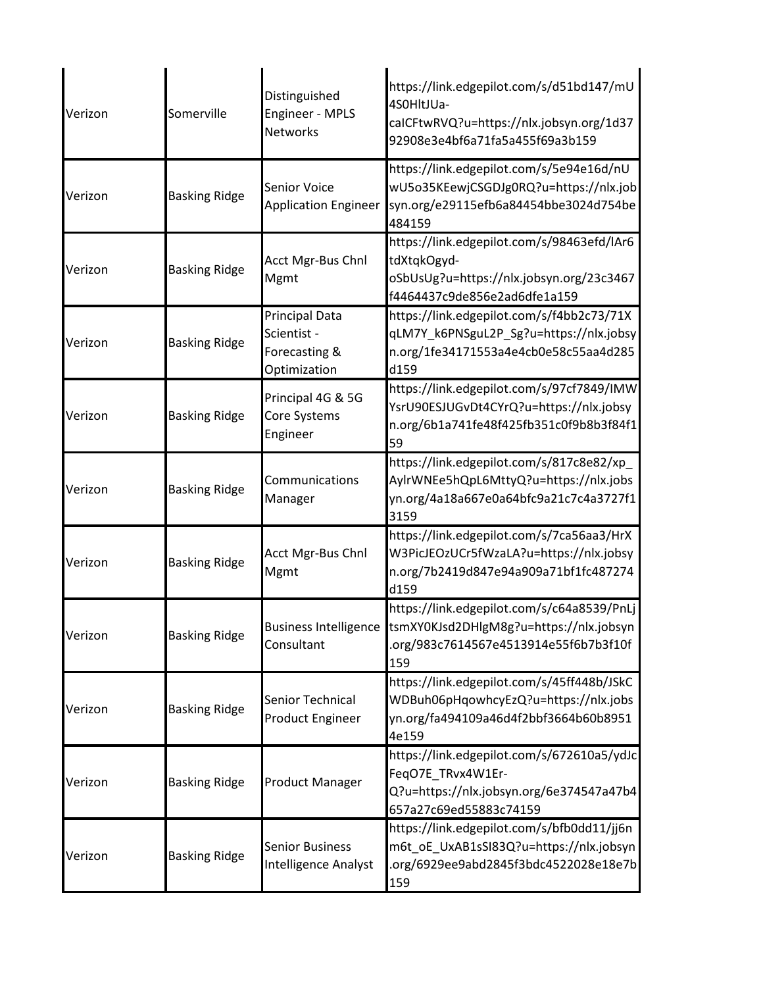| Verizon | Somerville           | Distinguished<br><b>Engineer - MPLS</b><br><b>Networks</b>            | https://link.edgepilot.com/s/d51bd147/mU<br>4S0HltJUa-<br>calCFtwRVQ?u=https://nlx.jobsyn.org/1d37<br>92908e3e4bf6a71fa5a455f69a3b159 |
|---------|----------------------|-----------------------------------------------------------------------|---------------------------------------------------------------------------------------------------------------------------------------|
| Verizon | <b>Basking Ridge</b> | <b>Senior Voice</b><br><b>Application Engineer</b>                    | https://link.edgepilot.com/s/5e94e16d/nU<br>wU5o35KEewjCSGDJg0RQ?u=https://nlx.job<br>syn.org/e29115efb6a84454bbe3024d754be<br>484159 |
| Verizon | <b>Basking Ridge</b> | <b>Acct Mgr-Bus Chnl</b><br>Mgmt                                      | https://link.edgepilot.com/s/98463efd/lAr6<br>tdXtqkOgyd-<br>oSbUsUg?u=https://nlx.jobsyn.org/23c3467<br>f4464437c9de856e2ad6dfe1a159 |
| Verizon | <b>Basking Ridge</b> | <b>Principal Data</b><br>Scientist -<br>Forecasting &<br>Optimization | https://link.edgepilot.com/s/f4bb2c73/71X<br>qLM7Y_k6PNSguL2P_Sg?u=https://nlx.jobsy<br>n.org/1fe34171553a4e4cb0e58c55aa4d285<br>d159 |
| Verizon | <b>Basking Ridge</b> | Principal 4G & 5G<br>Core Systems<br>Engineer                         | https://link.edgepilot.com/s/97cf7849/IMW<br>YsrU90ESJUGvDt4CYrQ?u=https://nlx.jobsy<br>n.org/6b1a741fe48f425fb351c0f9b8b3f84f1<br>59 |
| Verizon | <b>Basking Ridge</b> | Communications<br>Manager                                             | https://link.edgepilot.com/s/817c8e82/xp_<br>AylrWNEe5hQpL6MttyQ?u=https://nlx.jobs<br>yn.org/4a18a667e0a64bfc9a21c7c4a3727f1<br>3159 |
| Verizon | <b>Basking Ridge</b> | <b>Acct Mgr-Bus Chnl</b><br>Mgmt                                      | https://link.edgepilot.com/s/7ca56aa3/HrX<br>W3PicJEOzUCr5fWzaLA?u=https://nlx.jobsy<br>n.org/7b2419d847e94a909a71bf1fc487274<br>d159 |
| Verizon | <b>Basking Ridge</b> | <b>Business Intelligence</b><br>Consultant                            | https://link.edgepilot.com/s/c64a8539/PnLj<br>tsmXY0KJsd2DHlgM8g?u=https://nlx.jobsyn<br>.org/983c7614567e4513914e55f6b7b3f10f<br>159 |
| Verizon | <b>Basking Ridge</b> | Senior Technical<br><b>Product Engineer</b>                           | https://link.edgepilot.com/s/45ff448b/JSkC<br>WDBuh06pHqowhcyEzQ?u=https://nlx.jobs<br>yn.org/fa494109a46d4f2bbf3664b60b8951<br>4e159 |
| Verizon | <b>Basking Ridge</b> | Product Manager                                                       | https://link.edgepilot.com/s/672610a5/ydJc<br>FeqO7E_TRvx4W1Er-<br>Q?u=https://nlx.jobsyn.org/6e374547a47b4<br>657a27c69ed55883c74159 |
| Verizon | <b>Basking Ridge</b> | <b>Senior Business</b><br>Intelligence Analyst                        | https://link.edgepilot.com/s/bfb0dd11/jj6n<br>m6t_oE_UxAB1sSI83Q?u=https://nlx.jobsyn<br>.org/6929ee9abd2845f3bdc4522028e18e7b<br>159 |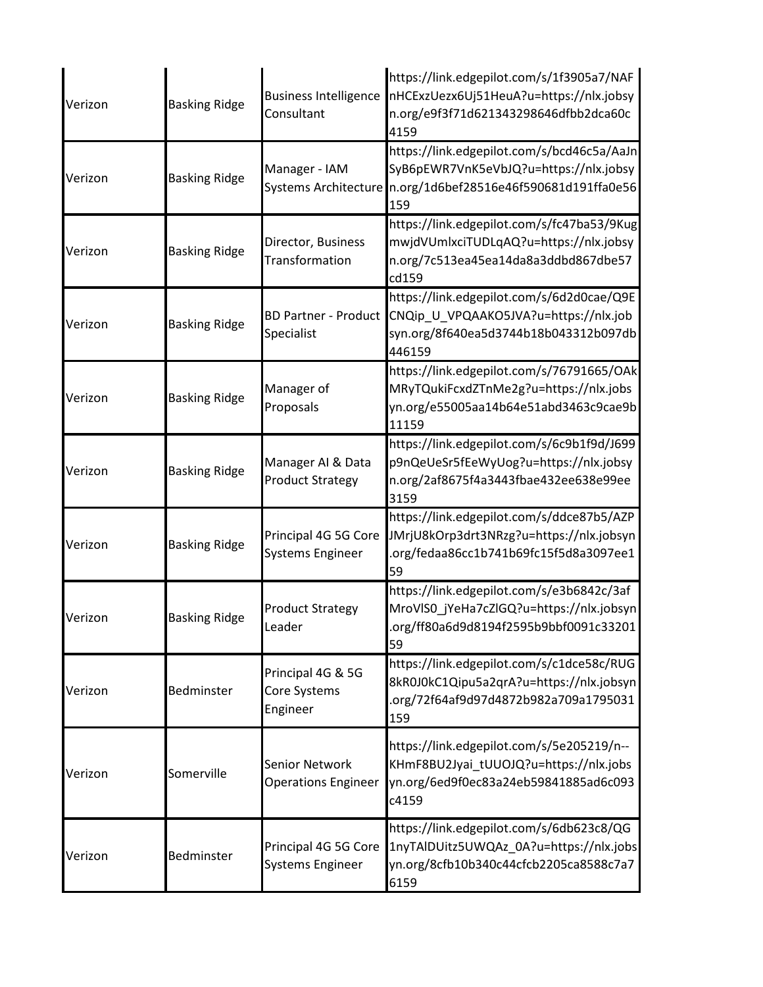| Verizon | <b>Basking Ridge</b> | <b>Business Intelligence</b><br>Consultant          | https://link.edgepilot.com/s/1f3905a7/NAF<br>nHCExzUezx6Uj51HeuA?u=https://nlx.jobsy<br>n.org/e9f3f71d621343298646dfbb2dca60c<br>4159                      |
|---------|----------------------|-----------------------------------------------------|------------------------------------------------------------------------------------------------------------------------------------------------------------|
| Verizon | <b>Basking Ridge</b> | Manager - IAM                                       | https://link.edgepilot.com/s/bcd46c5a/AaJn<br>SyB6pEWR7VnK5eVbJQ?u=https://nlx.jobsy<br>Systems Architecture n.org/1d6bef28516e46f590681d191ffa0e56<br>159 |
| Verizon | <b>Basking Ridge</b> | Director, Business<br>Transformation                | https://link.edgepilot.com/s/fc47ba53/9Kug<br>mwjdVUmlxciTUDLqAQ?u=https://nlx.jobsy<br>n.org/7c513ea45ea14da8a3ddbd867dbe57<br>cd159                      |
| Verizon | <b>Basking Ridge</b> | <b>BD Partner - Product</b><br>Specialist           | https://link.edgepilot.com/s/6d2d0cae/Q9E<br>CNQip_U_VPQAAKO5JVA?u=https://nlx.job<br>syn.org/8f640ea5d3744b18b043312b097db<br>446159                      |
| Verizon | <b>Basking Ridge</b> | Manager of<br>Proposals                             | https://link.edgepilot.com/s/76791665/OAk<br>MRyTQukiFcxdZTnMe2g?u=https://nlx.jobs<br>yn.org/e55005aa14b64e51abd3463c9cae9b<br>11159                      |
| Verizon | <b>Basking Ridge</b> | Manager AI & Data<br><b>Product Strategy</b>        | https://link.edgepilot.com/s/6c9b1f9d/J699<br>p9nQeUeSr5fEeWyUog?u=https://nlx.jobsy<br>n.org/2af8675f4a3443fbae432ee638e99ee<br>3159                      |
| Verizon | <b>Basking Ridge</b> | Principal 4G 5G Core<br><b>Systems Engineer</b>     | https://link.edgepilot.com/s/ddce87b5/AZP<br>JMrjU8kOrp3drt3NRzg?u=https://nlx.jobsyn<br>.org/fedaa86cc1b741b69fc15f5d8a3097ee1<br>59                      |
| Verizon | <b>Basking Ridge</b> | <b>Product Strategy</b><br>_eader                   | https://link.edgepilot.com/s/e3b6842c/3af<br>MroVIS0_jYeHa7cZIGQ?u=https://nlx.jobsyn<br>.org/ff80a6d9d8194f2595b9bbf0091c33201<br>59                      |
| Verizon | Bedminster           | Principal 4G & 5G<br>Core Systems<br>Engineer       | https://link.edgepilot.com/s/c1dce58c/RUG<br>8kR0J0kC1Qipu5a2qrA?u=https://nlx.jobsyn<br>.org/72f64af9d97d4872b982a709a1795031<br>159                      |
| Verizon | Somerville           | <b>Senior Network</b><br><b>Operations Engineer</b> | https://link.edgepilot.com/s/5e205219/n--<br>KHmF8BU2Jyai_tUUOJQ?u=https://nlx.jobs<br>yn.org/6ed9f0ec83a24eb59841885ad6c093<br>c4159                      |
| Verizon | Bedminster           | Principal 4G 5G Core<br><b>Systems Engineer</b>     | https://link.edgepilot.com/s/6db623c8/QG<br>1nyTAlDUitz5UWQAz_0A?u=https://nlx.jobs<br>yn.org/8cfb10b340c44cfcb2205ca8588c7a7<br>6159                      |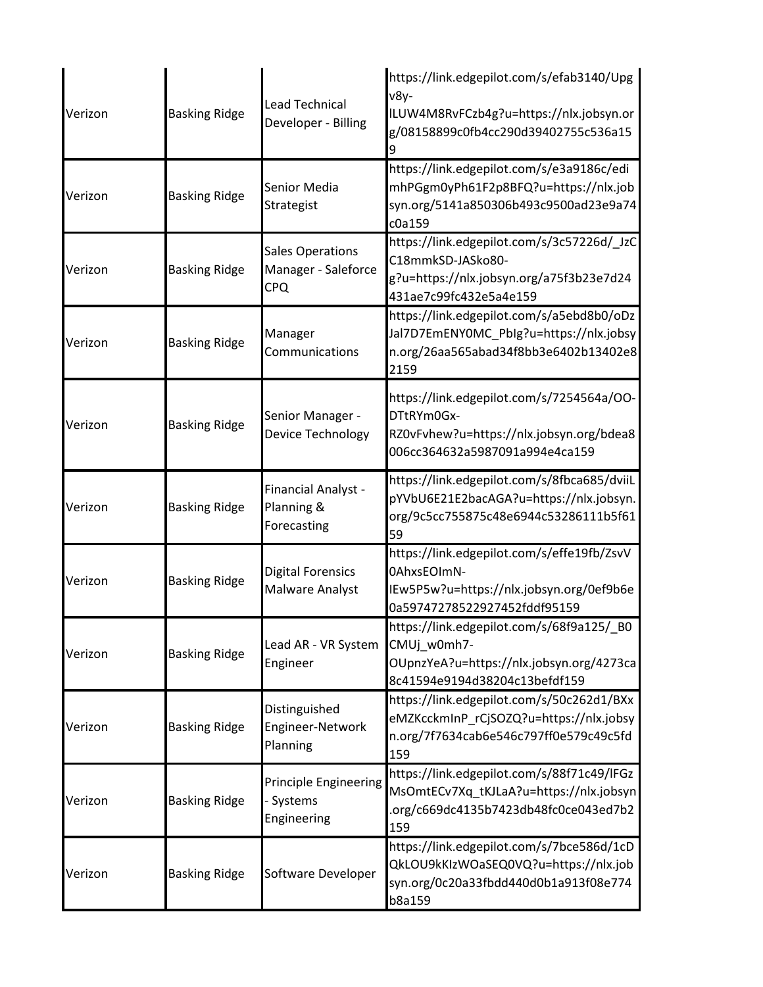| Verizon | <b>Basking Ridge</b> | Lead Technical<br>Developer - Billing                  | https://link.edgepilot.com/s/efab3140/Upg<br>v8y-<br>ILUW4M8RvFCzb4g?u=https://nlx.jobsyn.or<br>g/08158899c0fb4cc290d39402755c536a15  |
|---------|----------------------|--------------------------------------------------------|---------------------------------------------------------------------------------------------------------------------------------------|
| Verizon | <b>Basking Ridge</b> | Senior Media<br>Strategist                             | https://link.edgepilot.com/s/e3a9186c/edi<br>mhPGgm0yPh61F2p8BFQ?u=https://nlx.job<br>syn.org/5141a850306b493c9500ad23e9a74<br>c0a159 |
| Verizon | <b>Basking Ridge</b> | <b>Sales Operations</b><br>Manager - Saleforce<br>CPQ  | https://link.edgepilot.com/s/3c57226d/_JzC<br>C18mmkSD-JASko80-<br>g?u=https://nlx.jobsyn.org/a75f3b23e7d24<br>431ae7c99fc432e5a4e159 |
| Verizon | <b>Basking Ridge</b> | Manager<br>Communications                              | https://link.edgepilot.com/s/a5ebd8b0/oDz<br>Jal7D7EmENY0MC_Pblg?u=https://nlx.jobsy<br>n.org/26aa565abad34f8bb3e6402b13402e8<br>2159 |
| Verizon | <b>Basking Ridge</b> | Senior Manager -<br>Device Technology                  | https://link.edgepilot.com/s/7254564a/OO-<br>DTtRYm0Gx-<br>RZ0vFvhew?u=https://nlx.jobsyn.org/bdea8<br>006cc364632a5987091a994e4ca159 |
| Verizon | <b>Basking Ridge</b> | Financial Analyst -<br>Planning &<br>Forecasting       | https://link.edgepilot.com/s/8fbca685/dviiL<br>pYVbU6E21E2bacAGA?u=https://nlx.jobsyn.<br>org/9c5cc755875c48e6944c53286111b5f61<br>59 |
| Verizon | <b>Basking Ridge</b> | <b>Digital Forensics</b><br><b>Malware Analyst</b>     | https://link.edgepilot.com/s/effe19fb/ZsvV<br>0AhxsEOImN-<br>IEw5P5w?u=https://nlx.jobsyn.org/0ef9b6e<br>0a59747278522927452fddf95159 |
| Verizon | <b>Basking Ridge</b> | Lead AR - VR System<br>Engineer                        | https://link.edgepilot.com/s/68f9a125/_B0<br>CMUj_w0mh7-<br>OUpnzYeA?u=https://nlx.jobsyn.org/4273ca<br>8c41594e9194d38204c13befdf159 |
| Verizon | <b>Basking Ridge</b> | Distinguished<br>Engineer-Network<br>Planning          | https://link.edgepilot.com/s/50c262d1/BXx<br>eMZKcckmInP_rCjSOZQ?u=https://nlx.jobsy<br>n.org/7f7634cab6e546c797ff0e579c49c5fd<br>159 |
| Verizon | <b>Basking Ridge</b> | <b>Principle Engineering</b><br>Systems<br>Engineering | https://link.edgepilot.com/s/88f71c49/lFGz<br>MsOmtECv7Xq_tKJLaA?u=https://nlx.jobsyn<br>.org/c669dc4135b7423db48fc0ce043ed7b2<br>159 |
| Verizon | <b>Basking Ridge</b> | Software Developer                                     | https://link.edgepilot.com/s/7bce586d/1cD<br>QkLOU9kKIzWOaSEQ0VQ?u=https://nlx.job<br>syn.org/0c20a33fbdd440d0b1a913f08e774<br>b8a159 |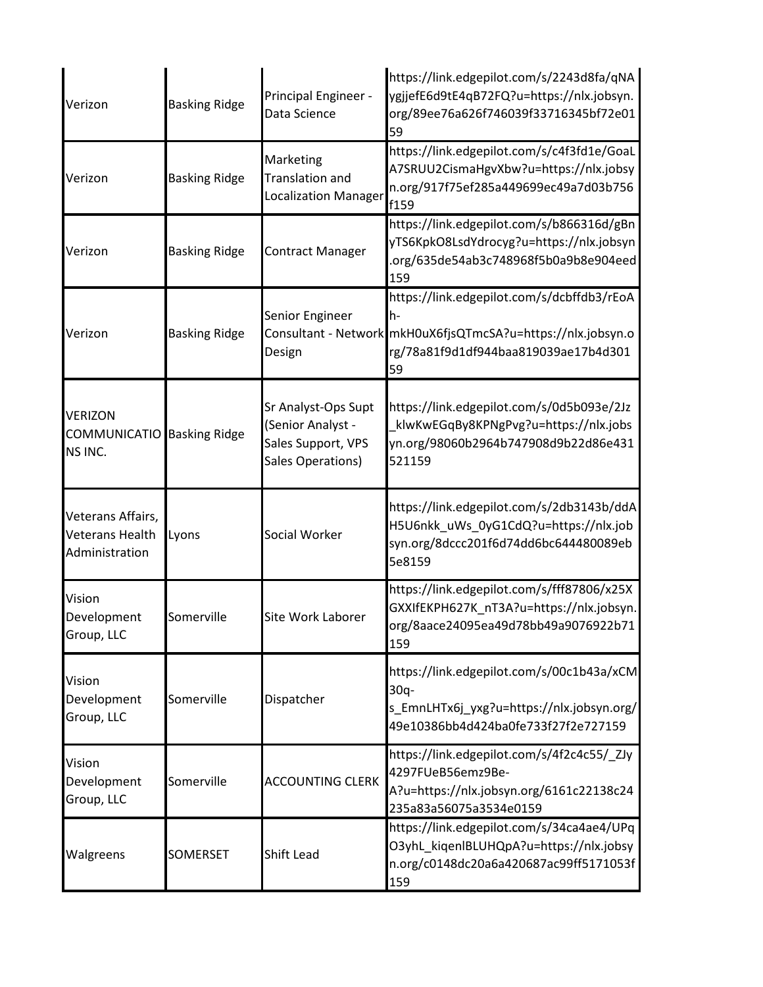| Verizon                                                | <b>Basking Ridge</b> | Principal Engineer -<br>Data Science                                                | https://link.edgepilot.com/s/2243d8fa/qNA<br>ygjjefE6d9tE4qB72FQ?u=https://nlx.jobsyn.<br>org/89ee76a626f746039f33716345bf72e01<br>59     |
|--------------------------------------------------------|----------------------|-------------------------------------------------------------------------------------|-------------------------------------------------------------------------------------------------------------------------------------------|
| Verizon                                                | <b>Basking Ridge</b> | Marketing<br><b>Translation and</b><br><b>Localization Manager</b>                  | https://link.edgepilot.com/s/c4f3fd1e/GoaL<br>A7SRUU2CismaHgvXbw?u=https://nlx.jobsy<br>n.org/917f75ef285a449699ec49a7d03b756<br>f159     |
| Verizon                                                | <b>Basking Ridge</b> | <b>Contract Manager</b>                                                             | https://link.edgepilot.com/s/b866316d/gBn<br>yTS6KpkO8LsdYdrocyg?u=https://nlx.jobsyn<br>.org/635de54ab3c748968f5b0a9b8e904eed<br>159     |
| Verizon                                                | <b>Basking Ridge</b> | Senior Engineer<br>Consultant - Network<br>Design                                   | https://link.edgepilot.com/s/dcbffdb3/rEoA<br>h-<br>mkH0uX6fjsQTmcSA?u=https://nlx.jobsyn.o<br>rg/78a81f9d1df944baa819039ae17b4d301<br>59 |
| <b>VERIZON</b><br>COMMUNICATIO<br>NS INC.              | <b>Basking Ridge</b> | Sr Analyst-Ops Supt<br>(Senior Analyst -<br>Sales Support, VPS<br>Sales Operations) | https://link.edgepilot.com/s/0d5b093e/2Jz<br>klwKwEGqBy8KPNgPvg?u=https://nlx.jobs<br>yn.org/98060b2964b747908d9b22d86e431<br>521159      |
| Veterans Affairs,<br>Veterans Health<br>Administration | Lyons                | Social Worker                                                                       | https://link.edgepilot.com/s/2db3143b/ddA<br>H5U6nkk_uWs_0yG1CdQ?u=https://nlx.job<br>syn.org/8dccc201f6d74dd6bc644480089eb<br>5e8159     |
| Vision<br>Development<br>Group, LLC                    | Somerville           | Site Work Laborer                                                                   | https://link.edgepilot.com/s/fff87806/x25X<br>GXXIfEKPH627K_nT3A?u=https://nlx.jobsyn.<br>org/8aace24095ea49d78bb49a9076922b71<br>159     |
| Vision<br>Development<br>Group, LLC                    | Somerville           | Dispatcher                                                                          | https://link.edgepilot.com/s/00c1b43a/xCM<br>$30q -$<br>s_EmnLHTx6j_yxg?u=https://nlx.jobsyn.org/<br>49e10386bb4d424ba0fe733f27f2e727159  |
| Vision<br>Development<br>Group, LLC                    | Somerville           | <b>ACCOUNTING CLERK</b>                                                             | https://link.edgepilot.com/s/4f2c4c55/_ZJy<br>4297FUeB56emz9Be-<br>A?u=https://nlx.jobsyn.org/6161c22138c24<br>235a83a56075a3534e0159     |
| Walgreens                                              | <b>SOMERSET</b>      | <b>Shift Lead</b>                                                                   | https://link.edgepilot.com/s/34ca4ae4/UPq<br>O3yhL_kiqenIBLUHQpA?u=https://nlx.jobsy<br>n.org/c0148dc20a6a420687ac99ff5171053f<br>159     |